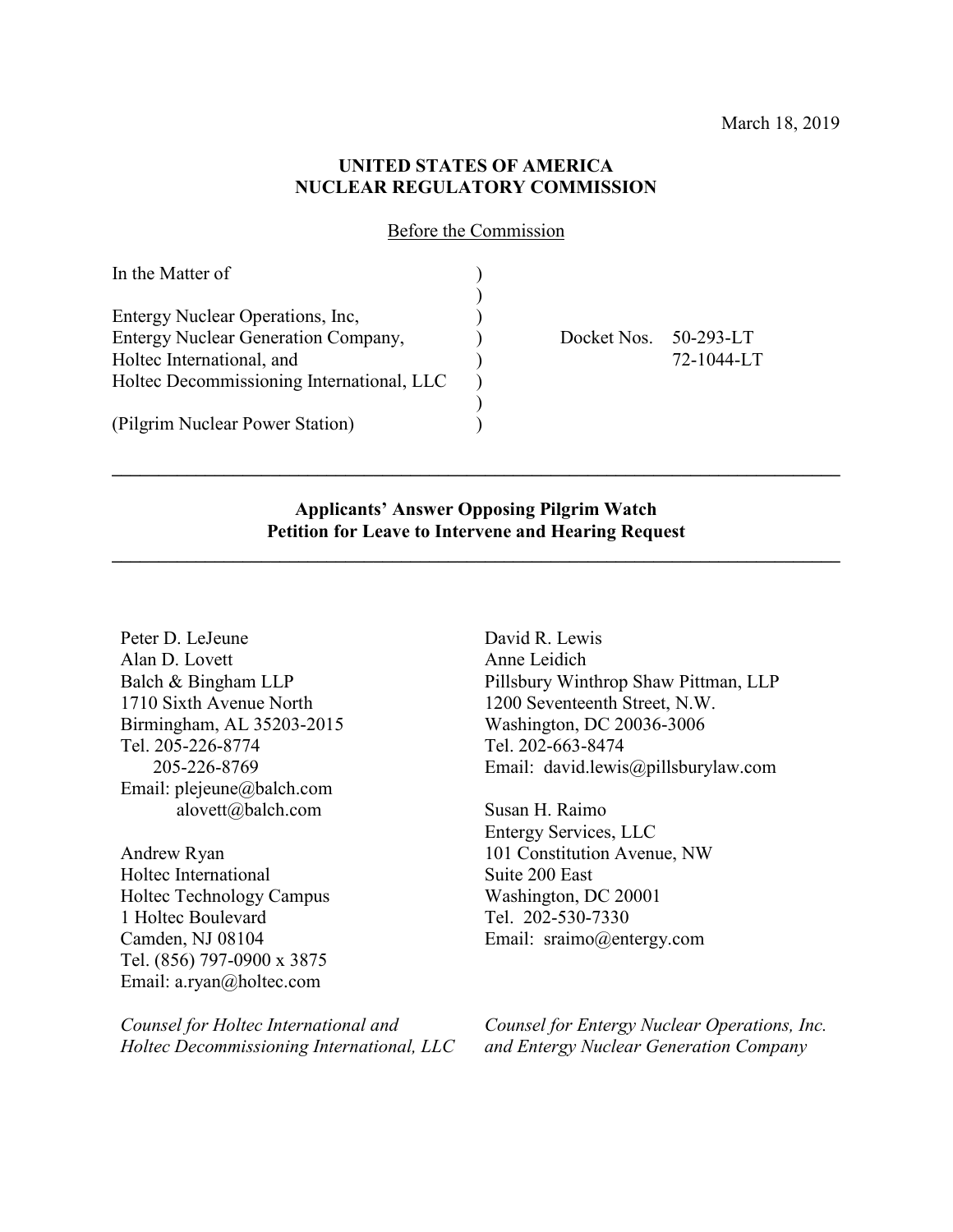## **UNITED STATES OF AMERICA NUCLEAR REGULATORY COMMISSION**

Before the Commission

| In the Matter of                           |                       |            |
|--------------------------------------------|-----------------------|------------|
|                                            |                       |            |
| Entergy Nuclear Operations, Inc.           |                       |            |
| <b>Entergy Nuclear Generation Company,</b> | Docket Nos. 50-293-LT |            |
| Holtec International, and                  |                       | 72-1044-LT |
| Holtec Decommissioning International, LLC  |                       |            |
|                                            |                       |            |
| (Pilgrim Nuclear Power Station)            |                       |            |

**Applicants' Answer Opposing Pilgrim Watch Petition for Leave to Intervene and Hearing Request**

**\_\_\_\_\_\_\_\_\_\_\_\_\_\_\_\_\_\_\_\_\_\_\_\_\_\_\_\_\_\_\_\_\_\_\_\_\_\_\_\_\_\_\_\_\_\_\_\_\_\_\_\_\_\_\_\_\_\_\_\_\_\_\_\_\_\_\_\_\_\_\_\_\_\_\_\_\_\_**

**\_\_\_\_\_\_\_\_\_\_\_\_\_\_\_\_\_\_\_\_\_\_\_\_\_\_\_\_\_\_\_\_\_\_\_\_\_\_\_\_\_\_\_\_\_\_\_\_\_\_\_\_\_\_\_\_\_\_\_\_\_\_\_\_\_\_\_\_\_\_\_\_\_\_\_\_\_\_**

Peter D. LeJeune Alan D. Lovett Balch & Bingham LLP 1710 Sixth Avenue North Birmingham, AL 35203-2015 Tel. 205-226-8774 205-226-8769 Email: plejeune@balch.com alovett@balch.com

Andrew Ryan Holtec International Holtec Technology Campus 1 Holtec Boulevard Camden, NJ 08104 Tel. (856) 797-0900 x 3875 Email: a.ryan@holtec.com

*Counsel for Holtec International and Holtec Decommissioning International, LLC* David R. Lewis Anne Leidich Pillsbury Winthrop Shaw Pittman, LLP 1200 Seventeenth Street, N.W. Washington, DC 20036-3006 Tel. 202-663-8474 Email: david.lewis@pillsburylaw.com

Susan H. Raimo Entergy Services, LLC 101 Constitution Avenue, NW Suite 200 East Washington, DC 20001 Tel. 202-530-7330 Email: sraimo@entergy.com

*Counsel for Entergy Nuclear Operations, Inc. and Entergy Nuclear Generation Company*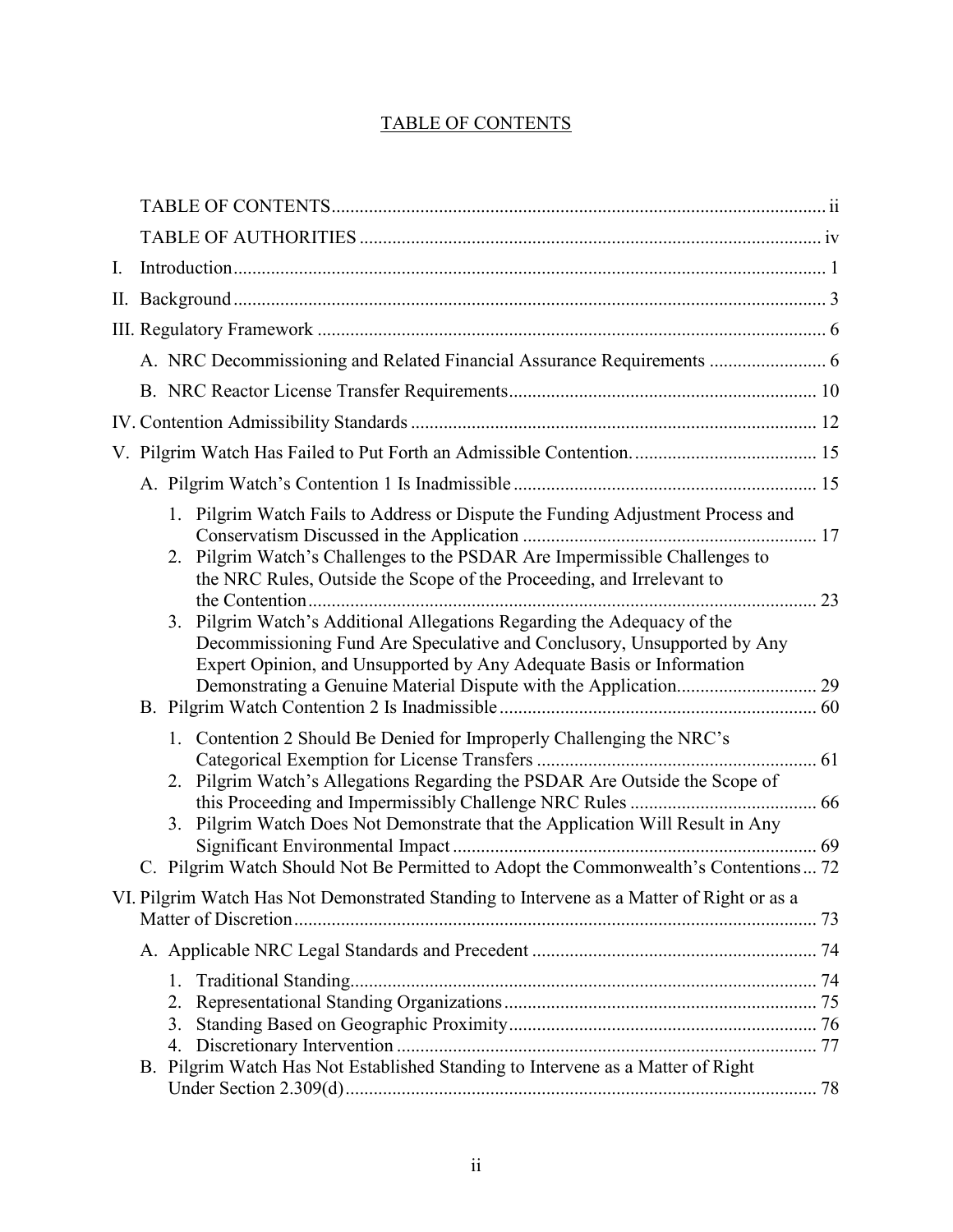# TABLE OF CONTENTS

| Ι. |                |                                                                                                                                                                                                                                                                                                                                                                                        |  |
|----|----------------|----------------------------------------------------------------------------------------------------------------------------------------------------------------------------------------------------------------------------------------------------------------------------------------------------------------------------------------------------------------------------------------|--|
|    |                |                                                                                                                                                                                                                                                                                                                                                                                        |  |
|    |                |                                                                                                                                                                                                                                                                                                                                                                                        |  |
|    |                | A. NRC Decommissioning and Related Financial Assurance Requirements  6                                                                                                                                                                                                                                                                                                                 |  |
|    |                |                                                                                                                                                                                                                                                                                                                                                                                        |  |
|    |                |                                                                                                                                                                                                                                                                                                                                                                                        |  |
|    |                |                                                                                                                                                                                                                                                                                                                                                                                        |  |
|    |                |                                                                                                                                                                                                                                                                                                                                                                                        |  |
|    | 2.<br>3.       | 1. Pilgrim Watch Fails to Address or Dispute the Funding Adjustment Process and<br>Pilgrim Watch's Challenges to the PSDAR Are Impermissible Challenges to<br>the NRC Rules, Outside the Scope of the Proceeding, and Irrelevant to<br>Pilgrim Watch's Additional Allegations Regarding the Adequacy of the<br>Decommissioning Fund Are Speculative and Conclusory, Unsupported by Any |  |
|    |                | Expert Opinion, and Unsupported by Any Adequate Basis or Information                                                                                                                                                                                                                                                                                                                   |  |
|    | 2.             | 1. Contention 2 Should Be Denied for Improperly Challenging the NRC's<br>Pilgrim Watch's Allegations Regarding the PSDAR Are Outside the Scope of<br>3. Pilgrim Watch Does Not Demonstrate that the Application Will Result in Any<br>C. Pilgrim Watch Should Not Be Permitted to Adopt the Commonwealth's Contentions 72                                                              |  |
|    |                | VI. Pilgrim Watch Has Not Demonstrated Standing to Intervene as a Matter of Right or as a                                                                                                                                                                                                                                                                                              |  |
|    |                |                                                                                                                                                                                                                                                                                                                                                                                        |  |
|    | 1.<br>2.<br>3. | B. Pilgrim Watch Has Not Established Standing to Intervene as a Matter of Right                                                                                                                                                                                                                                                                                                        |  |
|    |                |                                                                                                                                                                                                                                                                                                                                                                                        |  |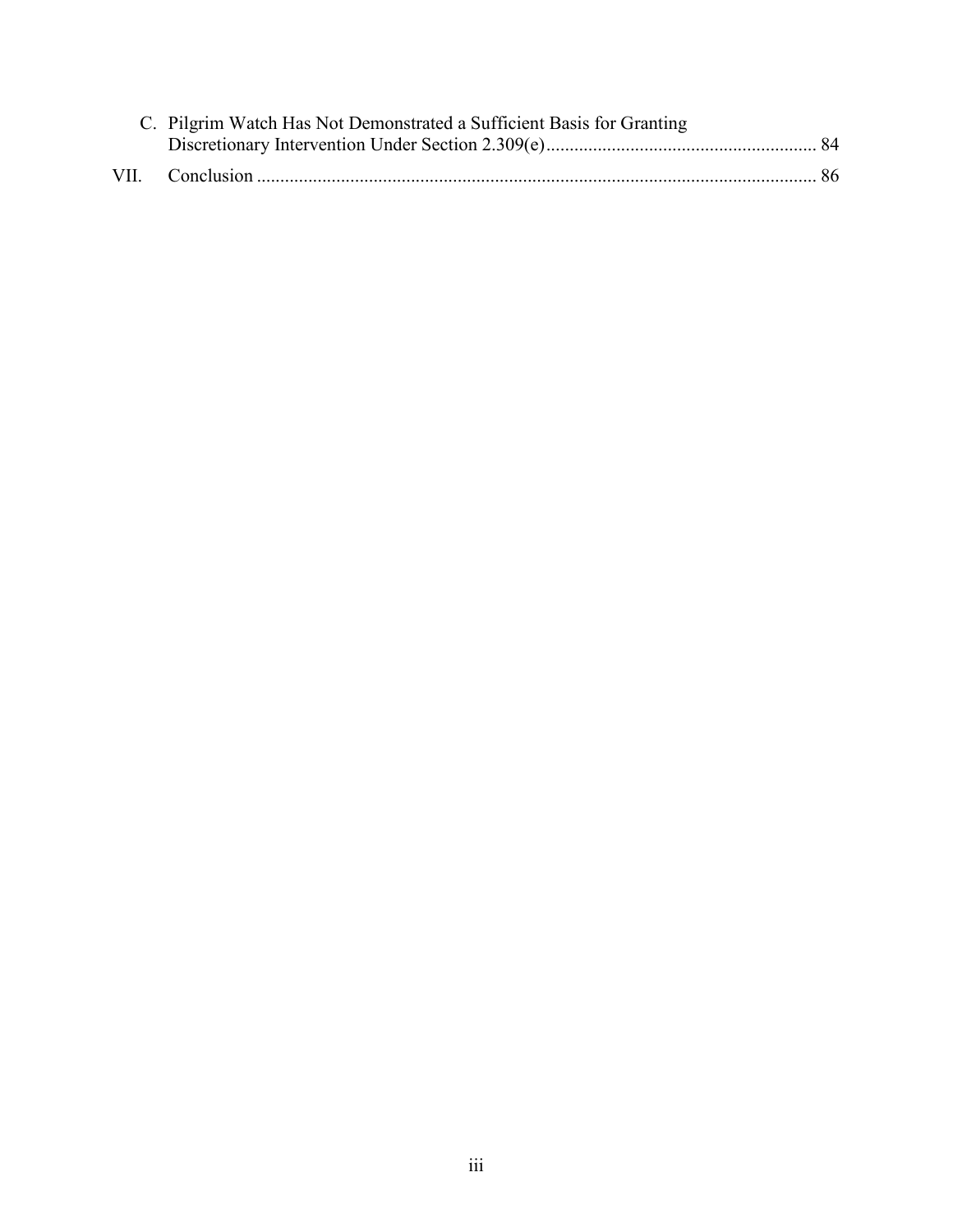| C. Pilgrim Watch Has Not Demonstrated a Sufficient Basis for Granting |  |
|-----------------------------------------------------------------------|--|
|                                                                       |  |
|                                                                       |  |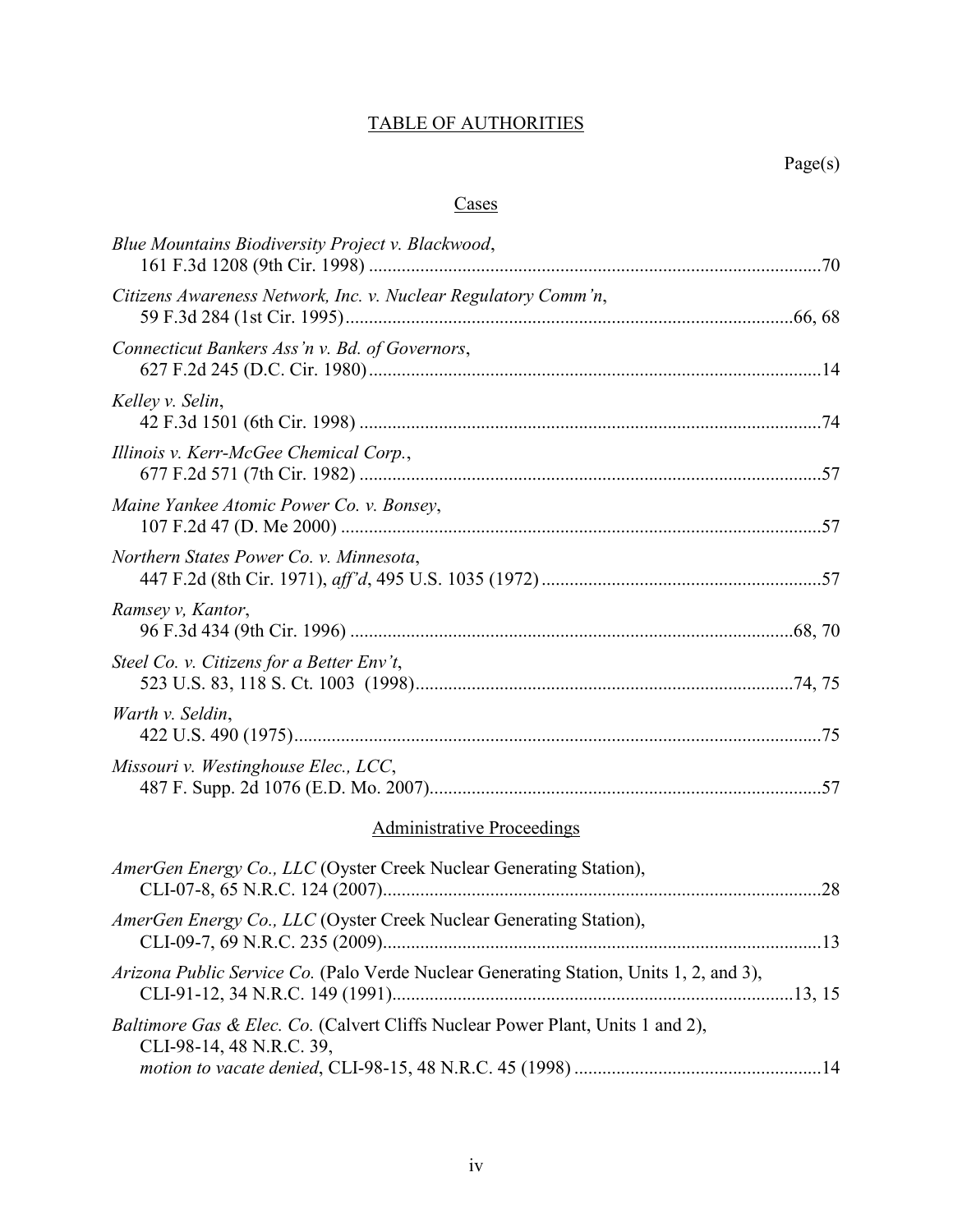# TABLE OF AUTHORITIES

### **Cases**

| Blue Mountains Biodiversity Project v. Blackwood,                  |
|--------------------------------------------------------------------|
| Citizens Awareness Network, Inc. v. Nuclear Regulatory Comm'n,     |
| Connecticut Bankers Ass'n v. Bd. of Governors,                     |
| Kelley v. Selin,                                                   |
| Illinois v. Kerr-McGee Chemical Corp.,                             |
| Maine Yankee Atomic Power Co. v. Bonsey,                           |
| Northern States Power Co. v. Minnesota,                            |
| Ramsey v, Kantor,                                                  |
| Steel Co. v. Citizens for a Better Env't,                          |
| Warth v. Seldin,                                                   |
| Missouri v. Westinghouse Elec., LCC,                               |
| <b>Administrative Proceedings</b>                                  |
| AmerGen Energy Co., LLC (Oyster Creek Nuclear Generating Station), |
| AmerGen Energy Co., LLC (Oyster Creek Nuclear Generating Station), |

| <i>Arizona Public Service Co.</i> (Palo Verde Nuclear Generating Station, Units 1, 2, and 3),                         |  |
|-----------------------------------------------------------------------------------------------------------------------|--|
| <i>Baltimore Gas &amp; Elec. Co.</i> (Calvert Cliffs Nuclear Power Plant, Units 1 and 2),<br>CLI-98-14, 48 N.R.C. 39, |  |

| --- <i>- -</i> - -, - - - - - - - <i>- -</i> , |  |
|------------------------------------------------|--|
|                                                |  |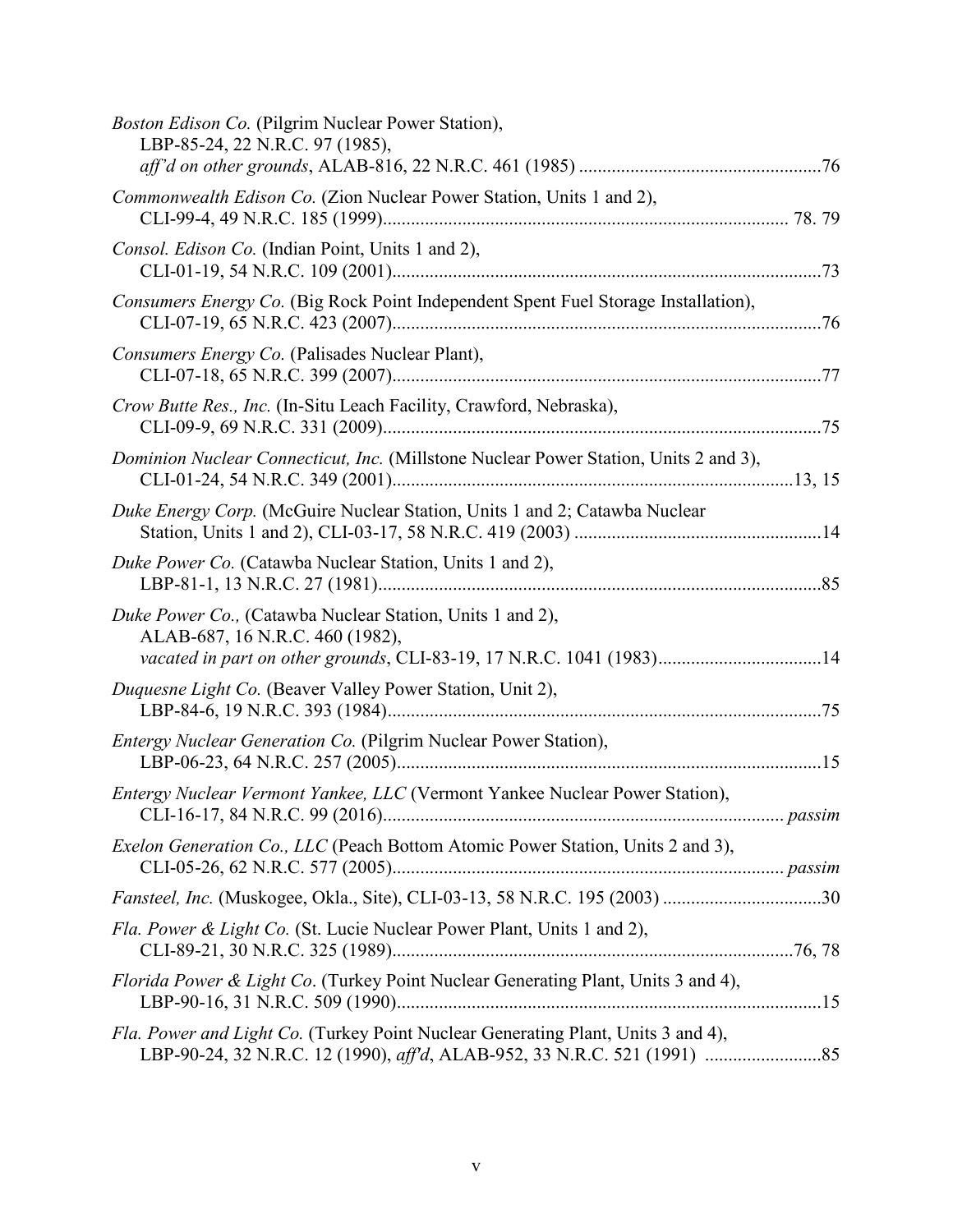| Boston Edison Co. (Pilgrim Nuclear Power Station),<br>LBP-85-24, 22 N.R.C. 97 (1985),                                                                                |  |
|----------------------------------------------------------------------------------------------------------------------------------------------------------------------|--|
| Commonwealth Edison Co. (Zion Nuclear Power Station, Units 1 and 2),                                                                                                 |  |
| Consol. Edison Co. (Indian Point, Units 1 and 2),                                                                                                                    |  |
| Consumers Energy Co. (Big Rock Point Independent Spent Fuel Storage Installation),                                                                                   |  |
| Consumers Energy Co. (Palisades Nuclear Plant),                                                                                                                      |  |
| Crow Butte Res., Inc. (In-Situ Leach Facility, Crawford, Nebraska),                                                                                                  |  |
| Dominion Nuclear Connecticut, Inc. (Millstone Nuclear Power Station, Units 2 and 3),                                                                                 |  |
| Duke Energy Corp. (McGuire Nuclear Station, Units 1 and 2; Catawba Nuclear                                                                                           |  |
| Duke Power Co. (Catawba Nuclear Station, Units 1 and 2),                                                                                                             |  |
| Duke Power Co., (Catawba Nuclear Station, Units 1 and 2),<br>ALAB-687, 16 N.R.C. 460 (1982),<br>vacated in part on other grounds, CLI-83-19, 17 N.R.C. 1041 (1983)14 |  |
| Duquesne Light Co. (Beaver Valley Power Station, Unit 2),                                                                                                            |  |
| <i>Entergy Nuclear Generation Co.</i> (Pilgrim Nuclear Power Station),                                                                                               |  |
| Entergy Nuclear Vermont Yankee, LLC (Vermont Yankee Nuclear Power Station),                                                                                          |  |
| Exelon Generation Co., LLC (Peach Bottom Atomic Power Station, Units 2 and 3),                                                                                       |  |
| Fansteel, Inc. (Muskogee, Okla., Site), CLI-03-13, 58 N.R.C. 195 (2003) 30                                                                                           |  |
| Fla. Power & Light Co. (St. Lucie Nuclear Power Plant, Units 1 and 2),                                                                                               |  |
| Florida Power & Light Co. (Turkey Point Nuclear Generating Plant, Units 3 and 4),                                                                                    |  |
| Fla. Power and Light Co. (Turkey Point Nuclear Generating Plant, Units 3 and 4),                                                                                     |  |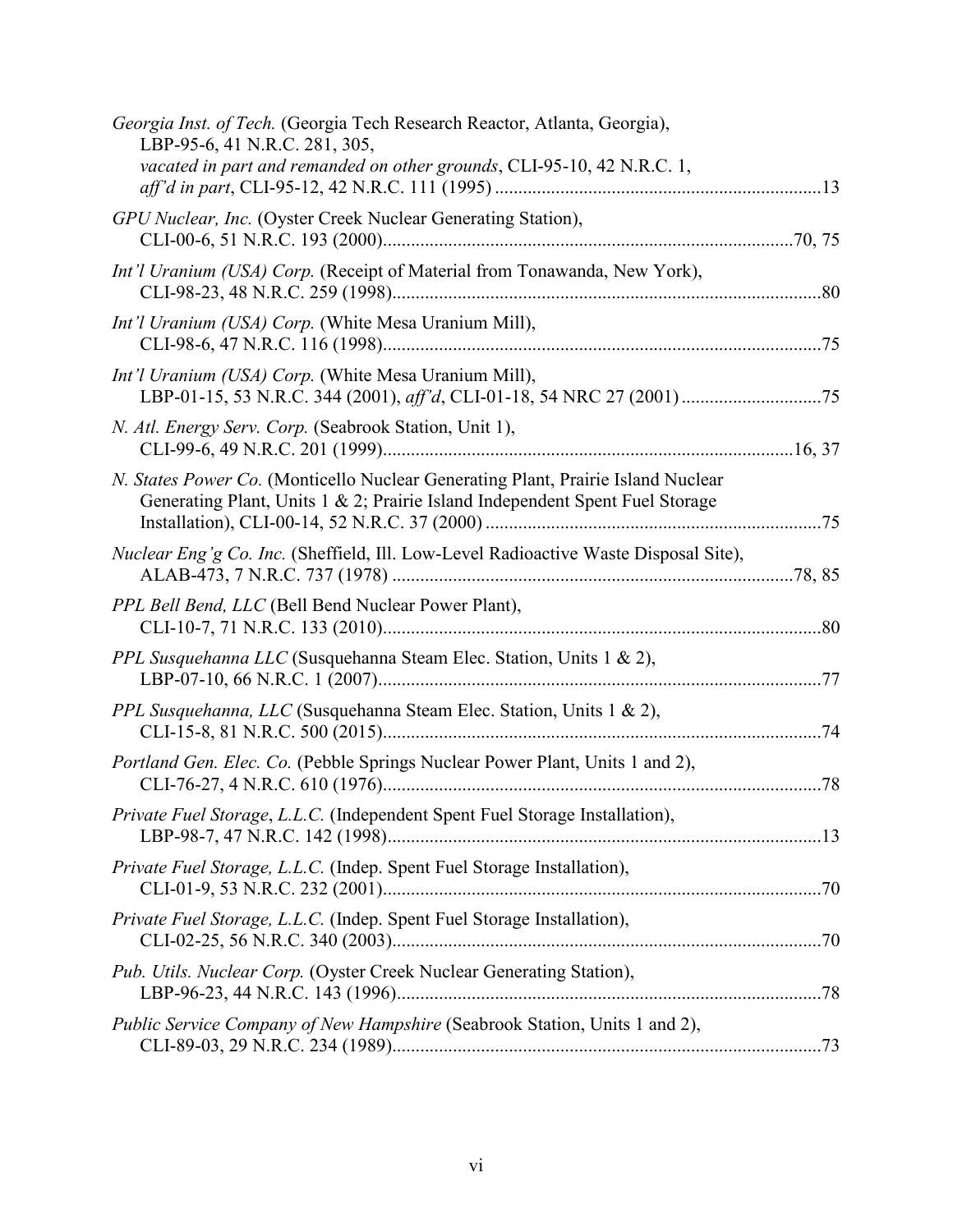| Georgia Inst. of Tech. (Georgia Tech Research Reactor, Atlanta, Georgia),<br>LBP-95-6, 41 N.R.C. 281, 305,<br>vacated in part and remanded on other grounds, CLI-95-10, 42 N.R.C. 1, |  |
|--------------------------------------------------------------------------------------------------------------------------------------------------------------------------------------|--|
| GPU Nuclear, Inc. (Oyster Creek Nuclear Generating Station),                                                                                                                         |  |
| Int'l Uranium (USA) Corp. (Receipt of Material from Tonawanda, New York),                                                                                                            |  |
| Int'l Uranium (USA) Corp. (White Mesa Uranium Mill),                                                                                                                                 |  |
| Int'l Uranium (USA) Corp. (White Mesa Uranium Mill),                                                                                                                                 |  |
| N. Atl. Energy Serv. Corp. (Seabrook Station, Unit 1),                                                                                                                               |  |
| N. States Power Co. (Monticello Nuclear Generating Plant, Prairie Island Nuclear<br>Generating Plant, Units 1 & 2; Prairie Island Independent Spent Fuel Storage                     |  |
| Nuclear Eng'g Co. Inc. (Sheffield, Ill. Low-Level Radioactive Waste Disposal Site),                                                                                                  |  |
| PPL Bell Bend, LLC (Bell Bend Nuclear Power Plant),                                                                                                                                  |  |
| PPL Susquehanna LLC (Susquehanna Steam Elec. Station, Units 1 & 2),                                                                                                                  |  |
| PPL Susquehanna, LLC (Susquehanna Steam Elec. Station, Units 1 & 2),                                                                                                                 |  |
| Portland Gen. Elec. Co. (Pebble Springs Nuclear Power Plant, Units 1 and 2),                                                                                                         |  |
| Private Fuel Storage, L.L.C. (Independent Spent Fuel Storage Installation),                                                                                                          |  |
| Private Fuel Storage, L.L.C. (Indep. Spent Fuel Storage Installation),                                                                                                               |  |
| Private Fuel Storage, L.L.C. (Indep. Spent Fuel Storage Installation),                                                                                                               |  |
| Pub. Utils. Nuclear Corp. (Oyster Creek Nuclear Generating Station),                                                                                                                 |  |
| Public Service Company of New Hampshire (Seabrook Station, Units 1 and 2),                                                                                                           |  |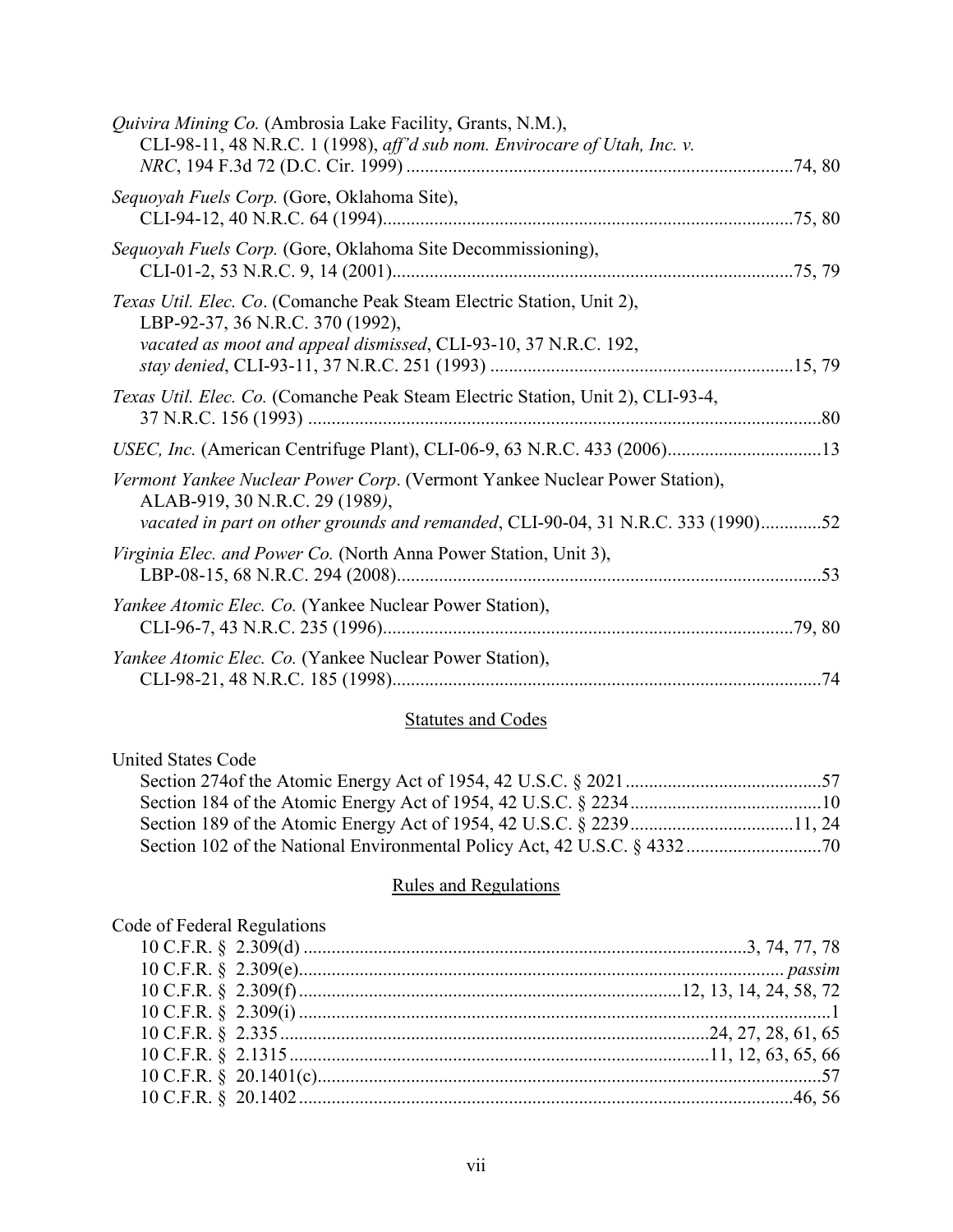| USEC, Inc. (American Centrifuge Plant), CLI-06-9, 63 N.R.C. 433 (2006)13         |
|----------------------------------------------------------------------------------|
| vacated in part on other grounds and remanded, CLI-90-04, 31 N.R.C. 333 (1990)52 |
|                                                                                  |
|                                                                                  |
|                                                                                  |
|                                                                                  |

# **Statutes and Codes**

# United States Code

# Rules and Regulations

| Code of Federal Regulations |  |
|-----------------------------|--|
|                             |  |
|                             |  |
|                             |  |
|                             |  |
|                             |  |
|                             |  |
|                             |  |
|                             |  |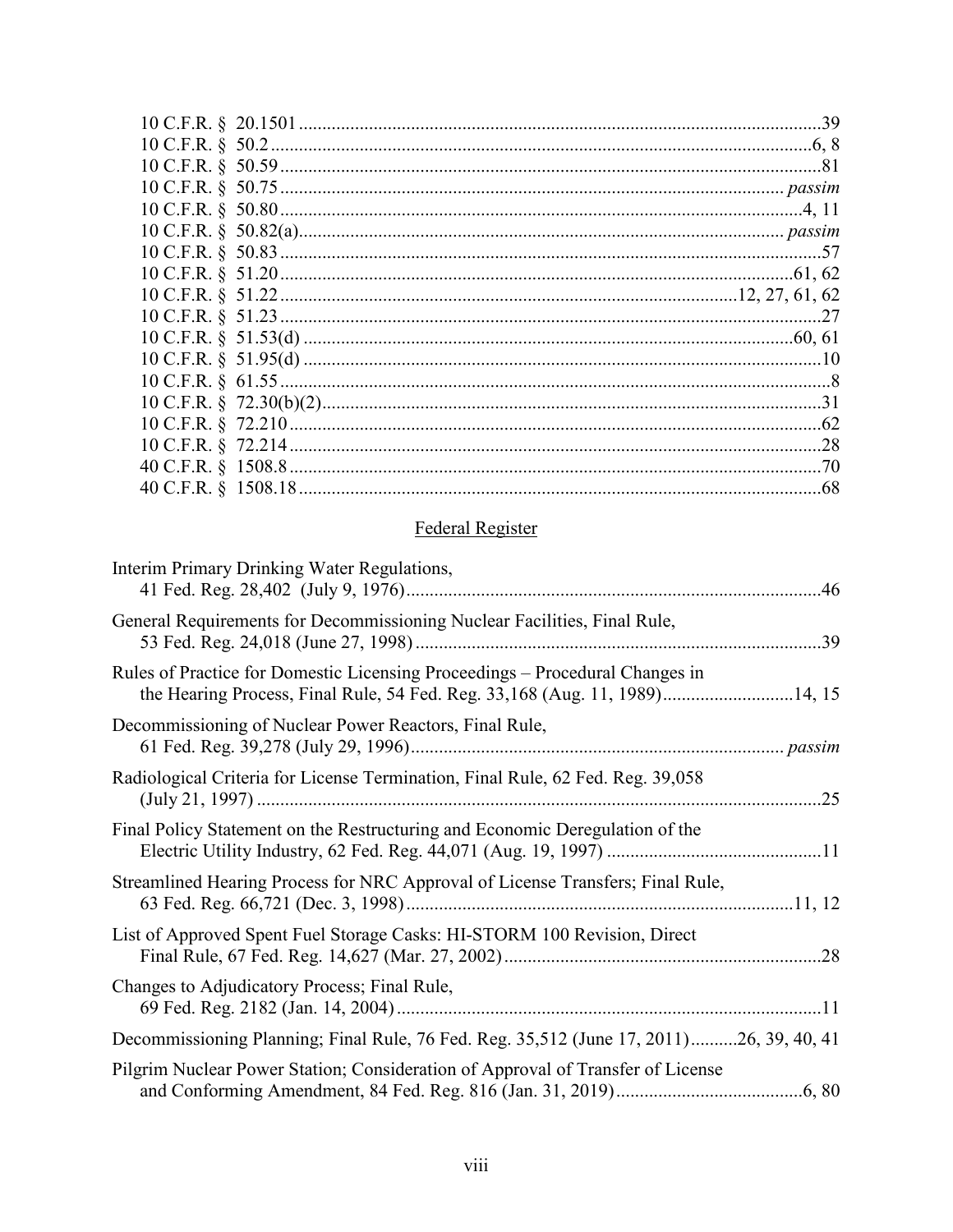# Federal Register

| Interim Primary Drinking Water Regulations,                                                                                                                |
|------------------------------------------------------------------------------------------------------------------------------------------------------------|
| General Requirements for Decommissioning Nuclear Facilities, Final Rule,                                                                                   |
| Rules of Practice for Domestic Licensing Proceedings - Procedural Changes in<br>the Hearing Process, Final Rule, 54 Fed. Reg. 33,168 (Aug. 11, 1989)14, 15 |
| Decommissioning of Nuclear Power Reactors, Final Rule,                                                                                                     |
| Radiological Criteria for License Termination, Final Rule, 62 Fed. Reg. 39,058                                                                             |
| Final Policy Statement on the Restructuring and Economic Deregulation of the                                                                               |
| Streamlined Hearing Process for NRC Approval of License Transfers; Final Rule,                                                                             |
| List of Approved Spent Fuel Storage Casks: HI-STORM 100 Revision, Direct                                                                                   |
| Changes to Adjudicatory Process; Final Rule,                                                                                                               |
| Decommissioning Planning; Final Rule, 76 Fed. Reg. 35,512 (June 17, 2011)26, 39, 40, 41                                                                    |
| Pilgrim Nuclear Power Station; Consideration of Approval of Transfer of License                                                                            |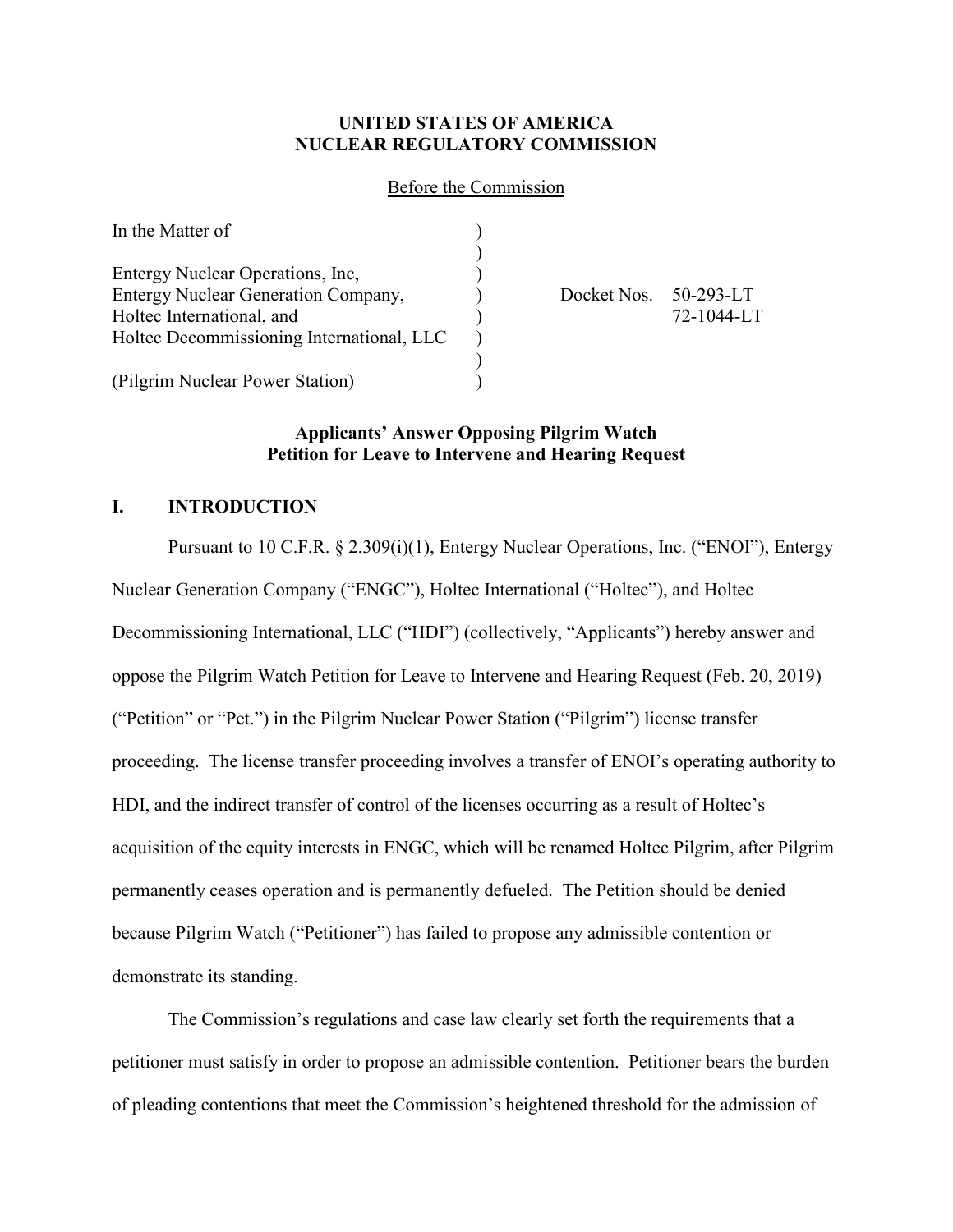### **UNITED STATES OF AMERICA NUCLEAR REGULATORY COMMISSION**

#### Before the Commission

| In the Matter of                           |                       |            |
|--------------------------------------------|-----------------------|------------|
| Entergy Nuclear Operations, Inc,           |                       |            |
| <b>Entergy Nuclear Generation Company,</b> | Docket Nos. 50-293-LT |            |
| Holtec International, and                  |                       | 72-1044-LT |
| Holtec Decommissioning International, LLC  |                       |            |
|                                            |                       |            |
| (Pilgrim Nuclear Power Station)            |                       |            |

## **Applicants' Answer Opposing Pilgrim Watch Petition for Leave to Intervene and Hearing Request**

# **I. INTRODUCTION**

Pursuant to 10 C.F.R. § 2.309(i)(1), Entergy Nuclear Operations, Inc. ("ENOI"), Entergy Nuclear Generation Company ("ENGC"), Holtec International ("Holtec"), and Holtec Decommissioning International, LLC ("HDI") (collectively, "Applicants") hereby answer and oppose the Pilgrim Watch Petition for Leave to Intervene and Hearing Request (Feb. 20, 2019) ("Petition" or "Pet.") in the Pilgrim Nuclear Power Station ("Pilgrim") license transfer proceeding. The license transfer proceeding involves a transfer of ENOI's operating authority to HDI, and the indirect transfer of control of the licenses occurring as a result of Holtec's acquisition of the equity interests in ENGC, which will be renamed Holtec Pilgrim, after Pilgrim permanently ceases operation and is permanently defueled. The Petition should be denied because Pilgrim Watch ("Petitioner") has failed to propose any admissible contention or demonstrate its standing.

The Commission's regulations and case law clearly set forth the requirements that a petitioner must satisfy in order to propose an admissible contention. Petitioner bears the burden of pleading contentions that meet the Commission's heightened threshold for the admission of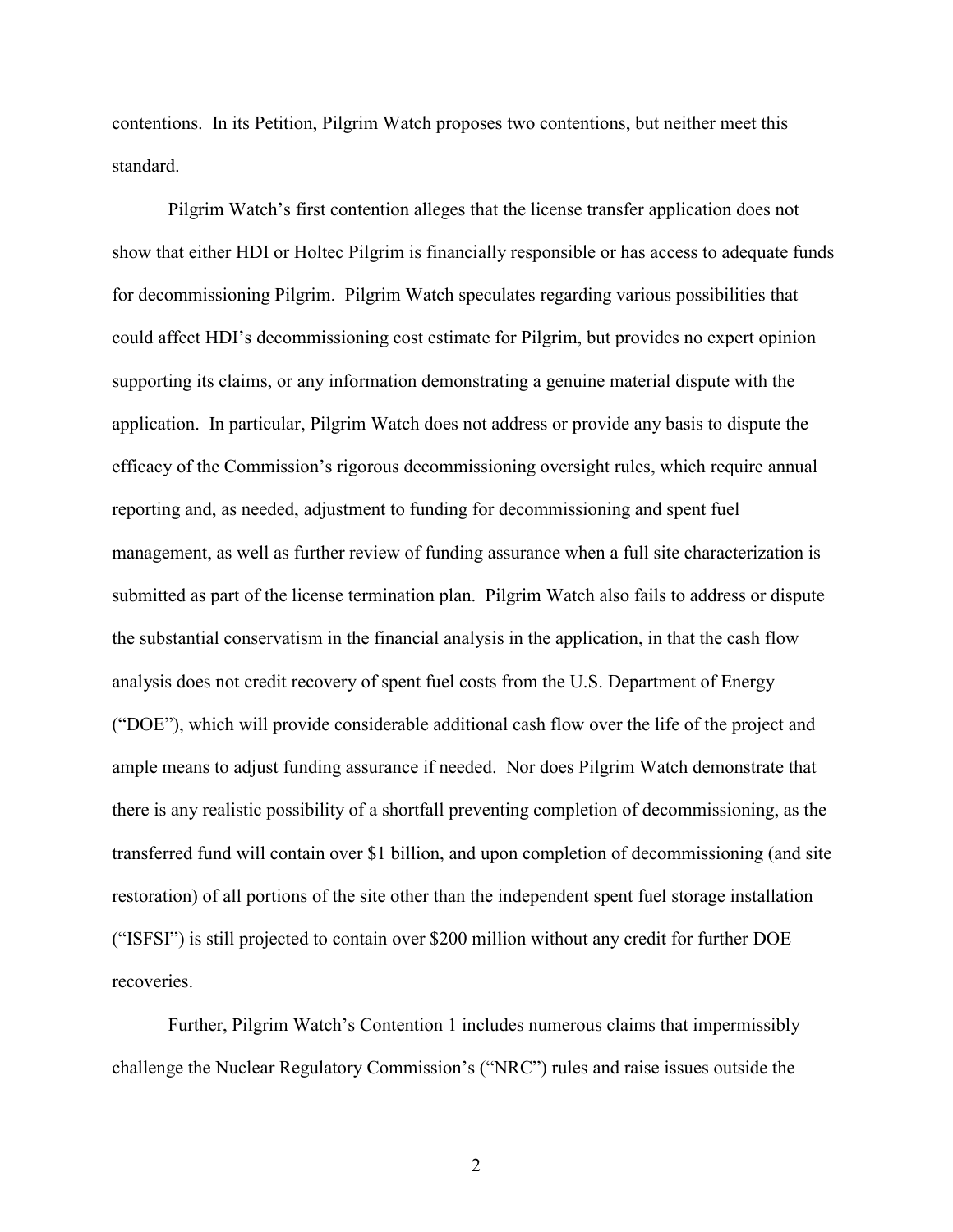contentions. In its Petition, Pilgrim Watch proposes two contentions, but neither meet this standard.

Pilgrim Watch's first contention alleges that the license transfer application does not show that either HDI or Holtec Pilgrim is financially responsible or has access to adequate funds for decommissioning Pilgrim. Pilgrim Watch speculates regarding various possibilities that could affect HDI's decommissioning cost estimate for Pilgrim, but provides no expert opinion supporting its claims, or any information demonstrating a genuine material dispute with the application. In particular, Pilgrim Watch does not address or provide any basis to dispute the efficacy of the Commission's rigorous decommissioning oversight rules, which require annual reporting and, as needed, adjustment to funding for decommissioning and spent fuel management, as well as further review of funding assurance when a full site characterization is submitted as part of the license termination plan. Pilgrim Watch also fails to address or dispute the substantial conservatism in the financial analysis in the application, in that the cash flow analysis does not credit recovery of spent fuel costs from the U.S. Department of Energy ("DOE"), which will provide considerable additional cash flow over the life of the project and ample means to adjust funding assurance if needed. Nor does Pilgrim Watch demonstrate that there is any realistic possibility of a shortfall preventing completion of decommissioning, as the transferred fund will contain over \$1 billion, and upon completion of decommissioning (and site restoration) of all portions of the site other than the independent spent fuel storage installation ("ISFSI") is still projected to contain over \$200 million without any credit for further DOE recoveries.

Further, Pilgrim Watch's Contention 1 includes numerous claims that impermissibly challenge the Nuclear Regulatory Commission's ("NRC") rules and raise issues outside the

2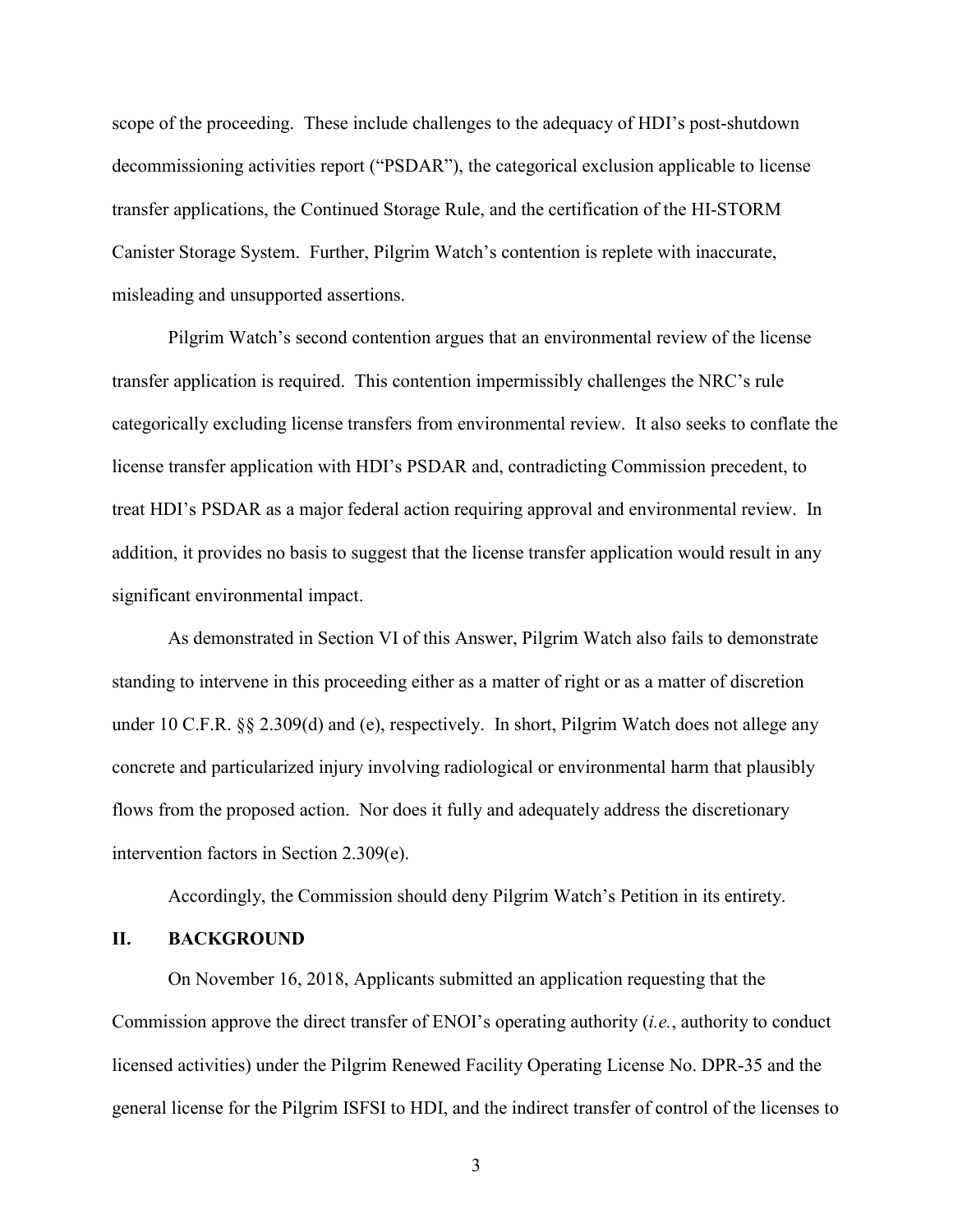scope of the proceeding. These include challenges to the adequacy of HDI's post-shutdown decommissioning activities report ("PSDAR"), the categorical exclusion applicable to license transfer applications, the Continued Storage Rule, and the certification of the HI-STORM Canister Storage System. Further, Pilgrim Watch's contention is replete with inaccurate, misleading and unsupported assertions.

Pilgrim Watch's second contention argues that an environmental review of the license transfer application is required. This contention impermissibly challenges the NRC's rule categorically excluding license transfers from environmental review. It also seeks to conflate the license transfer application with HDI's PSDAR and, contradicting Commission precedent, to treat HDI's PSDAR as a major federal action requiring approval and environmental review. In addition, it provides no basis to suggest that the license transfer application would result in any significant environmental impact.

As demonstrated in Section VI of this Answer, Pilgrim Watch also fails to demonstrate standing to intervene in this proceeding either as a matter of right or as a matter of discretion under 10 C.F.R. §§ 2.309(d) and (e), respectively. In short, Pilgrim Watch does not allege any concrete and particularized injury involving radiological or environmental harm that plausibly flows from the proposed action. Nor does it fully and adequately address the discretionary intervention factors in Section 2.309(e).

Accordingly, the Commission should deny Pilgrim Watch's Petition in its entirety.

#### **II. BACKGROUND**

On November 16, 2018, Applicants submitted an application requesting that the Commission approve the direct transfer of ENOI's operating authority (*i.e.*, authority to conduct licensed activities) under the Pilgrim Renewed Facility Operating License No. DPR-35 and the general license for the Pilgrim ISFSI to HDI, and the indirect transfer of control of the licenses to

3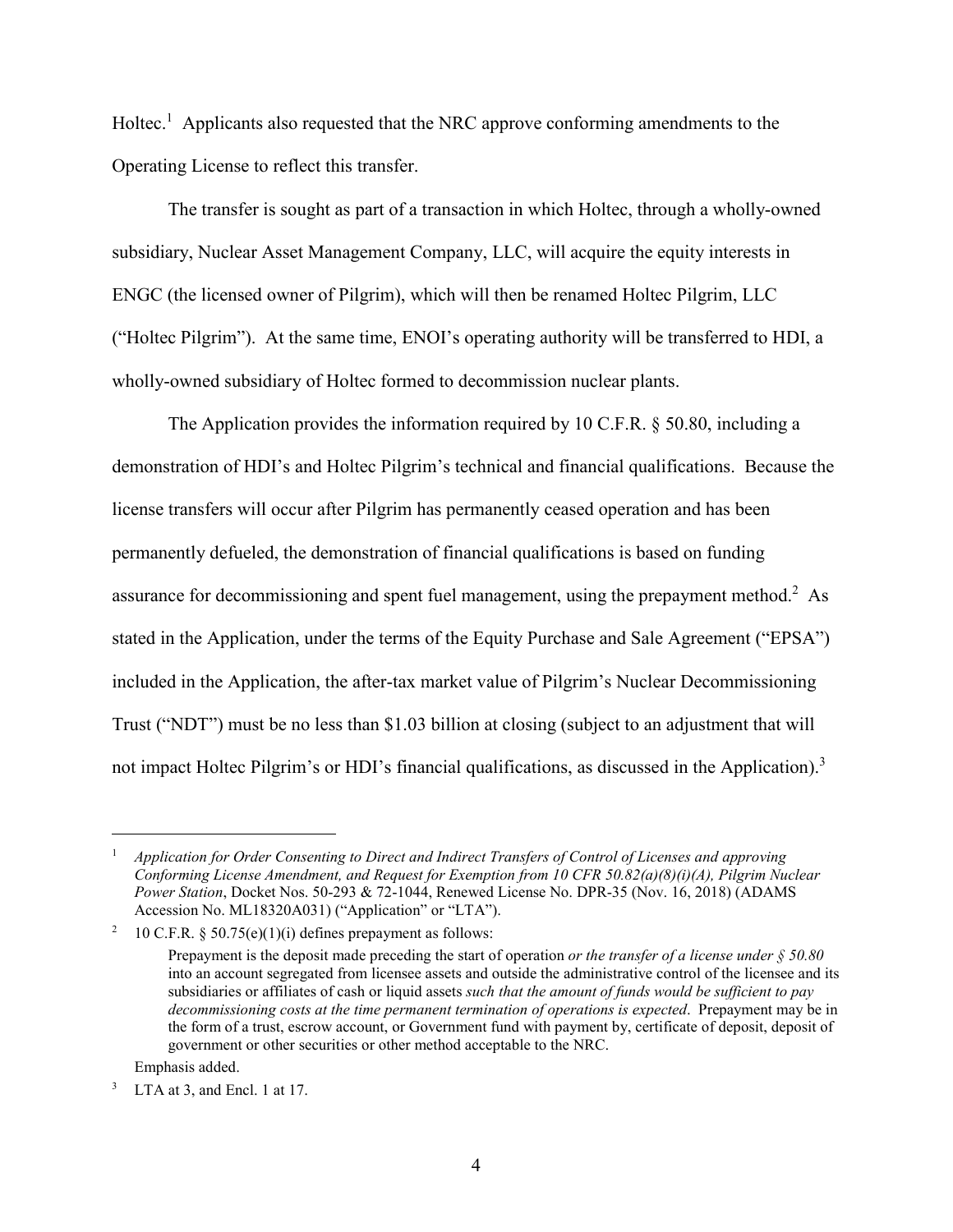Holtec.<sup>1</sup> Applicants also requested that the NRC approve conforming amendments to the Operating License to reflect this transfer.

The transfer is sought as part of a transaction in which Holtec, through a wholly-owned subsidiary, Nuclear Asset Management Company, LLC, will acquire the equity interests in ENGC (the licensed owner of Pilgrim), which will then be renamed Holtec Pilgrim, LLC ("Holtec Pilgrim"). At the same time, ENOI's operating authority will be transferred to HDI, a wholly-owned subsidiary of Holtec formed to decommission nuclear plants.

The Application provides the information required by 10 C.F.R. § 50.80, including a demonstration of HDI's and Holtec Pilgrim's technical and financial qualifications. Because the license transfers will occur after Pilgrim has permanently ceased operation and has been permanently defueled, the demonstration of financial qualifications is based on funding assurance for decommissioning and spent fuel management, using the prepayment method.<sup>2</sup> As stated in the Application, under the terms of the Equity Purchase and Sale Agreement ("EPSA") included in the Application, the after-tax market value of Pilgrim's Nuclear Decommissioning Trust ("NDT") must be no less than \$1.03 billion at closing (subject to an adjustment that will not impact Holtec Pilgrim's or HDI's financial qualifications, as discussed in the Application).<sup>3</sup>

Emphasis added.

 <sup>1</sup> *Application for Order Consenting to Direct and Indirect Transfers of Control of Licenses and approving Conforming License Amendment, and Request for Exemption from 10 CFR 50.82(a)(8)(i)(A), Pilgrim Nuclear Power Station*, Docket Nos. 50-293 & 72-1044, Renewed License No. DPR-35 (Nov. 16, 2018) (ADAMS Accession No. ML18320A031) ("Application" or "LTA").

<sup>&</sup>lt;sup>2</sup> 10 C.F.R. § 50.75(e)(1)(i) defines prepayment as follows:

Prepayment is the deposit made preceding the start of operation *or the transfer of a license under § 50.80* into an account segregated from licensee assets and outside the administrative control of the licensee and its subsidiaries or affiliates of cash or liquid assets *such that the amount of funds would be sufficient to pay decommissioning costs at the time permanent termination of operations is expected*. Prepayment may be in the form of a trust, escrow account, or Government fund with payment by, certificate of deposit, deposit of government or other securities or other method acceptable to the NRC.

<sup>&</sup>lt;sup>3</sup> LTA at 3, and Encl. 1 at 17.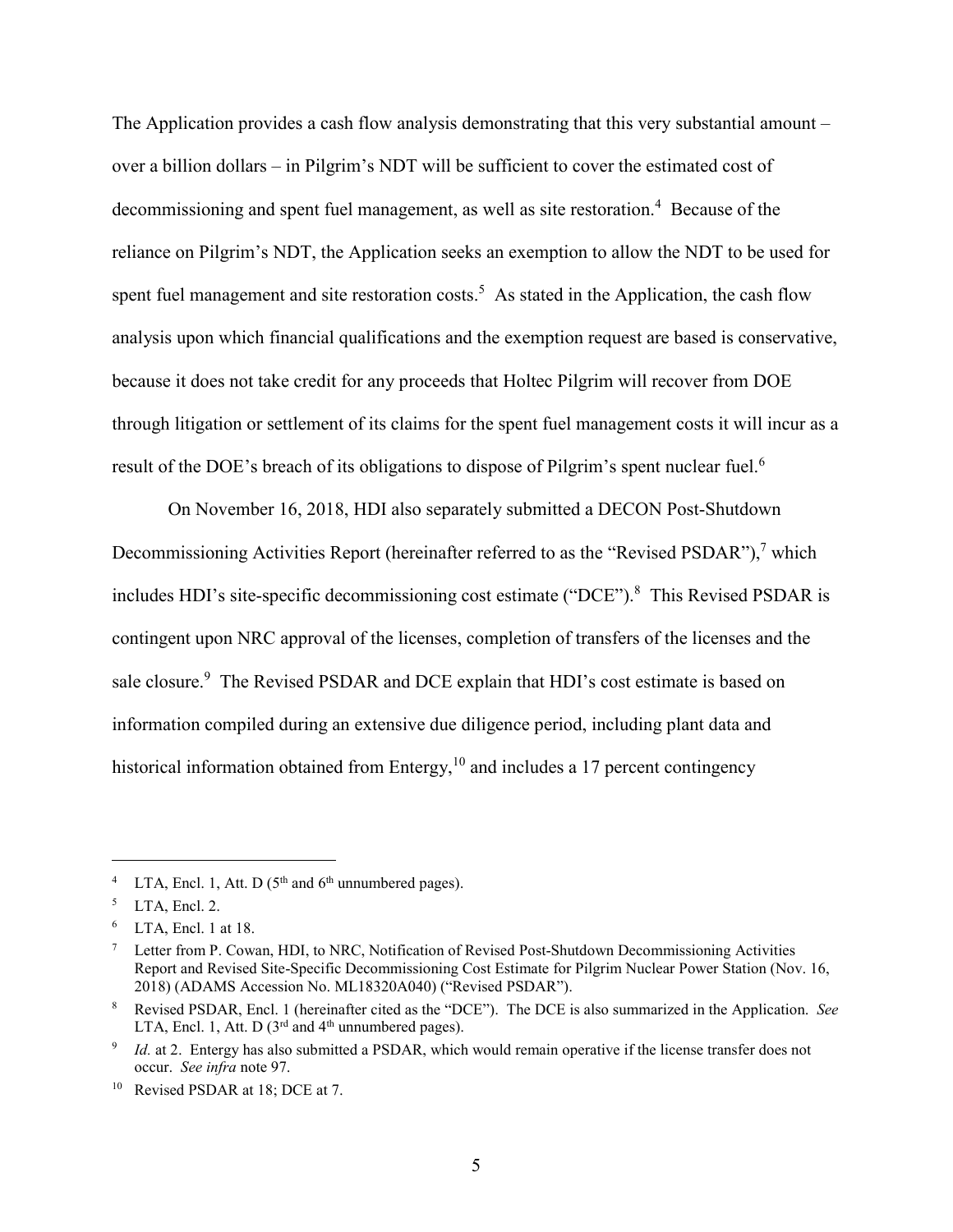The Application provides a cash flow analysis demonstrating that this very substantial amount – over a billion dollars – in Pilgrim's NDT will be sufficient to cover the estimated cost of decommissioning and spent fuel management, as well as site restoration.<sup>4</sup> Because of the reliance on Pilgrim's NDT, the Application seeks an exemption to allow the NDT to be used for spent fuel management and site restoration costs.<sup>5</sup> As stated in the Application, the cash flow analysis upon which financial qualifications and the exemption request are based is conservative, because it does not take credit for any proceeds that Holtec Pilgrim will recover from DOE through litigation or settlement of its claims for the spent fuel management costs it will incur as a result of the DOE's breach of its obligations to dispose of Pilgrim's spent nuclear fuel.<sup>6</sup>

On November 16, 2018, HDI also separately submitted a DECON Post-Shutdown Decommissioning Activities Report (hereinafter referred to as the "Revised PSDAR"),<sup>7</sup> which includes HDI's site-specific decommissioning cost estimate ("DCE"). 8 This Revised PSDAR is contingent upon NRC approval of the licenses, completion of transfers of the licenses and the sale closure.<sup>9</sup> The Revised PSDAR and DCE explain that HDI's cost estimate is based on information compiled during an extensive due diligence period, including plant data and historical information obtained from Entergy, $10$  and includes a 17 percent contingency

<sup>&</sup>lt;sup>4</sup> LTA, Encl. 1, Att. D ( $5<sup>th</sup>$  and  $6<sup>th</sup>$  unnumbered pages).

 $<sup>5</sup>$  LTA, Encl. 2.</sup>

<sup>6</sup> LTA, Encl. 1 at 18.

<sup>&</sup>lt;sup>7</sup> Letter from P. Cowan, HDI, to NRC, Notification of Revised Post-Shutdown Decommissioning Activities Report and Revised Site-Specific Decommissioning Cost Estimate for Pilgrim Nuclear Power Station (Nov. 16, 2018) (ADAMS Accession No. ML18320A040) ("Revised PSDAR").

<sup>8</sup> Revised PSDAR, Encl. 1 (hereinafter cited as the "DCE"). The DCE is also summarized in the Application. *See*  LTA, Encl. 1, Att. D  $(3^{rd}$  and  $4^{th}$  unnumbered pages).

*Id.* at 2. Entergy has also submitted a PSDAR, which would remain operative if the license transfer does not occur. *See infra* note 97.

<sup>&</sup>lt;sup>10</sup> Revised PSDAR at 18; DCE at 7.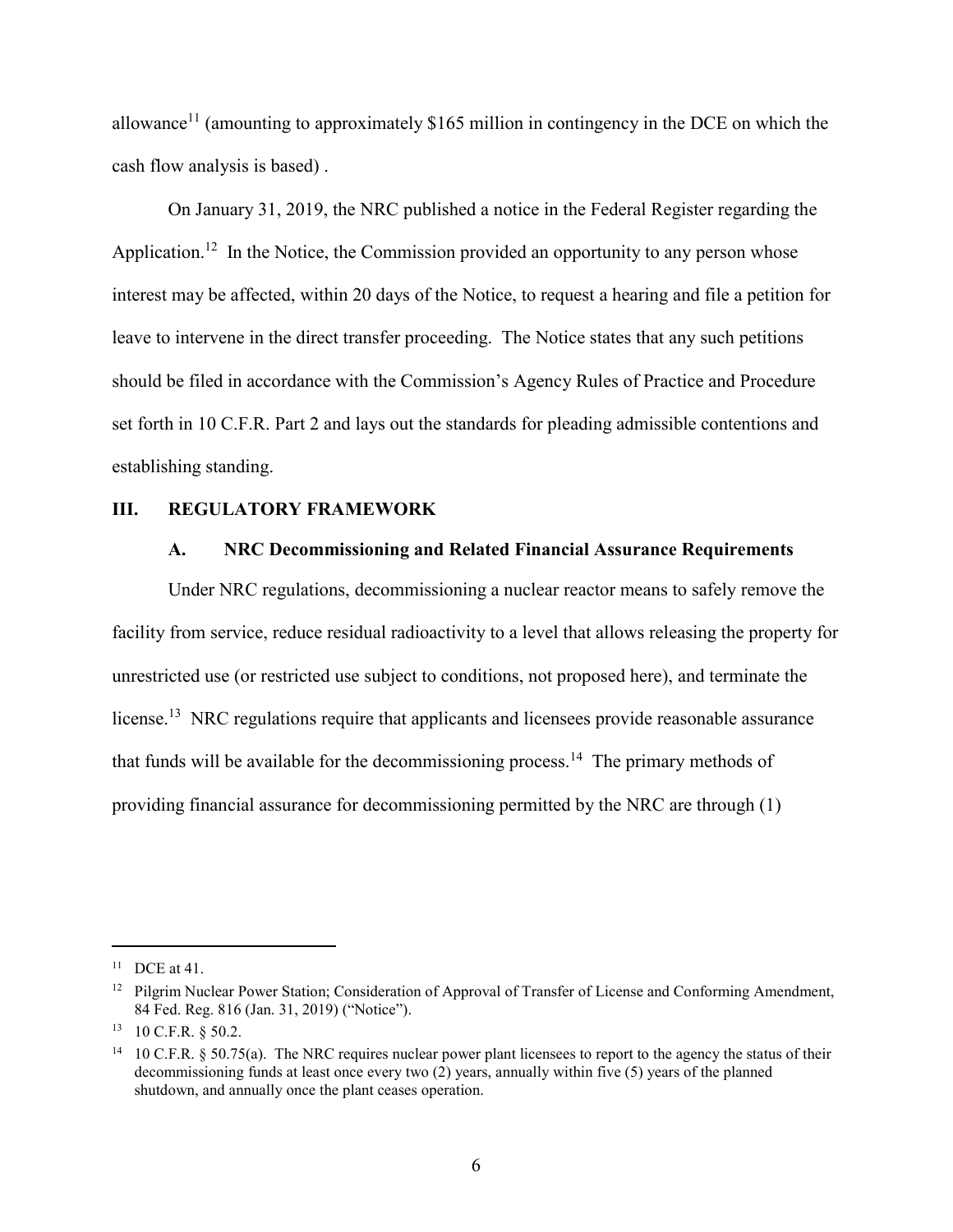allowance<sup>11</sup> (amounting to approximately \$165 million in contingency in the DCE on which the cash flow analysis is based) .

On January 31, 2019, the NRC published a notice in the Federal Register regarding the Application.<sup>12</sup> In the Notice, the Commission provided an opportunity to any person whose interest may be affected, within 20 days of the Notice, to request a hearing and file a petition for leave to intervene in the direct transfer proceeding. The Notice states that any such petitions should be filed in accordance with the Commission's Agency Rules of Practice and Procedure set forth in 10 C.F.R. Part 2 and lays out the standards for pleading admissible contentions and establishing standing.

## **III. REGULATORY FRAMEWORK**

### **A. NRC Decommissioning and Related Financial Assurance Requirements**

Under NRC regulations, decommissioning a nuclear reactor means to safely remove the facility from service, reduce residual radioactivity to a level that allows releasing the property for unrestricted use (or restricted use subject to conditions, not proposed here), and terminate the license.<sup>13</sup> NRC regulations require that applicants and licensees provide reasonable assurance that funds will be available for the decommissioning process.<sup>14</sup> The primary methods of providing financial assurance for decommissioning permitted by the NRC are through (1)

 <sup>11</sup> DCE at 41.

<sup>&</sup>lt;sup>12</sup> Pilgrim Nuclear Power Station; Consideration of Approval of Transfer of License and Conforming Amendment, 84 Fed. Reg. 816 (Jan. 31, 2019) ("Notice").

 $13$  10 C.F.R. § 50.2.

<sup>&</sup>lt;sup>14</sup> 10 C.F.R. § 50.75(a). The NRC requires nuclear power plant licensees to report to the agency the status of their decommissioning funds at least once every two (2) years, annually within five (5) years of the planned shutdown, and annually once the plant ceases operation.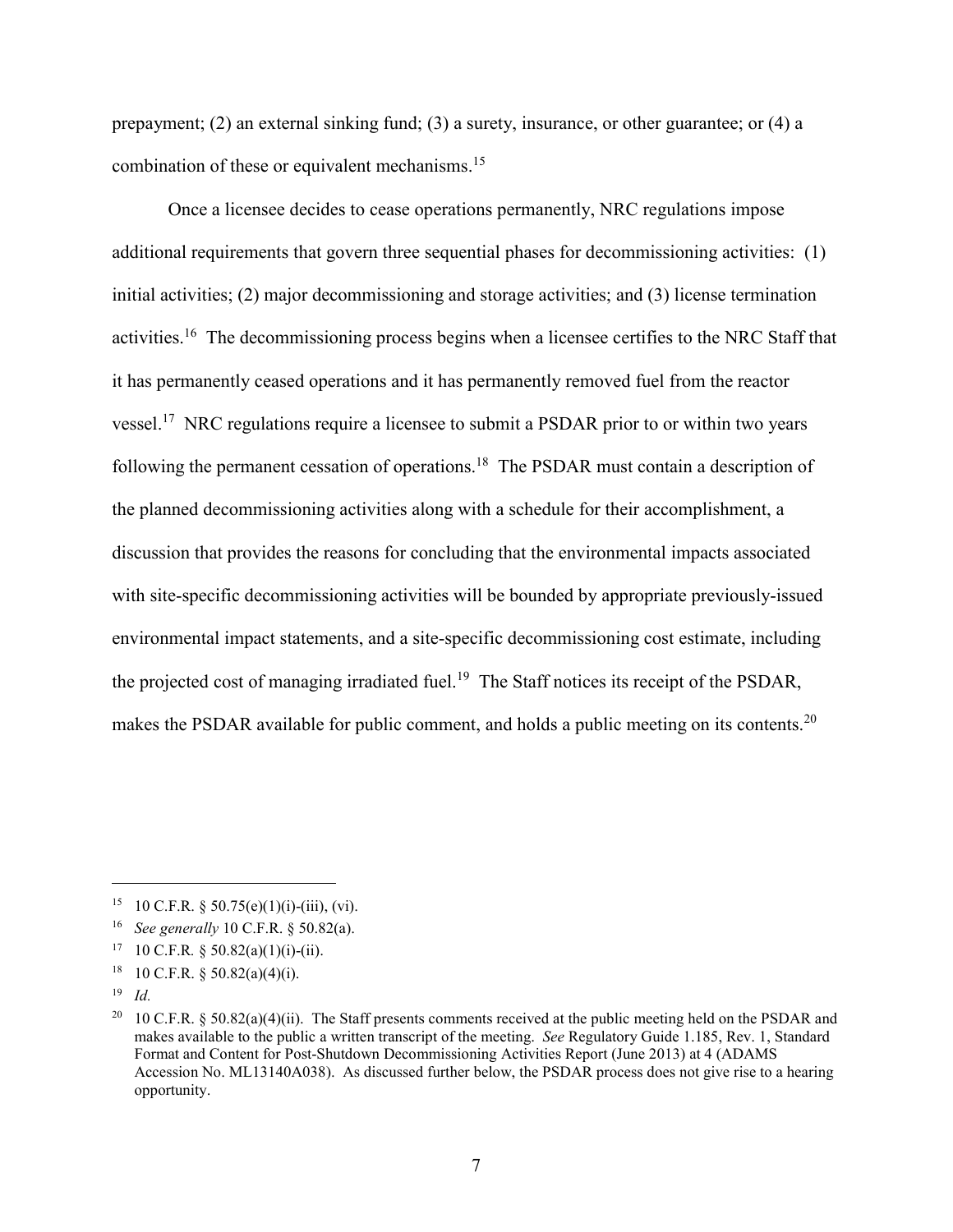prepayment; (2) an external sinking fund; (3) a surety, insurance, or other guarantee; or (4) a combination of these or equivalent mechanisms.<sup>15</sup>

Once a licensee decides to cease operations permanently, NRC regulations impose additional requirements that govern three sequential phases for decommissioning activities: (1) initial activities; (2) major decommissioning and storage activities; and (3) license termination activities.16 The decommissioning process begins when a licensee certifies to the NRC Staff that it has permanently ceased operations and it has permanently removed fuel from the reactor vessel.17 NRC regulations require a licensee to submit a PSDAR prior to or within two years following the permanent cessation of operations.<sup>18</sup> The PSDAR must contain a description of the planned decommissioning activities along with a schedule for their accomplishment, a discussion that provides the reasons for concluding that the environmental impacts associated with site-specific decommissioning activities will be bounded by appropriate previously-issued environmental impact statements, and a site-specific decommissioning cost estimate, including the projected cost of managing irradiated fuel.<sup>19</sup> The Staff notices its receipt of the PSDAR, makes the PSDAR available for public comment, and holds a public meeting on its contents.<sup>20</sup>

<sup>&</sup>lt;sup>15</sup> 10 C.F.R. § 50.75(e)(1)(i)-(iii), (vi).

<sup>16</sup> *See generally* 10 C.F.R. § 50.82(a).

<sup>17 10</sup> C.F.R.  $\S$  50.82(a)(1)(i)-(ii).

 $18$  10 C.F.R. § 50.82(a)(4)(i).

<sup>19</sup> *Id.*

<sup>&</sup>lt;sup>20</sup> 10 C.F.R. § 50.82(a)(4)(ii). The Staff presents comments received at the public meeting held on the PSDAR and makes available to the public a written transcript of the meeting. *See* Regulatory Guide 1.185, Rev. 1, Standard Format and Content for Post-Shutdown Decommissioning Activities Report (June 2013) at 4 (ADAMS Accession No. ML13140A038). As discussed further below, the PSDAR process does not give rise to a hearing opportunity.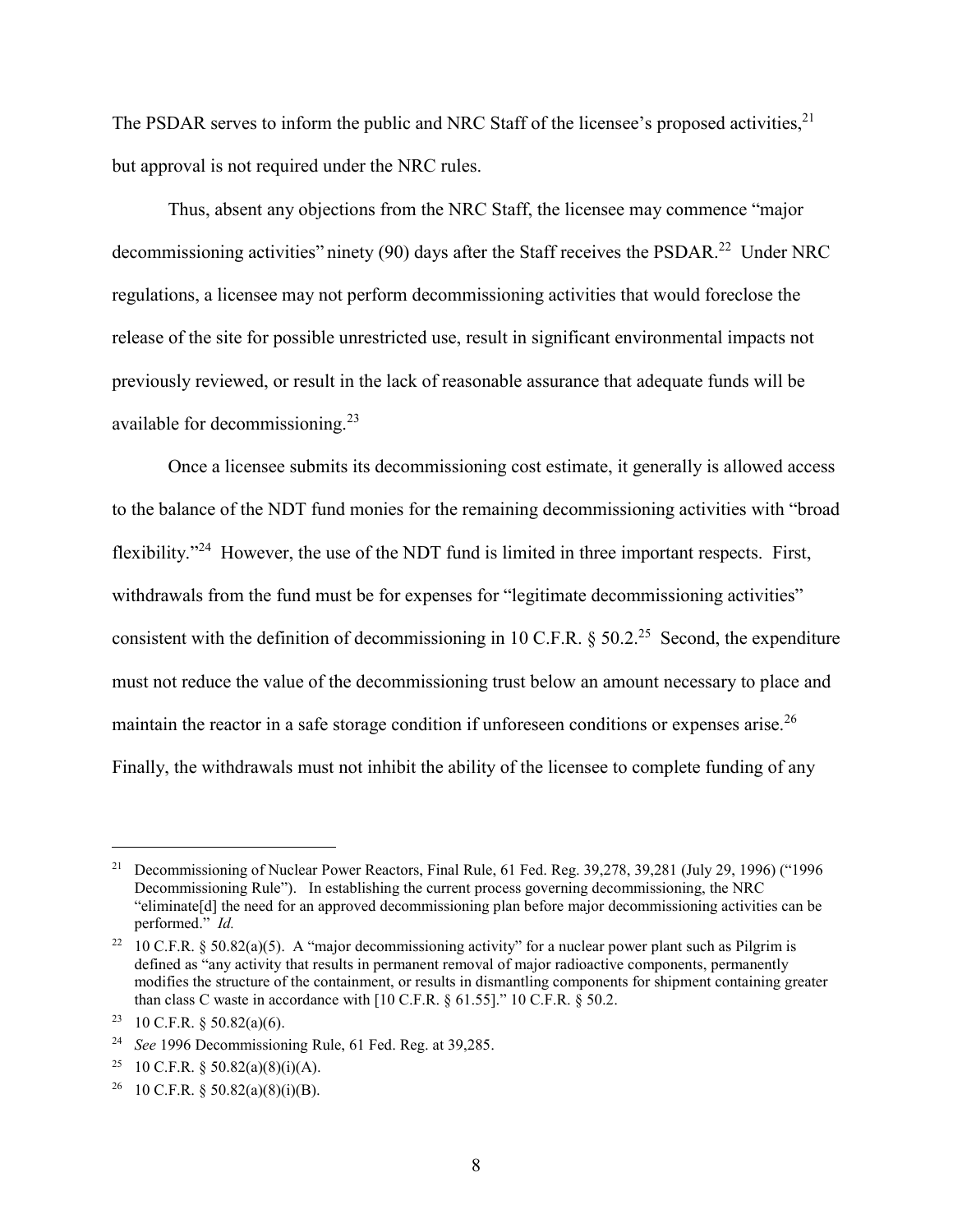The PSDAR serves to inform the public and NRC Staff of the licensee's proposed activities,<sup>21</sup> but approval is not required under the NRC rules.

Thus, absent any objections from the NRC Staff, the licensee may commence "major decommissioning activities" ninety (90) days after the Staff receives the PSDAR.<sup>22</sup> Under NRC regulations, a licensee may not perform decommissioning activities that would foreclose the release of the site for possible unrestricted use, result in significant environmental impacts not previously reviewed, or result in the lack of reasonable assurance that adequate funds will be available for decommissioning.<sup>23</sup>

Once a licensee submits its decommissioning cost estimate, it generally is allowed access to the balance of the NDT fund monies for the remaining decommissioning activities with "broad flexibility."<sup>24</sup> However, the use of the NDT fund is limited in three important respects. First, withdrawals from the fund must be for expenses for "legitimate decommissioning activities" consistent with the definition of decommissioning in 10 C.F.R.  $\S$  50.2<sup>25</sup> Second, the expenditure must not reduce the value of the decommissioning trust below an amount necessary to place and maintain the reactor in a safe storage condition if unforeseen conditions or expenses arise.<sup>26</sup> Finally, the withdrawals must not inhibit the ability of the licensee to complete funding of any

 <sup>21</sup> Decommissioning of Nuclear Power Reactors, Final Rule, 61 Fed. Reg. 39,278, 39,281 (July 29, 1996) ("1996 Decommissioning Rule"). In establishing the current process governing decommissioning, the NRC "eliminate[d] the need for an approved decommissioning plan before major decommissioning activities can be performed." *Id.*

<sup>&</sup>lt;sup>22</sup> 10 C.F.R. § 50.82(a)(5). A "major decommissioning activity" for a nuclear power plant such as Pilgrim is defined as "any activity that results in permanent removal of major radioactive components, permanently modifies the structure of the containment, or results in dismantling components for shipment containing greater than class C waste in accordance with [10 C.F.R. § 61.55]." 10 C.F.R. § 50.2.

<sup>&</sup>lt;sup>23</sup> 10 C.F.R. § 50.82(a)(6).

<sup>24</sup> *See* 1996 Decommissioning Rule, 61 Fed. Reg. at 39,285.

<sup>&</sup>lt;sup>25</sup> 10 C.F.R. § 50.82(a)(8)(i)(A).

<sup>&</sup>lt;sup>26</sup> 10 C.F.R. § 50.82(a)(8)(i)(B).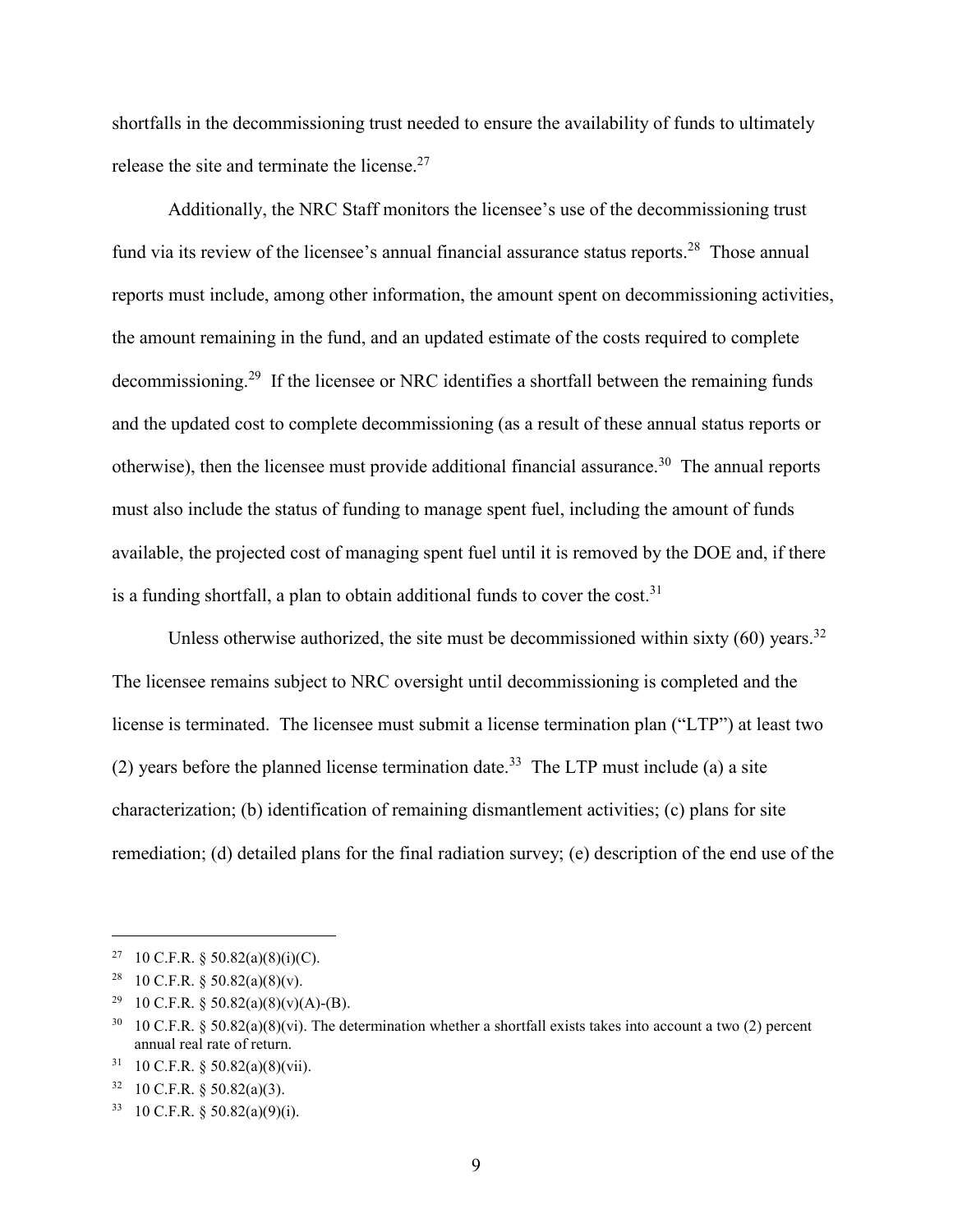shortfalls in the decommissioning trust needed to ensure the availability of funds to ultimately release the site and terminate the license.<sup>27</sup>

Additionally, the NRC Staff monitors the licensee's use of the decommissioning trust fund via its review of the licensee's annual financial assurance status reports.<sup>28</sup> Those annual reports must include, among other information, the amount spent on decommissioning activities, the amount remaining in the fund, and an updated estimate of the costs required to complete decommissioning.<sup>29</sup> If the licensee or NRC identifies a shortfall between the remaining funds and the updated cost to complete decommissioning (as a result of these annual status reports or otherwise), then the licensee must provide additional financial assurance.<sup>30</sup> The annual reports must also include the status of funding to manage spent fuel, including the amount of funds available, the projected cost of managing spent fuel until it is removed by the DOE and, if there is a funding shortfall, a plan to obtain additional funds to cover the cost.<sup>31</sup>

Unless otherwise authorized, the site must be decommissioned within sixty  $(60)$  years.<sup>32</sup> The licensee remains subject to NRC oversight until decommissioning is completed and the license is terminated. The licensee must submit a license termination plan ("LTP") at least two (2) years before the planned license termination date.<sup>33</sup> The LTP must include (a) a site characterization; (b) identification of remaining dismantlement activities; (c) plans for site remediation; (d) detailed plans for the final radiation survey; (e) description of the end use of the

<sup>&</sup>lt;sup>27</sup> 10 C.F.R. § 50.82(a)(8)(i)(C).

<sup>&</sup>lt;sup>28</sup> 10 C.F.R. § 50.82(a)(8)(v).

<sup>&</sup>lt;sup>29</sup> 10 C.F.R. § 50.82(a)(8)(y)(A)-(B).

 $30 \text{ } 10 \text{ C.F.R. }$  § 50.82(a)(8)(vi). The determination whether a shortfall exists takes into account a two (2) percent annual real rate of return.

 $31$  10 C.F.R. § 50.82(a)(8)(vii).

 $32 \quad 10 \text{ C.F.R.}$  § 50.82(a)(3).

 $33$  10 C.F.R. § 50.82(a)(9)(i).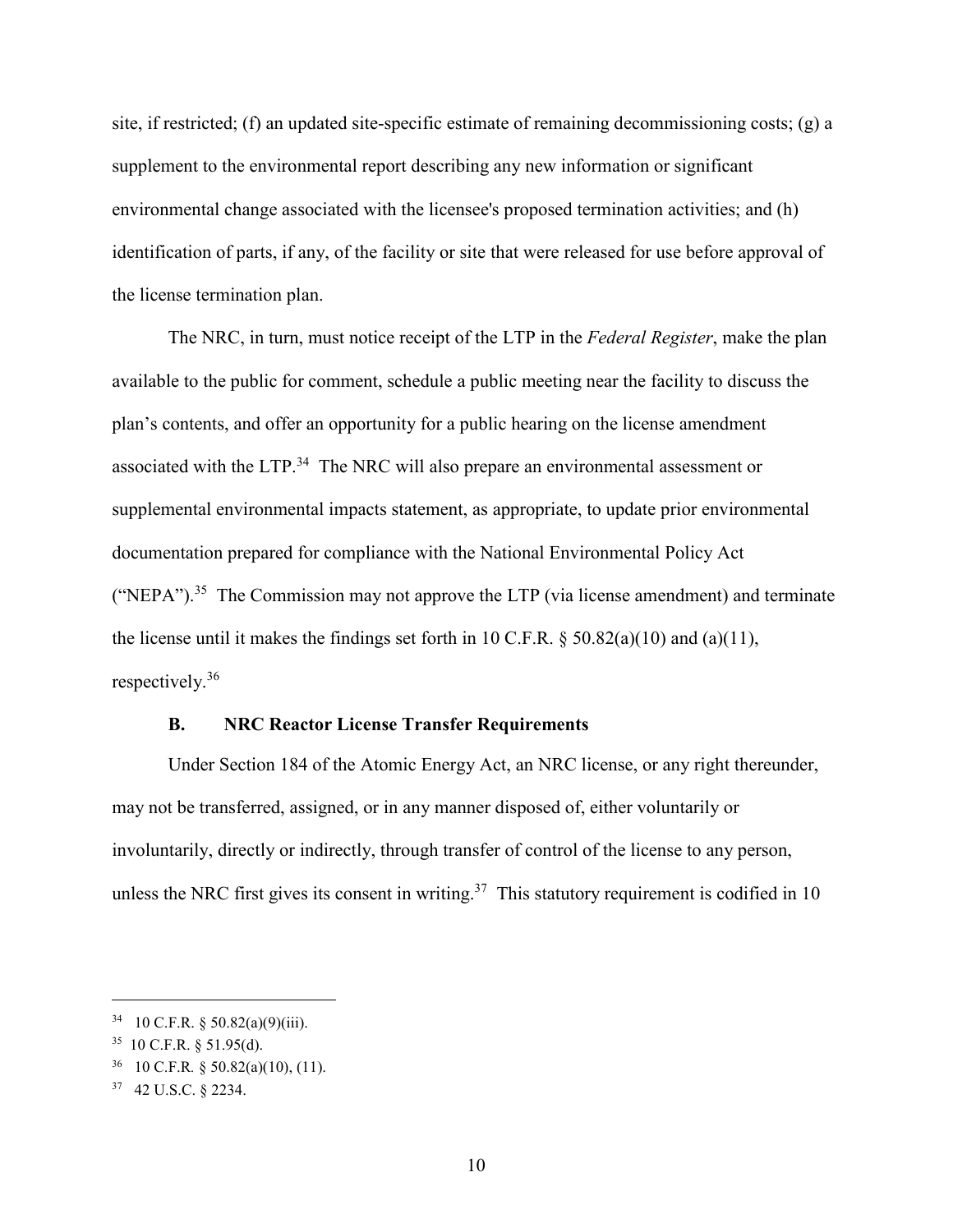site, if restricted; (f) an updated site-specific estimate of remaining decommissioning costs; (g) a supplement to the environmental report describing any new information or significant environmental change associated with the licensee's proposed termination activities; and (h) identification of parts, if any, of the facility or site that were released for use before approval of the license termination plan.

The NRC, in turn, must notice receipt of the LTP in the *Federal Register*, make the plan available to the public for comment, schedule a public meeting near the facility to discuss the plan's contents, and offer an opportunity for a public hearing on the license amendment associated with the LTP.<sup>34</sup> The NRC will also prepare an environmental assessment or supplemental environmental impacts statement, as appropriate, to update prior environmental documentation prepared for compliance with the National Environmental Policy Act ("NEPA").<sup>35</sup> The Commission may not approve the LTP (via license amendment) and terminate the license until it makes the findings set forth in 10 C.F.R.  $\S$  50.82(a)(10) and (a)(11), respectively.<sup>36</sup>

#### **B. NRC Reactor License Transfer Requirements**

Under Section 184 of the Atomic Energy Act, an NRC license, or any right thereunder, may not be transferred, assigned, or in any manner disposed of, either voluntarily or involuntarily, directly or indirectly, through transfer of control of the license to any person, unless the NRC first gives its consent in writing.<sup>37</sup> This statutory requirement is codified in 10

 $34$  10 C.F.R. § 50.82(a)(9)(iii).

 $35$  10 C.F.R. § 51.95(d).

<sup>36</sup> 10 C.F.R*.* § 50.82(a)(10), (11).

<sup>37</sup> 42 U.S.C. § 2234.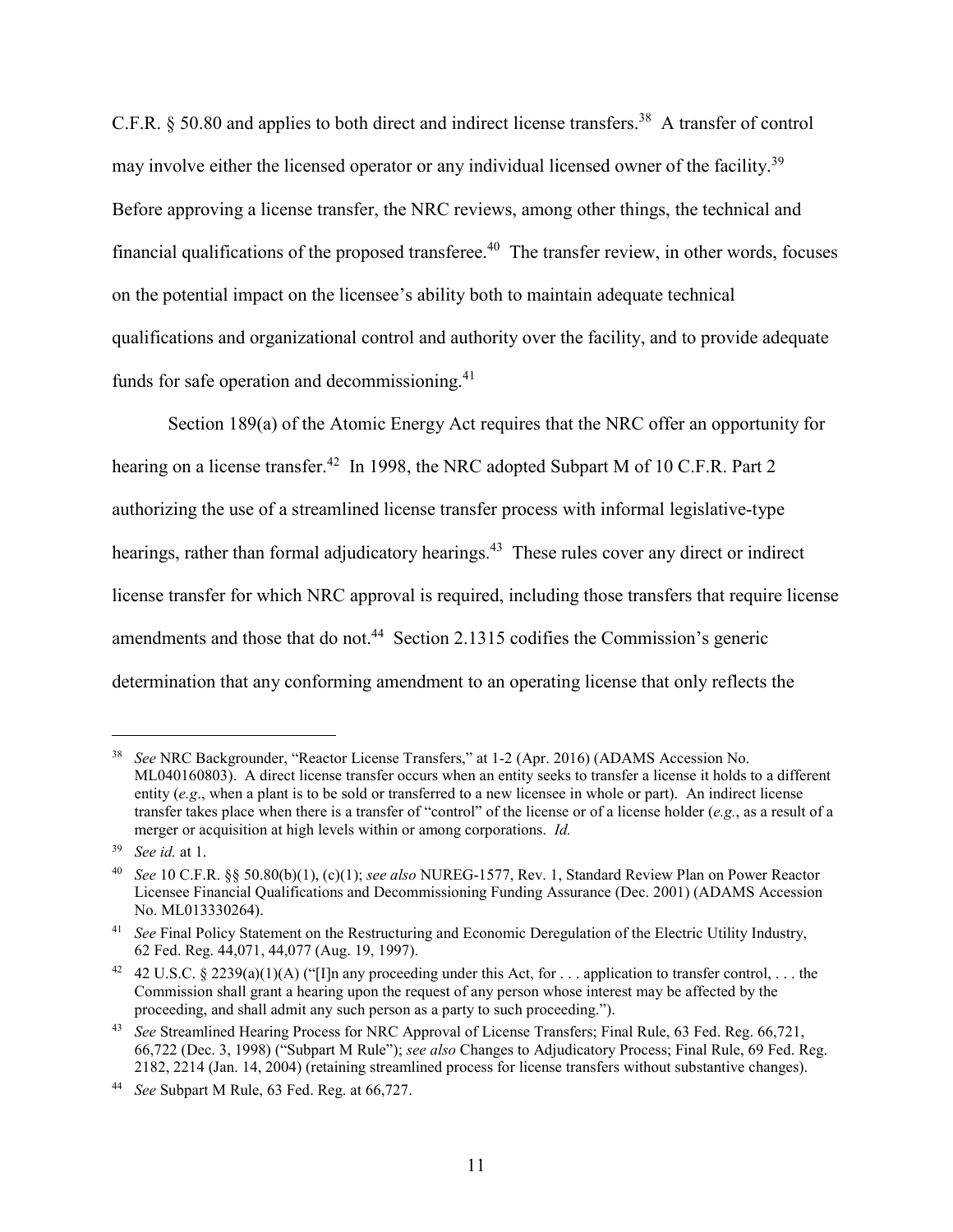C.F.R. § 50.80 and applies to both direct and indirect license transfers.38 A transfer of control may involve either the licensed operator or any individual licensed owner of the facility.<sup>39</sup> Before approving a license transfer, the NRC reviews, among other things, the technical and financial qualifications of the proposed transferee.<sup>40</sup> The transfer review, in other words, focuses on the potential impact on the licensee's ability both to maintain adequate technical qualifications and organizational control and authority over the facility, and to provide adequate funds for safe operation and decommissioning. $41$ 

Section 189(a) of the Atomic Energy Act requires that the NRC offer an opportunity for hearing on a license transfer.<sup>42</sup> In 1998, the NRC adopted Subpart M of 10 C.F.R. Part 2 authorizing the use of a streamlined license transfer process with informal legislative-type hearings, rather than formal adjudicatory hearings.<sup>43</sup> These rules cover any direct or indirect license transfer for which NRC approval is required, including those transfers that require license amendments and those that do not.<sup>44</sup> Section 2.1315 codifies the Commission's generic determination that any conforming amendment to an operating license that only reflects the

 <sup>38</sup> *See* NRC Backgrounder, "Reactor License Transfers," at 1-2 (Apr. 2016) (ADAMS Accession No. ML040160803). A direct license transfer occurs when an entity seeks to transfer a license it holds to a different entity (*e.g*., when a plant is to be sold or transferred to a new licensee in whole or part). An indirect license transfer takes place when there is a transfer of "control" of the license or of a license holder (*e.g.*, as a result of a merger or acquisition at high levels within or among corporations. *Id.*

<sup>39</sup> *See id.* at 1.

<sup>40</sup> *See* 10 C.F.R. §§ 50.80(b)(1), (c)(1); *see also* NUREG-1577, Rev. 1, Standard Review Plan on Power Reactor Licensee Financial Qualifications and Decommissioning Funding Assurance (Dec. 2001) (ADAMS Accession No. ML013330264).

<sup>41</sup> *See* Final Policy Statement on the Restructuring and Economic Deregulation of the Electric Utility Industry, 62 Fed. Reg. 44,071, 44,077 (Aug. 19, 1997).

<sup>&</sup>lt;sup>42</sup> 42 U.S.C. § 2239(a)(1)(A) ("[I]n any proceeding under this Act, for ... application to transfer control, ... the Commission shall grant a hearing upon the request of any person whose interest may be affected by the proceeding, and shall admit any such person as a party to such proceeding.").

<sup>43</sup> *See* Streamlined Hearing Process for NRC Approval of License Transfers; Final Rule, 63 Fed. Reg. 66,721, 66,722 (Dec. 3, 1998) ("Subpart M Rule"); *see also* Changes to Adjudicatory Process; Final Rule, 69 Fed. Reg. 2182, 2214 (Jan. 14, 2004) (retaining streamlined process for license transfers without substantive changes).

<sup>44</sup> *See* Subpart M Rule, 63 Fed. Reg. at 66,727.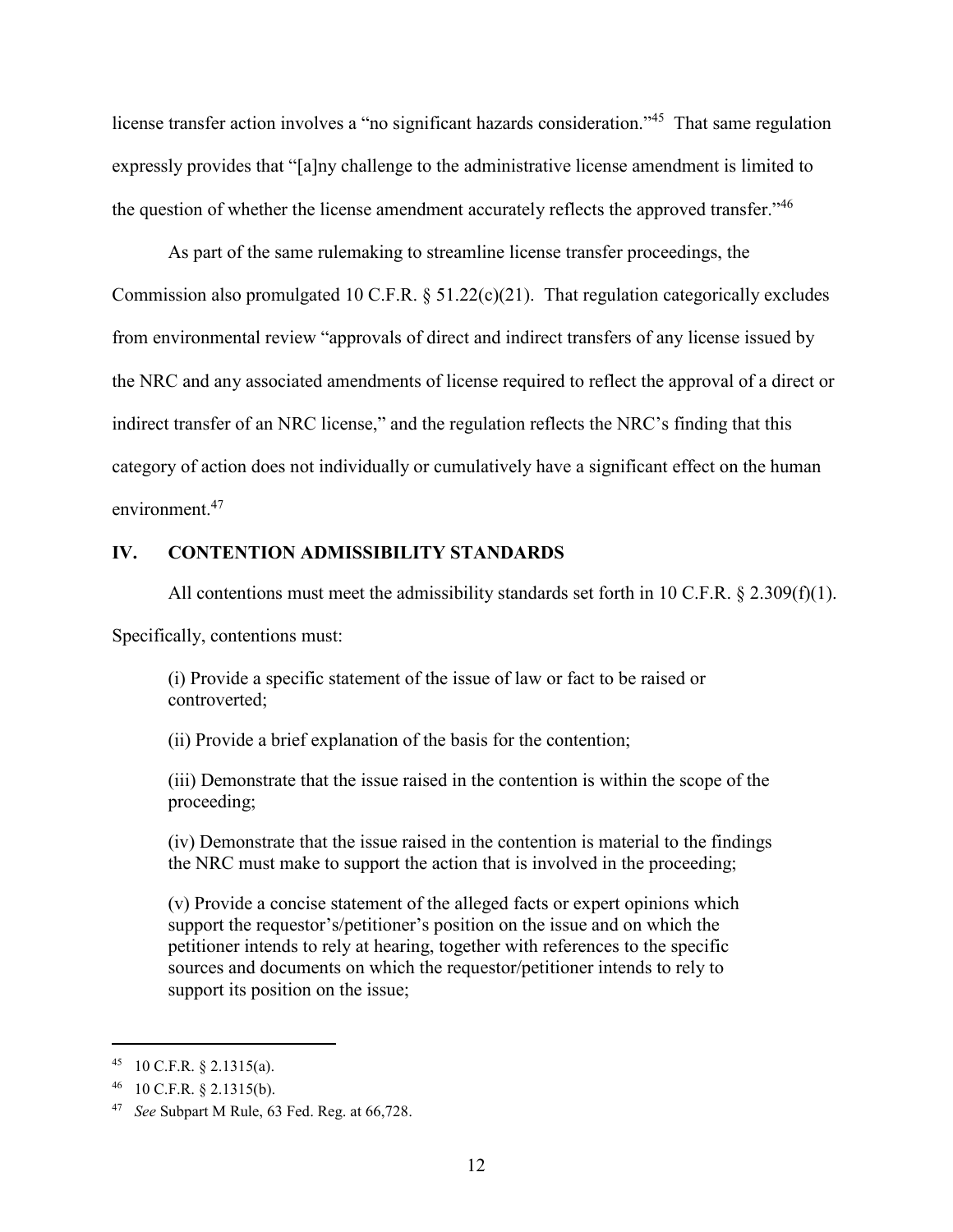license transfer action involves a "no significant hazards consideration."<sup>45</sup> That same regulation expressly provides that "[a]ny challenge to the administrative license amendment is limited to the question of whether the license amendment accurately reflects the approved transfer."<sup>46</sup>

As part of the same rulemaking to streamline license transfer proceedings, the Commission also promulgated 10 C.F.R. § 51.22(c)(21). That regulation categorically excludes from environmental review "approvals of direct and indirect transfers of any license issued by the NRC and any associated amendments of license required to reflect the approval of a direct or indirect transfer of an NRC license," and the regulation reflects the NRC's finding that this category of action does not individually or cumulatively have a significant effect on the human environment.<sup>47</sup>

### **IV. CONTENTION ADMISSIBILITY STANDARDS**

All contentions must meet the admissibility standards set forth in 10 C.F.R.  $\S 2.309(f)(1)$ .

Specifically, contentions must:

(i) Provide a specific statement of the issue of law or fact to be raised or controverted;

(ii) Provide a brief explanation of the basis for the contention;

(iii) Demonstrate that the issue raised in the contention is within the scope of the proceeding;

(iv) Demonstrate that the issue raised in the contention is material to the findings the NRC must make to support the action that is involved in the proceeding;

(v) Provide a concise statement of the alleged facts or expert opinions which support the requestor's/petitioner's position on the issue and on which the petitioner intends to rely at hearing, together with references to the specific sources and documents on which the requestor/petitioner intends to rely to support its position on the issue;

<sup>45 10</sup> C.F.R.  $\S$  2.1315(a).

 $46$  10 C.F.R. § 2.1315(b).

<sup>47</sup> *See* Subpart M Rule, 63 Fed. Reg. at 66,728.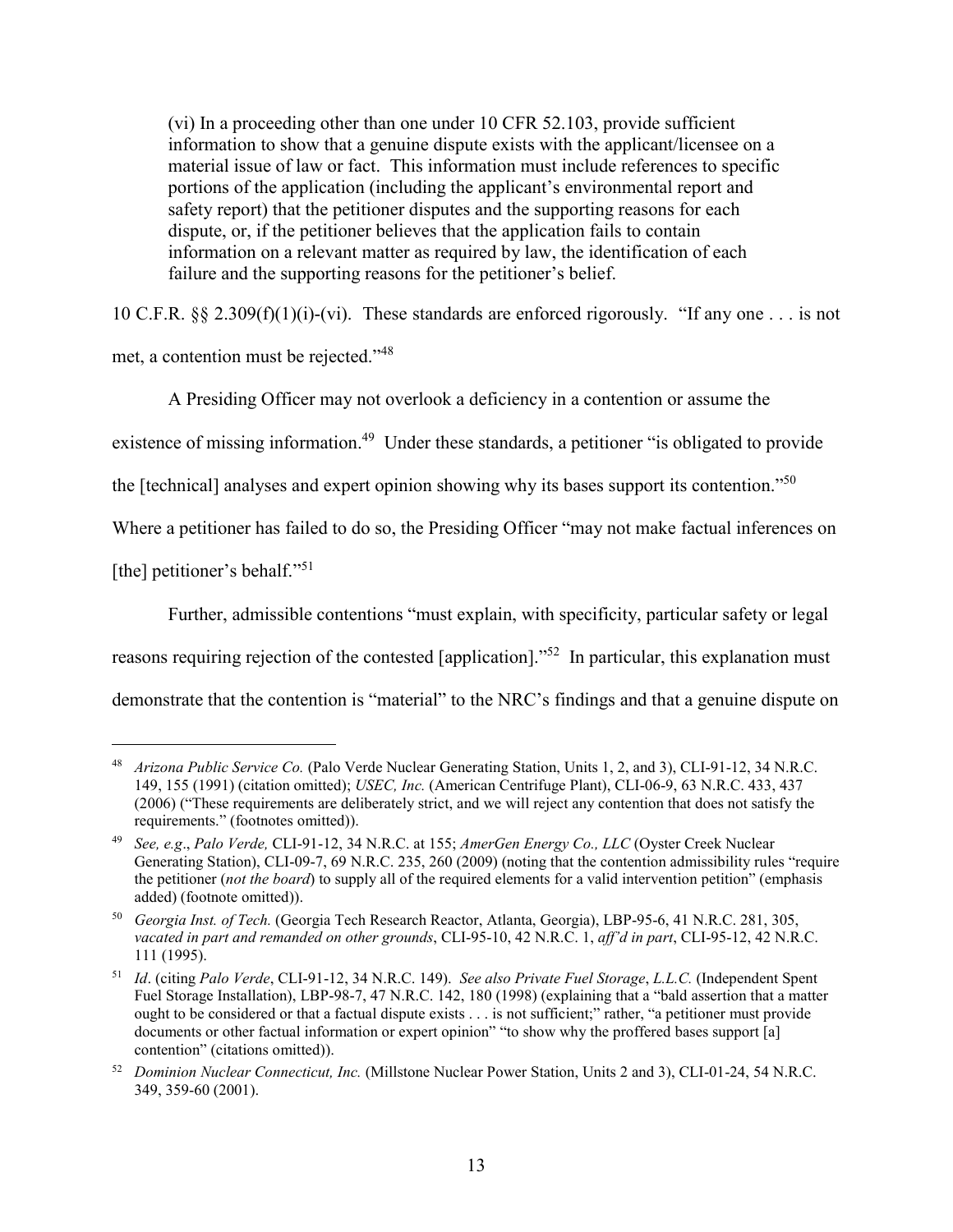(vi) In a proceeding other than one under 10 CFR 52.103, provide sufficient information to show that a genuine dispute exists with the applicant/licensee on a material issue of law or fact. This information must include references to specific portions of the application (including the applicant's environmental report and safety report) that the petitioner disputes and the supporting reasons for each dispute, or, if the petitioner believes that the application fails to contain information on a relevant matter as required by law, the identification of each failure and the supporting reasons for the petitioner's belief.

10 C.F.R. §§ 2.309(f)(1)(i)-(vi). These standards are enforced rigorously. "If any one . . . is not

met, a contention must be rejected."48

A Presiding Officer may not overlook a deficiency in a contention or assume the

existence of missing information.<sup>49</sup> Under these standards, a petitioner "is obligated to provide

the [technical] analyses and expert opinion showing why its bases support its contention."<sup>50</sup>

Where a petitioner has failed to do so, the Presiding Officer "may not make factual inferences on

[the] petitioner's behalf."<sup>51</sup>

Further, admissible contentions "must explain, with specificity, particular safety or legal

reasons requiring rejection of the contested [application]."52 In particular, this explanation must

demonstrate that the contention is "material" to the NRC's findings and that a genuine dispute on

 <sup>48</sup> *Arizona Public Service Co.* (Palo Verde Nuclear Generating Station, Units 1, 2, and 3), CLI-91-12, 34 N.R.C. 149, 155 (1991) (citation omitted); *USEC, Inc.* (American Centrifuge Plant), CLI-06-9, 63 N.R.C. 433, 437 (2006) ("These requirements are deliberately strict, and we will reject any contention that does not satisfy the requirements." (footnotes omitted)).

<sup>49</sup> *See, e.g*., *Palo Verde,* CLI-91-12, 34 N.R.C. at 155; *AmerGen Energy Co., LLC* (Oyster Creek Nuclear Generating Station), CLI-09-7, 69 N.R.C. 235, 260 (2009) (noting that the contention admissibility rules "require the petitioner (*not the board*) to supply all of the required elements for a valid intervention petition" (emphasis added) (footnote omitted)).

<sup>50</sup> *Georgia Inst. of Tech.* (Georgia Tech Research Reactor, Atlanta, Georgia), LBP-95-6, 41 N.R.C. 281, 305, *vacated in part and remanded on other grounds*, CLI-95-10, 42 N.R.C. 1, *aff'd in part*, CLI-95-12, 42 N.R.C. 111 (1995).

<sup>51</sup> *Id*. (citing *Palo Verde*, CLI-91-12, 34 N.R.C. 149). *See also Private Fuel Storage*, *L.L.C.* (Independent Spent Fuel Storage Installation), LBP-98-7, 47 N.R.C. 142, 180 (1998) (explaining that a "bald assertion that a matter ought to be considered or that a factual dispute exists . . . is not sufficient;" rather, "a petitioner must provide documents or other factual information or expert opinion" "to show why the proffered bases support [a] contention" (citations omitted)).

<sup>52</sup> *Dominion Nuclear Connecticut, Inc.* (Millstone Nuclear Power Station, Units 2 and 3), CLI-01-24, 54 N.R.C. 349, 359-60 (2001).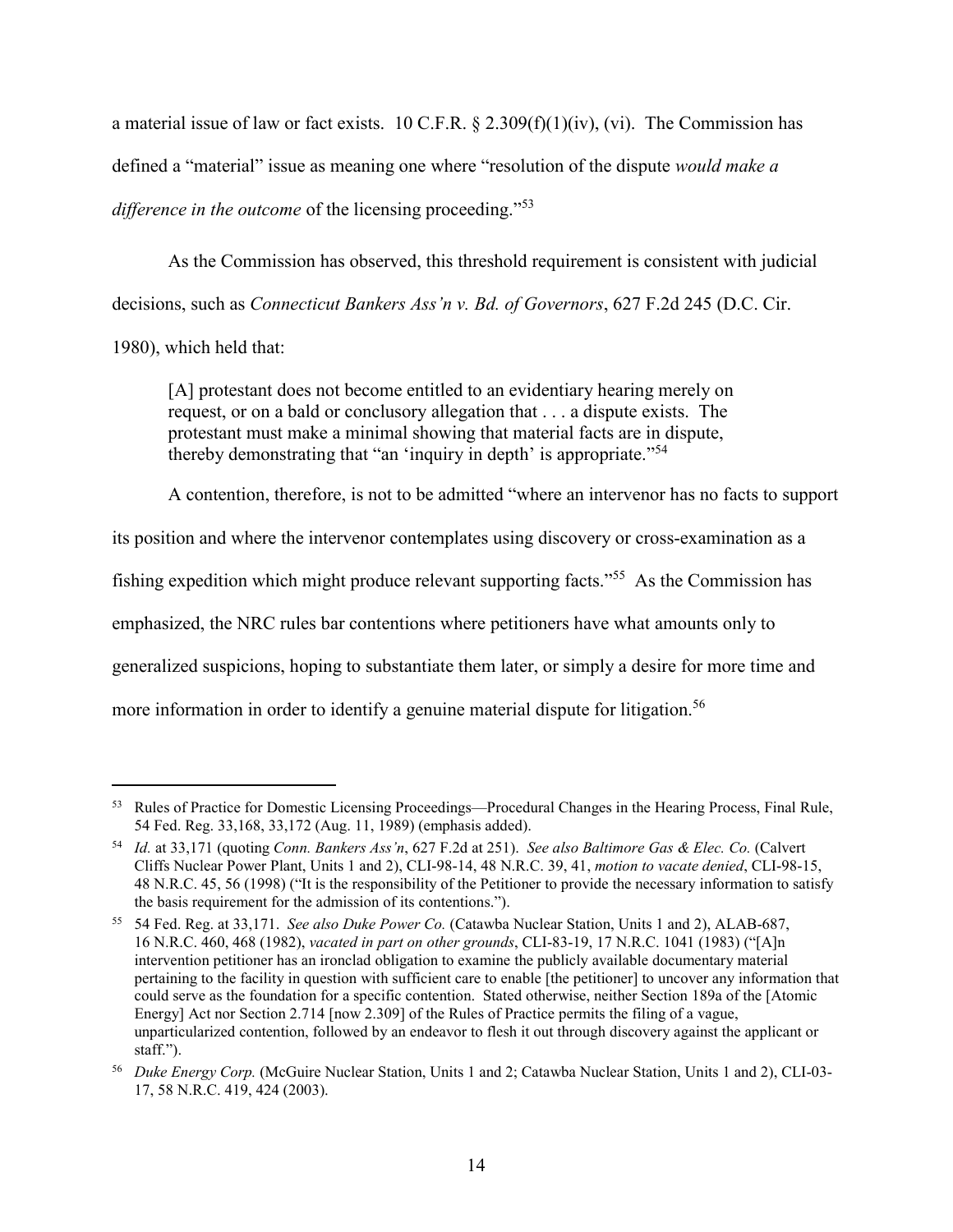a material issue of law or fact exists.  $10 \text{ C.F.R.}$  §  $2.309(f)(1)(iv)$ , (vi). The Commission has defined a "material" issue as meaning one where "resolution of the dispute *would make a difference in the outcome* of the licensing proceeding."53

As the Commission has observed, this threshold requirement is consistent with judicial decisions, such as *Connecticut Bankers Ass'n v. Bd. of Governors*, 627 F.2d 245 (D.C. Cir. 1980), which held that:

[A] protestant does not become entitled to an evidentiary hearing merely on request, or on a bald or conclusory allegation that . . . a dispute exists. The protestant must make a minimal showing that material facts are in dispute, thereby demonstrating that "an 'inquiry in depth' is appropriate."<sup>54</sup>

A contention, therefore, is not to be admitted "where an intervenor has no facts to support

its position and where the intervenor contemplates using discovery or cross-examination as a

fishing expedition which might produce relevant supporting facts."55 As the Commission has

emphasized, the NRC rules bar contentions where petitioners have what amounts only to

generalized suspicions, hoping to substantiate them later, or simply a desire for more time and

more information in order to identify a genuine material dispute for litigation.<sup>56</sup>

 <sup>53</sup> Rules of Practice for Domestic Licensing Proceedings—Procedural Changes in the Hearing Process, Final Rule, 54 Fed. Reg. 33,168, 33,172 (Aug. 11, 1989) (emphasis added).

<sup>54</sup> *Id.* at 33,171 (quoting *Conn. Bankers Ass'n*, 627 F.2d at 251). *See also Baltimore Gas & Elec. Co.* (Calvert Cliffs Nuclear Power Plant, Units 1 and 2), CLI-98-14, 48 N.R.C. 39, 41, *motion to vacate denied*, CLI-98-15, 48 N.R.C. 45, 56 (1998) ("It is the responsibility of the Petitioner to provide the necessary information to satisfy the basis requirement for the admission of its contentions.").

<sup>55</sup> 54 Fed. Reg. at 33,171. *See also Duke Power Co.* (Catawba Nuclear Station, Units 1 and 2), ALAB-687, 16 N.R.C. 460, 468 (1982), *vacated in part on other grounds*, CLI-83-19, 17 N.R.C. 1041 (1983) ("[A]n intervention petitioner has an ironclad obligation to examine the publicly available documentary material pertaining to the facility in question with sufficient care to enable [the petitioner] to uncover any information that could serve as the foundation for a specific contention. Stated otherwise, neither Section 189a of the [Atomic Energy] Act nor Section 2.714 [now 2.309] of the Rules of Practice permits the filing of a vague, unparticularized contention, followed by an endeavor to flesh it out through discovery against the applicant or staff.").

<sup>56</sup> *Duke Energy Corp.* (McGuire Nuclear Station, Units 1 and 2; Catawba Nuclear Station, Units 1 and 2), CLI-03- 17, 58 N.R.C. 419, 424 (2003).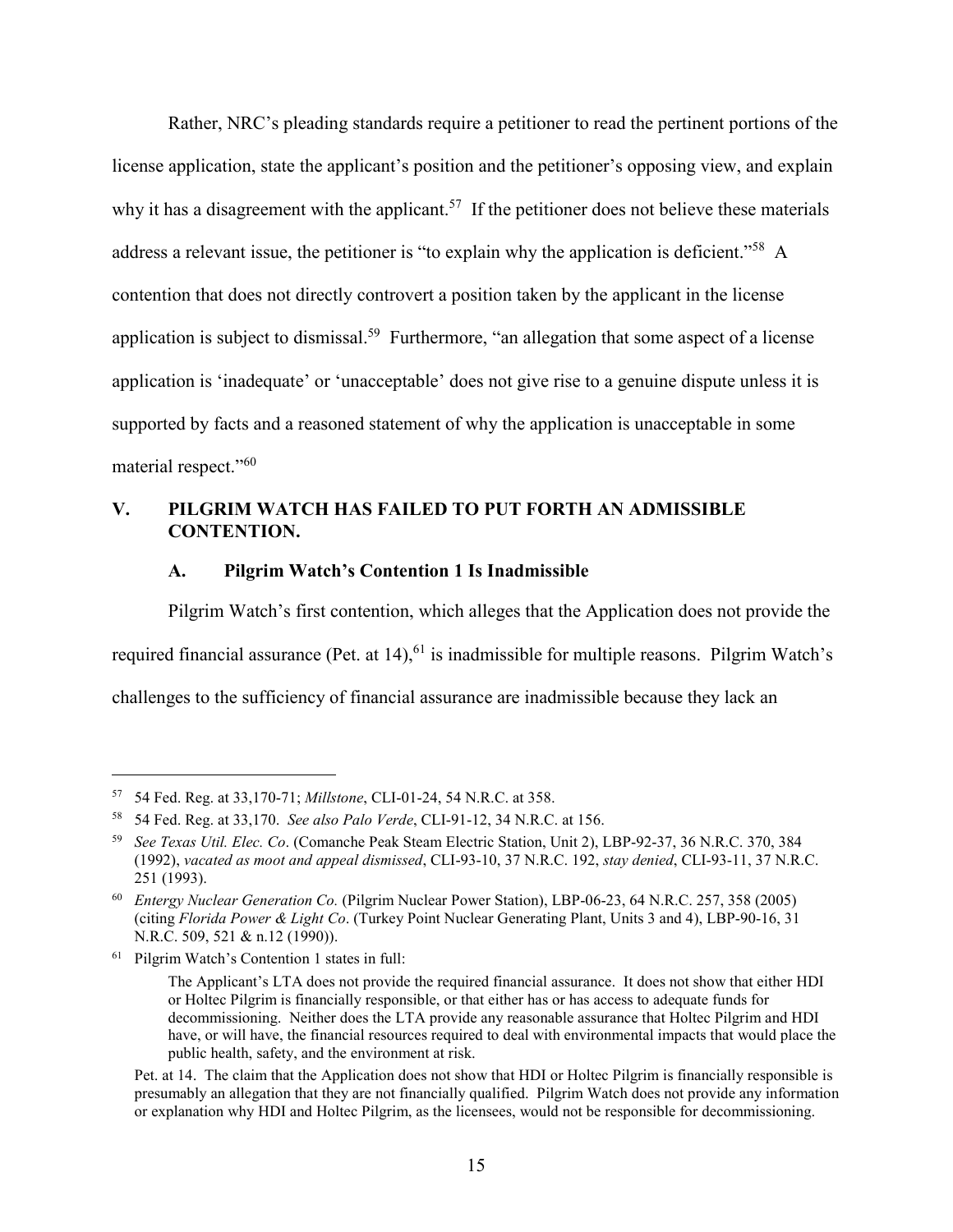Rather, NRC's pleading standards require a petitioner to read the pertinent portions of the license application, state the applicant's position and the petitioner's opposing view, and explain why it has a disagreement with the applicant.<sup>57</sup> If the petitioner does not believe these materials address a relevant issue, the petitioner is "to explain why the application is deficient."<sup>58</sup> A contention that does not directly controvert a position taken by the applicant in the license application is subject to dismissal.<sup>59</sup> Furthermore, "an allegation that some aspect of a license application is 'inadequate' or 'unacceptable' does not give rise to a genuine dispute unless it is supported by facts and a reasoned statement of why the application is unacceptable in some material respect."<sup>60</sup>

## **V. PILGRIM WATCH HAS FAILED TO PUT FORTH AN ADMISSIBLE CONTENTION.**

#### **A. Pilgrim Watch's Contention 1 Is Inadmissible**

Pilgrim Watch's first contention, which alleges that the Application does not provide the required financial assurance (Pet. at  $14$ ), <sup>61</sup> is inadmissible for multiple reasons. Pilgrim Watch's challenges to the sufficiency of financial assurance are inadmissible because they lack an

 <sup>57</sup> 54 Fed. Reg. at 33,170-71; *Millstone*, CLI-01-24, 54 N.R.C. at 358.

<sup>58</sup> 54 Fed. Reg. at 33,170. *See also Palo Verde*, CLI-91-12, 34 N.R.C. at 156.

<sup>59</sup> *See Texas Util. Elec. Co*. (Comanche Peak Steam Electric Station, Unit 2), LBP-92-37, 36 N.R.C. 370, 384 (1992), *vacated as moot and appeal dismissed*, CLI-93-10, 37 N.R.C. 192, *stay denied*, CLI-93-11, 37 N.R.C. 251 (1993).

<sup>60</sup> *Entergy Nuclear Generation Co.* (Pilgrim Nuclear Power Station), LBP-06-23, 64 N.R.C. 257, 358 (2005) (citing *Florida Power & Light Co*. (Turkey Point Nuclear Generating Plant, Units 3 and 4), LBP-90-16, 31 N.R.C. 509, 521 & n.12 (1990)).

<sup>61</sup> Pilgrim Watch's Contention 1 states in full:

The Applicant's LTA does not provide the required financial assurance. It does not show that either HDI or Holtec Pilgrim is financially responsible, or that either has or has access to adequate funds for decommissioning. Neither does the LTA provide any reasonable assurance that Holtec Pilgrim and HDI have, or will have, the financial resources required to deal with environmental impacts that would place the public health, safety, and the environment at risk.

Pet. at 14. The claim that the Application does not show that HDI or Holtec Pilgrim is financially responsible is presumably an allegation that they are not financially qualified. Pilgrim Watch does not provide any information or explanation why HDI and Holtec Pilgrim, as the licensees, would not be responsible for decommissioning.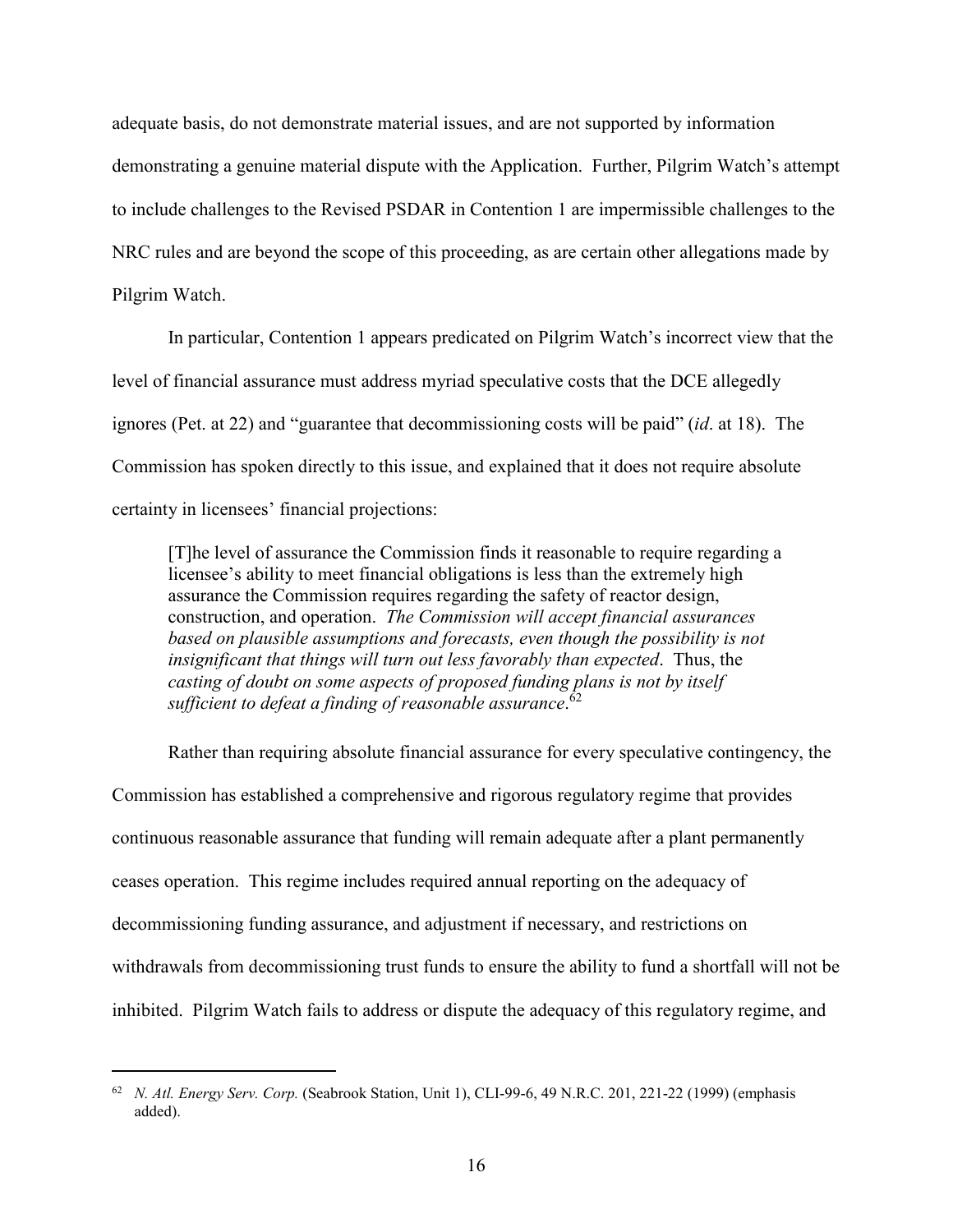adequate basis, do not demonstrate material issues, and are not supported by information demonstrating a genuine material dispute with the Application. Further, Pilgrim Watch's attempt to include challenges to the Revised PSDAR in Contention 1 are impermissible challenges to the NRC rules and are beyond the scope of this proceeding, as are certain other allegations made by Pilgrim Watch.

In particular, Contention 1 appears predicated on Pilgrim Watch's incorrect view that the level of financial assurance must address myriad speculative costs that the DCE allegedly ignores (Pet. at 22) and "guarantee that decommissioning costs will be paid" (*id*. at 18). The Commission has spoken directly to this issue, and explained that it does not require absolute certainty in licensees' financial projections:

[T]he level of assurance the Commission finds it reasonable to require regarding a licensee's ability to meet financial obligations is less than the extremely high assurance the Commission requires regarding the safety of reactor design, construction, and operation. *The Commission will accept financial assurances*  based on plausible assumptions and forecasts, even though the possibility is not *insignificant that things will turn out less favorably than expected*. Thus, the *casting of doubt on some aspects of proposed funding plans is not by itself sufficient to defeat a finding of reasonable assurance*. 62

Rather than requiring absolute financial assurance for every speculative contingency, the Commission has established a comprehensive and rigorous regulatory regime that provides continuous reasonable assurance that funding will remain adequate after a plant permanently ceases operation. This regime includes required annual reporting on the adequacy of decommissioning funding assurance, and adjustment if necessary, and restrictions on withdrawals from decommissioning trust funds to ensure the ability to fund a shortfall will not be inhibited. Pilgrim Watch fails to address or dispute the adequacy of this regulatory regime, and

 <sup>62</sup> *N. Atl. Energy Serv. Corp.* (Seabrook Station, Unit 1), CLI-99-6, 49 N.R.C. 201, 221-22 (1999) (emphasis added).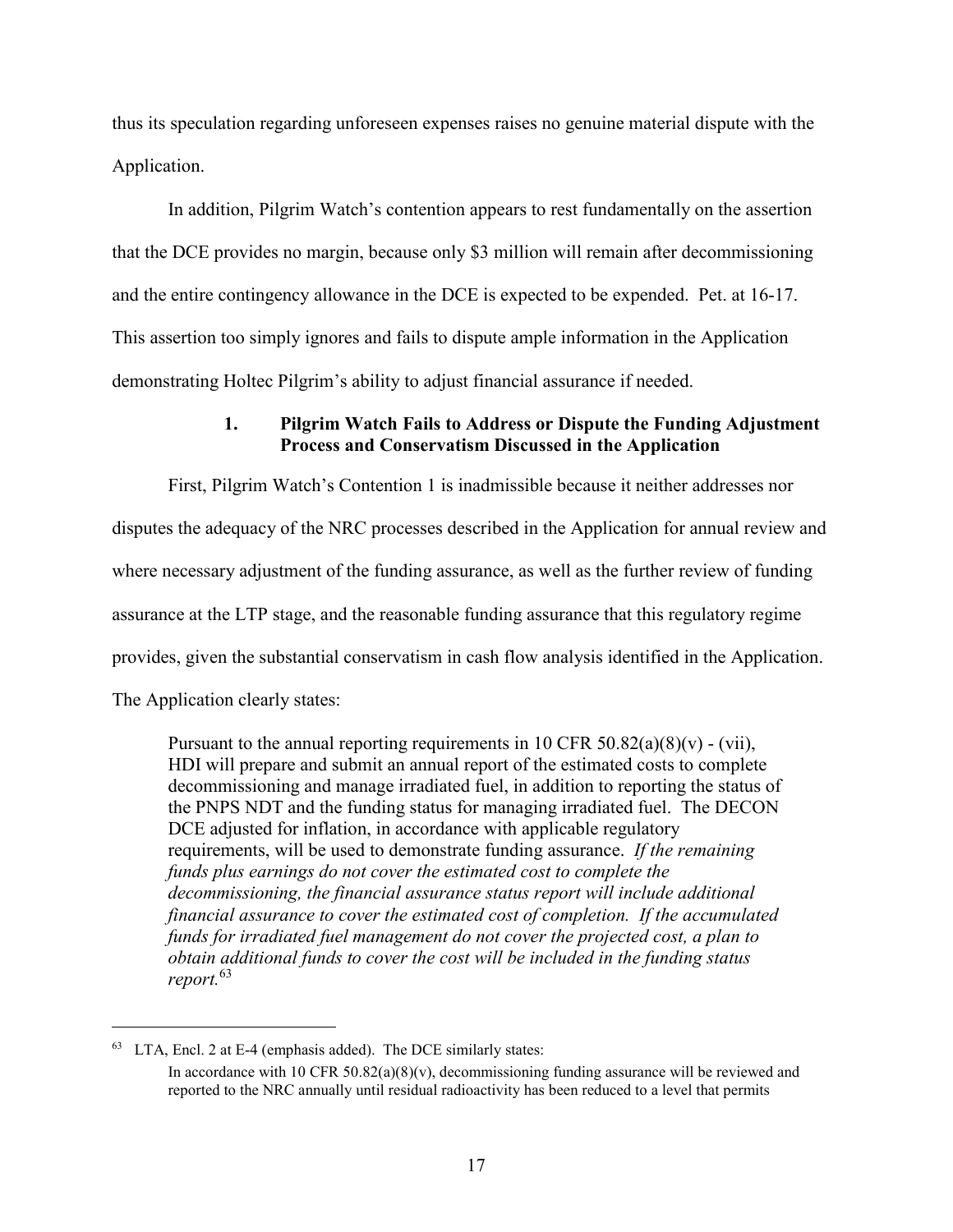thus its speculation regarding unforeseen expenses raises no genuine material dispute with the Application.

In addition, Pilgrim Watch's contention appears to rest fundamentally on the assertion that the DCE provides no margin, because only \$3 million will remain after decommissioning and the entire contingency allowance in the DCE is expected to be expended. Pet. at 16-17. This assertion too simply ignores and fails to dispute ample information in the Application demonstrating Holtec Pilgrim's ability to adjust financial assurance if needed.

# **1. Pilgrim Watch Fails to Address or Dispute the Funding Adjustment Process and Conservatism Discussed in the Application**

First, Pilgrim Watch's Contention 1 is inadmissible because it neither addresses nor disputes the adequacy of the NRC processes described in the Application for annual review and where necessary adjustment of the funding assurance, as well as the further review of funding assurance at the LTP stage, and the reasonable funding assurance that this regulatory regime provides, given the substantial conservatism in cash flow analysis identified in the Application.

The Application clearly states:

Pursuant to the annual reporting requirements in 10 CFR  $50.82(a)(8)(v)$  - (vii), HDI will prepare and submit an annual report of the estimated costs to complete decommissioning and manage irradiated fuel, in addition to reporting the status of the PNPS NDT and the funding status for managing irradiated fuel. The DECON DCE adjusted for inflation, in accordance with applicable regulatory requirements, will be used to demonstrate funding assurance. *If the remaining funds plus earnings do not cover the estimated cost to complete the decommissioning, the financial assurance status report will include additional financial assurance to cover the estimated cost of completion. If the accumulated funds for irradiated fuel management do not cover the projected cost, a plan to obtain additional funds to cover the cost will be included in the funding status report.*<sup>63</sup>

 <sup>63</sup> LTA, Encl. 2 at E-4 (emphasis added). The DCE similarly states: In accordance with 10 CFR 50.82(a)(8)(y), decommissioning funding assurance will be reviewed and reported to the NRC annually until residual radioactivity has been reduced to a level that permits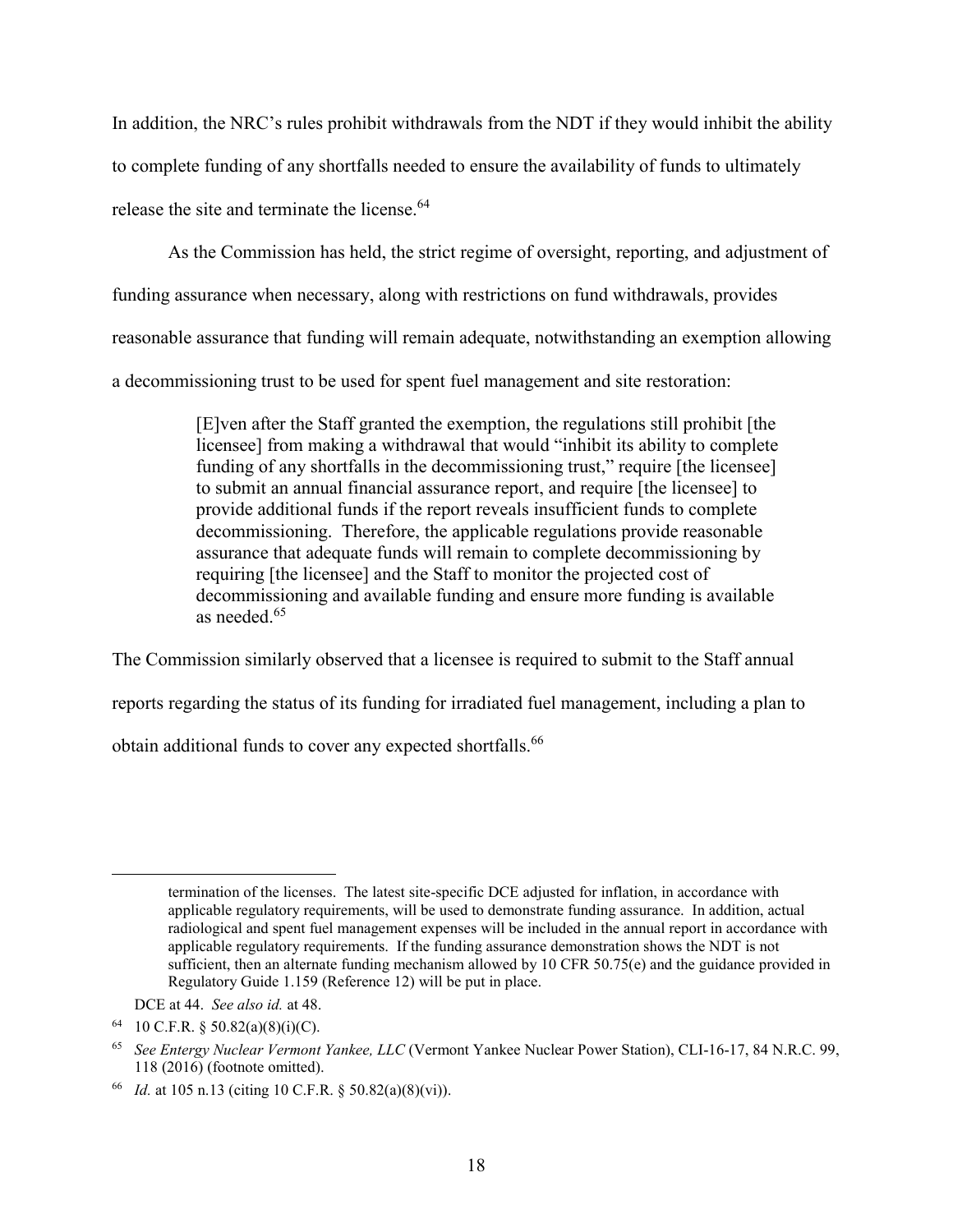In addition, the NRC's rules prohibit withdrawals from the NDT if they would inhibit the ability to complete funding of any shortfalls needed to ensure the availability of funds to ultimately release the site and terminate the license.<sup>64</sup>

As the Commission has held, the strict regime of oversight, reporting, and adjustment of funding assurance when necessary, along with restrictions on fund withdrawals, provides reasonable assurance that funding will remain adequate, notwithstanding an exemption allowing a decommissioning trust to be used for spent fuel management and site restoration:

> [E]ven after the Staff granted the exemption, the regulations still prohibit [the licensee] from making a withdrawal that would "inhibit its ability to complete funding of any shortfalls in the decommissioning trust," require [the licensee] to submit an annual financial assurance report, and require [the licensee] to provide additional funds if the report reveals insufficient funds to complete decommissioning. Therefore, the applicable regulations provide reasonable assurance that adequate funds will remain to complete decommissioning by requiring [the licensee] and the Staff to monitor the projected cost of decommissioning and available funding and ensure more funding is available as needed.<sup>65</sup>

The Commission similarly observed that a licensee is required to submit to the Staff annual reports regarding the status of its funding for irradiated fuel management, including a plan to obtain additional funds to cover any expected shortfalls.<sup>66</sup>

 $\overline{a}$ 

termination of the licenses. The latest site-specific DCE adjusted for inflation, in accordance with applicable regulatory requirements, will be used to demonstrate funding assurance. In addition, actual radiological and spent fuel management expenses will be included in the annual report in accordance with applicable regulatory requirements. If the funding assurance demonstration shows the NDT is not sufficient, then an alternate funding mechanism allowed by 10 CFR 50.75(e) and the guidance provided in Regulatory Guide 1.159 (Reference 12) will be put in place.

DCE at 44. *See also id.* at 48.

<sup>64 10</sup> C.F.R. § 50.82(a)(8)(i)(C).

<sup>65</sup> *See Entergy Nuclear Vermont Yankee, LLC* (Vermont Yankee Nuclear Power Station), CLI-16-17, 84 N.R.C. 99, 118 (2016) (footnote omitted).

<sup>66</sup> *Id.* at 105 n.13 (citing 10 C.F.R. § 50.82(a)(8)(vi)).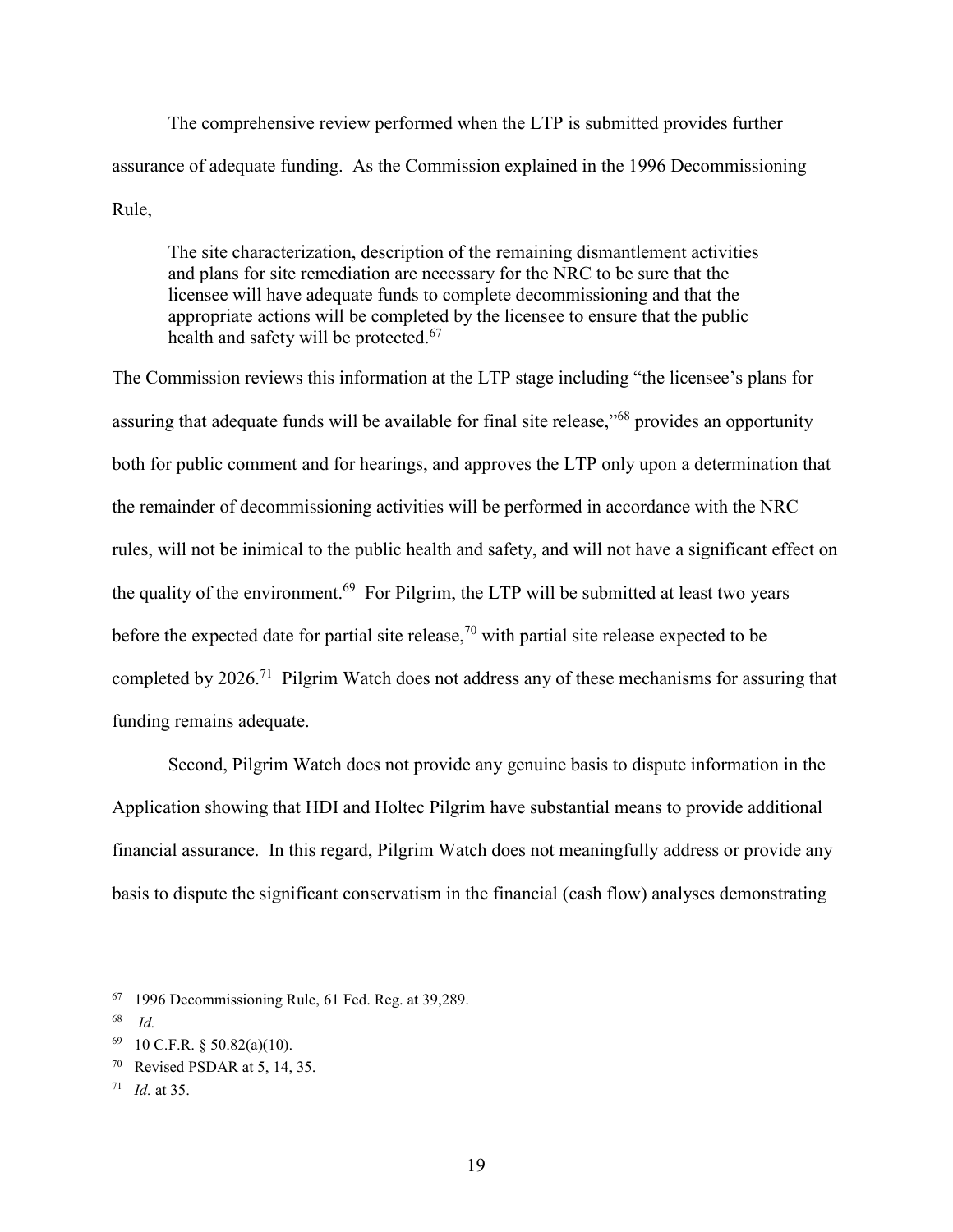The comprehensive review performed when the LTP is submitted provides further assurance of adequate funding. As the Commission explained in the 1996 Decommissioning Rule,

The site characterization, description of the remaining dismantlement activities and plans for site remediation are necessary for the NRC to be sure that the licensee will have adequate funds to complete decommissioning and that the appropriate actions will be completed by the licensee to ensure that the public health and safety will be protected. $67$ 

The Commission reviews this information at the LTP stage including "the licensee's plans for assuring that adequate funds will be available for final site release,"<sup>68</sup> provides an opportunity both for public comment and for hearings, and approves the LTP only upon a determination that the remainder of decommissioning activities will be performed in accordance with the NRC rules, will not be inimical to the public health and safety, and will not have a significant effect on the quality of the environment.<sup>69</sup> For Pilgrim, the LTP will be submitted at least two years before the expected date for partial site release,<sup>70</sup> with partial site release expected to be completed by 2026.71 Pilgrim Watch does not address any of these mechanisms for assuring that funding remains adequate.

Second, Pilgrim Watch does not provide any genuine basis to dispute information in the Application showing that HDI and Holtec Pilgrim have substantial means to provide additional financial assurance. In this regard, Pilgrim Watch does not meaningfully address or provide any basis to dispute the significant conservatism in the financial (cash flow) analyses demonstrating

 <sup>67</sup> 1996 Decommissioning Rule, 61 Fed. Reg. at 39,289.

<sup>68</sup> *Id.*

<sup>69 10</sup> C.F.R.  $\S$  50.82(a)(10).

 $70$  Revised PSDAR at 5, 14, 35.

<sup>71</sup> *Id.* at 35.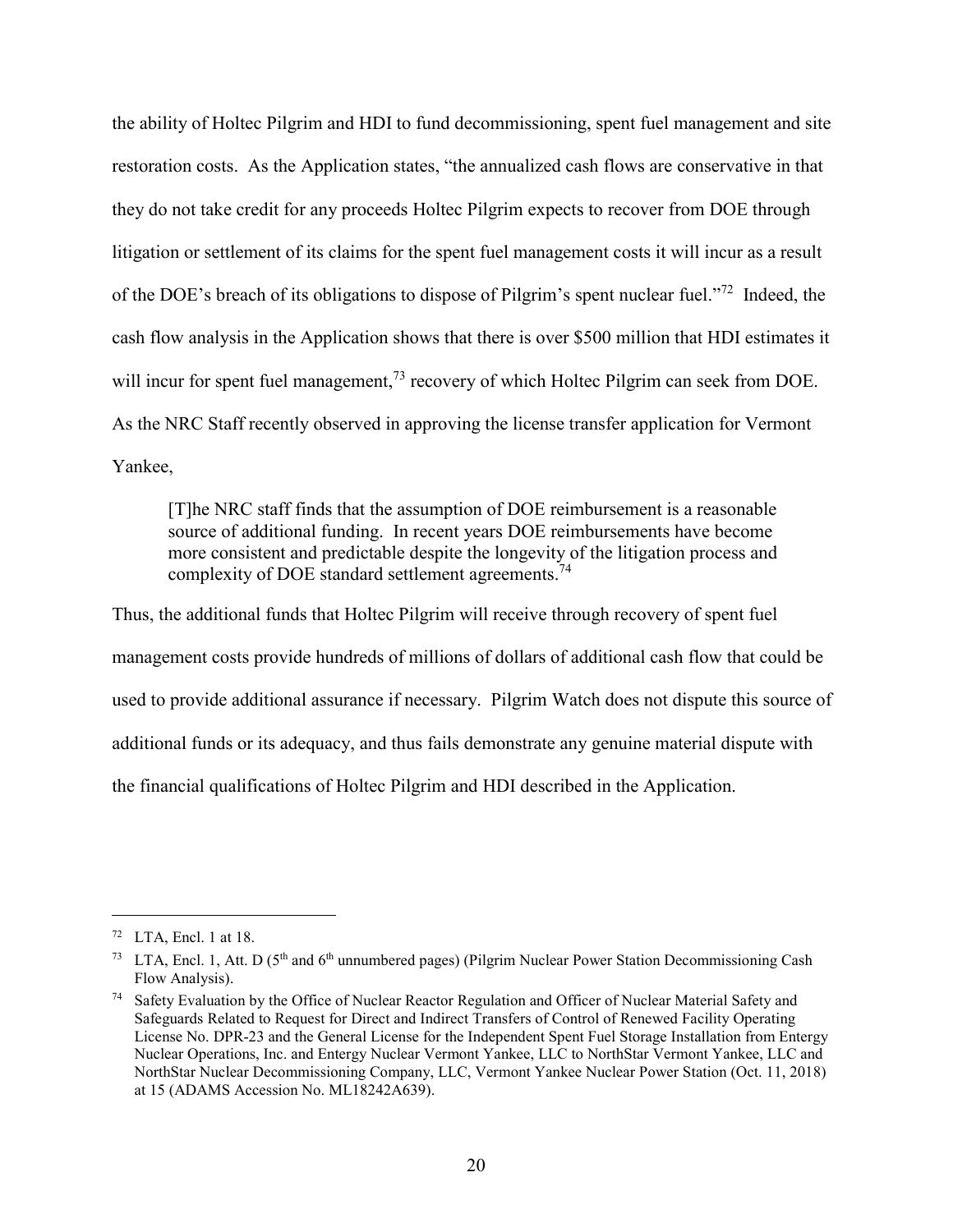the ability of Holtec Pilgrim and HDI to fund decommissioning, spent fuel management and site restoration costs. As the Application states, "the annualized cash flows are conservative in that they do not take credit for any proceeds Holtec Pilgrim expects to recover from DOE through litigation or settlement of its claims for the spent fuel management costs it will incur as a result of the DOE's breach of its obligations to dispose of Pilgrim's spent nuclear fuel."72 Indeed, the cash flow analysis in the Application shows that there is over \$500 million that HDI estimates it will incur for spent fuel management,<sup>73</sup> recovery of which Holtec Pilgrim can seek from DOE. As the NRC Staff recently observed in approving the license transfer application for Vermont Yankee,

[T]he NRC staff finds that the assumption of DOE reimbursement is a reasonable source of additional funding. In recent years DOE reimbursements have become more consistent and predictable despite the longevity of the litigation process and complexity of DOE standard settlement agreements.<sup>74</sup>

Thus, the additional funds that Holtec Pilgrim will receive through recovery of spent fuel management costs provide hundreds of millions of dollars of additional cash flow that could be used to provide additional assurance if necessary. Pilgrim Watch does not dispute this source of additional funds or its adequacy, and thus fails demonstrate any genuine material dispute with the financial qualifications of Holtec Pilgrim and HDI described in the Application.

 $72$  LTA, Encl. 1 at 18.

<sup>&</sup>lt;sup>73</sup> LTA, Encl. 1, Att. D ( $5<sup>th</sup>$  and  $6<sup>th</sup>$  unnumbered pages) (Pilgrim Nuclear Power Station Decommissioning Cash Flow Analysis).

Safety Evaluation by the Office of Nuclear Reactor Regulation and Officer of Nuclear Material Safety and Safeguards Related to Request for Direct and Indirect Transfers of Control of Renewed Facility Operating License No. DPR-23 and the General License for the Independent Spent Fuel Storage Installation from Entergy Nuclear Operations, Inc. and Entergy Nuclear Vermont Yankee, LLC to NorthStar Vermont Yankee, LLC and NorthStar Nuclear Decommissioning Company, LLC, Vermont Yankee Nuclear Power Station (Oct. 11, 2018) at 15 (ADAMS Accession No. ML18242A639).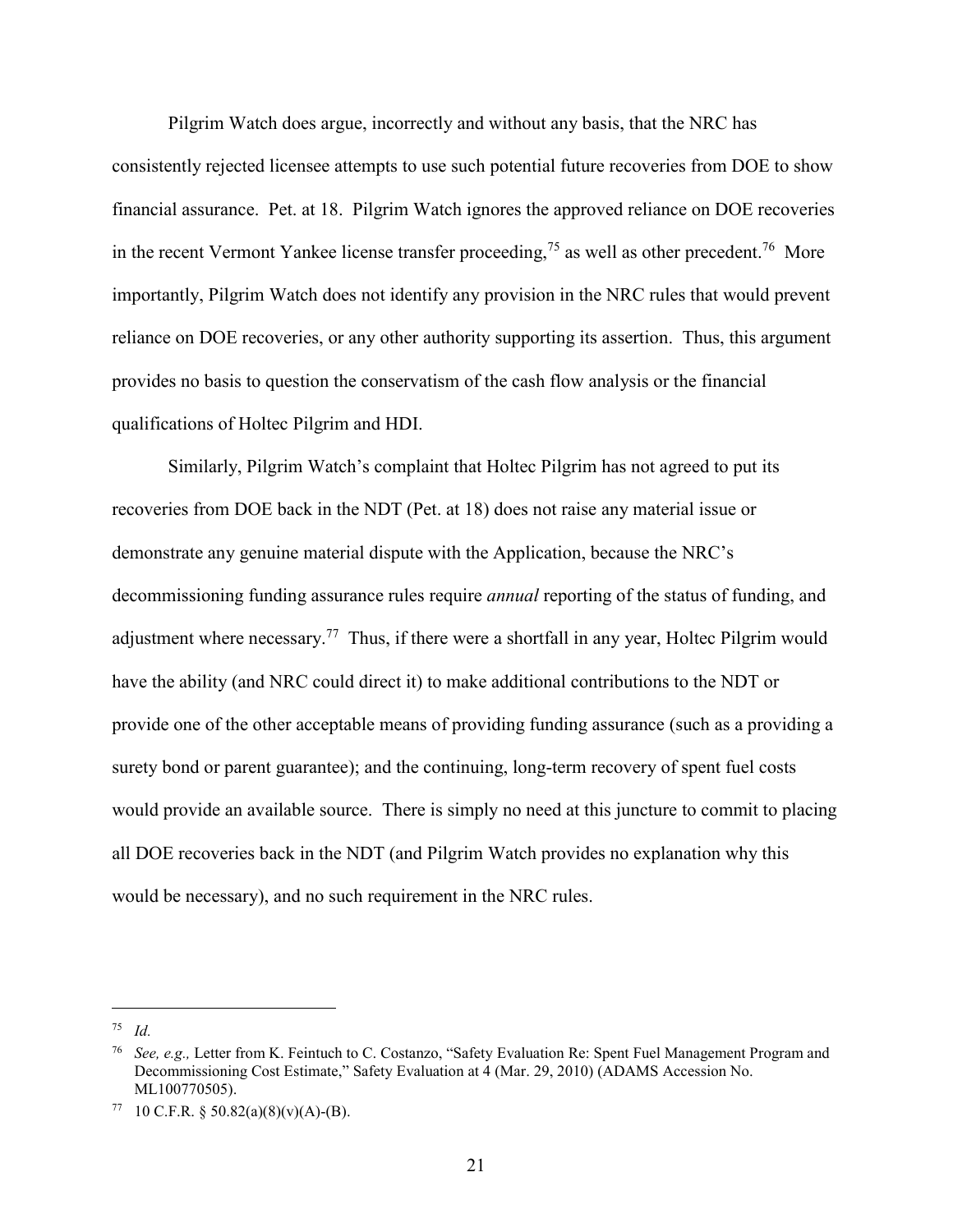Pilgrim Watch does argue, incorrectly and without any basis, that the NRC has consistently rejected licensee attempts to use such potential future recoveries from DOE to show financial assurance. Pet. at 18. Pilgrim Watch ignores the approved reliance on DOE recoveries in the recent Vermont Yankee license transfer proceeding,<sup>75</sup> as well as other precedent.<sup>76</sup> More importantly, Pilgrim Watch does not identify any provision in the NRC rules that would prevent reliance on DOE recoveries, or any other authority supporting its assertion. Thus, this argument provides no basis to question the conservatism of the cash flow analysis or the financial qualifications of Holtec Pilgrim and HDI.

Similarly, Pilgrim Watch's complaint that Holtec Pilgrim has not agreed to put its recoveries from DOE back in the NDT (Pet. at 18) does not raise any material issue or demonstrate any genuine material dispute with the Application, because the NRC's decommissioning funding assurance rules require *annual* reporting of the status of funding, and adjustment where necessary.<sup>77</sup> Thus, if there were a shortfall in any year, Holtec Pilgrim would have the ability (and NRC could direct it) to make additional contributions to the NDT or provide one of the other acceptable means of providing funding assurance (such as a providing a surety bond or parent guarantee); and the continuing, long-term recovery of spent fuel costs would provide an available source. There is simply no need at this juncture to commit to placing all DOE recoveries back in the NDT (and Pilgrim Watch provides no explanation why this would be necessary), and no such requirement in the NRC rules.

 <sup>75</sup> *Id.*

<sup>76</sup> *See, e.g.,* Letter from K. Feintuch to C. Costanzo, "Safety Evaluation Re: Spent Fuel Management Program and Decommissioning Cost Estimate," Safety Evaluation at 4 (Mar. 29, 2010) (ADAMS Accession No. ML100770505).

<sup>77 10</sup> C.F.R. § 50.82(a)(8)(v)(A)-(B).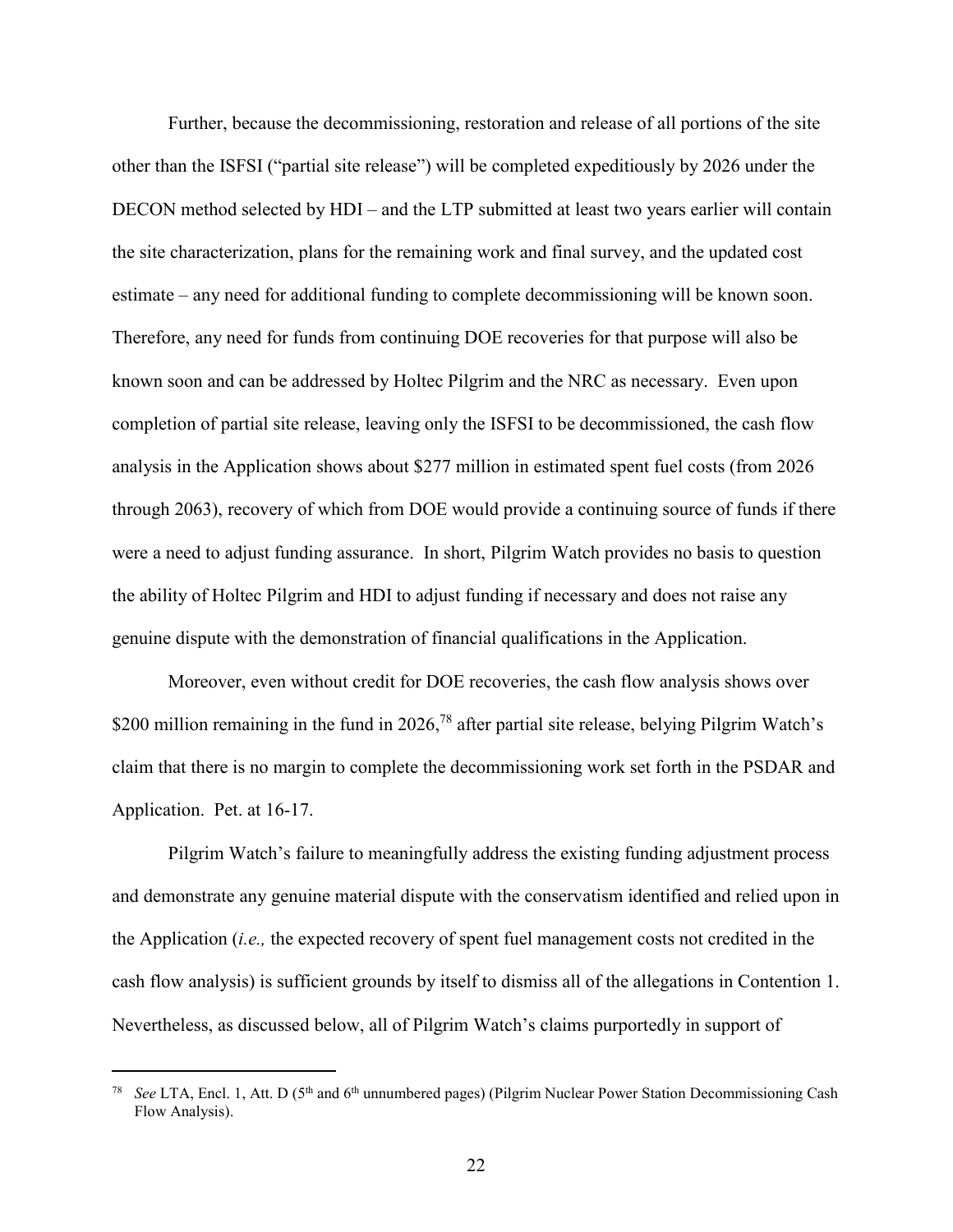Further, because the decommissioning, restoration and release of all portions of the site other than the ISFSI ("partial site release") will be completed expeditiously by 2026 under the DECON method selected by HDI – and the LTP submitted at least two years earlier will contain the site characterization, plans for the remaining work and final survey, and the updated cost estimate – any need for additional funding to complete decommissioning will be known soon. Therefore, any need for funds from continuing DOE recoveries for that purpose will also be known soon and can be addressed by Holtec Pilgrim and the NRC as necessary. Even upon completion of partial site release, leaving only the ISFSI to be decommissioned, the cash flow analysis in the Application shows about \$277 million in estimated spent fuel costs (from 2026 through 2063), recovery of which from DOE would provide a continuing source of funds if there were a need to adjust funding assurance. In short, Pilgrim Watch provides no basis to question the ability of Holtec Pilgrim and HDI to adjust funding if necessary and does not raise any genuine dispute with the demonstration of financial qualifications in the Application.

Moreover, even without credit for DOE recoveries, the cash flow analysis shows over \$200 million remaining in the fund in 2026,<sup>78</sup> after partial site release, belying Pilgrim Watch's claim that there is no margin to complete the decommissioning work set forth in the PSDAR and Application. Pet. at 16-17.

Pilgrim Watch's failure to meaningfully address the existing funding adjustment process and demonstrate any genuine material dispute with the conservatism identified and relied upon in the Application (*i.e.,* the expected recovery of spent fuel management costs not credited in the cash flow analysis) is sufficient grounds by itself to dismiss all of the allegations in Contention 1. Nevertheless, as discussed below, all of Pilgrim Watch's claims purportedly in support of

See LTA, Encl. 1, Att. D (5<sup>th</sup> and 6<sup>th</sup> unnumbered pages) (Pilgrim Nuclear Power Station Decommissioning Cash Flow Analysis).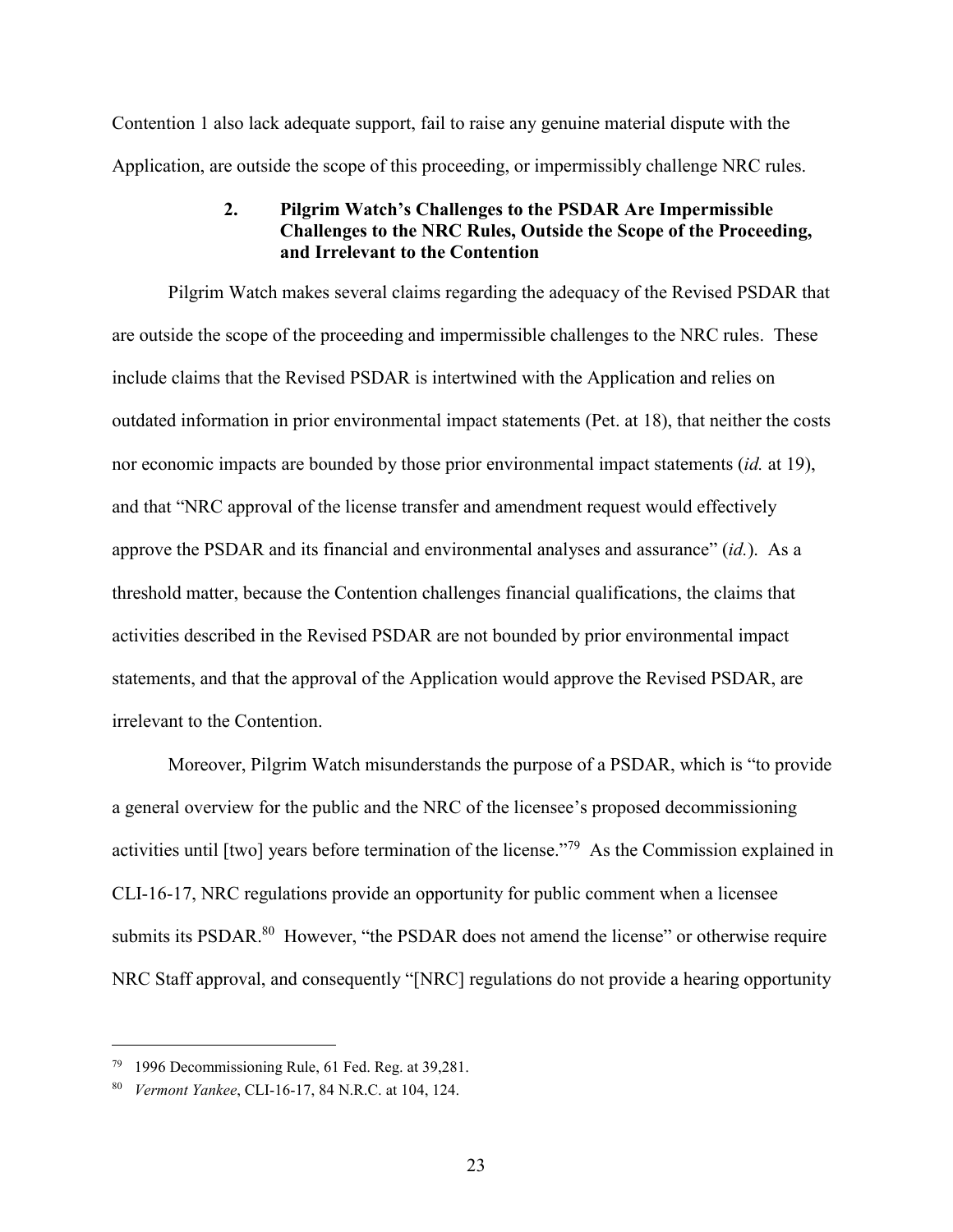Contention 1 also lack adequate support, fail to raise any genuine material dispute with the Application, are outside the scope of this proceeding, or impermissibly challenge NRC rules.

## **2. Pilgrim Watch's Challenges to the PSDAR Are Impermissible Challenges to the NRC Rules, Outside the Scope of the Proceeding, and Irrelevant to the Contention**

Pilgrim Watch makes several claims regarding the adequacy of the Revised PSDAR that are outside the scope of the proceeding and impermissible challenges to the NRC rules. These include claims that the Revised PSDAR is intertwined with the Application and relies on outdated information in prior environmental impact statements (Pet. at 18), that neither the costs nor economic impacts are bounded by those prior environmental impact statements (*id.* at 19), and that "NRC approval of the license transfer and amendment request would effectively approve the PSDAR and its financial and environmental analyses and assurance" (*id.*). As a threshold matter, because the Contention challenges financial qualifications, the claims that activities described in the Revised PSDAR are not bounded by prior environmental impact statements, and that the approval of the Application would approve the Revised PSDAR, are irrelevant to the Contention.

Moreover, Pilgrim Watch misunderstands the purpose of a PSDAR, which is "to provide a general overview for the public and the NRC of the licensee's proposed decommissioning activities until [two] years before termination of the license.<sup>"79</sup> As the Commission explained in CLI-16-17, NRC regulations provide an opportunity for public comment when a licensee submits its PSDAR.<sup>80</sup> However, "the PSDAR does not amend the license" or otherwise require NRC Staff approval, and consequently "[NRC] regulations do not provide a hearing opportunity

 <sup>79</sup> 1996 Decommissioning Rule, 61 Fed. Reg. at 39,281.

<sup>80</sup> *Vermont Yankee*, CLI-16-17, 84 N.R.C. at 104, 124.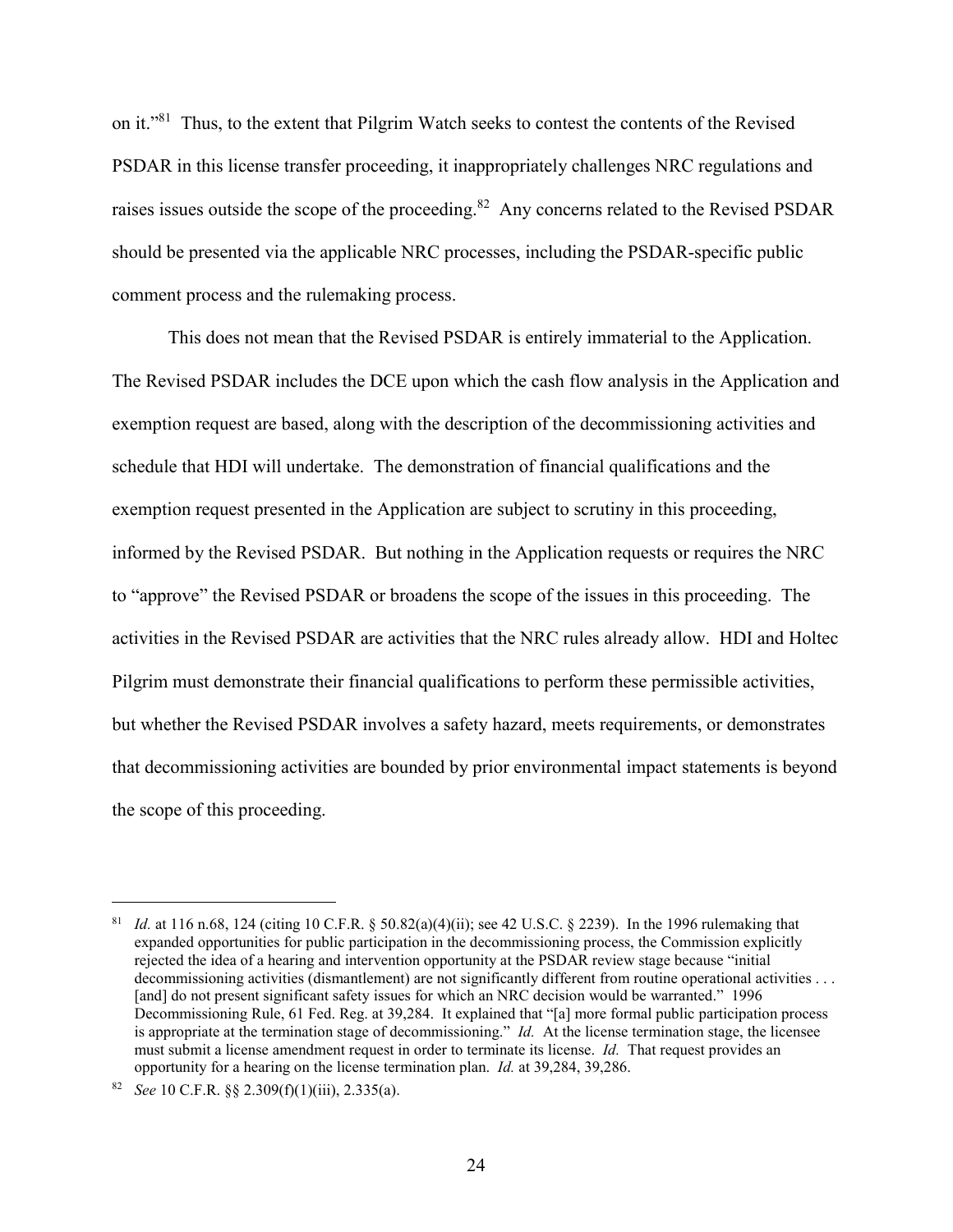on it."81 Thus, to the extent that Pilgrim Watch seeks to contest the contents of the Revised PSDAR in this license transfer proceeding, it inappropriately challenges NRC regulations and raises issues outside the scope of the proceeding.<sup>82</sup> Any concerns related to the Revised PSDAR should be presented via the applicable NRC processes, including the PSDAR-specific public comment process and the rulemaking process.

This does not mean that the Revised PSDAR is entirely immaterial to the Application. The Revised PSDAR includes the DCE upon which the cash flow analysis in the Application and exemption request are based, along with the description of the decommissioning activities and schedule that HDI will undertake. The demonstration of financial qualifications and the exemption request presented in the Application are subject to scrutiny in this proceeding, informed by the Revised PSDAR. But nothing in the Application requests or requires the NRC to "approve" the Revised PSDAR or broadens the scope of the issues in this proceeding. The activities in the Revised PSDAR are activities that the NRC rules already allow. HDI and Holtec Pilgrim must demonstrate their financial qualifications to perform these permissible activities, but whether the Revised PSDAR involves a safety hazard, meets requirements, or demonstrates that decommissioning activities are bounded by prior environmental impact statements is beyond the scope of this proceeding.

*Id.* at 116 n.68, 124 (citing 10 C.F.R. § 50.82(a)(4)(ii); see 42 U.S.C. § 2239). In the 1996 rulemaking that expanded opportunities for public participation in the decommissioning process, the Commission explicitly rejected the idea of a hearing and intervention opportunity at the PSDAR review stage because "initial decommissioning activities (dismantlement) are not significantly different from routine operational activities . . . [and] do not present significant safety issues for which an NRC decision would be warranted." 1996 Decommissioning Rule, 61 Fed. Reg. at 39,284. It explained that "[a] more formal public participation process is appropriate at the termination stage of decommissioning." *Id.* At the license termination stage, the licensee must submit a license amendment request in order to terminate its license. *Id.* That request provides an opportunity for a hearing on the license termination plan. *Id.* at 39,284, 39,286.

<sup>82</sup> *See* 10 C.F.R. §§ 2.309(f)(1)(iii), 2.335(a).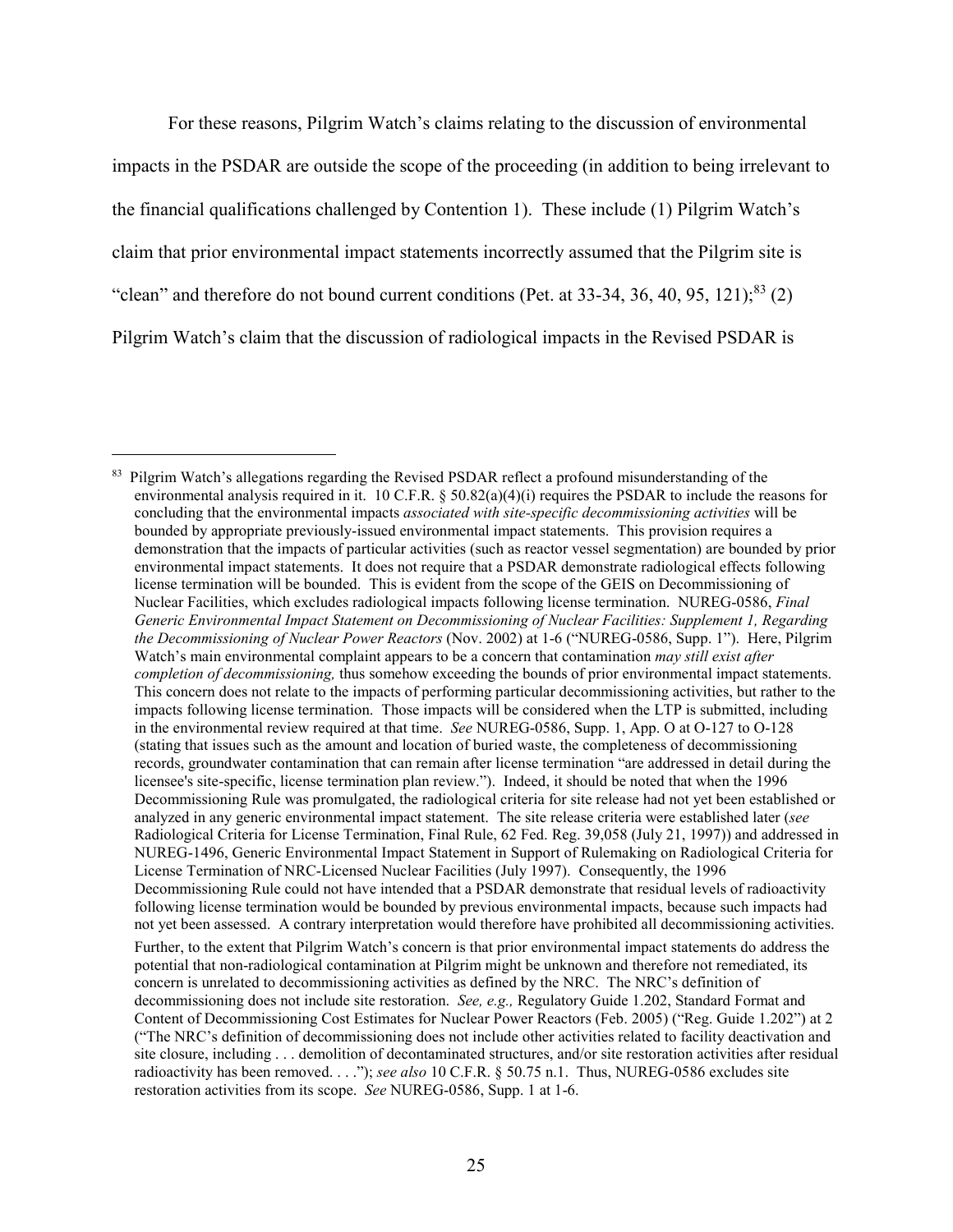For these reasons, Pilgrim Watch's claims relating to the discussion of environmental impacts in the PSDAR are outside the scope of the proceeding (in addition to being irrelevant to the financial qualifications challenged by Contention 1). These include (1) Pilgrim Watch's claim that prior environmental impact statements incorrectly assumed that the Pilgrim site is "clean" and therefore do not bound current conditions (Pet. at 33-34, 36, 40, 95, 121); $83$  (2) Pilgrim Watch's claim that the discussion of radiological impacts in the Revised PSDAR is

<sup>&</sup>lt;sup>83</sup> Pilgrim Watch's allegations regarding the Revised PSDAR reflect a profound misunderstanding of the environmental analysis required in it. 10 C.F.R.  $\S 50.82(a)(4)(i)$  requires the PSDAR to include the reasons for concluding that the environmental impacts *associated with site-specific decommissioning activities* will be bounded by appropriate previously-issued environmental impact statements. This provision requires a demonstration that the impacts of particular activities (such as reactor vessel segmentation) are bounded by prior environmental impact statements. It does not require that a PSDAR demonstrate radiological effects following license termination will be bounded. This is evident from the scope of the GEIS on Decommissioning of Nuclear Facilities, which excludes radiological impacts following license termination. NUREG-0586, *Final Generic Environmental Impact Statement on Decommissioning of Nuclear Facilities: Supplement 1, Regarding the Decommissioning of Nuclear Power Reactors* (Nov. 2002) at 1-6 ("NUREG-0586, Supp. 1"). Here, Pilgrim Watch's main environmental complaint appears to be a concern that contamination *may still exist after completion of decommissioning,* thus somehow exceeding the bounds of prior environmental impact statements. This concern does not relate to the impacts of performing particular decommissioning activities, but rather to the impacts following license termination. Those impacts will be considered when the LTP is submitted, including in the environmental review required at that time. *See* NUREG-0586, Supp. 1, App. O at O-127 to O-128 (stating that issues such as the amount and location of buried waste, the completeness of decommissioning records, groundwater contamination that can remain after license termination "are addressed in detail during the licensee's site-specific, license termination plan review."). Indeed, it should be noted that when the 1996 Decommissioning Rule was promulgated, the radiological criteria for site release had not yet been established or analyzed in any generic environmental impact statement. The site release criteria were established later (*see* Radiological Criteria for License Termination, Final Rule, 62 Fed. Reg. 39,058 (July 21, 1997)) and addressed in NUREG-1496, Generic Environmental Impact Statement in Support of Rulemaking on Radiological Criteria for License Termination of NRC-Licensed Nuclear Facilities (July 1997). Consequently, the 1996 Decommissioning Rule could not have intended that a PSDAR demonstrate that residual levels of radioactivity following license termination would be bounded by previous environmental impacts, because such impacts had not yet been assessed. A contrary interpretation would therefore have prohibited all decommissioning activities. Further, to the extent that Pilgrim Watch's concern is that prior environmental impact statements do address the potential that non-radiological contamination at Pilgrim might be unknown and therefore not remediated, its concern is unrelated to decommissioning activities as defined by the NRC. The NRC's definition of decommissioning does not include site restoration. *See, e.g.,* Regulatory Guide 1.202, Standard Format and Content of Decommissioning Cost Estimates for Nuclear Power Reactors (Feb. 2005) ("Reg. Guide 1.202") at 2 ("The NRC's definition of decommissioning does not include other activities related to facility deactivation and site closure, including . . . demolition of decontaminated structures, and/or site restoration activities after residual radioactivity has been removed. . . ."); *see also* 10 C.F.R. § 50.75 n.1. Thus, NUREG-0586 excludes site restoration activities from its scope. *See* NUREG-0586, Supp. 1 at 1-6.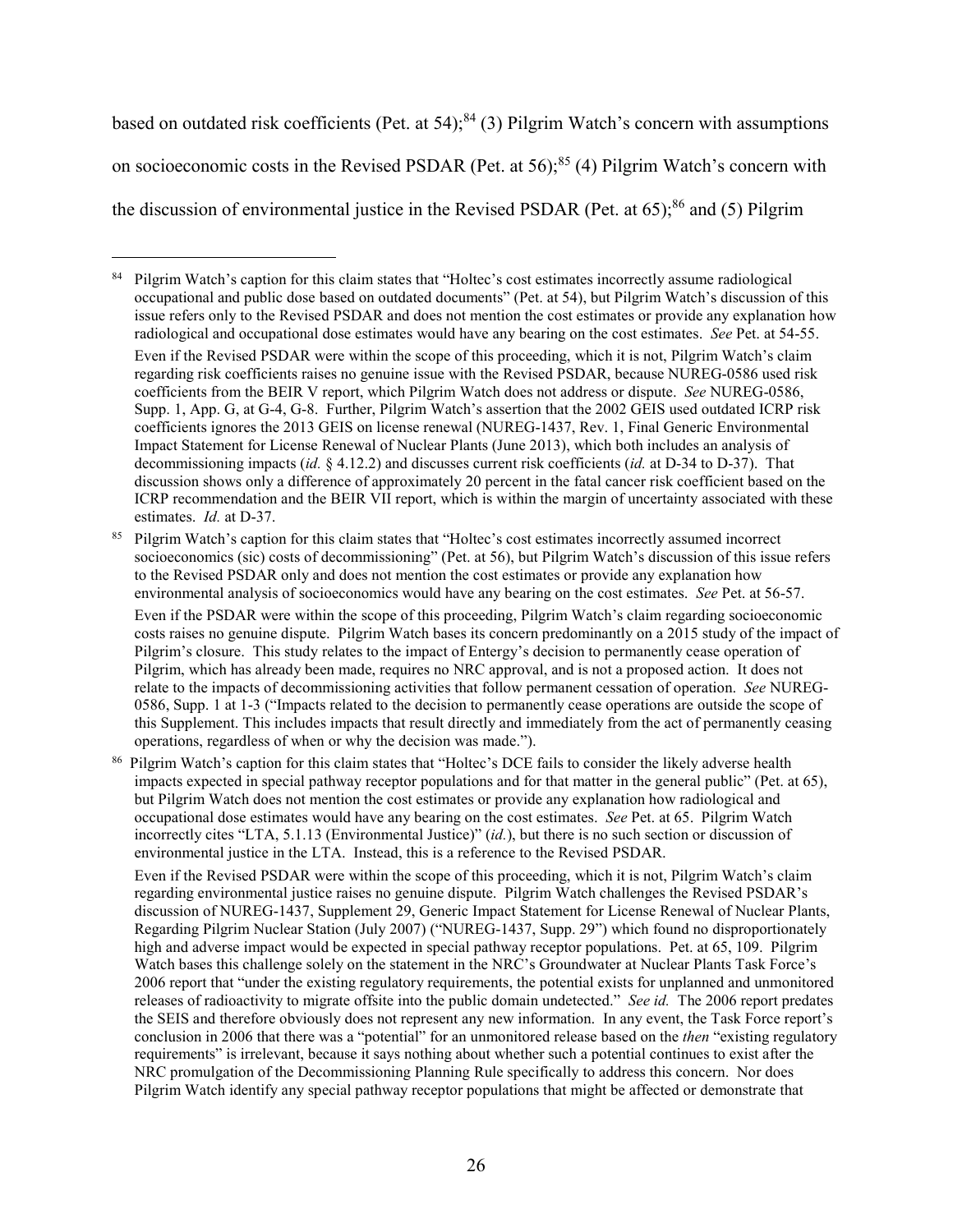based on outdated risk coefficients (Pet. at 54);<sup>84</sup> (3) Pilgrim Watch's concern with assumptions on socioeconomic costs in the Revised PSDAR (Pet. at 56);<sup>85</sup> (4) Pilgrim Watch's concern with the discussion of environmental justice in the Revised PSDAR (Pet. at  $65$ );<sup>86</sup> and (5) Pilgrim

<sup>85</sup> Pilgrim Watch's caption for this claim states that "Holtec's cost estimates incorrectly assumed incorrect socioeconomics (sic) costs of decommissioning" (Pet. at 56), but Pilgrim Watch's discussion of this issue refers to the Revised PSDAR only and does not mention the cost estimates or provide any explanation how environmental analysis of socioeconomics would have any bearing on the cost estimates. *See* Pet. at 56-57. Even if the PSDAR were within the scope of this proceeding, Pilgrim Watch's claim regarding socioeconomic

costs raises no genuine dispute. Pilgrim Watch bases its concern predominantly on a 2015 study of the impact of Pilgrim's closure. This study relates to the impact of Entergy's decision to permanently cease operation of Pilgrim, which has already been made, requires no NRC approval, and is not a proposed action. It does not relate to the impacts of decommissioning activities that follow permanent cessation of operation. *See* NUREG-0586, Supp. 1 at 1-3 ("Impacts related to the decision to permanently cease operations are outside the scope of this Supplement. This includes impacts that result directly and immediately from the act of permanently ceasing operations, regardless of when or why the decision was made.").

<sup>86</sup> Pilgrim Watch's caption for this claim states that "Holtec's DCE fails to consider the likely adverse health impacts expected in special pathway receptor populations and for that matter in the general public" (Pet. at 65), but Pilgrim Watch does not mention the cost estimates or provide any explanation how radiological and occupational dose estimates would have any bearing on the cost estimates. *See* Pet. at 65. Pilgrim Watch incorrectly cites "LTA, 5.1.13 (Environmental Justice)" (*id.*), but there is no such section or discussion of environmental justice in the LTA. Instead, this is a reference to the Revised PSDAR.

Even if the Revised PSDAR were within the scope of this proceeding, which it is not, Pilgrim Watch's claim regarding environmental justice raises no genuine dispute. Pilgrim Watch challenges the Revised PSDAR's discussion of NUREG-1437, Supplement 29, Generic Impact Statement for License Renewal of Nuclear Plants, Regarding Pilgrim Nuclear Station (July 2007) ("NUREG-1437, Supp. 29") which found no disproportionately high and adverse impact would be expected in special pathway receptor populations. Pet. at 65, 109. Pilgrim Watch bases this challenge solely on the statement in the NRC's Groundwater at Nuclear Plants Task Force's 2006 report that "under the existing regulatory requirements, the potential exists for unplanned and unmonitored releases of radioactivity to migrate offsite into the public domain undetected." *See id.* The 2006 report predates the SEIS and therefore obviously does not represent any new information. In any event, the Task Force report's conclusion in 2006 that there was a "potential" for an unmonitored release based on the *then* "existing regulatory requirements" is irrelevant, because it says nothing about whether such a potential continues to exist after the NRC promulgation of the Decommissioning Planning Rule specifically to address this concern. Nor does Pilgrim Watch identify any special pathway receptor populations that might be affected or demonstrate that

<sup>&</sup>lt;sup>84</sup> Pilgrim Watch's caption for this claim states that "Holtec's cost estimates incorrectly assume radiological occupational and public dose based on outdated documents" (Pet. at 54), but Pilgrim Watch's discussion of this issue refers only to the Revised PSDAR and does not mention the cost estimates or provide any explanation how radiological and occupational dose estimates would have any bearing on the cost estimates. *See* Pet. at 54-55. Even if the Revised PSDAR were within the scope of this proceeding, which it is not, Pilgrim Watch's claim regarding risk coefficients raises no genuine issue with the Revised PSDAR, because NUREG-0586 used risk coefficients from the BEIR V report, which Pilgrim Watch does not address or dispute. *See* NUREG-0586, Supp. 1, App. G, at G-4, G-8. Further, Pilgrim Watch's assertion that the 2002 GEIS used outdated ICRP risk coefficients ignores the 2013 GEIS on license renewal (NUREG-1437, Rev. 1, Final Generic Environmental Impact Statement for License Renewal of Nuclear Plants (June 2013), which both includes an analysis of decommissioning impacts (*id.* § 4.12.2) and discusses current risk coefficients (*id.* at D-34 to D-37). That discussion shows only a difference of approximately 20 percent in the fatal cancer risk coefficient based on the ICRP recommendation and the BEIR VII report, which is within the margin of uncertainty associated with these estimates. *Id.* at D-37.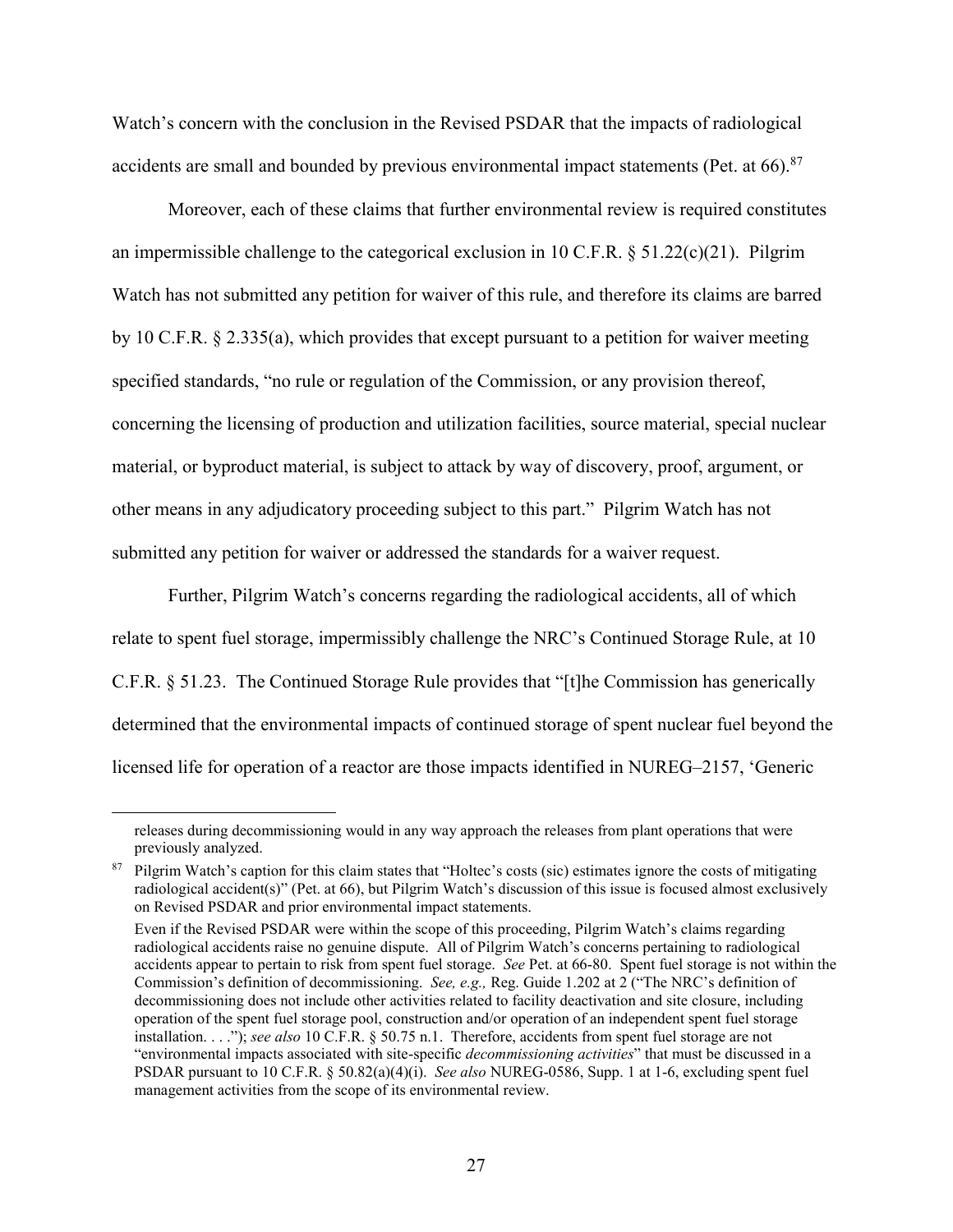Watch's concern with the conclusion in the Revised PSDAR that the impacts of radiological accidents are small and bounded by previous environmental impact statements (Pet. at 66). $87$ 

Moreover, each of these claims that further environmental review is required constitutes an impermissible challenge to the categorical exclusion in 10 C.F.R. § 51.22(c)(21). Pilgrim Watch has not submitted any petition for waiver of this rule, and therefore its claims are barred by 10 C.F.R. § 2.335(a), which provides that except pursuant to a petition for waiver meeting specified standards, "no rule or regulation of the Commission, or any provision thereof, concerning the licensing of production and utilization facilities, source material, special nuclear material, or byproduct material, is subject to attack by way of discovery, proof, argument, or other means in any adjudicatory proceeding subject to this part." Pilgrim Watch has not submitted any petition for waiver or addressed the standards for a waiver request.

Further, Pilgrim Watch's concerns regarding the radiological accidents, all of which relate to spent fuel storage, impermissibly challenge the NRC's Continued Storage Rule, at 10 C.F.R. § 51.23. The Continued Storage Rule provides that "[t]he Commission has generically determined that the environmental impacts of continued storage of spent nuclear fuel beyond the licensed life for operation of a reactor are those impacts identified in NUREG–2157, 'Generic

releases during decommissioning would in any way approach the releases from plant operations that were previously analyzed.

<sup>&</sup>lt;sup>87</sup> Pilgrim Watch's caption for this claim states that "Holtec's costs (sic) estimates ignore the costs of mitigating radiological accident(s)" (Pet. at 66), but Pilgrim Watch's discussion of this issue is focused almost exclusively on Revised PSDAR and prior environmental impact statements.

Even if the Revised PSDAR were within the scope of this proceeding, Pilgrim Watch's claims regarding radiological accidents raise no genuine dispute. All of Pilgrim Watch's concerns pertaining to radiological accidents appear to pertain to risk from spent fuel storage. *See* Pet. at 66-80. Spent fuel storage is not within the Commission's definition of decommissioning. *See, e.g.,* Reg. Guide 1.202 at 2 ("The NRC's definition of decommissioning does not include other activities related to facility deactivation and site closure, including operation of the spent fuel storage pool, construction and/or operation of an independent spent fuel storage installation. . . ."); *see also* 10 C.F.R. § 50.75 n.1. Therefore, accidents from spent fuel storage are not "environmental impacts associated with site-specific *decommissioning activities*" that must be discussed in a PSDAR pursuant to 10 C.F.R. § 50.82(a)(4)(i). *See also* NUREG-0586, Supp. 1 at 1-6, excluding spent fuel management activities from the scope of its environmental review.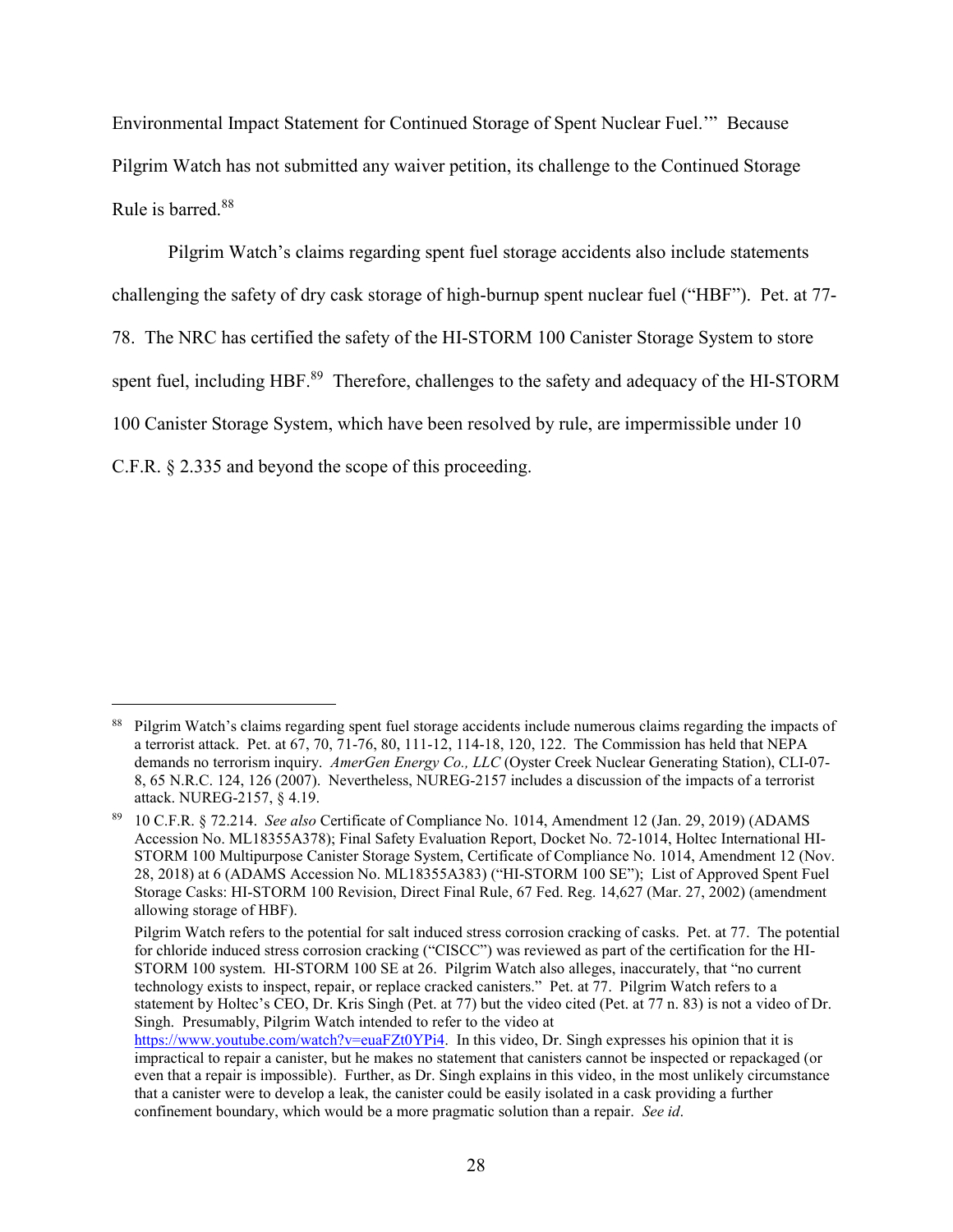Environmental Impact Statement for Continued Storage of Spent Nuclear Fuel.'" Because Pilgrim Watch has not submitted any waiver petition, its challenge to the Continued Storage Rule is barred.<sup>88</sup>

Pilgrim Watch's claims regarding spent fuel storage accidents also include statements challenging the safety of dry cask storage of high-burnup spent nuclear fuel ("HBF"). Pet. at 77- 78. The NRC has certified the safety of the HI-STORM 100 Canister Storage System to store spent fuel, including HBF.<sup>89</sup> Therefore, challenges to the safety and adequacy of the HI-STORM 100 Canister Storage System, which have been resolved by rule, are impermissible under 10 C.F.R. § 2.335 and beyond the scope of this proceeding.

<sup>88</sup> Pilgrim Watch's claims regarding spent fuel storage accidents include numerous claims regarding the impacts of a terrorist attack. Pet. at 67, 70, 71-76, 80, 111-12, 114-18, 120, 122. The Commission has held that NEPA demands no terrorism inquiry. *AmerGen Energy Co., LLC* (Oyster Creek Nuclear Generating Station), CLI-07- 8, 65 N.R.C. 124, 126 (2007). Nevertheless, NUREG-2157 includes a discussion of the impacts of a terrorist attack. NUREG-2157, § 4.19.

<sup>89</sup> 10 C.F.R. § 72.214. *See also* Certificate of Compliance No. 1014, Amendment 12 (Jan. 29, 2019) (ADAMS Accession No. ML18355A378); Final Safety Evaluation Report, Docket No. 72-1014, Holtec International HI-STORM 100 Multipurpose Canister Storage System, Certificate of Compliance No. 1014, Amendment 12 (Nov. 28, 2018) at 6 (ADAMS Accession No. ML18355A383) ("HI-STORM 100 SE"); List of Approved Spent Fuel Storage Casks: HI-STORM 100 Revision, Direct Final Rule, 67 Fed. Reg. 14,627 (Mar. 27, 2002) (amendment allowing storage of HBF).

Pilgrim Watch refers to the potential for salt induced stress corrosion cracking of casks. Pet. at 77. The potential for chloride induced stress corrosion cracking ("CISCC") was reviewed as part of the certification for the HI-STORM 100 system. HI-STORM 100 SE at 26. Pilgrim Watch also alleges, inaccurately, that "no current technology exists to inspect, repair, or replace cracked canisters." Pet. at 77. Pilgrim Watch refers to a statement by Holtec's CEO, Dr. Kris Singh (Pet. at 77) but the video cited (Pet. at 77 n. 83) is not a video of Dr. Singh. Presumably, Pilgrim Watch intended to refer to the video at

https://www.youtube.com/watch?v=euaFZt0YPi4. In this video, Dr. Singh expresses his opinion that it is impractical to repair a canister, but he makes no statement that canisters cannot be inspected or repackaged (or even that a repair is impossible). Further, as Dr. Singh explains in this video, in the most unlikely circumstance that a canister were to develop a leak, the canister could be easily isolated in a cask providing a further confinement boundary, which would be a more pragmatic solution than a repair. *See id*.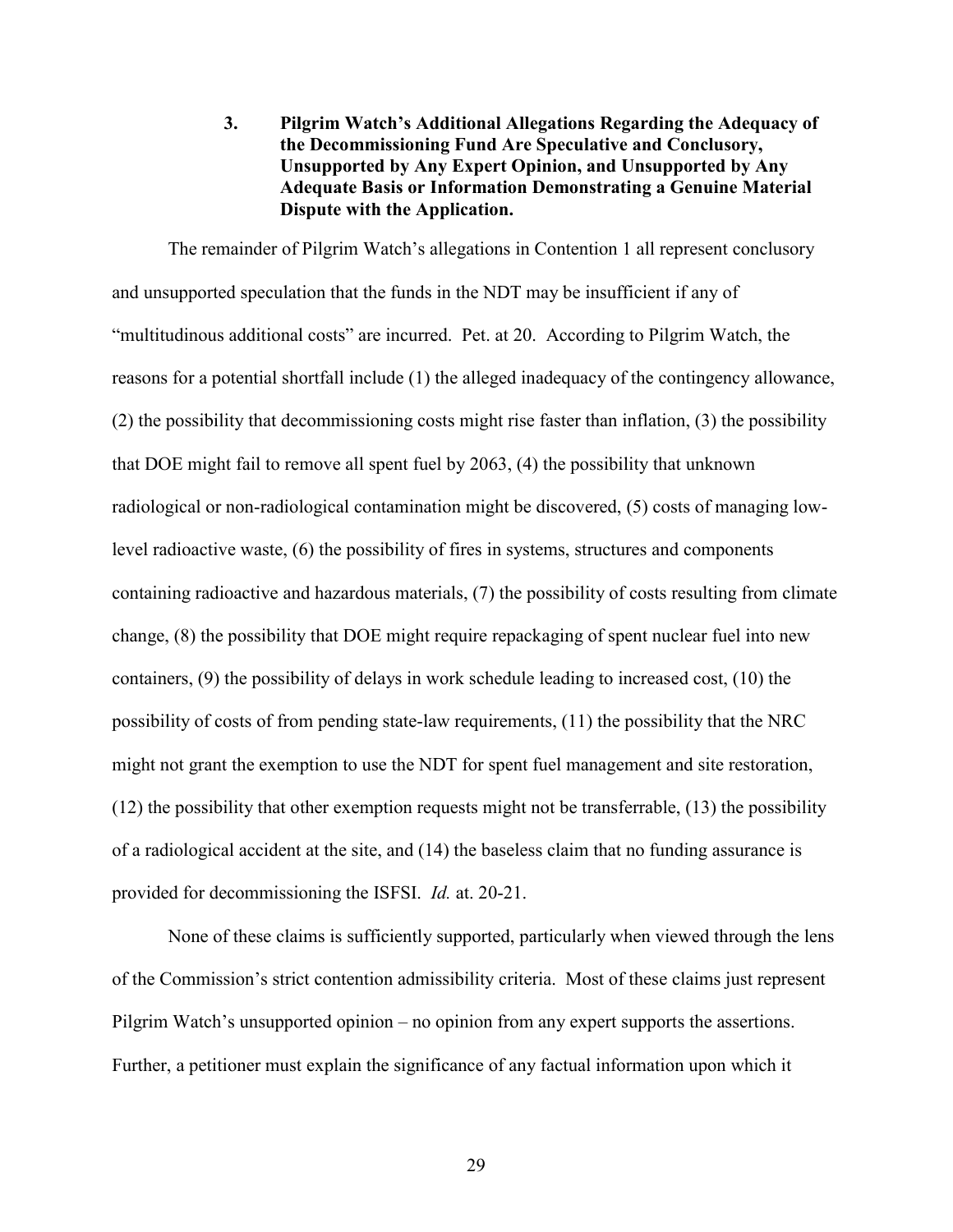**3. Pilgrim Watch's Additional Allegations Regarding the Adequacy of the Decommissioning Fund Are Speculative and Conclusory, Unsupported by Any Expert Opinion, and Unsupported by Any Adequate Basis or Information Demonstrating a Genuine Material Dispute with the Application.**

The remainder of Pilgrim Watch's allegations in Contention 1 all represent conclusory and unsupported speculation that the funds in the NDT may be insufficient if any of "multitudinous additional costs" are incurred. Pet. at 20. According to Pilgrim Watch, the reasons for a potential shortfall include (1) the alleged inadequacy of the contingency allowance, (2) the possibility that decommissioning costs might rise faster than inflation, (3) the possibility that DOE might fail to remove all spent fuel by 2063, (4) the possibility that unknown radiological or non-radiological contamination might be discovered, (5) costs of managing lowlevel radioactive waste, (6) the possibility of fires in systems, structures and components containing radioactive and hazardous materials, (7) the possibility of costs resulting from climate change, (8) the possibility that DOE might require repackaging of spent nuclear fuel into new containers, (9) the possibility of delays in work schedule leading to increased cost, (10) the possibility of costs of from pending state-law requirements, (11) the possibility that the NRC might not grant the exemption to use the NDT for spent fuel management and site restoration, (12) the possibility that other exemption requests might not be transferrable, (13) the possibility of a radiological accident at the site, and (14) the baseless claim that no funding assurance is provided for decommissioning the ISFSI. *Id.* at. 20-21.

None of these claims is sufficiently supported, particularly when viewed through the lens of the Commission's strict contention admissibility criteria. Most of these claims just represent Pilgrim Watch's unsupported opinion – no opinion from any expert supports the assertions. Further, a petitioner must explain the significance of any factual information upon which it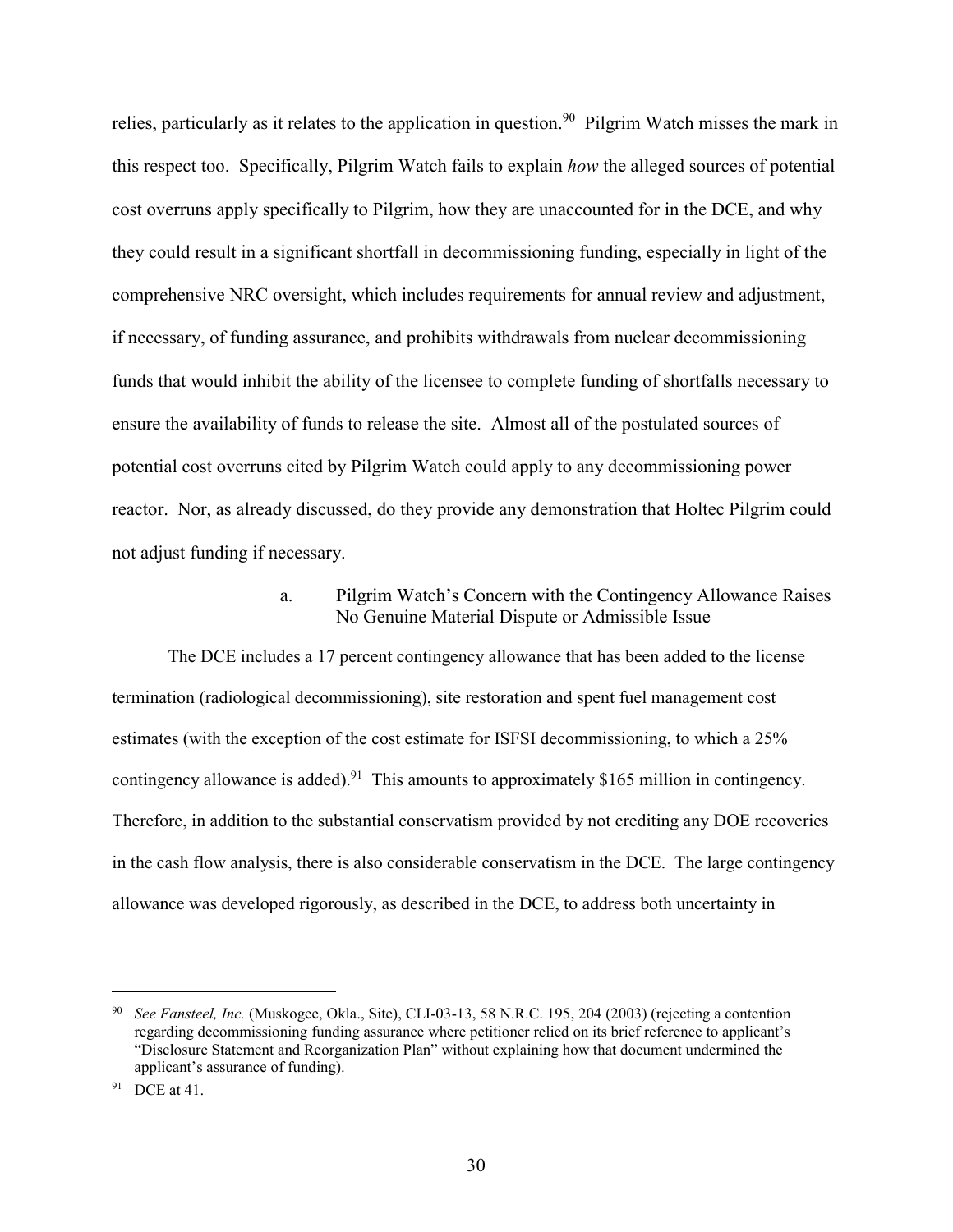relies, particularly as it relates to the application in question.<sup>90</sup> Pilgrim Watch misses the mark in this respect too. Specifically, Pilgrim Watch fails to explain *how* the alleged sources of potential cost overruns apply specifically to Pilgrim, how they are unaccounted for in the DCE, and why they could result in a significant shortfall in decommissioning funding, especially in light of the comprehensive NRC oversight, which includes requirements for annual review and adjustment, if necessary, of funding assurance, and prohibits withdrawals from nuclear decommissioning funds that would inhibit the ability of the licensee to complete funding of shortfalls necessary to ensure the availability of funds to release the site. Almost all of the postulated sources of potential cost overruns cited by Pilgrim Watch could apply to any decommissioning power reactor. Nor, as already discussed, do they provide any demonstration that Holtec Pilgrim could not adjust funding if necessary.

> a. Pilgrim Watch's Concern with the Contingency Allowance Raises No Genuine Material Dispute or Admissible Issue

The DCE includes a 17 percent contingency allowance that has been added to the license termination (radiological decommissioning), site restoration and spent fuel management cost estimates (with the exception of the cost estimate for ISFSI decommissioning, to which a 25% contingency allowance is added).<sup>91</sup> This amounts to approximately \$165 million in contingency. Therefore, in addition to the substantial conservatism provided by not crediting any DOE recoveries in the cash flow analysis, there is also considerable conservatism in the DCE. The large contingency allowance was developed rigorously, as described in the DCE, to address both uncertainty in

 <sup>90</sup> *See Fansteel, Inc.* (Muskogee, Okla., Site), CLI-03-13, 58 N.R.C. 195, 204 (2003) (rejecting a contention regarding decommissioning funding assurance where petitioner relied on its brief reference to applicant's "Disclosure Statement and Reorganization Plan" without explaining how that document undermined the applicant's assurance of funding).

<sup>91</sup> DCE at 41.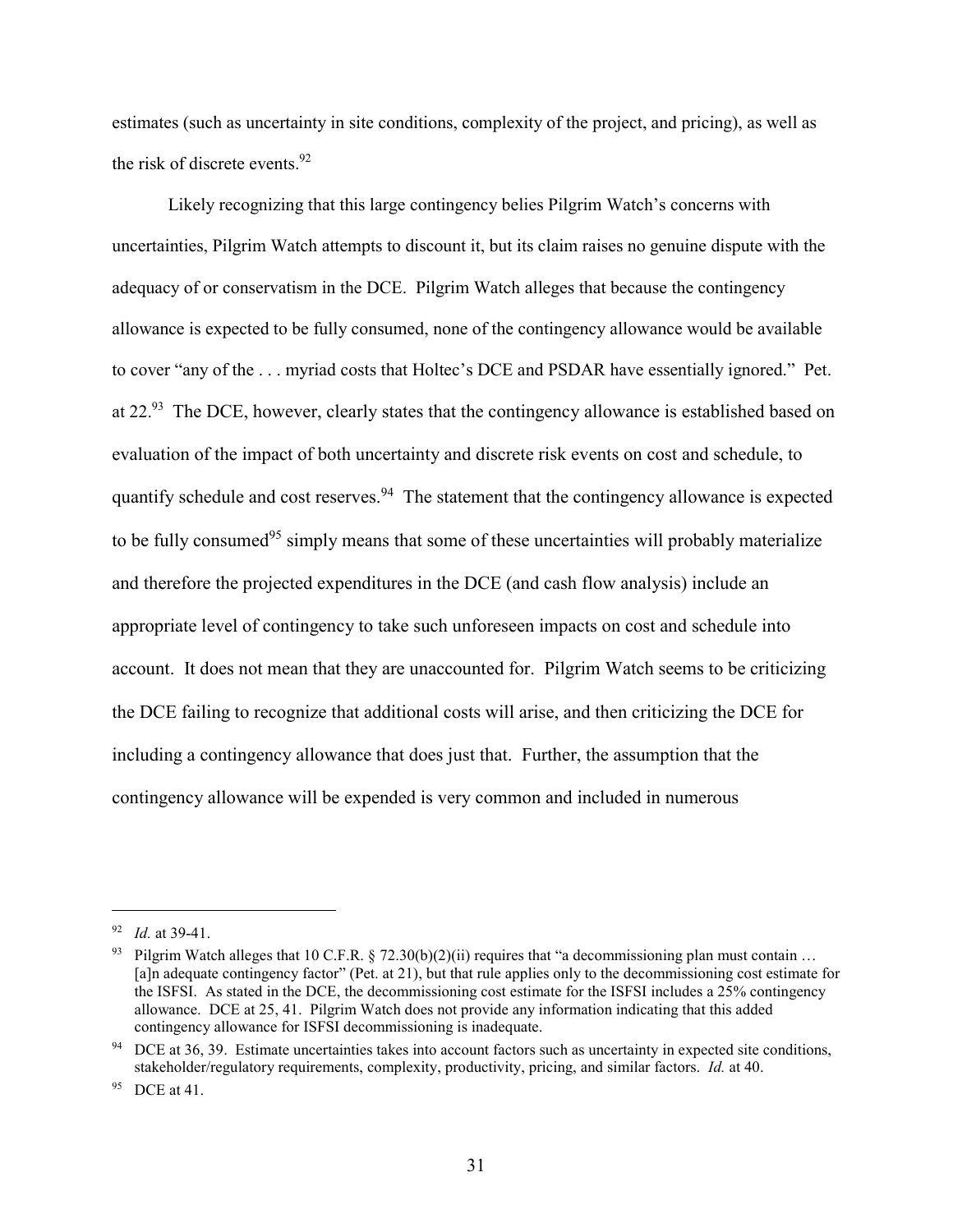estimates (such as uncertainty in site conditions, complexity of the project, and pricing), as well as the risk of discrete events. $92$ 

Likely recognizing that this large contingency belies Pilgrim Watch's concerns with uncertainties, Pilgrim Watch attempts to discount it, but its claim raises no genuine dispute with the adequacy of or conservatism in the DCE. Pilgrim Watch alleges that because the contingency allowance is expected to be fully consumed, none of the contingency allowance would be available to cover "any of the . . . myriad costs that Holtec's DCE and PSDAR have essentially ignored." Pet. at 22.<sup>93</sup> The DCE, however, clearly states that the contingency allowance is established based on evaluation of the impact of both uncertainty and discrete risk events on cost and schedule, to quantify schedule and cost reserves.  $94$  The statement that the contingency allowance is expected to be fully consumed<sup>95</sup> simply means that some of these uncertainties will probably materialize and therefore the projected expenditures in the DCE (and cash flow analysis) include an appropriate level of contingency to take such unforeseen impacts on cost and schedule into account. It does not mean that they are unaccounted for. Pilgrim Watch seems to be criticizing the DCE failing to recognize that additional costs will arise, and then criticizing the DCE for including a contingency allowance that does just that. Further, the assumption that the contingency allowance will be expended is very common and included in numerous

 <sup>92</sup> *Id.* at 39-41.

<sup>&</sup>lt;sup>93</sup> Pilgrim Watch alleges that 10 C.F.R. § 72.30(b)(2)(ii) requires that "a decommissioning plan must contain ... [a]n adequate contingency factor" (Pet. at 21), but that rule applies only to the decommissioning cost estimate for the ISFSI. As stated in the DCE, the decommissioning cost estimate for the ISFSI includes a 25% contingency allowance. DCE at 25, 41. Pilgrim Watch does not provide any information indicating that this added contingency allowance for ISFSI decommissioning is inadequate.

<sup>&</sup>lt;sup>94</sup> DCE at 36, 39. Estimate uncertainties takes into account factors such as uncertainty in expected site conditions, stakeholder/regulatory requirements, complexity, productivity, pricing, and similar factors. *Id.* at 40.

 $95$  DCE at 41.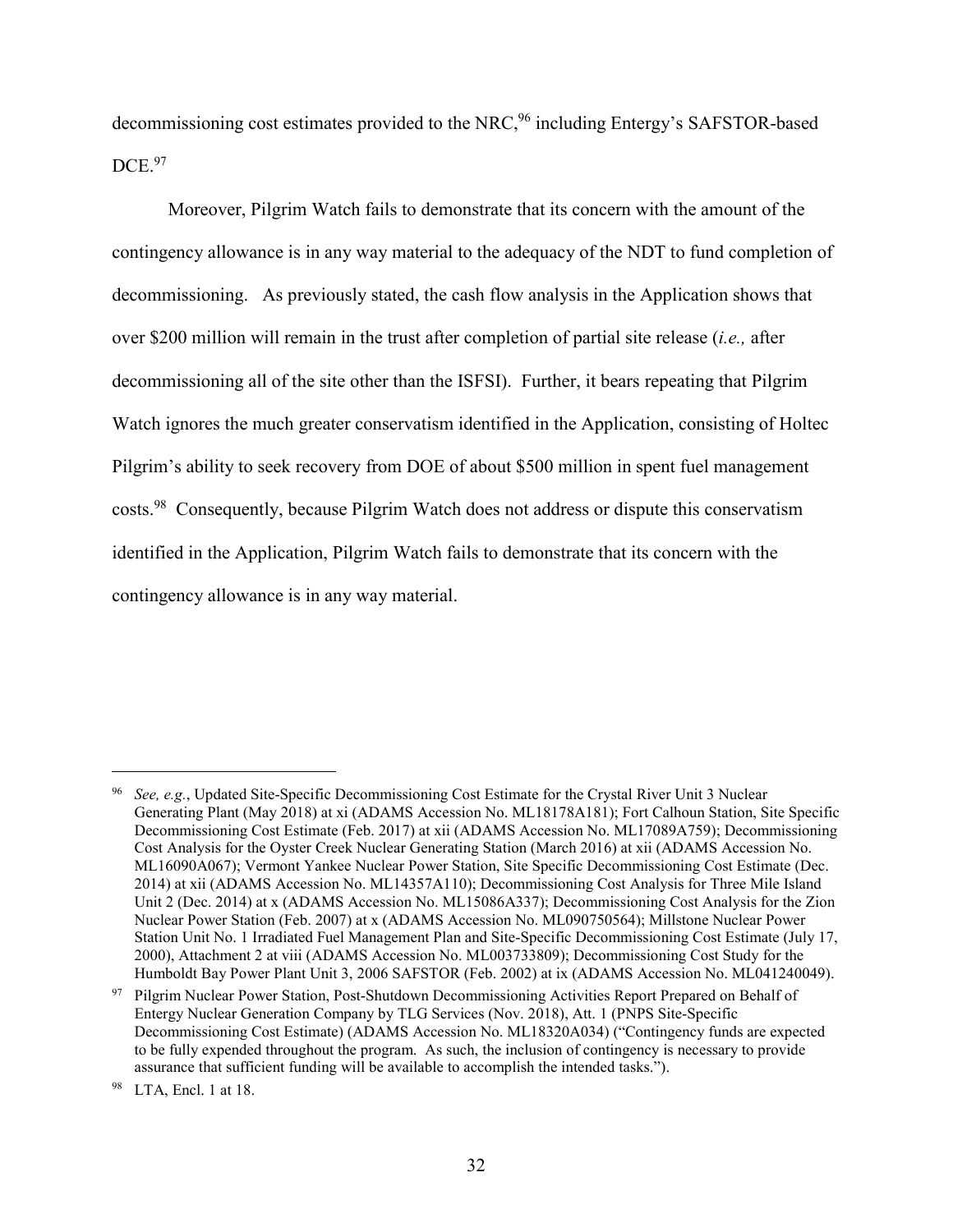decommissioning cost estimates provided to the NRC, <sup>96</sup> including Entergy's SAFSTOR-based  $DCE.<sup>97</sup>$ 

Moreover, Pilgrim Watch fails to demonstrate that its concern with the amount of the contingency allowance is in any way material to the adequacy of the NDT to fund completion of decommissioning. As previously stated, the cash flow analysis in the Application shows that over \$200 million will remain in the trust after completion of partial site release (*i.e.,* after decommissioning all of the site other than the ISFSI). Further, it bears repeating that Pilgrim Watch ignores the much greater conservatism identified in the Application, consisting of Holtec Pilgrim's ability to seek recovery from DOE of about \$500 million in spent fuel management costs.98 Consequently, because Pilgrim Watch does not address or dispute this conservatism identified in the Application, Pilgrim Watch fails to demonstrate that its concern with the contingency allowance is in any way material.

 <sup>96</sup> *See, e.g.*, Updated Site-Specific Decommissioning Cost Estimate for the Crystal River Unit 3 Nuclear Generating Plant (May 2018) at xi (ADAMS Accession No. ML18178A181); Fort Calhoun Station, Site Specific Decommissioning Cost Estimate (Feb. 2017) at xii (ADAMS Accession No. ML17089A759); Decommissioning Cost Analysis for the Oyster Creek Nuclear Generating Station (March 2016) at xii (ADAMS Accession No. ML16090A067); Vermont Yankee Nuclear Power Station, Site Specific Decommissioning Cost Estimate (Dec. 2014) at xii (ADAMS Accession No. ML14357A110); Decommissioning Cost Analysis for Three Mile Island Unit 2 (Dec. 2014) at x (ADAMS Accession No. ML15086A337); Decommissioning Cost Analysis for the Zion Nuclear Power Station (Feb. 2007) at x (ADAMS Accession No. ML090750564); Millstone Nuclear Power Station Unit No. 1 Irradiated Fuel Management Plan and Site-Specific Decommissioning Cost Estimate (July 17, 2000), Attachment 2 at viii (ADAMS Accession No. ML003733809); Decommissioning Cost Study for the Humboldt Bay Power Plant Unit 3, 2006 SAFSTOR (Feb. 2002) at ix (ADAMS Accession No. ML041240049).

<sup>97</sup> Pilgrim Nuclear Power Station, Post-Shutdown Decommissioning Activities Report Prepared on Behalf of Entergy Nuclear Generation Company by TLG Services (Nov. 2018), Att. 1 (PNPS Site-Specific Decommissioning Cost Estimate) (ADAMS Accession No. ML18320A034) ("Contingency funds are expected to be fully expended throughout the program. As such, the inclusion of contingency is necessary to provide assurance that sufficient funding will be available to accomplish the intended tasks.").

LTA, Encl. 1 at 18.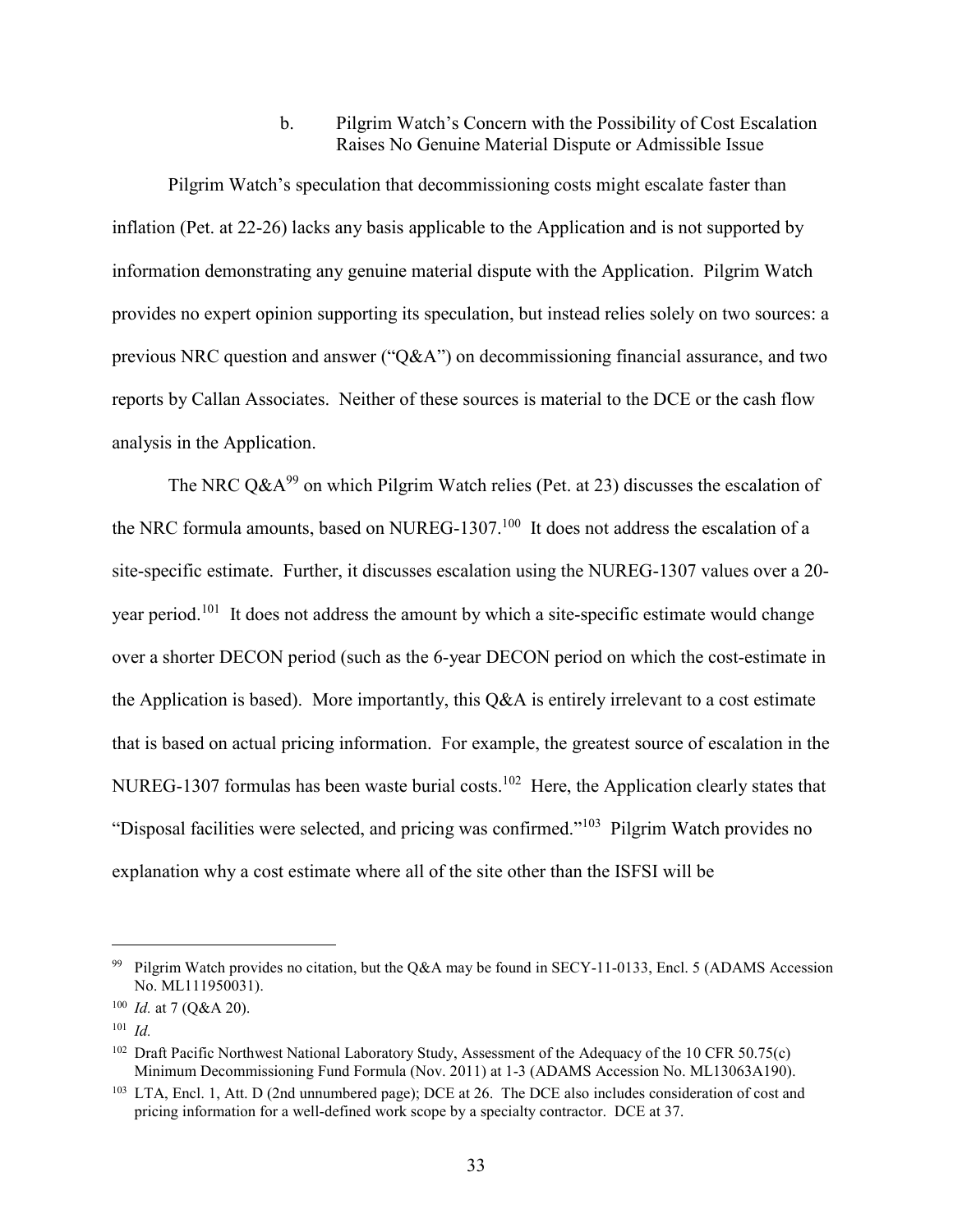b. Pilgrim Watch's Concern with the Possibility of Cost Escalation Raises No Genuine Material Dispute or Admissible Issue

Pilgrim Watch's speculation that decommissioning costs might escalate faster than inflation (Pet. at 22-26) lacks any basis applicable to the Application and is not supported by information demonstrating any genuine material dispute with the Application. Pilgrim Watch provides no expert opinion supporting its speculation, but instead relies solely on two sources: a previous NRC question and answer ("Q&A") on decommissioning financial assurance, and two reports by Callan Associates. Neither of these sources is material to the DCE or the cash flow analysis in the Application.

The NRC  $Q\&A^{99}$  on which Pilgrim Watch relies (Pet. at 23) discusses the escalation of the NRC formula amounts, based on NUREG-1307.<sup>100</sup> It does not address the escalation of a site-specific estimate. Further, it discusses escalation using the NUREG-1307 values over a 20 year period.101 It does not address the amount by which a site-specific estimate would change over a shorter DECON period (such as the 6-year DECON period on which the cost-estimate in the Application is based). More importantly, this Q&A is entirely irrelevant to a cost estimate that is based on actual pricing information. For example, the greatest source of escalation in the NUREG-1307 formulas has been waste burial costs.<sup>102</sup> Here, the Application clearly states that "Disposal facilities were selected, and pricing was confirmed."103 Pilgrim Watch provides no explanation why a cost estimate where all of the site other than the ISFSI will be

Pilgrim Watch provides no citation, but the Q&A may be found in SECY-11-0133, Encl. 5 (ADAMS Accession No. ML111950031).

<sup>100</sup> *Id.* at 7 (Q&A 20).

<sup>101</sup> *Id.*

<sup>&</sup>lt;sup>102</sup> Draft Pacific Northwest National Laboratory Study, Assessment of the Adequacy of the 10 CFR 50.75(c) Minimum Decommissioning Fund Formula (Nov. 2011) at 1-3 (ADAMS Accession No. ML13063A190).

<sup>&</sup>lt;sup>103</sup> LTA, Encl. 1, Att. D (2nd unnumbered page); DCE at 26. The DCE also includes consideration of cost and pricing information for a well-defined work scope by a specialty contractor. DCE at 37.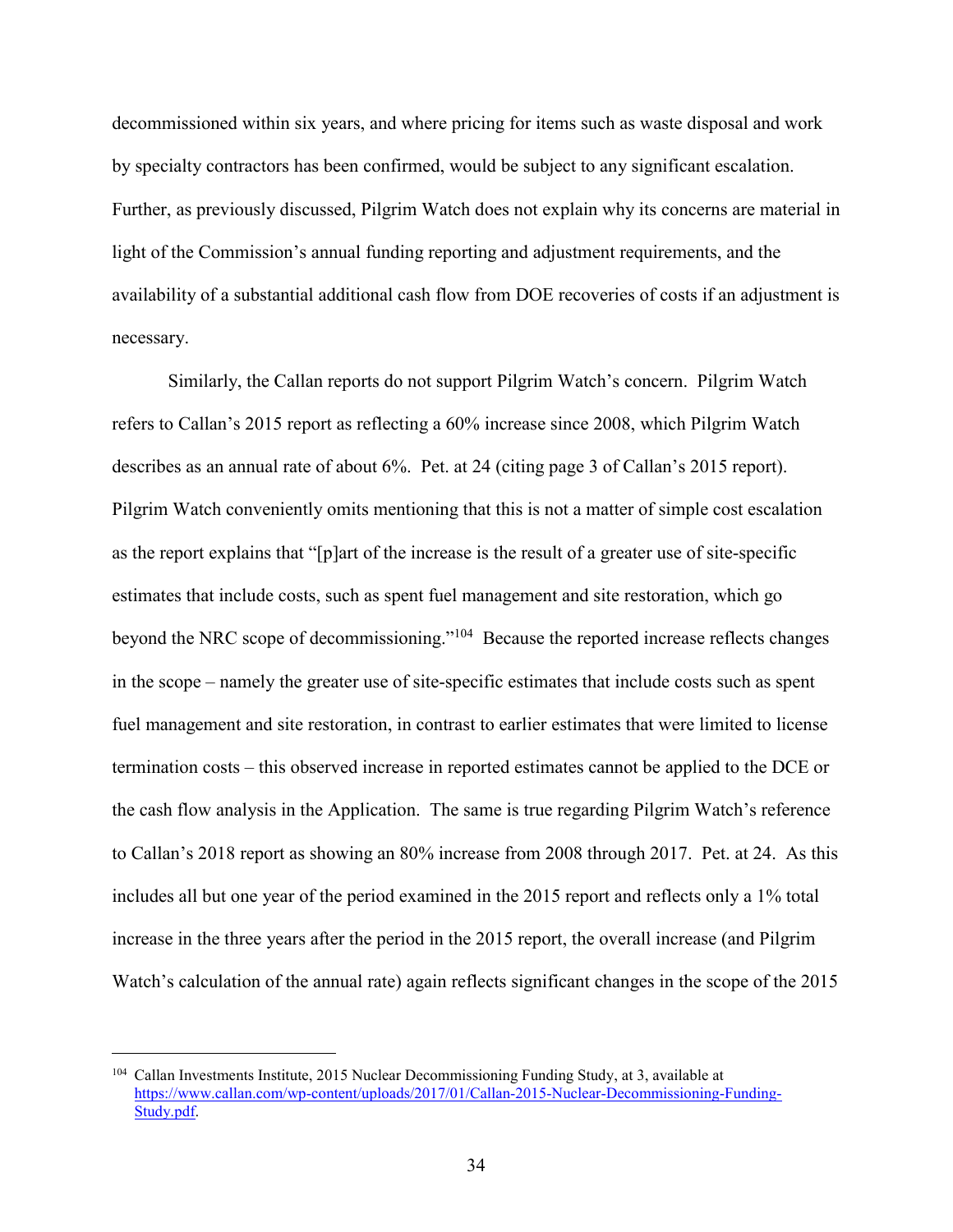decommissioned within six years, and where pricing for items such as waste disposal and work by specialty contractors has been confirmed, would be subject to any significant escalation. Further, as previously discussed, Pilgrim Watch does not explain why its concerns are material in light of the Commission's annual funding reporting and adjustment requirements, and the availability of a substantial additional cash flow from DOE recoveries of costs if an adjustment is necessary.

Similarly, the Callan reports do not support Pilgrim Watch's concern. Pilgrim Watch refers to Callan's 2015 report as reflecting a 60% increase since 2008, which Pilgrim Watch describes as an annual rate of about 6%. Pet. at 24 (citing page 3 of Callan's 2015 report). Pilgrim Watch conveniently omits mentioning that this is not a matter of simple cost escalation as the report explains that "[p]art of the increase is the result of a greater use of site-specific estimates that include costs, such as spent fuel management and site restoration, which go beyond the NRC scope of decommissioning."104 Because the reported increase reflects changes in the scope – namely the greater use of site-specific estimates that include costs such as spent fuel management and site restoration, in contrast to earlier estimates that were limited to license termination costs – this observed increase in reported estimates cannot be applied to the DCE or the cash flow analysis in the Application. The same is true regarding Pilgrim Watch's reference to Callan's 2018 report as showing an 80% increase from 2008 through 2017. Pet. at 24. As this includes all but one year of the period examined in the 2015 report and reflects only a 1% total increase in the three years after the period in the 2015 report, the overall increase (and Pilgrim Watch's calculation of the annual rate) again reflects significant changes in the scope of the 2015

 <sup>104</sup> Callan Investments Institute, 2015 Nuclear Decommissioning Funding Study, at 3, available at https://www.callan.com/wp-content/uploads/2017/01/Callan-2015-Nuclear-Decommissioning-Funding-Study.pdf.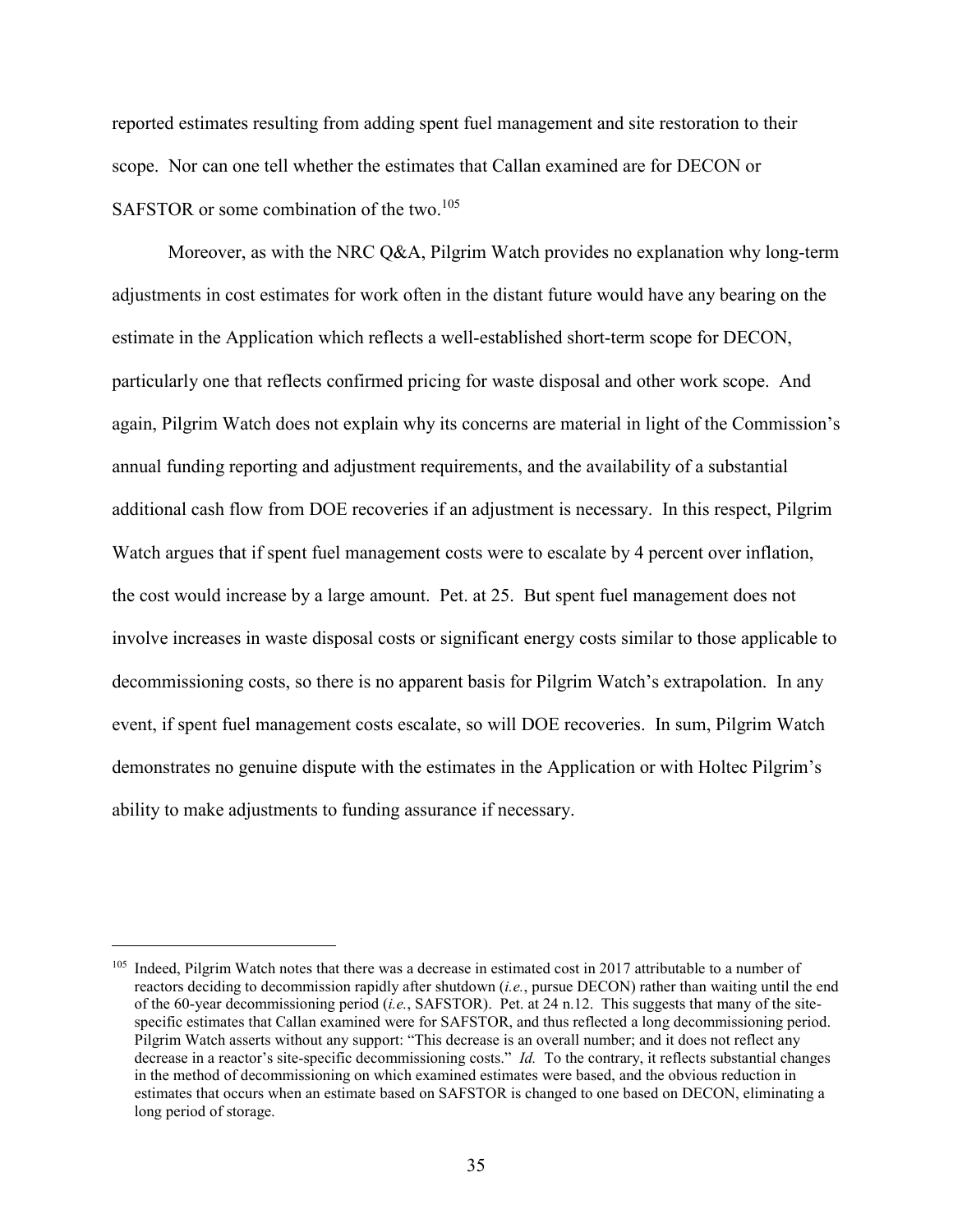reported estimates resulting from adding spent fuel management and site restoration to their scope. Nor can one tell whether the estimates that Callan examined are for DECON or SAFSTOR or some combination of the two.<sup>105</sup>

Moreover, as with the NRC Q&A, Pilgrim Watch provides no explanation why long-term adjustments in cost estimates for work often in the distant future would have any bearing on the estimate in the Application which reflects a well-established short-term scope for DECON, particularly one that reflects confirmed pricing for waste disposal and other work scope. And again, Pilgrim Watch does not explain why its concerns are material in light of the Commission's annual funding reporting and adjustment requirements, and the availability of a substantial additional cash flow from DOE recoveries if an adjustment is necessary. In this respect, Pilgrim Watch argues that if spent fuel management costs were to escalate by 4 percent over inflation, the cost would increase by a large amount. Pet. at 25. But spent fuel management does not involve increases in waste disposal costs or significant energy costs similar to those applicable to decommissioning costs, so there is no apparent basis for Pilgrim Watch's extrapolation. In any event, if spent fuel management costs escalate, so will DOE recoveries. In sum, Pilgrim Watch demonstrates no genuine dispute with the estimates in the Application or with Holtec Pilgrim's ability to make adjustments to funding assurance if necessary.

<sup>&</sup>lt;sup>105</sup> Indeed, Pilgrim Watch notes that there was a decrease in estimated cost in 2017 attributable to a number of reactors deciding to decommission rapidly after shutdown (*i.e.*, pursue DECON) rather than waiting until the end of the 60-year decommissioning period (*i.e.*, SAFSTOR). Pet. at 24 n.12. This suggests that many of the sitespecific estimates that Callan examined were for SAFSTOR, and thus reflected a long decommissioning period. Pilgrim Watch asserts without any support: "This decrease is an overall number; and it does not reflect any decrease in a reactor's site-specific decommissioning costs." *Id.* To the contrary, it reflects substantial changes in the method of decommissioning on which examined estimates were based, and the obvious reduction in estimates that occurs when an estimate based on SAFSTOR is changed to one based on DECON, eliminating a long period of storage.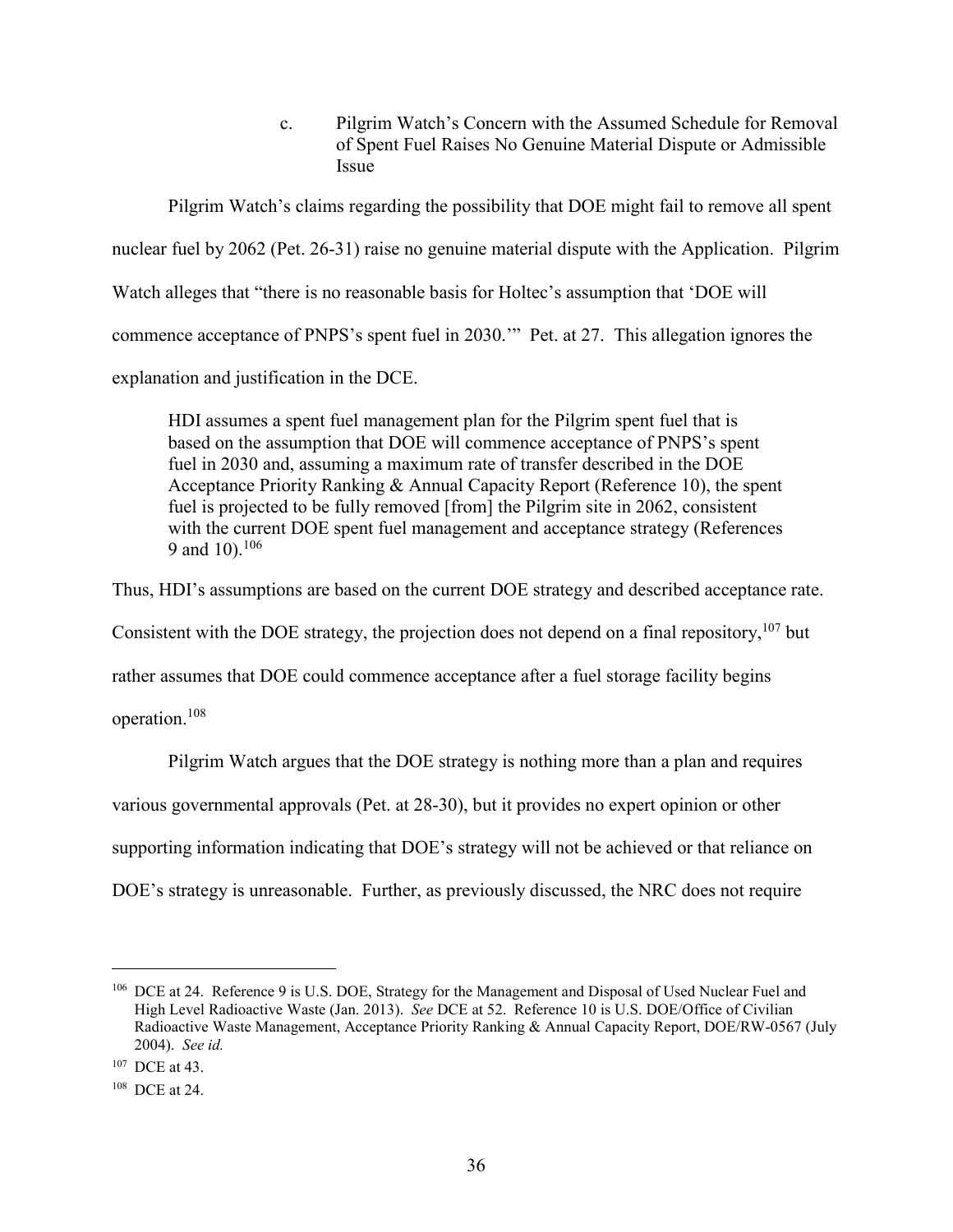c. Pilgrim Watch's Concern with the Assumed Schedule for Removal of Spent Fuel Raises No Genuine Material Dispute or Admissible Issue

Pilgrim Watch's claims regarding the possibility that DOE might fail to remove all spent nuclear fuel by 2062 (Pet. 26-31) raise no genuine material dispute with the Application. Pilgrim Watch alleges that "there is no reasonable basis for Holtec's assumption that 'DOE will commence acceptance of PNPS's spent fuel in 2030.'" Pet. at 27. This allegation ignores the explanation and justification in the DCE.

HDI assumes a spent fuel management plan for the Pilgrim spent fuel that is based on the assumption that DOE will commence acceptance of PNPS's spent fuel in 2030 and, assuming a maximum rate of transfer described in the DOE Acceptance Priority Ranking & Annual Capacity Report (Reference 10), the spent fuel is projected to be fully removed [from] the Pilgrim site in 2062, consistent with the current DOE spent fuel management and acceptance strategy (References 9 and 10 $10^{106}$ 

Thus, HDI's assumptions are based on the current DOE strategy and described acceptance rate.

Consistent with the DOE strategy, the projection does not depend on a final repository,  $107$  but

rather assumes that DOE could commence acceptance after a fuel storage facility begins

operation.<sup>108</sup>

Pilgrim Watch argues that the DOE strategy is nothing more than a plan and requires various governmental approvals (Pet. at 28-30), but it provides no expert opinion or other supporting information indicating that DOE's strategy will not be achieved or that reliance on DOE's strategy is unreasonable. Further, as previously discussed, the NRC does not require

 <sup>106</sup> DCE at 24. Reference 9 is U.S. DOE, Strategy for the Management and Disposal of Used Nuclear Fuel and High Level Radioactive Waste (Jan. 2013). *See* DCE at 52. Reference 10 is U.S. DOE/Office of Civilian Radioactive Waste Management, Acceptance Priority Ranking & Annual Capacity Report, DOE/RW-0567 (July 2004). *See id.*

 $107$  DCE at 43.

<sup>108</sup> DCE at 24.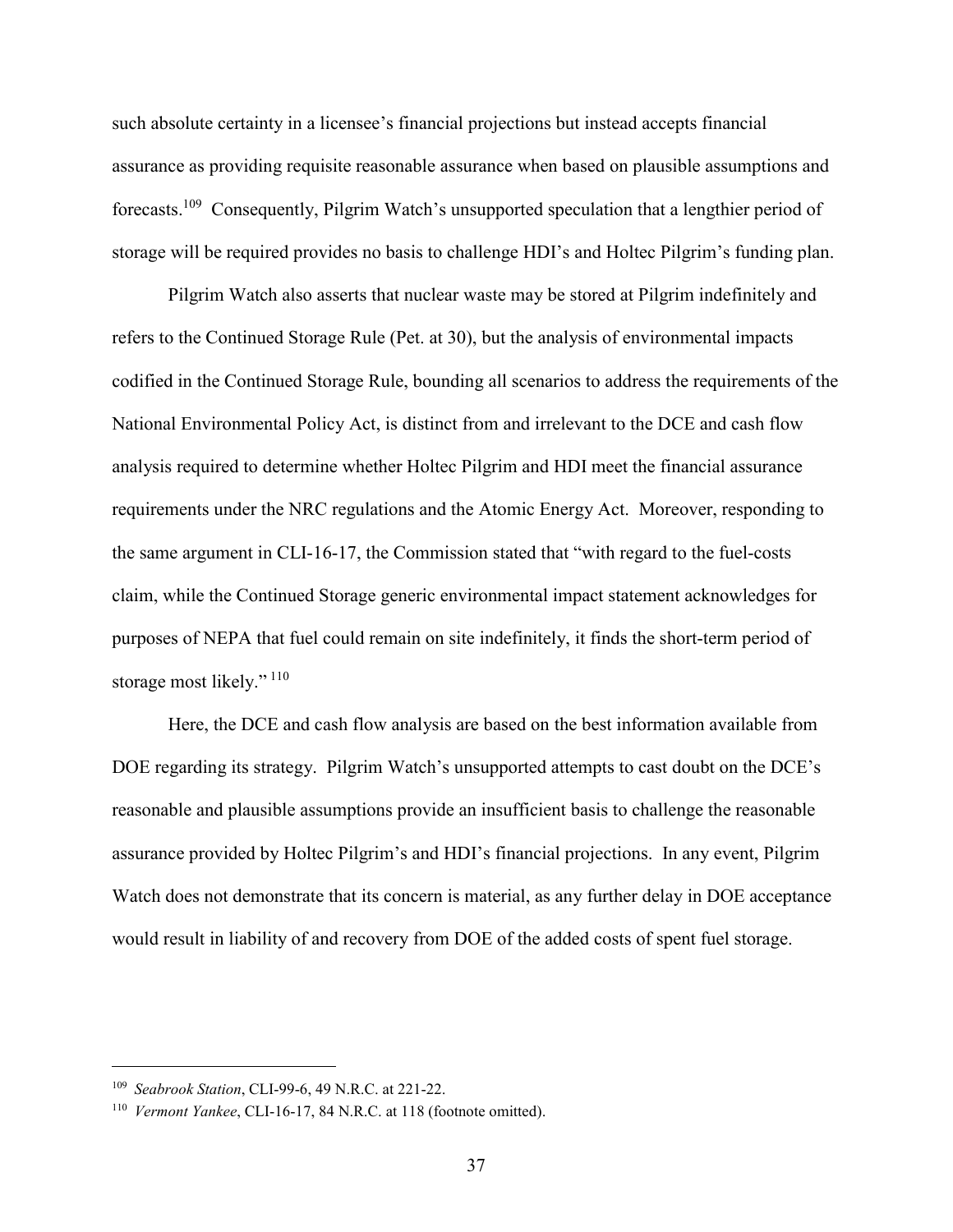such absolute certainty in a licensee's financial projections but instead accepts financial assurance as providing requisite reasonable assurance when based on plausible assumptions and forecasts.109 Consequently, Pilgrim Watch's unsupported speculation that a lengthier period of storage will be required provides no basis to challenge HDI's and Holtec Pilgrim's funding plan.

Pilgrim Watch also asserts that nuclear waste may be stored at Pilgrim indefinitely and refers to the Continued Storage Rule (Pet. at 30), but the analysis of environmental impacts codified in the Continued Storage Rule, bounding all scenarios to address the requirements of the National Environmental Policy Act, is distinct from and irrelevant to the DCE and cash flow analysis required to determine whether Holtec Pilgrim and HDI meet the financial assurance requirements under the NRC regulations and the Atomic Energy Act. Moreover, responding to the same argument in CLI-16-17, the Commission stated that "with regard to the fuel-costs claim, while the Continued Storage generic environmental impact statement acknowledges for purposes of NEPA that fuel could remain on site indefinitely, it finds the short-term period of storage most likely."<sup>110</sup>

Here, the DCE and cash flow analysis are based on the best information available from DOE regarding its strategy. Pilgrim Watch's unsupported attempts to cast doubt on the DCE's reasonable and plausible assumptions provide an insufficient basis to challenge the reasonable assurance provided by Holtec Pilgrim's and HDI's financial projections. In any event, Pilgrim Watch does not demonstrate that its concern is material, as any further delay in DOE acceptance would result in liability of and recovery from DOE of the added costs of spent fuel storage.

 <sup>109</sup> *Seabrook Station*, CLI-99-6, 49 N.R.C. at 221-22.

<sup>110</sup> *Vermont Yankee*, CLI-16-17, 84 N.R.C. at 118 (footnote omitted).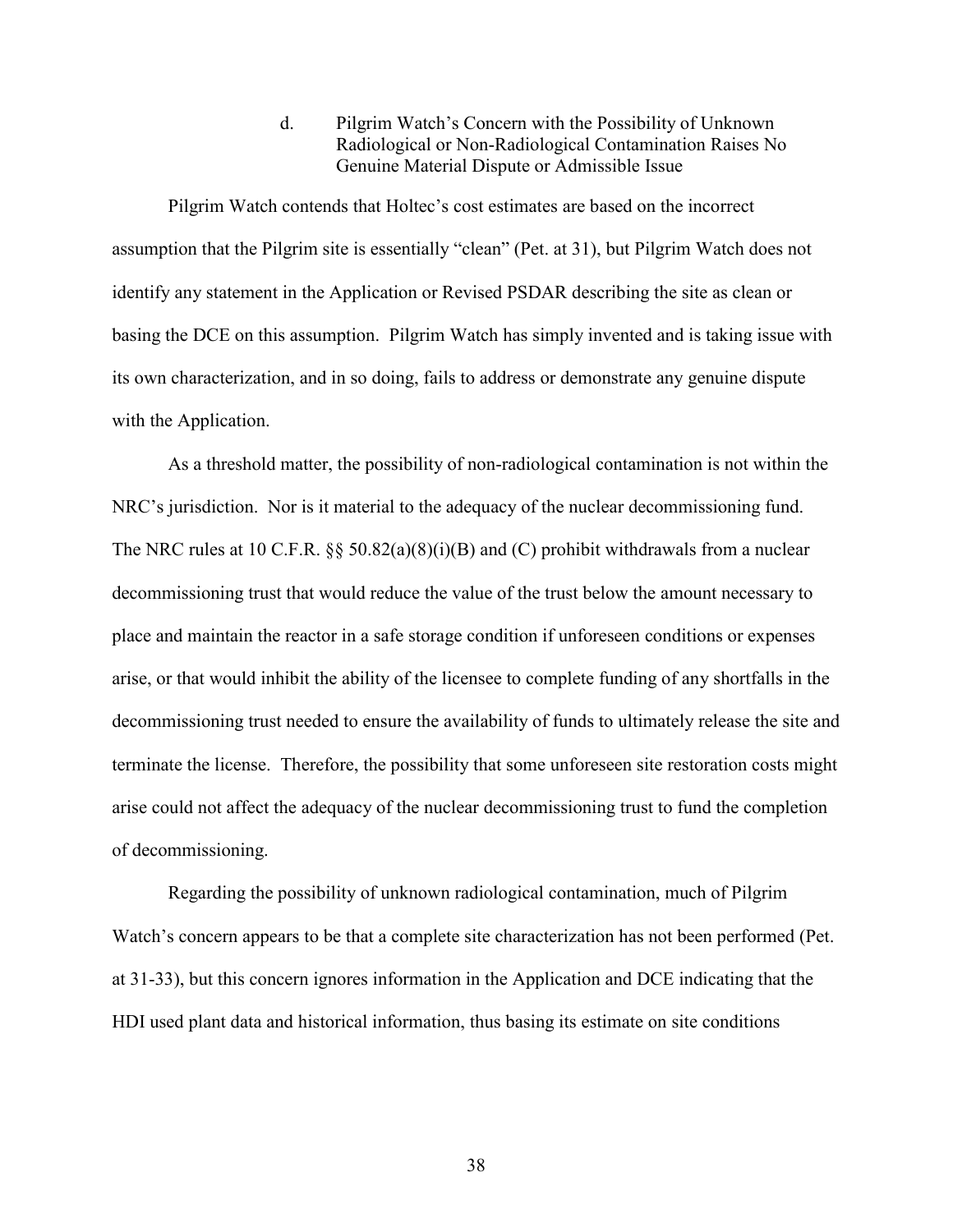d. Pilgrim Watch's Concern with the Possibility of Unknown Radiological or Non-Radiological Contamination Raises No Genuine Material Dispute or Admissible Issue

Pilgrim Watch contends that Holtec's cost estimates are based on the incorrect assumption that the Pilgrim site is essentially "clean" (Pet. at 31), but Pilgrim Watch does not identify any statement in the Application or Revised PSDAR describing the site as clean or basing the DCE on this assumption. Pilgrim Watch has simply invented and is taking issue with its own characterization, and in so doing, fails to address or demonstrate any genuine dispute with the Application.

As a threshold matter, the possibility of non-radiological contamination is not within the NRC's jurisdiction. Nor is it material to the adequacy of the nuclear decommissioning fund. The NRC rules at 10 C.F.R. §§ 50.82(a)(8)(i)(B) and (C) prohibit withdrawals from a nuclear decommissioning trust that would reduce the value of the trust below the amount necessary to place and maintain the reactor in a safe storage condition if unforeseen conditions or expenses arise, or that would inhibit the ability of the licensee to complete funding of any shortfalls in the decommissioning trust needed to ensure the availability of funds to ultimately release the site and terminate the license. Therefore, the possibility that some unforeseen site restoration costs might arise could not affect the adequacy of the nuclear decommissioning trust to fund the completion of decommissioning.

Regarding the possibility of unknown radiological contamination, much of Pilgrim Watch's concern appears to be that a complete site characterization has not been performed (Pet. at 31-33), but this concern ignores information in the Application and DCE indicating that the HDI used plant data and historical information, thus basing its estimate on site conditions

38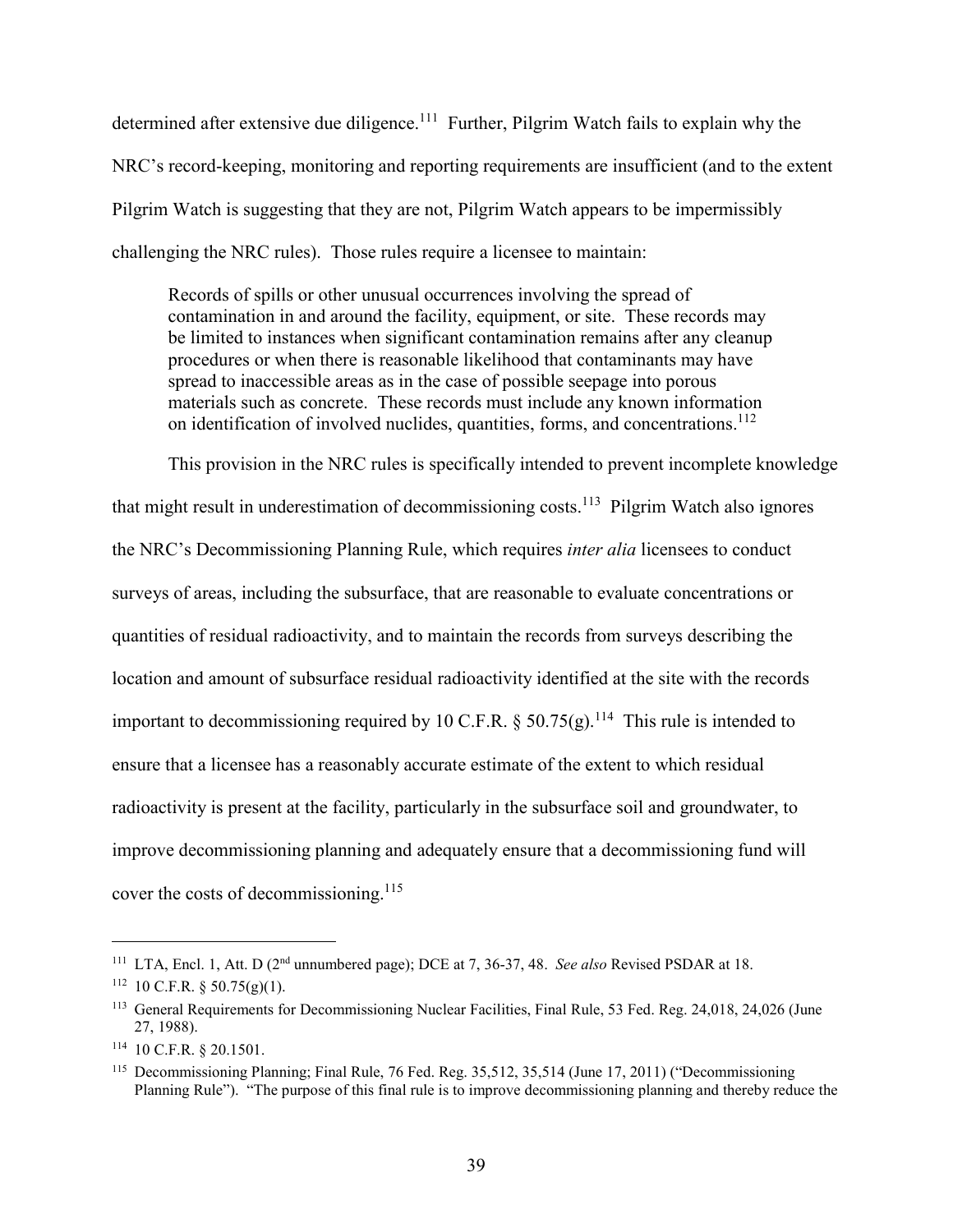determined after extensive due diligence.<sup>111</sup> Further, Pilgrim Watch fails to explain why the NRC's record-keeping, monitoring and reporting requirements are insufficient (and to the extent Pilgrim Watch is suggesting that they are not, Pilgrim Watch appears to be impermissibly challenging the NRC rules). Those rules require a licensee to maintain:

Records of spills or other unusual occurrences involving the spread of contamination in and around the facility, equipment, or site. These records may be limited to instances when significant contamination remains after any cleanup procedures or when there is reasonable likelihood that contaminants may have spread to inaccessible areas as in the case of possible seepage into porous materials such as concrete. These records must include any known information on identification of involved nuclides, quantities, forms, and concentrations.<sup>112</sup>

This provision in the NRC rules is specifically intended to prevent incomplete knowledge that might result in underestimation of decommissioning costs.<sup>113</sup> Pilgrim Watch also ignores the NRC's Decommissioning Planning Rule, which requires *inter alia* licensees to conduct surveys of areas, including the subsurface, that are reasonable to evaluate concentrations or quantities of residual radioactivity, and to maintain the records from surveys describing the location and amount of subsurface residual radioactivity identified at the site with the records important to decommissioning required by 10 C.F.R. § 50.75(g).<sup>114</sup> This rule is intended to ensure that a licensee has a reasonably accurate estimate of the extent to which residual radioactivity is present at the facility, particularly in the subsurface soil and groundwater, to improve decommissioning planning and adequately ensure that a decommissioning fund will cover the costs of decommissioning.<sup>115</sup>

 <sup>111</sup> LTA, Encl. 1, Att. D (2nd unnumbered page); DCE at 7, 36-37, 48. *See also* Revised PSDAR at 18.

 $112$  10 C.F.R. § 50.75(g)(1).

<sup>&</sup>lt;sup>113</sup> General Requirements for Decommissioning Nuclear Facilities, Final Rule, 53 Fed. Reg. 24,018, 24,026 (June 27, 1988).

<sup>114</sup> 10 C.F.R. § 20.1501.

<sup>115</sup> Decommissioning Planning; Final Rule, 76 Fed. Reg. 35,512, 35,514 (June 17, 2011) ("Decommissioning Planning Rule"). "The purpose of this final rule is to improve decommissioning planning and thereby reduce the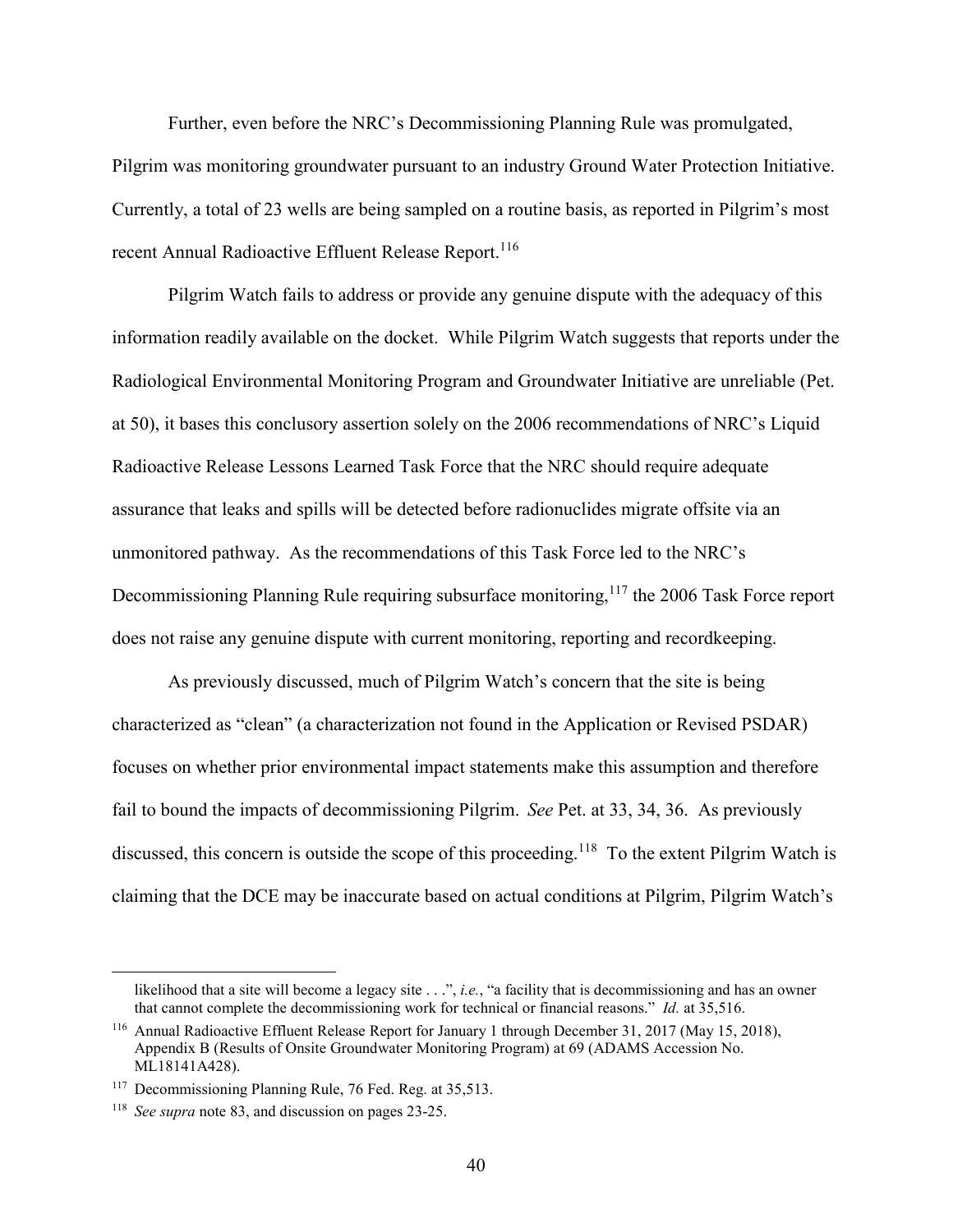Further, even before the NRC's Decommissioning Planning Rule was promulgated, Pilgrim was monitoring groundwater pursuant to an industry Ground Water Protection Initiative. Currently, a total of 23 wells are being sampled on a routine basis, as reported in Pilgrim's most recent Annual Radioactive Effluent Release Report.<sup>116</sup>

Pilgrim Watch fails to address or provide any genuine dispute with the adequacy of this information readily available on the docket. While Pilgrim Watch suggests that reports under the Radiological Environmental Monitoring Program and Groundwater Initiative are unreliable (Pet. at 50), it bases this conclusory assertion solely on the 2006 recommendations of NRC's Liquid Radioactive Release Lessons Learned Task Force that the NRC should require adequate assurance that leaks and spills will be detected before radionuclides migrate offsite via an unmonitored pathway. As the recommendations of this Task Force led to the NRC's Decommissioning Planning Rule requiring subsurface monitoring,<sup>117</sup> the 2006 Task Force report does not raise any genuine dispute with current monitoring, reporting and recordkeeping.

As previously discussed, much of Pilgrim Watch's concern that the site is being characterized as "clean" (a characterization not found in the Application or Revised PSDAR) focuses on whether prior environmental impact statements make this assumption and therefore fail to bound the impacts of decommissioning Pilgrim. *See* Pet. at 33, 34, 36. As previously discussed, this concern is outside the scope of this proceeding.<sup>118</sup> To the extent Pilgrim Watch is claiming that the DCE may be inaccurate based on actual conditions at Pilgrim, Pilgrim Watch's

 $\overline{a}$ 

likelihood that a site will become a legacy site . . .", *i.e.*, "a facility that is decommissioning and has an owner that cannot complete the decommissioning work for technical or financial reasons." *Id.* at 35,516.

<sup>116</sup> Annual Radioactive Effluent Release Report for January 1 through December 31, 2017 (May 15, 2018), Appendix B (Results of Onsite Groundwater Monitoring Program) at 69 (ADAMS Accession No. ML18141A428).

<sup>&</sup>lt;sup>117</sup> Decommissioning Planning Rule, 76 Fed. Reg. at 35,513.

<sup>118</sup> *See supra* note 83, and discussion on pages 23-25.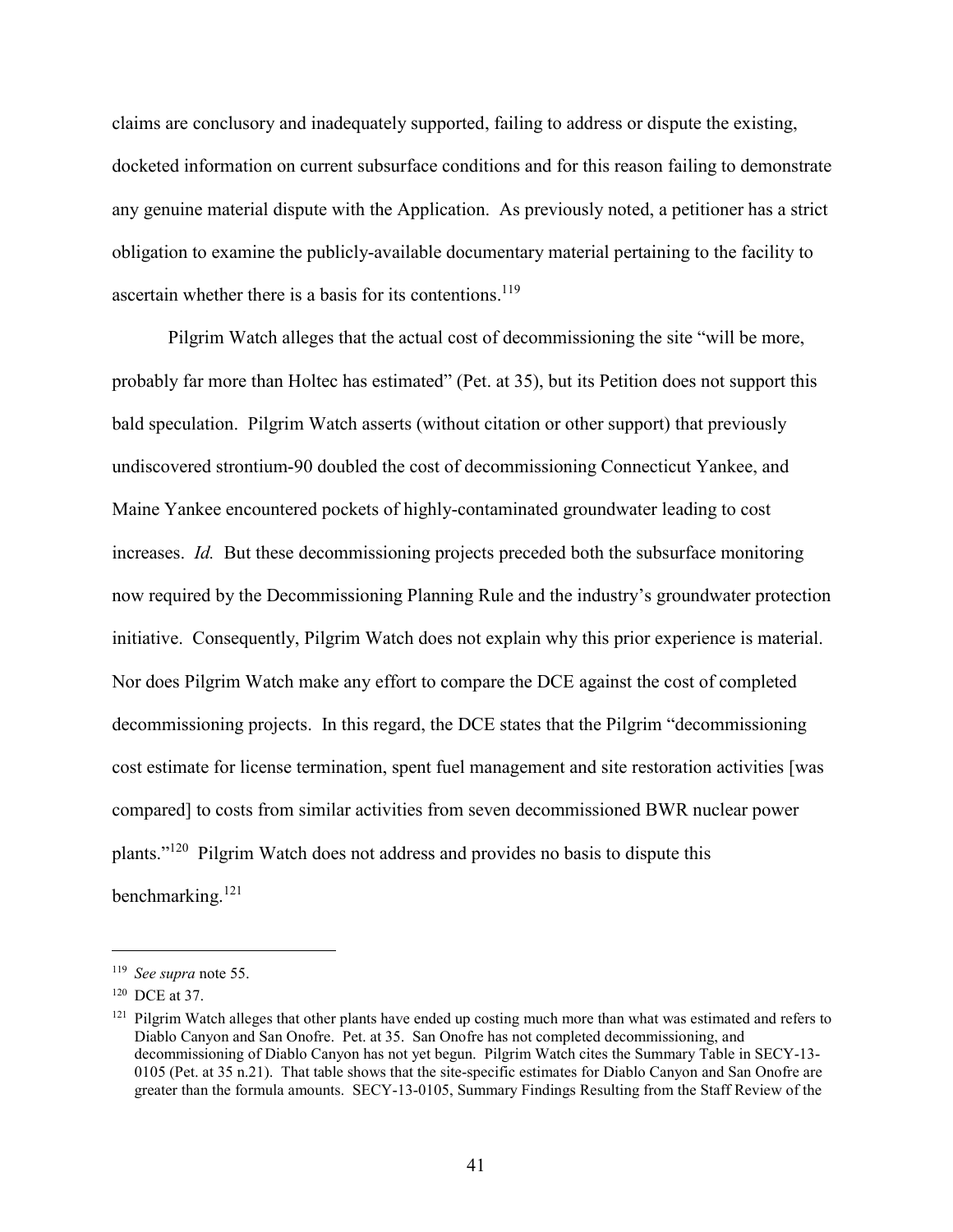claims are conclusory and inadequately supported, failing to address or dispute the existing, docketed information on current subsurface conditions and for this reason failing to demonstrate any genuine material dispute with the Application. As previously noted, a petitioner has a strict obligation to examine the publicly-available documentary material pertaining to the facility to ascertain whether there is a basis for its contentions.<sup>119</sup>

Pilgrim Watch alleges that the actual cost of decommissioning the site "will be more, probably far more than Holtec has estimated" (Pet. at 35), but its Petition does not support this bald speculation. Pilgrim Watch asserts (without citation or other support) that previously undiscovered strontium-90 doubled the cost of decommissioning Connecticut Yankee, and Maine Yankee encountered pockets of highly-contaminated groundwater leading to cost increases. *Id.* But these decommissioning projects preceded both the subsurface monitoring now required by the Decommissioning Planning Rule and the industry's groundwater protection initiative. Consequently, Pilgrim Watch does not explain why this prior experience is material. Nor does Pilgrim Watch make any effort to compare the DCE against the cost of completed decommissioning projects. In this regard, the DCE states that the Pilgrim "decommissioning cost estimate for license termination, spent fuel management and site restoration activities [was compared] to costs from similar activities from seven decommissioned BWR nuclear power plants."120 Pilgrim Watch does not address and provides no basis to dispute this benchmarking.<sup>121</sup>

 <sup>119</sup> *See supra* note 55.

<sup>120</sup> DCE at 37.

<sup>&</sup>lt;sup>121</sup> Pilgrim Watch alleges that other plants have ended up costing much more than what was estimated and refers to Diablo Canyon and San Onofre. Pet. at 35. San Onofre has not completed decommissioning, and decommissioning of Diablo Canyon has not yet begun. Pilgrim Watch cites the Summary Table in SECY-13- 0105 (Pet. at 35 n.21). That table shows that the site-specific estimates for Diablo Canyon and San Onofre are greater than the formula amounts. SECY-13-0105, Summary Findings Resulting from the Staff Review of the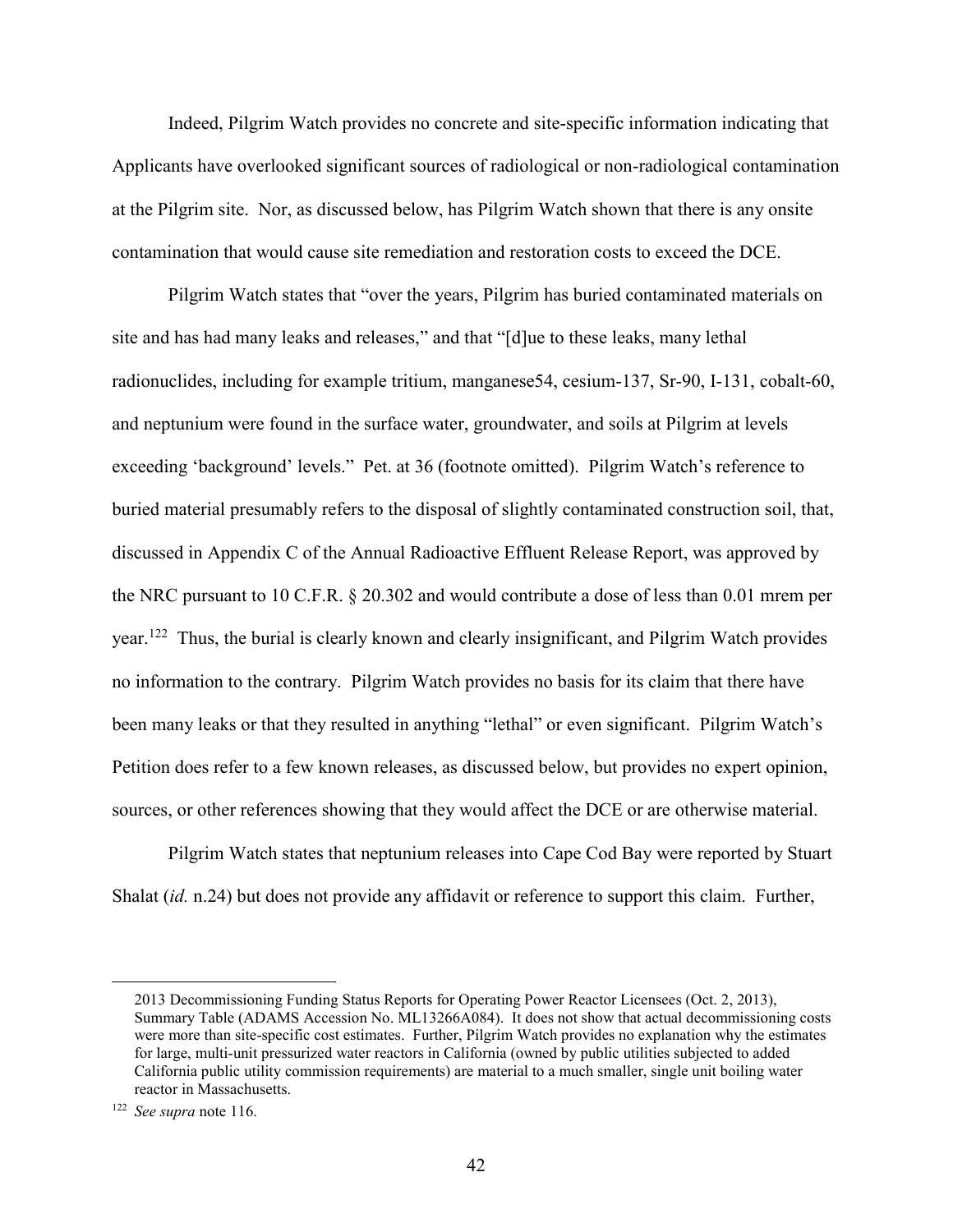Indeed, Pilgrim Watch provides no concrete and site-specific information indicating that Applicants have overlooked significant sources of radiological or non-radiological contamination at the Pilgrim site. Nor, as discussed below, has Pilgrim Watch shown that there is any onsite contamination that would cause site remediation and restoration costs to exceed the DCE.

Pilgrim Watch states that "over the years, Pilgrim has buried contaminated materials on site and has had many leaks and releases," and that "[d]ue to these leaks, many lethal radionuclides, including for example tritium, manganese54, cesium-137, Sr-90, I-131, cobalt-60, and neptunium were found in the surface water, groundwater, and soils at Pilgrim at levels exceeding 'background' levels." Pet. at 36 (footnote omitted). Pilgrim Watch's reference to buried material presumably refers to the disposal of slightly contaminated construction soil, that, discussed in Appendix C of the Annual Radioactive Effluent Release Report, was approved by the NRC pursuant to 10 C.F.R. § 20.302 and would contribute a dose of less than 0.01 mrem per year.122 Thus, the burial is clearly known and clearly insignificant, and Pilgrim Watch provides no information to the contrary. Pilgrim Watch provides no basis for its claim that there have been many leaks or that they resulted in anything "lethal" or even significant. Pilgrim Watch's Petition does refer to a few known releases, as discussed below, but provides no expert opinion, sources, or other references showing that they would affect the DCE or are otherwise material.

Pilgrim Watch states that neptunium releases into Cape Cod Bay were reported by Stuart Shalat (*id.* n.24) but does not provide any affidavit or reference to support this claim. Further,

<u>.</u>

<sup>2013</sup> Decommissioning Funding Status Reports for Operating Power Reactor Licensees (Oct. 2, 2013), Summary Table (ADAMS Accession No. ML13266A084). It does not show that actual decommissioning costs were more than site-specific cost estimates. Further, Pilgrim Watch provides no explanation why the estimates for large, multi-unit pressurized water reactors in California (owned by public utilities subjected to added California public utility commission requirements) are material to a much smaller, single unit boiling water reactor in Massachusetts.

<sup>122</sup> *See supra* note 116.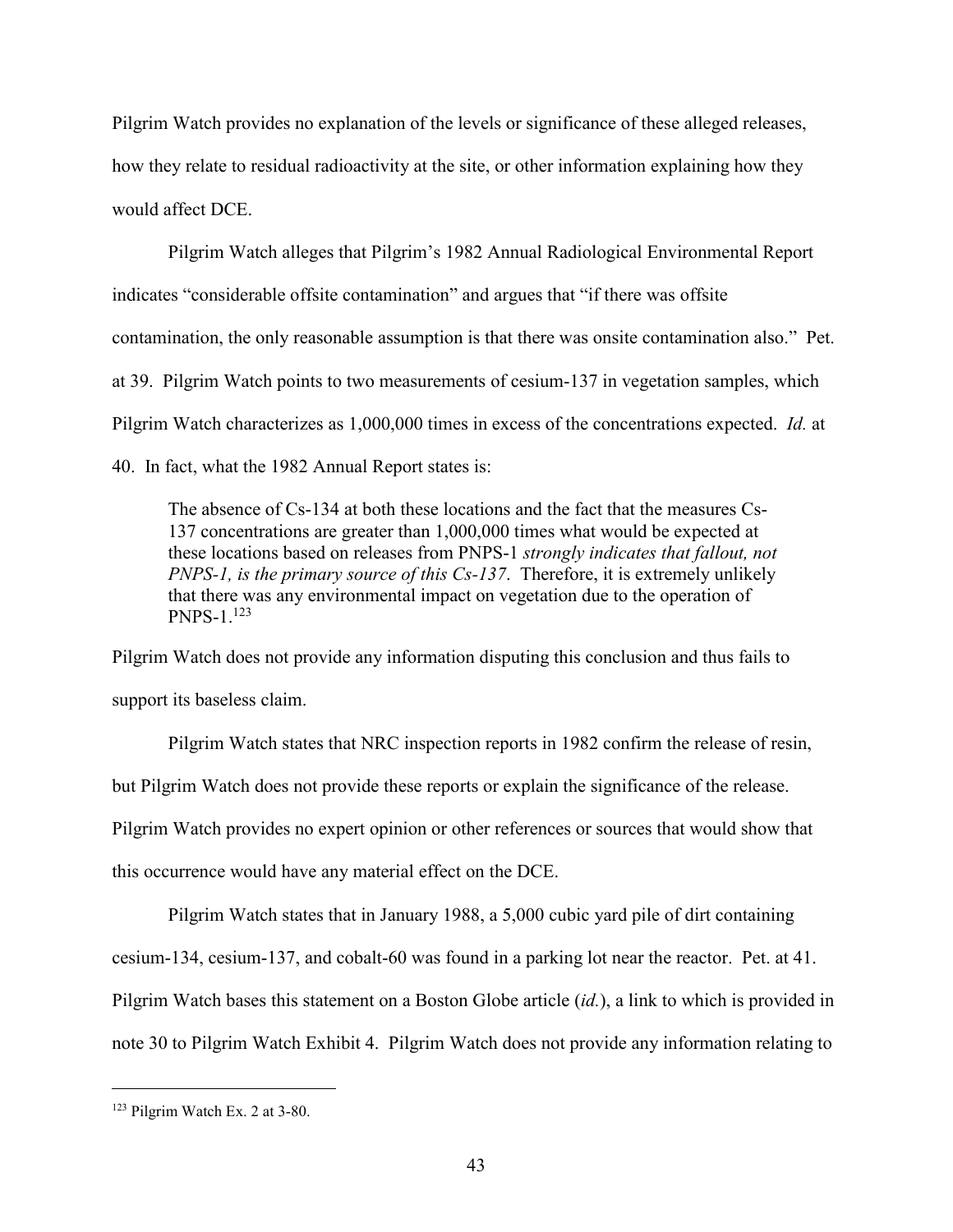Pilgrim Watch provides no explanation of the levels or significance of these alleged releases, how they relate to residual radioactivity at the site, or other information explaining how they would affect DCE.

Pilgrim Watch alleges that Pilgrim's 1982 Annual Radiological Environmental Report indicates "considerable offsite contamination" and argues that "if there was offsite contamination, the only reasonable assumption is that there was onsite contamination also." Pet. at 39. Pilgrim Watch points to two measurements of cesium-137 in vegetation samples, which Pilgrim Watch characterizes as 1,000,000 times in excess of the concentrations expected. *Id.* at 40. In fact, what the 1982 Annual Report states is:

The absence of Cs-134 at both these locations and the fact that the measures Cs-137 concentrations are greater than 1,000,000 times what would be expected at these locations based on releases from PNPS-1 *strongly indicates that fallout, not PNPS-1, is the primary source of this Cs-137*. Therefore, it is extremely unlikely that there was any environmental impact on vegetation due to the operation of  $PNPS-1.123$ 

Pilgrim Watch does not provide any information disputing this conclusion and thus fails to support its baseless claim.

Pilgrim Watch states that NRC inspection reports in 1982 confirm the release of resin, but Pilgrim Watch does not provide these reports or explain the significance of the release. Pilgrim Watch provides no expert opinion or other references or sources that would show that this occurrence would have any material effect on the DCE.

Pilgrim Watch states that in January 1988, a 5,000 cubic yard pile of dirt containing cesium-134, cesium-137, and cobalt-60 was found in a parking lot near the reactor. Pet. at 41. Pilgrim Watch bases this statement on a Boston Globe article (*id.*), a link to which is provided in note 30 to Pilgrim Watch Exhibit 4. Pilgrim Watch does not provide any information relating to

 <sup>123</sup> Pilgrim Watch Ex. 2 at 3-80.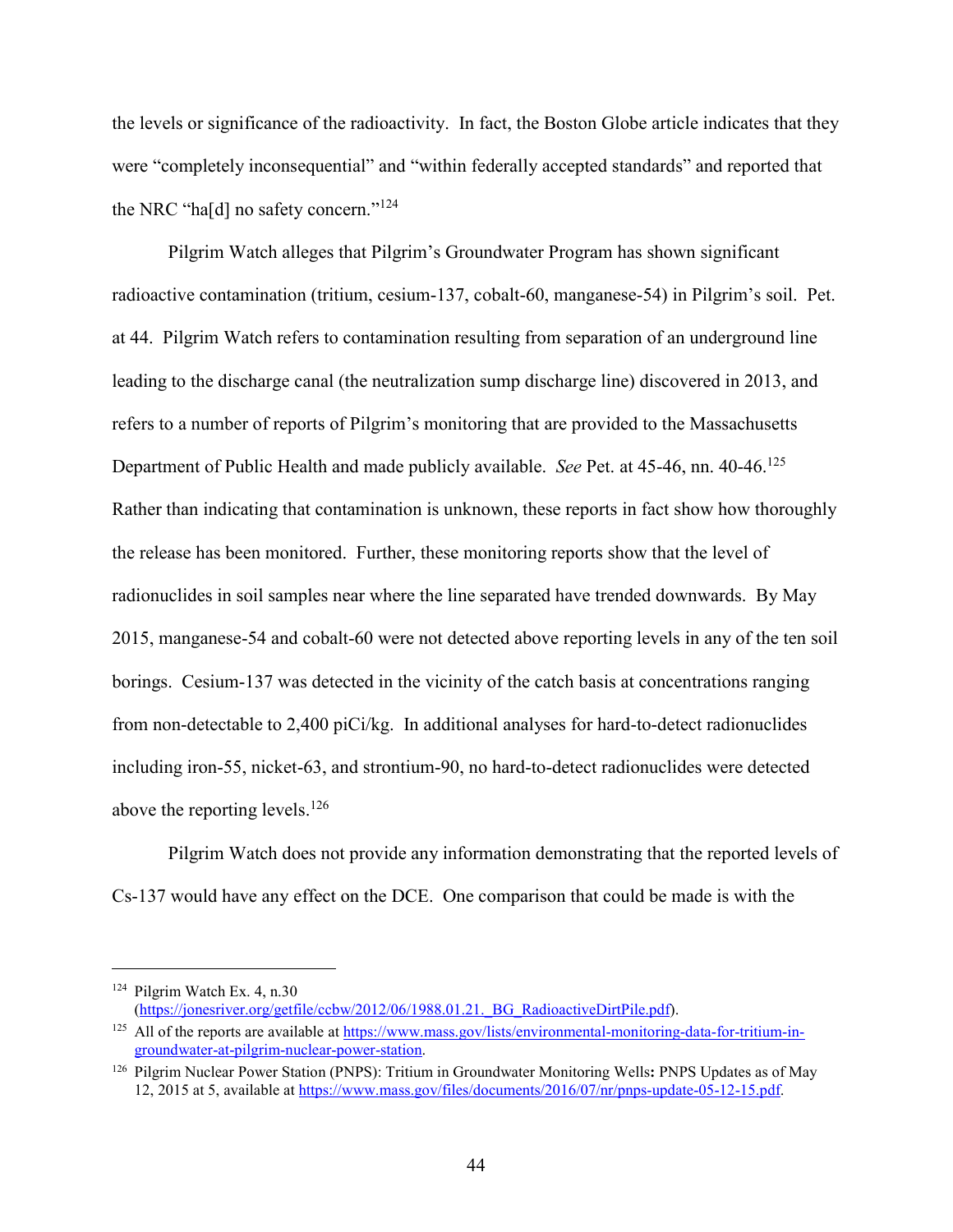the levels or significance of the radioactivity. In fact, the Boston Globe article indicates that they were "completely inconsequential" and "within federally accepted standards" and reported that the NRC "ha[d] no safety concern."<sup>124</sup>

Pilgrim Watch alleges that Pilgrim's Groundwater Program has shown significant radioactive contamination (tritium, cesium-137, cobalt-60, manganese-54) in Pilgrim's soil. Pet. at 44. Pilgrim Watch refers to contamination resulting from separation of an underground line leading to the discharge canal (the neutralization sump discharge line) discovered in 2013, and refers to a number of reports of Pilgrim's monitoring that are provided to the Massachusetts Department of Public Health and made publicly available. *See* Pet. at 45-46, nn. 40-46.125 Rather than indicating that contamination is unknown, these reports in fact show how thoroughly the release has been monitored. Further, these monitoring reports show that the level of radionuclides in soil samples near where the line separated have trended downwards. By May 2015, manganese-54 and cobalt-60 were not detected above reporting levels in any of the ten soil borings. Cesium-137 was detected in the vicinity of the catch basis at concentrations ranging from non-detectable to 2,400 piCi/kg. In additional analyses for hard-to-detect radionuclides including iron-55, nicket-63, and strontium-90, no hard-to-detect radionuclides were detected above the reporting levels.<sup>126</sup>

Pilgrim Watch does not provide any information demonstrating that the reported levels of Cs-137 would have any effect on the DCE. One comparison that could be made is with the

 <sup>124</sup> Pilgrim Watch Ex. 4, n.30 (https://jonesriver.org/getfile/ccbw/2012/06/1988.01.21.\_BG\_RadioactiveDirtPile.pdf).

<sup>&</sup>lt;sup>125</sup> All of the reports are available at https://www.mass.gov/lists/environmental-monitoring-data-for-tritium-ingroundwater-at-pilgrim-nuclear-power-station.

<sup>126</sup> Pilgrim Nuclear Power Station (PNPS): Tritium in Groundwater Monitoring Wells**:** PNPS Updates as of May 12, 2015 at 5, available at https://www.mass.gov/files/documents/2016/07/nr/pnps-update-05-12-15.pdf.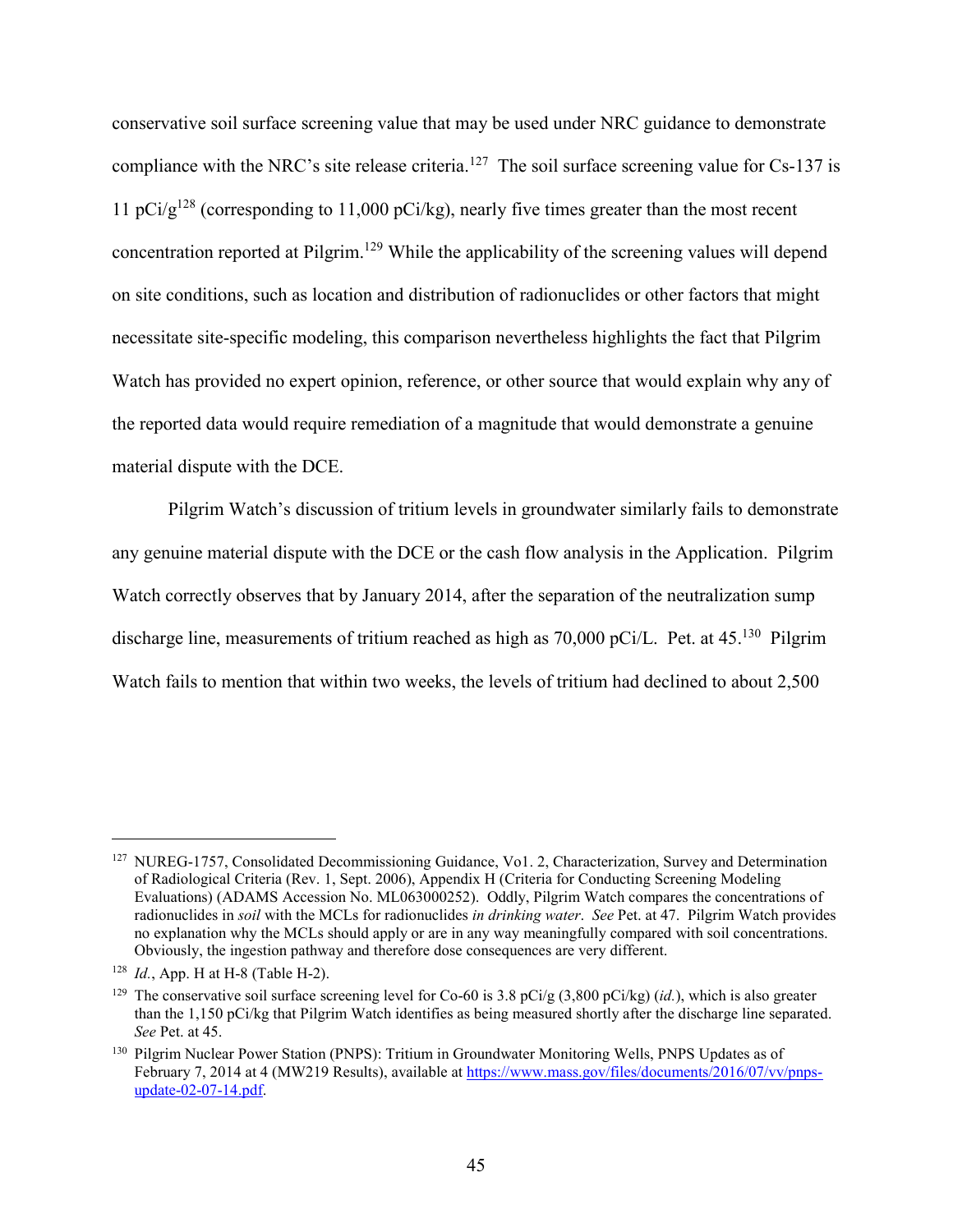conservative soil surface screening value that may be used under NRC guidance to demonstrate compliance with the NRC's site release criteria.<sup>127</sup> The soil surface screening value for Cs-137 is 11 pCi/g<sup>128</sup> (corresponding to 11,000 pCi/kg), nearly five times greater than the most recent concentration reported at Pilgrim.<sup>129</sup> While the applicability of the screening values will depend on site conditions, such as location and distribution of radionuclides or other factors that might necessitate site-specific modeling, this comparison nevertheless highlights the fact that Pilgrim Watch has provided no expert opinion, reference, or other source that would explain why any of the reported data would require remediation of a magnitude that would demonstrate a genuine material dispute with the DCE.

Pilgrim Watch's discussion of tritium levels in groundwater similarly fails to demonstrate any genuine material dispute with the DCE or the cash flow analysis in the Application. Pilgrim Watch correctly observes that by January 2014, after the separation of the neutralization sump discharge line, measurements of tritium reached as high as 70,000 pCi/L. Pet. at 45.<sup>130</sup> Pilgrim Watch fails to mention that within two weeks, the levels of tritium had declined to about 2,500

<sup>&</sup>lt;sup>127</sup> NUREG-1757, Consolidated Decommissioning Guidance, Vo1. 2, Characterization, Survey and Determination of Radiological Criteria (Rev. 1, Sept. 2006), Appendix H (Criteria for Conducting Screening Modeling Evaluations) (ADAMS Accession No. ML063000252). Oddly, Pilgrim Watch compares the concentrations of radionuclides in *soil* with the MCLs for radionuclides *in drinking water*. *See* Pet. at 47. Pilgrim Watch provides no explanation why the MCLs should apply or are in any way meaningfully compared with soil concentrations. Obviously, the ingestion pathway and therefore dose consequences are very different.

<sup>128</sup> *Id.*, App. H at H-8 (Table H-2).

<sup>&</sup>lt;sup>129</sup> The conservative soil surface screening level for Co-60 is 3.8 pCi/g  $(3,800 \text{ pCi/kg})$  (*id.*), which is also greater than the 1,150 pCi/kg that Pilgrim Watch identifies as being measured shortly after the discharge line separated. *See* Pet. at 45.

<sup>&</sup>lt;sup>130</sup> Pilgrim Nuclear Power Station (PNPS): Tritium in Groundwater Monitoring Wells, PNPS Updates as of February 7, 2014 at 4 (MW219 Results), available at https://www.mass.gov/files/documents/2016/07/vv/pnpsupdate-02-07-14.pdf.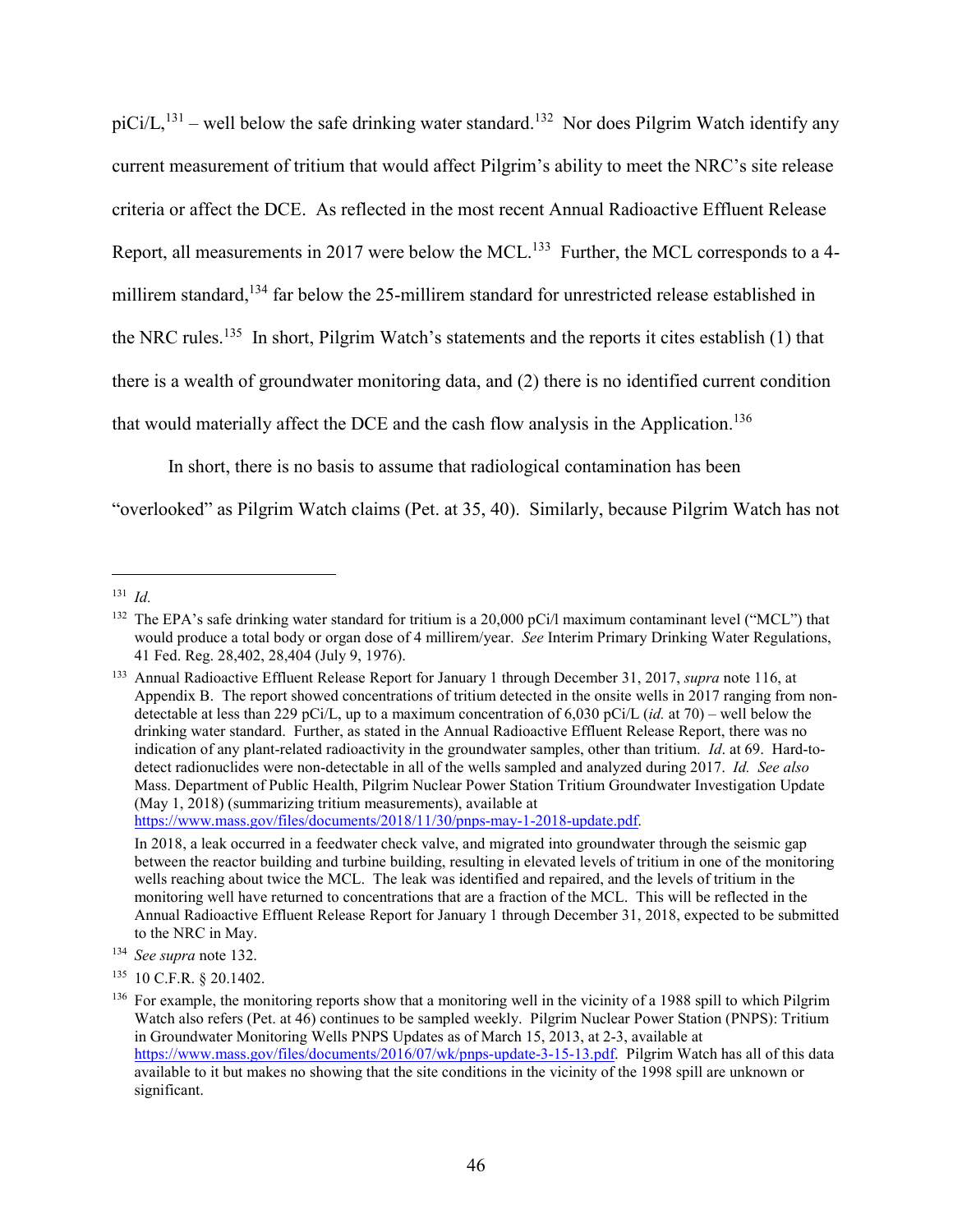piCi/L,<sup>131</sup> – well below the safe drinking water standard.<sup>132</sup> Nor does Pilgrim Watch identify any current measurement of tritium that would affect Pilgrim's ability to meet the NRC's site release criteria or affect the DCE. As reflected in the most recent Annual Radioactive Effluent Release Report, all measurements in 2017 were below the MCL.<sup>133</sup> Further, the MCL corresponds to a 4millirem standard,<sup>134</sup> far below the 25-millirem standard for unrestricted release established in the NRC rules.135 In short, Pilgrim Watch's statements and the reports it cites establish (1) that there is a wealth of groundwater monitoring data, and (2) there is no identified current condition that would materially affect the DCE and the cash flow analysis in the Application.136

In short, there is no basis to assume that radiological contamination has been

"overlooked" as Pilgrim Watch claims (Pet. at 35, 40). Similarly, because Pilgrim Watch has not

https://www.mass.gov/files/documents/2018/11/30/pnps-may-1-2018-update.pdf.

 <sup>131</sup> *Id.*

<sup>&</sup>lt;sup>132</sup> The EPA's safe drinking water standard for tritium is a 20,000 pCi/l maximum contaminant level ("MCL") that would produce a total body or organ dose of 4 millirem/year. *See* Interim Primary Drinking Water Regulations, 41 Fed. Reg. 28,402, 28,404 (July 9, 1976).

<sup>133</sup> Annual Radioactive Effluent Release Report for January 1 through December 31, 2017, *supra* note 116, at Appendix B. The report showed concentrations of tritium detected in the onsite wells in 2017 ranging from nondetectable at less than 229 pCi/L, up to a maximum concentration of 6,030 pCi/L (*id.* at 70) – well below the drinking water standard. Further, as stated in the Annual Radioactive Effluent Release Report, there was no indication of any plant-related radioactivity in the groundwater samples, other than tritium. *Id*. at 69. Hard-todetect radionuclides were non-detectable in all of the wells sampled and analyzed during 2017. *Id. See also* Mass. Department of Public Health, Pilgrim Nuclear Power Station Tritium Groundwater Investigation Update (May 1, 2018) (summarizing tritium measurements), available at

In 2018, a leak occurred in a feedwater check valve, and migrated into groundwater through the seismic gap between the reactor building and turbine building, resulting in elevated levels of tritium in one of the monitoring wells reaching about twice the MCL. The leak was identified and repaired, and the levels of tritium in the monitoring well have returned to concentrations that are a fraction of the MCL. This will be reflected in the Annual Radioactive Effluent Release Report for January 1 through December 31, 2018, expected to be submitted to the NRC in May.

<sup>134</sup> *See supra* note 132.

<sup>135</sup> 10 C.F.R. § 20.1402.

<sup>&</sup>lt;sup>136</sup> For example, the monitoring reports show that a monitoring well in the vicinity of a 1988 spill to which Pilgrim Watch also refers (Pet. at 46) continues to be sampled weekly. Pilgrim Nuclear Power Station (PNPS): Tritium in Groundwater Monitoring Wells PNPS Updates as of March 15, 2013, at 2-3, available at https://www.mass.gov/files/documents/2016/07/wk/pnps-update-3-15-13.pdf. Pilgrim Watch has all of this data available to it but makes no showing that the site conditions in the vicinity of the 1998 spill are unknown or significant.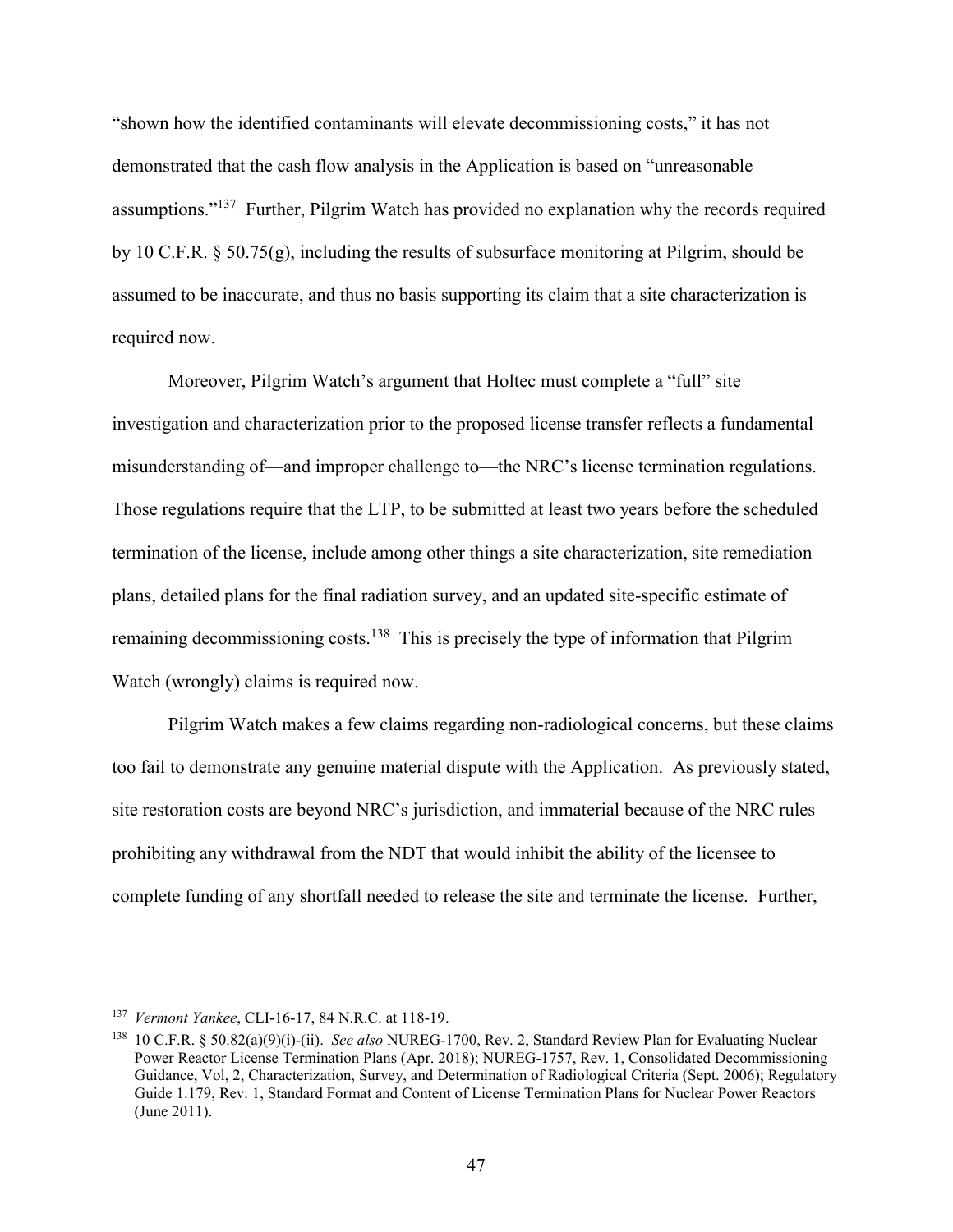"shown how the identified contaminants will elevate decommissioning costs," it has not demonstrated that the cash flow analysis in the Application is based on "unreasonable assumptions."137 Further, Pilgrim Watch has provided no explanation why the records required by 10 C.F.R. § 50.75(g), including the results of subsurface monitoring at Pilgrim, should be assumed to be inaccurate, and thus no basis supporting its claim that a site characterization is required now.

Moreover, Pilgrim Watch's argument that Holtec must complete a "full" site investigation and characterization prior to the proposed license transfer reflects a fundamental misunderstanding of—and improper challenge to—the NRC's license termination regulations. Those regulations require that the LTP, to be submitted at least two years before the scheduled termination of the license, include among other things a site characterization, site remediation plans, detailed plans for the final radiation survey, and an updated site-specific estimate of remaining decommissioning costs.<sup>138</sup> This is precisely the type of information that Pilgrim Watch (wrongly) claims is required now.

Pilgrim Watch makes a few claims regarding non-radiological concerns, but these claims too fail to demonstrate any genuine material dispute with the Application. As previously stated, site restoration costs are beyond NRC's jurisdiction, and immaterial because of the NRC rules prohibiting any withdrawal from the NDT that would inhibit the ability of the licensee to complete funding of any shortfall needed to release the site and terminate the license. Further,

 <sup>137</sup> *Vermont Yankee*, CLI-16-17, 84 N.R.C. at 118-19.

<sup>138</sup> 10 C.F.R. § 50.82(a)(9)(i)-(ii). *See also* NUREG-1700, Rev. 2, Standard Review Plan for Evaluating Nuclear Power Reactor License Termination Plans (Apr. 2018); NUREG-1757, Rev. 1, Consolidated Decommissioning Guidance, Vol, 2, Characterization, Survey, and Determination of Radiological Criteria (Sept. 2006); Regulatory Guide 1.179, Rev. 1, Standard Format and Content of License Termination Plans for Nuclear Power Reactors (June 2011).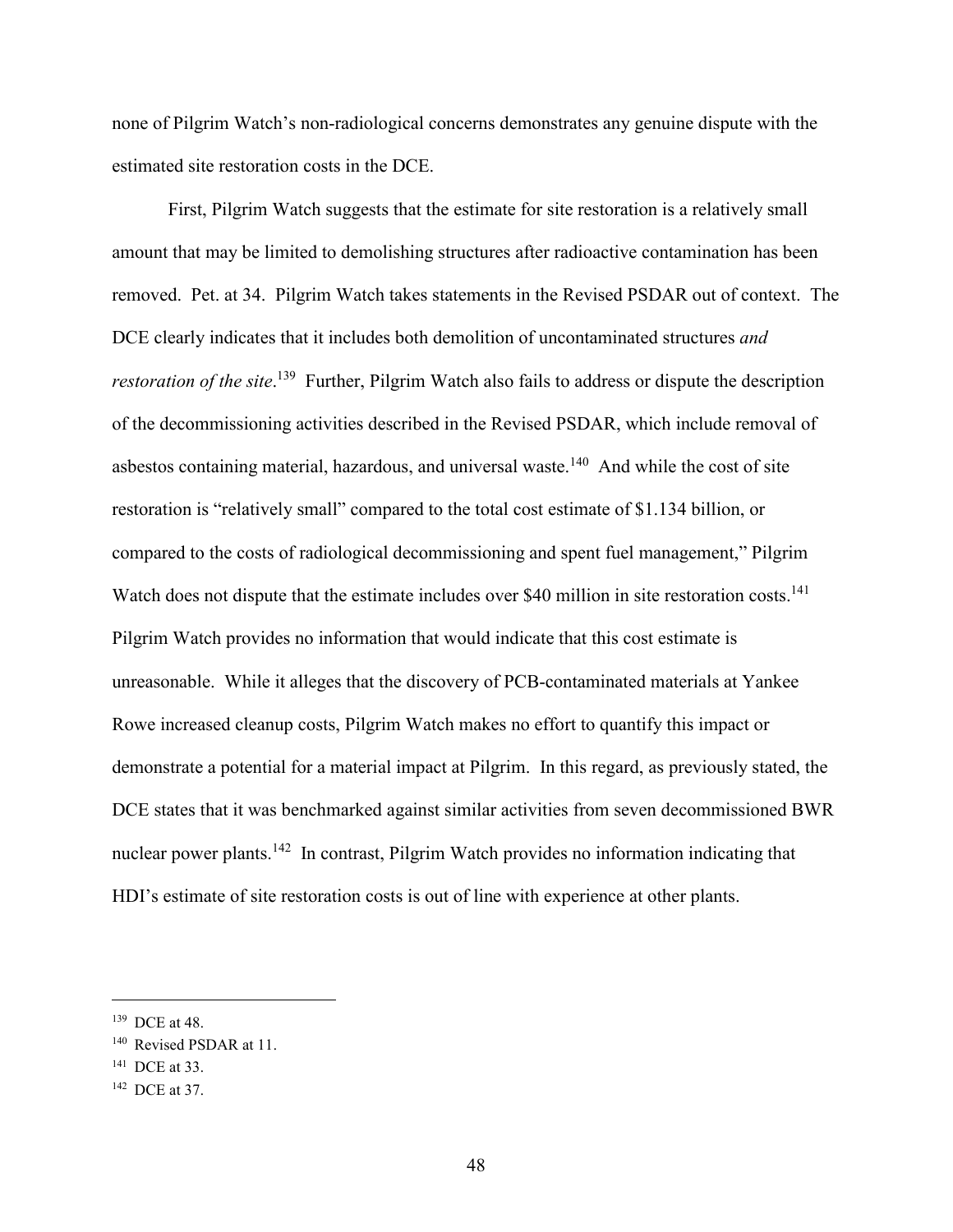none of Pilgrim Watch's non-radiological concerns demonstrates any genuine dispute with the estimated site restoration costs in the DCE.

First, Pilgrim Watch suggests that the estimate for site restoration is a relatively small amount that may be limited to demolishing structures after radioactive contamination has been removed. Pet. at 34. Pilgrim Watch takes statements in the Revised PSDAR out of context. The DCE clearly indicates that it includes both demolition of uncontaminated structures *and*  restoration of the site.<sup>139</sup> Further, Pilgrim Watch also fails to address or dispute the description of the decommissioning activities described in the Revised PSDAR, which include removal of asbestos containing material, hazardous, and universal waste.<sup>140</sup> And while the cost of site restoration is "relatively small" compared to the total cost estimate of \$1.134 billion, or compared to the costs of radiological decommissioning and spent fuel management," Pilgrim Watch does not dispute that the estimate includes over \$40 million in site restoration costs.<sup>141</sup> Pilgrim Watch provides no information that would indicate that this cost estimate is unreasonable. While it alleges that the discovery of PCB-contaminated materials at Yankee Rowe increased cleanup costs, Pilgrim Watch makes no effort to quantify this impact or demonstrate a potential for a material impact at Pilgrim. In this regard, as previously stated, the DCE states that it was benchmarked against similar activities from seven decommissioned BWR nuclear power plants.<sup>142</sup> In contrast, Pilgrim Watch provides no information indicating that HDI's estimate of site restoration costs is out of line with experience at other plants.

 <sup>139</sup> DCE at 48.

<sup>&</sup>lt;sup>140</sup> Revised PSDAR at 11.

<sup>141</sup> DCE at 33.

<sup>142</sup> DCE at 37.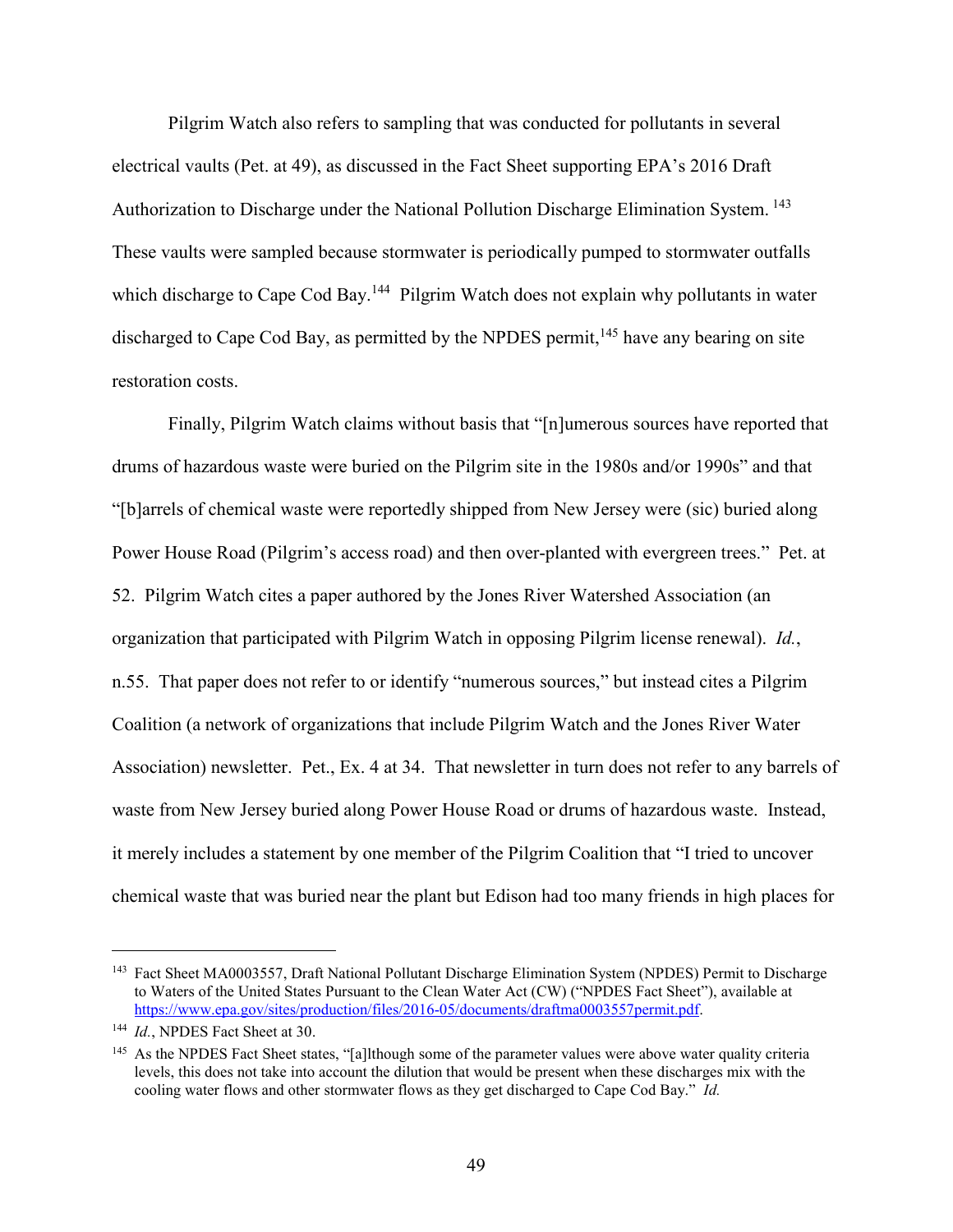Pilgrim Watch also refers to sampling that was conducted for pollutants in several electrical vaults (Pet. at 49), as discussed in the Fact Sheet supporting EPA's 2016 Draft Authorization to Discharge under the National Pollution Discharge Elimination System. 143 These vaults were sampled because stormwater is periodically pumped to stormwater outfalls which discharge to Cape Cod Bay.<sup>144</sup> Pilgrim Watch does not explain why pollutants in water discharged to Cape Cod Bay, as permitted by the NPDES permit,  $145$  have any bearing on site restoration costs.

Finally, Pilgrim Watch claims without basis that "[n]umerous sources have reported that drums of hazardous waste were buried on the Pilgrim site in the 1980s and/or 1990s" and that "[b]arrels of chemical waste were reportedly shipped from New Jersey were (sic) buried along Power House Road (Pilgrim's access road) and then over-planted with evergreen trees." Pet. at 52. Pilgrim Watch cites a paper authored by the Jones River Watershed Association (an organization that participated with Pilgrim Watch in opposing Pilgrim license renewal). *Id.*, n.55. That paper does not refer to or identify "numerous sources," but instead cites a Pilgrim Coalition (a network of organizations that include Pilgrim Watch and the Jones River Water Association) newsletter. Pet., Ex. 4 at 34. That newsletter in turn does not refer to any barrels of waste from New Jersey buried along Power House Road or drums of hazardous waste. Instead, it merely includes a statement by one member of the Pilgrim Coalition that "I tried to uncover chemical waste that was buried near the plant but Edison had too many friends in high places for

 <sup>143</sup> Fact Sheet MA0003557, Draft National Pollutant Discharge Elimination System (NPDES) Permit to Discharge to Waters of the United States Pursuant to the Clean Water Act (CW) ("NPDES Fact Sheet"), available at https://www.epa.gov/sites/production/files/2016-05/documents/draftma0003557permit.pdf.

<sup>144</sup> *Id.*, NPDES Fact Sheet at 30.

<sup>&</sup>lt;sup>145</sup> As the NPDES Fact Sheet states, "[a]lthough some of the parameter values were above water quality criteria levels, this does not take into account the dilution that would be present when these discharges mix with the cooling water flows and other stormwater flows as they get discharged to Cape Cod Bay." *Id.*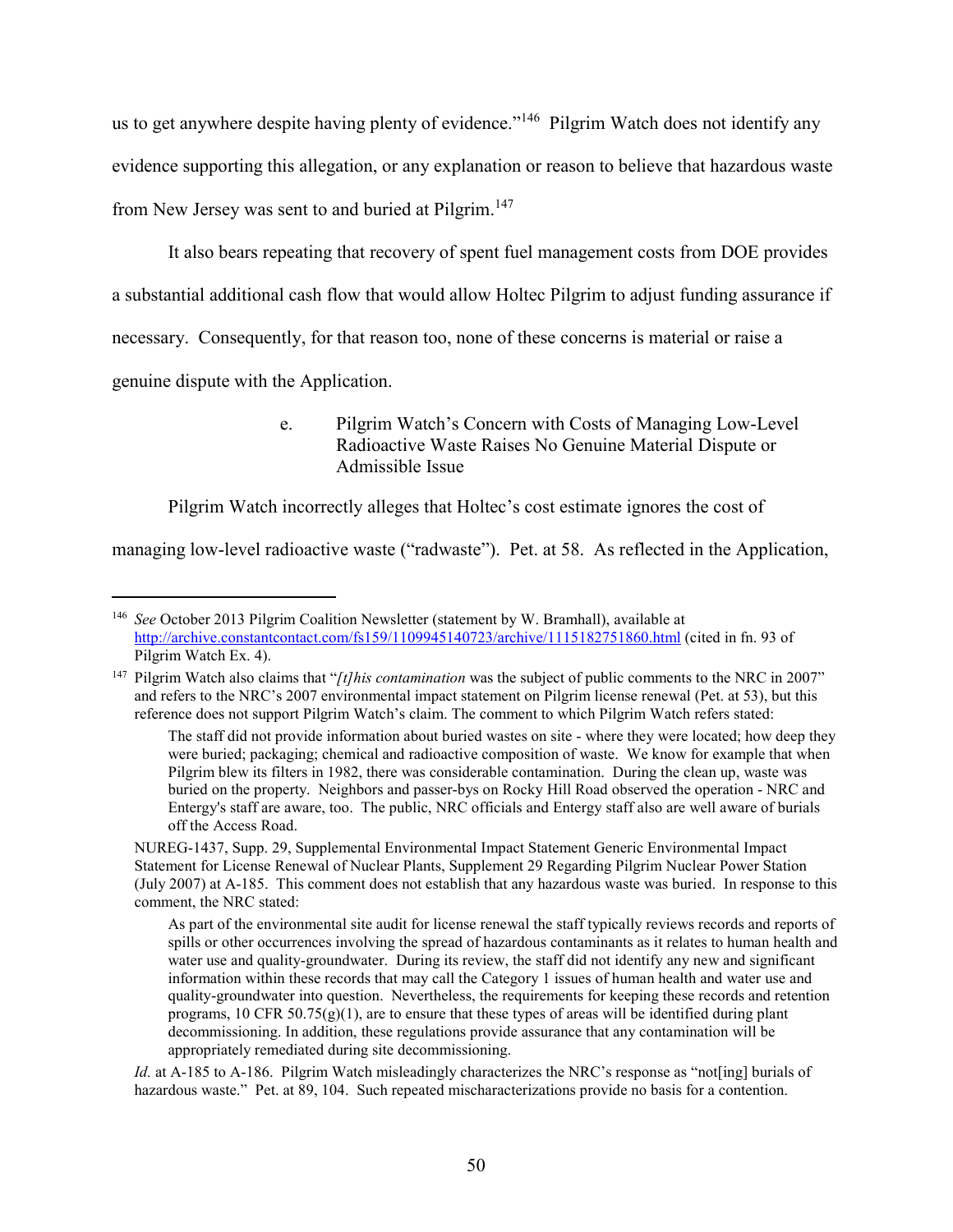us to get anywhere despite having plenty of evidence."<sup>146</sup> Pilgrim Watch does not identify any evidence supporting this allegation, or any explanation or reason to believe that hazardous waste from New Jersey was sent to and buried at Pilgrim.<sup>147</sup>

It also bears repeating that recovery of spent fuel management costs from DOE provides a substantial additional cash flow that would allow Holtec Pilgrim to adjust funding assurance if necessary. Consequently, for that reason too, none of these concerns is material or raise a genuine dispute with the Application.

## e. Pilgrim Watch's Concern with Costs of Managing Low-Level Radioactive Waste Raises No Genuine Material Dispute or Admissible Issue

Pilgrim Watch incorrectly alleges that Holtec's cost estimate ignores the cost of

managing low-level radioactive waste ("radwaste"). Pet. at 58. As reflected in the Application,

*Id.* at A-185 to A-186. Pilgrim Watch misleadingly characterizes the NRC's response as "not[ing] burials of hazardous waste." Pet. at 89, 104. Such repeated mischaracterizations provide no basis for a contention.

 <sup>146</sup> *See* October 2013 Pilgrim Coalition Newsletter (statement by W. Bramhall), available at http://archive.constantcontact.com/fs159/1109945140723/archive/1115182751860.html (cited in fn. 93 of Pilgrim Watch Ex. 4).

<sup>147</sup> Pilgrim Watch also claims that "*[t]his contamination* was the subject of public comments to the NRC in 2007" and refers to the NRC's 2007 environmental impact statement on Pilgrim license renewal (Pet. at 53), but this reference does not support Pilgrim Watch's claim. The comment to which Pilgrim Watch refers stated:

The staff did not provide information about buried wastes on site - where they were located; how deep they were buried; packaging; chemical and radioactive composition of waste. We know for example that when Pilgrim blew its filters in 1982, there was considerable contamination. During the clean up, waste was buried on the property. Neighbors and passer-bys on Rocky Hill Road observed the operation - NRC and Entergy's staff are aware, too. The public, NRC officials and Entergy staff also are well aware of burials off the Access Road.

NUREG-1437, Supp. 29, Supplemental Environmental Impact Statement Generic Environmental Impact Statement for License Renewal of Nuclear Plants, Supplement 29 Regarding Pilgrim Nuclear Power Station (July 2007) at A-185. This comment does not establish that any hazardous waste was buried. In response to this comment, the NRC stated:

As part of the environmental site audit for license renewal the staff typically reviews records and reports of spills or other occurrences involving the spread of hazardous contaminants as it relates to human health and water use and quality-groundwater. During its review, the staff did not identify any new and significant information within these records that may call the Category 1 issues of human health and water use and quality-groundwater into question. Nevertheless, the requirements for keeping these records and retention programs, 10 CFR  $50.75(g)(1)$ , are to ensure that these types of areas will be identified during plant decommissioning. In addition, these regulations provide assurance that any contamination will be appropriately remediated during site decommissioning.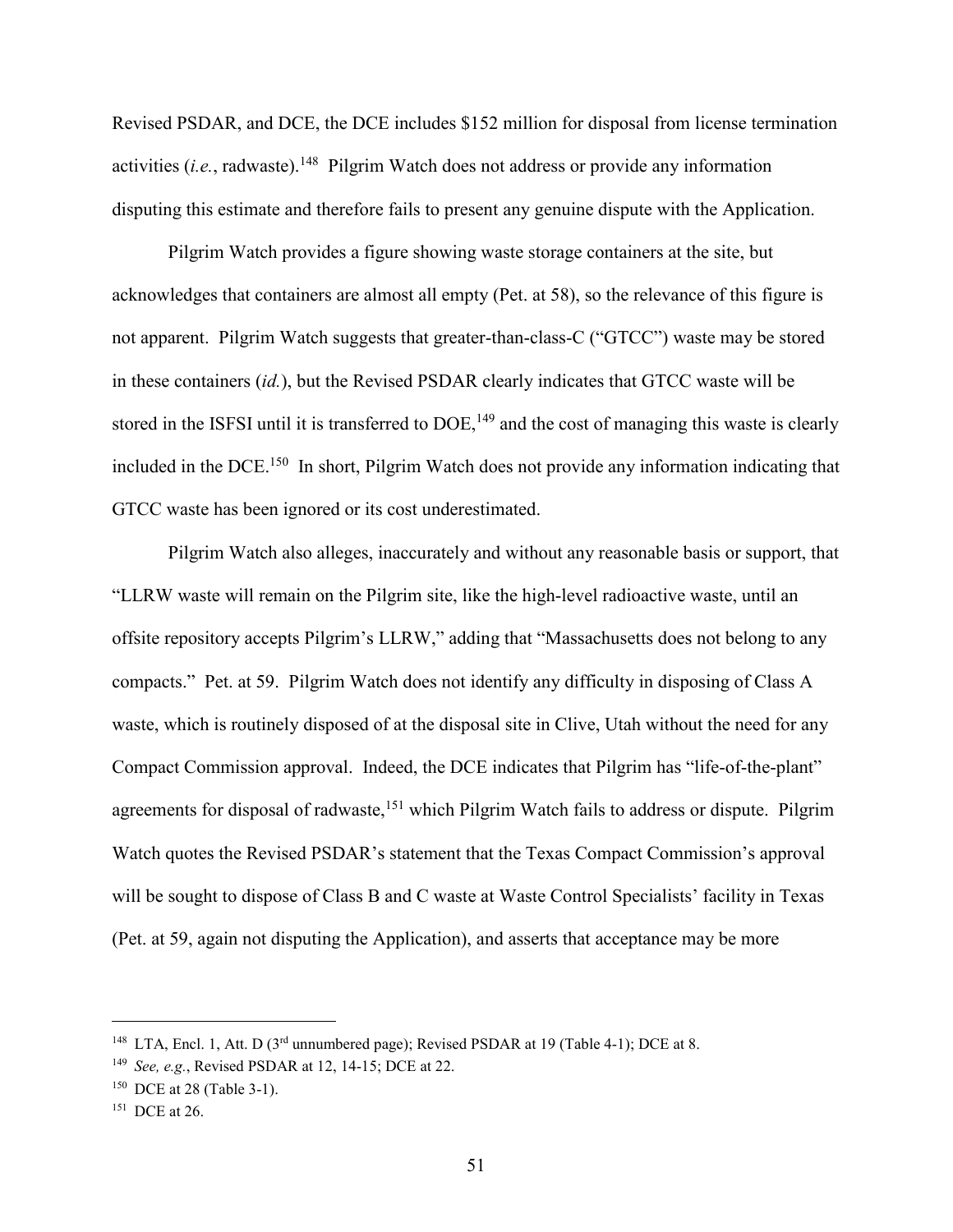Revised PSDAR, and DCE, the DCE includes \$152 million for disposal from license termination activities  $(i.e.,$  radwaste).<sup>148</sup> Pilgrim Watch does not address or provide any information disputing this estimate and therefore fails to present any genuine dispute with the Application.

Pilgrim Watch provides a figure showing waste storage containers at the site, but acknowledges that containers are almost all empty (Pet. at 58), so the relevance of this figure is not apparent. Pilgrim Watch suggests that greater-than-class-C ("GTCC") waste may be stored in these containers (*id.*), but the Revised PSDAR clearly indicates that GTCC waste will be stored in the ISFSI until it is transferred to DOE,<sup>149</sup> and the cost of managing this waste is clearly included in the DCE.<sup>150</sup> In short, Pilgrim Watch does not provide any information indicating that GTCC waste has been ignored or its cost underestimated.

Pilgrim Watch also alleges, inaccurately and without any reasonable basis or support, that "LLRW waste will remain on the Pilgrim site, like the high-level radioactive waste, until an offsite repository accepts Pilgrim's LLRW," adding that "Massachusetts does not belong to any compacts." Pet. at 59. Pilgrim Watch does not identify any difficulty in disposing of Class A waste, which is routinely disposed of at the disposal site in Clive, Utah without the need for any Compact Commission approval. Indeed, the DCE indicates that Pilgrim has "life-of-the-plant" agreements for disposal of radwaste,<sup>151</sup> which Pilgrim Watch fails to address or dispute. Pilgrim Watch quotes the Revised PSDAR's statement that the Texas Compact Commission's approval will be sought to dispose of Class B and C waste at Waste Control Specialists' facility in Texas (Pet. at 59, again not disputing the Application), and asserts that acceptance may be more

<sup>&</sup>lt;sup>148</sup> LTA, Encl. 1, Att. D (3<sup>rd</sup> unnumbered page); Revised PSDAR at 19 (Table 4-1); DCE at 8.

<sup>149</sup> *See, e.g.*, Revised PSDAR at 12, 14-15; DCE at 22.

<sup>150</sup> DCE at 28 (Table 3-1).

<sup>151</sup> DCE at 26.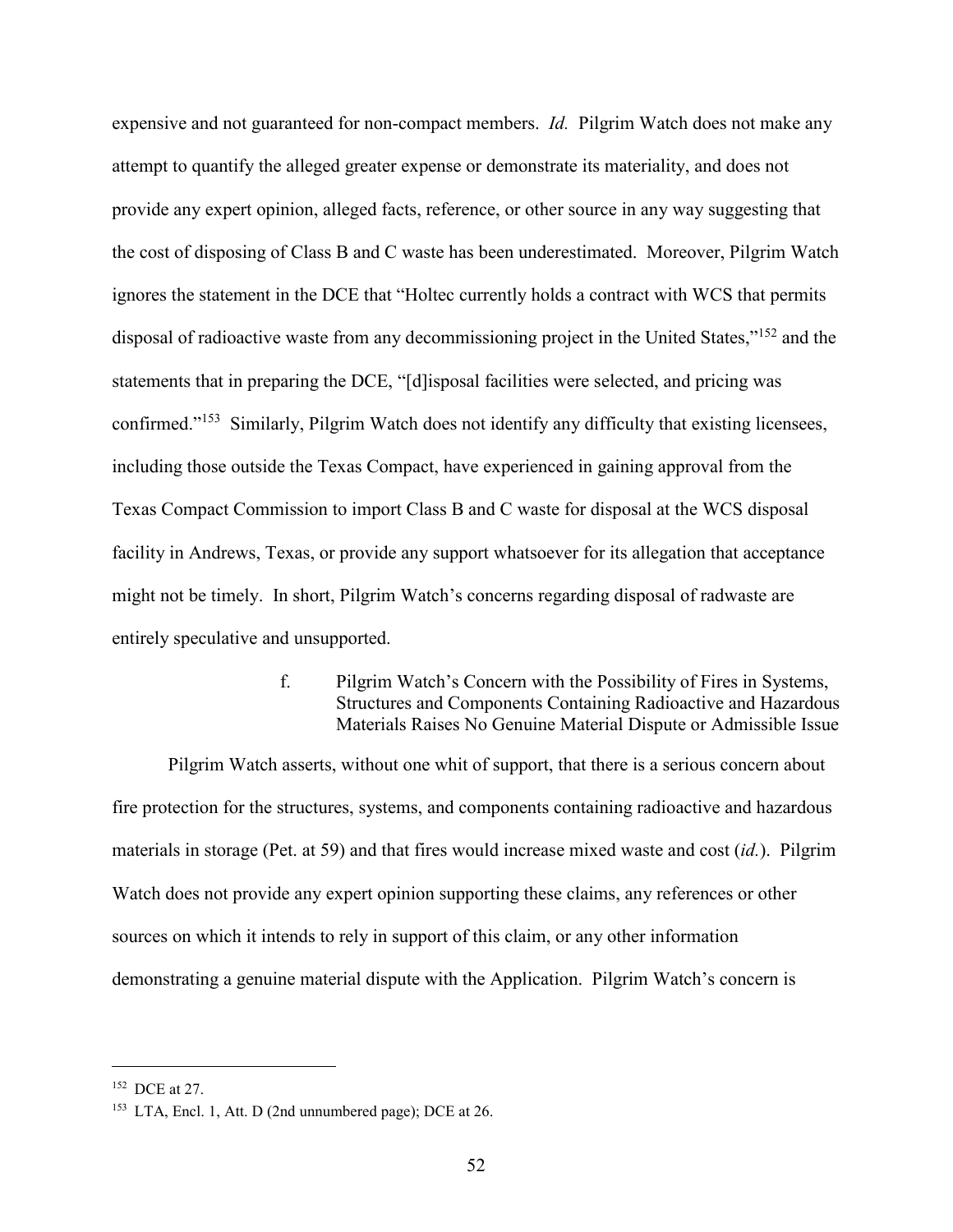expensive and not guaranteed for non-compact members. *Id.* Pilgrim Watch does not make any attempt to quantify the alleged greater expense or demonstrate its materiality, and does not provide any expert opinion, alleged facts, reference, or other source in any way suggesting that the cost of disposing of Class B and C waste has been underestimated. Moreover, Pilgrim Watch ignores the statement in the DCE that "Holtec currently holds a contract with WCS that permits disposal of radioactive waste from any decommissioning project in the United States,"<sup>152</sup> and the statements that in preparing the DCE, "[d]isposal facilities were selected, and pricing was confirmed."153 Similarly, Pilgrim Watch does not identify any difficulty that existing licensees, including those outside the Texas Compact, have experienced in gaining approval from the Texas Compact Commission to import Class B and C waste for disposal at the WCS disposal facility in Andrews, Texas, or provide any support whatsoever for its allegation that acceptance might not be timely. In short, Pilgrim Watch's concerns regarding disposal of radwaste are entirely speculative and unsupported.

> f. Pilgrim Watch's Concern with the Possibility of Fires in Systems, Structures and Components Containing Radioactive and Hazardous Materials Raises No Genuine Material Dispute or Admissible Issue

Pilgrim Watch asserts, without one whit of support, that there is a serious concern about fire protection for the structures, systems, and components containing radioactive and hazardous materials in storage (Pet. at 59) and that fires would increase mixed waste and cost (*id.*). Pilgrim Watch does not provide any expert opinion supporting these claims, any references or other sources on which it intends to rely in support of this claim, or any other information demonstrating a genuine material dispute with the Application. Pilgrim Watch's concern is

<sup>&</sup>lt;sup>152</sup> DCE at 27.

<sup>153</sup> LTA, Encl. 1, Att. D (2nd unnumbered page); DCE at 26.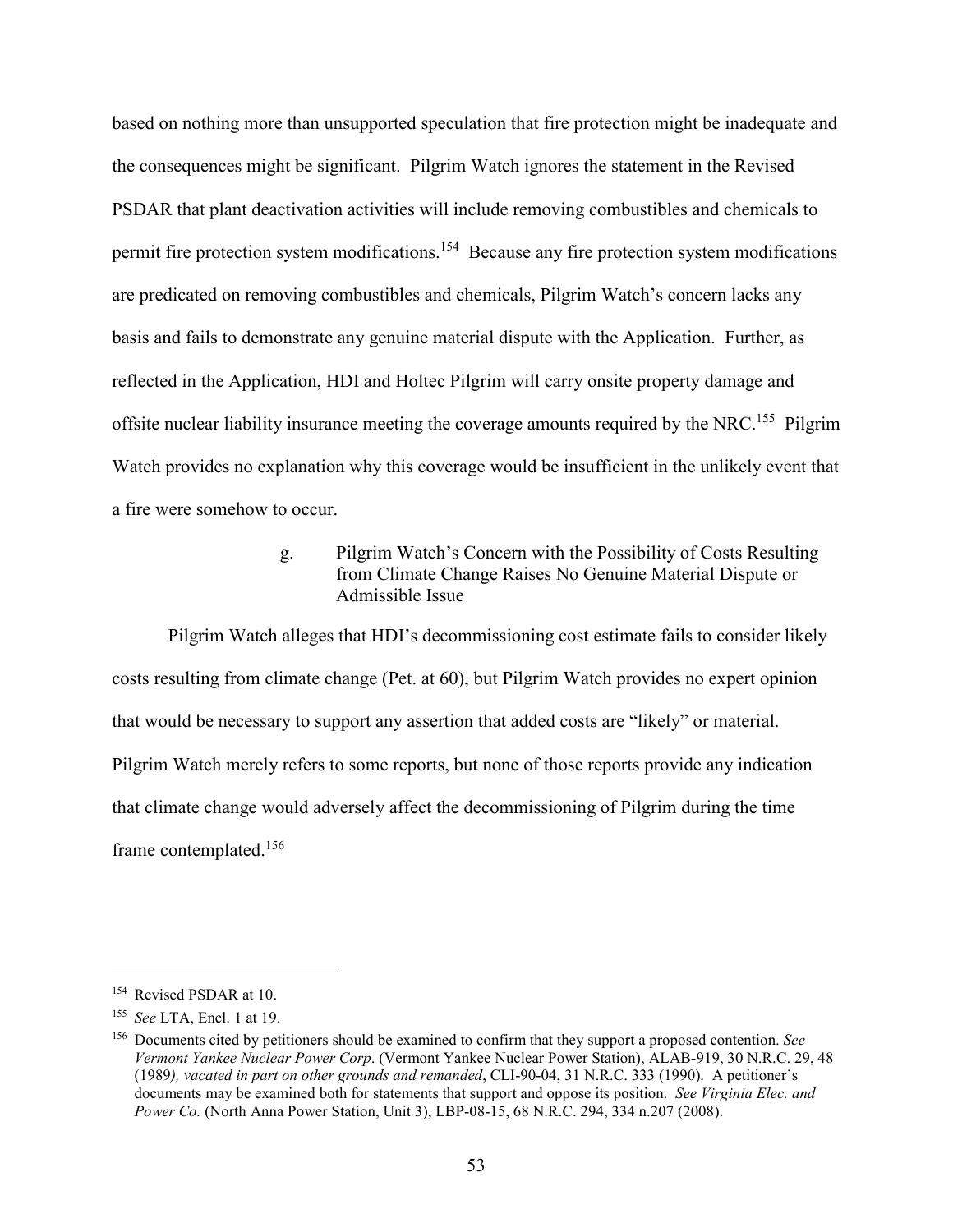based on nothing more than unsupported speculation that fire protection might be inadequate and the consequences might be significant. Pilgrim Watch ignores the statement in the Revised PSDAR that plant deactivation activities will include removing combustibles and chemicals to permit fire protection system modifications.<sup>154</sup> Because any fire protection system modifications are predicated on removing combustibles and chemicals, Pilgrim Watch's concern lacks any basis and fails to demonstrate any genuine material dispute with the Application. Further, as reflected in the Application, HDI and Holtec Pilgrim will carry onsite property damage and offsite nuclear liability insurance meeting the coverage amounts required by the NRC.<sup>155</sup> Pilgrim Watch provides no explanation why this coverage would be insufficient in the unlikely event that a fire were somehow to occur.

> g. Pilgrim Watch's Concern with the Possibility of Costs Resulting from Climate Change Raises No Genuine Material Dispute or Admissible Issue

Pilgrim Watch alleges that HDI's decommissioning cost estimate fails to consider likely costs resulting from climate change (Pet. at 60), but Pilgrim Watch provides no expert opinion that would be necessary to support any assertion that added costs are "likely" or material. Pilgrim Watch merely refers to some reports, but none of those reports provide any indication that climate change would adversely affect the decommissioning of Pilgrim during the time frame contemplated.156

 <sup>154</sup> Revised PSDAR at 10.

<sup>155</sup> *See* LTA, Encl. 1 at 19.

<sup>156</sup> Documents cited by petitioners should be examined to confirm that they support a proposed contention. *See Vermont Yankee Nuclear Power Corp*. (Vermont Yankee Nuclear Power Station), ALAB-919, 30 N.R.C. 29, 48 (1989*), vacated in part on other grounds and remanded*, CLI-90-04, 31 N.R.C. 333 (1990). A petitioner's documents may be examined both for statements that support and oppose its position. *See Virginia Elec. and Power Co.* (North Anna Power Station, Unit 3), LBP-08-15, 68 N.R.C. 294, 334 n.207 (2008).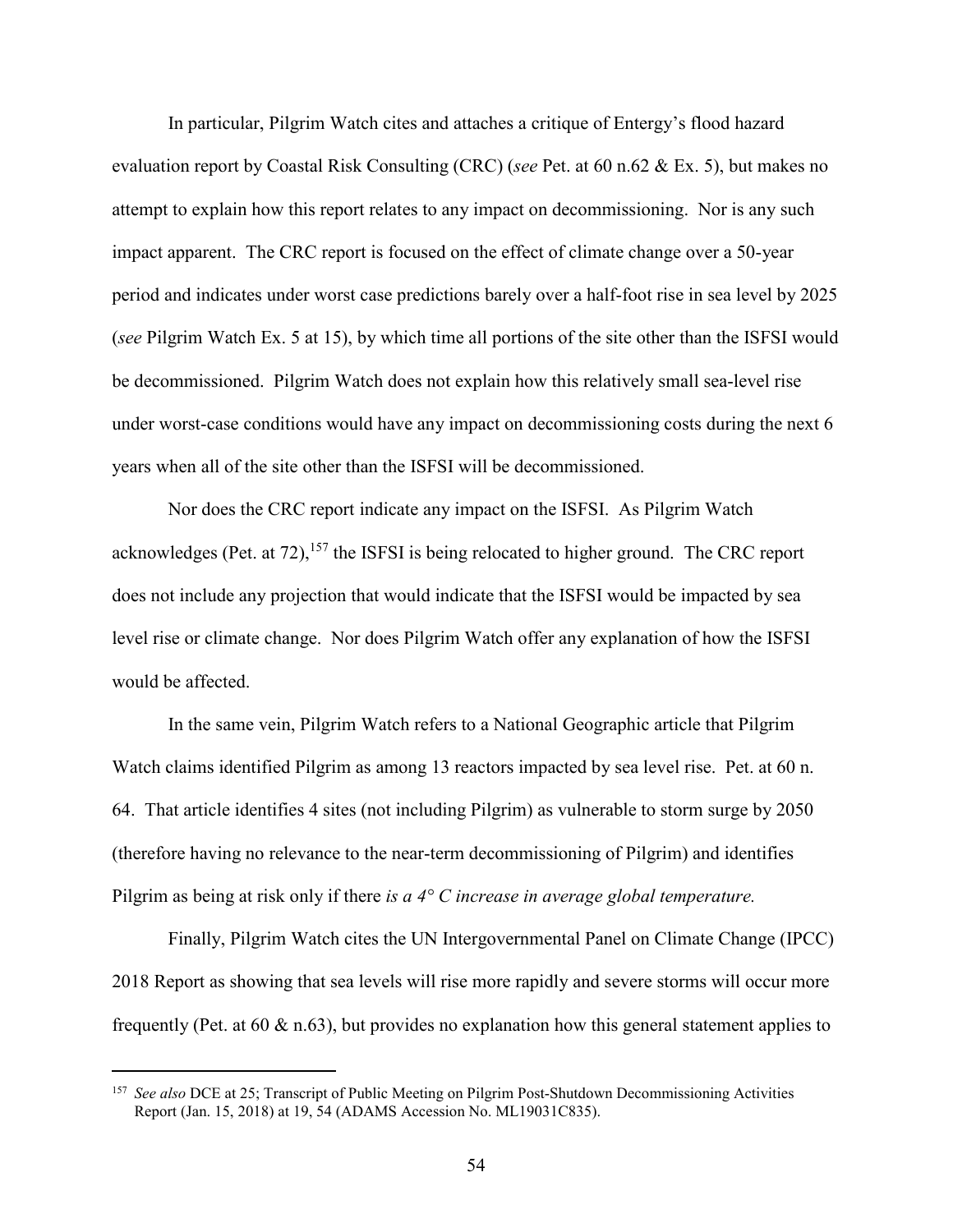In particular, Pilgrim Watch cites and attaches a critique of Entergy's flood hazard evaluation report by Coastal Risk Consulting (CRC) (*see* Pet. at 60 n.62 & Ex. 5), but makes no attempt to explain how this report relates to any impact on decommissioning. Nor is any such impact apparent. The CRC report is focused on the effect of climate change over a 50-year period and indicates under worst case predictions barely over a half-foot rise in sea level by 2025 (*see* Pilgrim Watch Ex. 5 at 15), by which time all portions of the site other than the ISFSI would be decommissioned. Pilgrim Watch does not explain how this relatively small sea-level rise under worst-case conditions would have any impact on decommissioning costs during the next 6 years when all of the site other than the ISFSI will be decommissioned.

Nor does the CRC report indicate any impact on the ISFSI. As Pilgrim Watch acknowledges (Pet. at 72),<sup>157</sup> the ISFSI is being relocated to higher ground. The CRC report does not include any projection that would indicate that the ISFSI would be impacted by sea level rise or climate change. Nor does Pilgrim Watch offer any explanation of how the ISFSI would be affected.

In the same vein, Pilgrim Watch refers to a National Geographic article that Pilgrim Watch claims identified Pilgrim as among 13 reactors impacted by sea level rise. Pet. at 60 n. 64. That article identifies 4 sites (not including Pilgrim) as vulnerable to storm surge by 2050 (therefore having no relevance to the near-term decommissioning of Pilgrim) and identifies Pilgrim as being at risk only if there *is a 4° C increase in average global temperature.*

Finally, Pilgrim Watch cites the UN Intergovernmental Panel on Climate Change (IPCC) 2018 Report as showing that sea levels will rise more rapidly and severe storms will occur more frequently (Pet. at 60 & n.63), but provides no explanation how this general statement applies to

 <sup>157</sup> *See also* DCE at 25; Transcript of Public Meeting on Pilgrim Post-Shutdown Decommissioning Activities Report (Jan. 15, 2018) at 19, 54 (ADAMS Accession No. ML19031C835).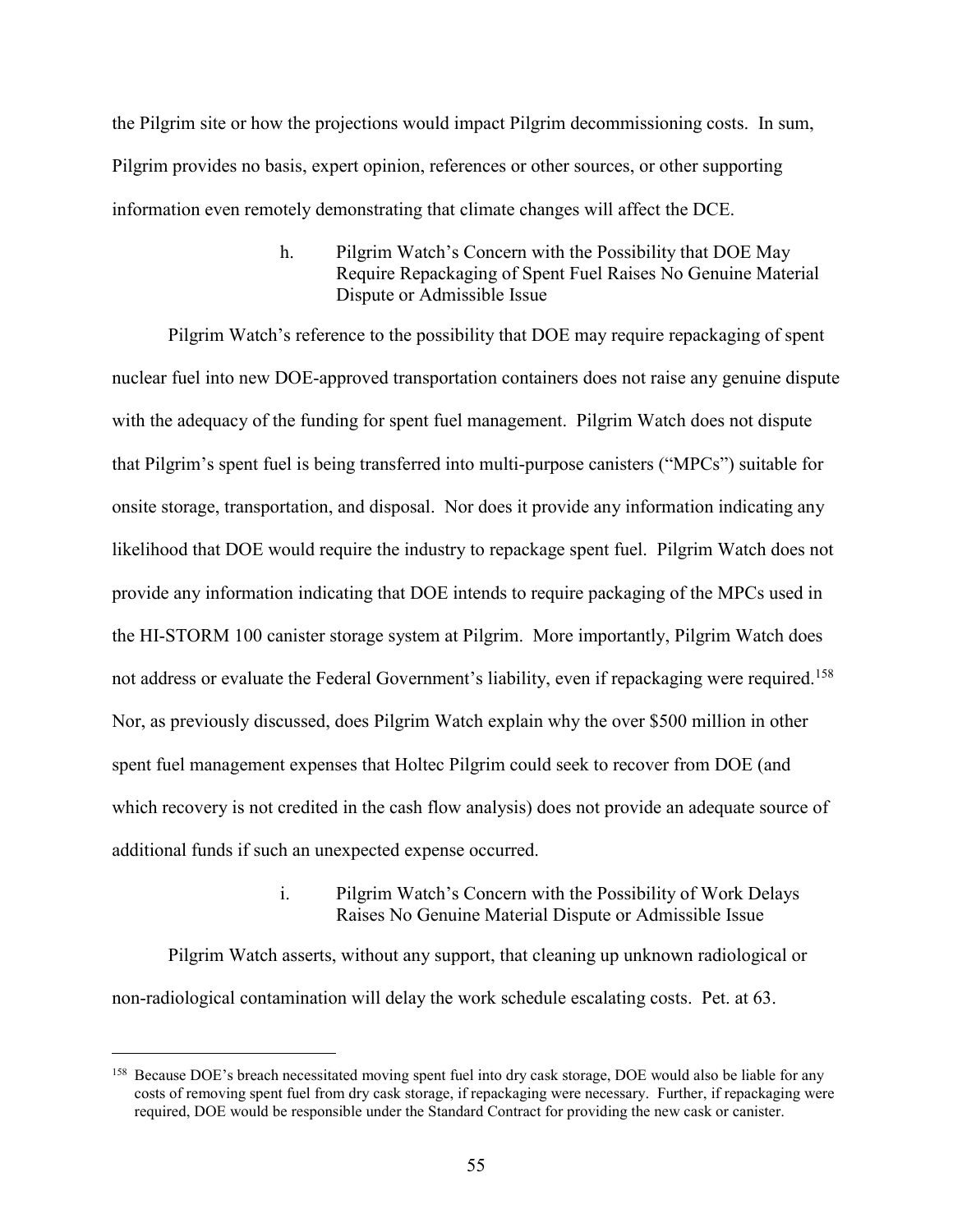the Pilgrim site or how the projections would impact Pilgrim decommissioning costs. In sum, Pilgrim provides no basis, expert opinion, references or other sources, or other supporting information even remotely demonstrating that climate changes will affect the DCE.

> h. Pilgrim Watch's Concern with the Possibility that DOE May Require Repackaging of Spent Fuel Raises No Genuine Material Dispute or Admissible Issue

Pilgrim Watch's reference to the possibility that DOE may require repackaging of spent nuclear fuel into new DOE-approved transportation containers does not raise any genuine dispute with the adequacy of the funding for spent fuel management. Pilgrim Watch does not dispute that Pilgrim's spent fuel is being transferred into multi-purpose canisters ("MPCs") suitable for onsite storage, transportation, and disposal. Nor does it provide any information indicating any likelihood that DOE would require the industry to repackage spent fuel. Pilgrim Watch does not provide any information indicating that DOE intends to require packaging of the MPCs used in the HI-STORM 100 canister storage system at Pilgrim. More importantly, Pilgrim Watch does not address or evaluate the Federal Government's liability, even if repackaging were required.<sup>158</sup> Nor, as previously discussed, does Pilgrim Watch explain why the over \$500 million in other spent fuel management expenses that Holtec Pilgrim could seek to recover from DOE (and which recovery is not credited in the cash flow analysis) does not provide an adequate source of additional funds if such an unexpected expense occurred.

> i. Pilgrim Watch's Concern with the Possibility of Work Delays Raises No Genuine Material Dispute or Admissible Issue

Pilgrim Watch asserts, without any support, that cleaning up unknown radiological or non-radiological contamination will delay the work schedule escalating costs. Pet. at 63.

<sup>&</sup>lt;sup>158</sup> Because DOE's breach necessitated moving spent fuel into dry cask storage, DOE would also be liable for any costs of removing spent fuel from dry cask storage, if repackaging were necessary. Further, if repackaging were required, DOE would be responsible under the Standard Contract for providing the new cask or canister.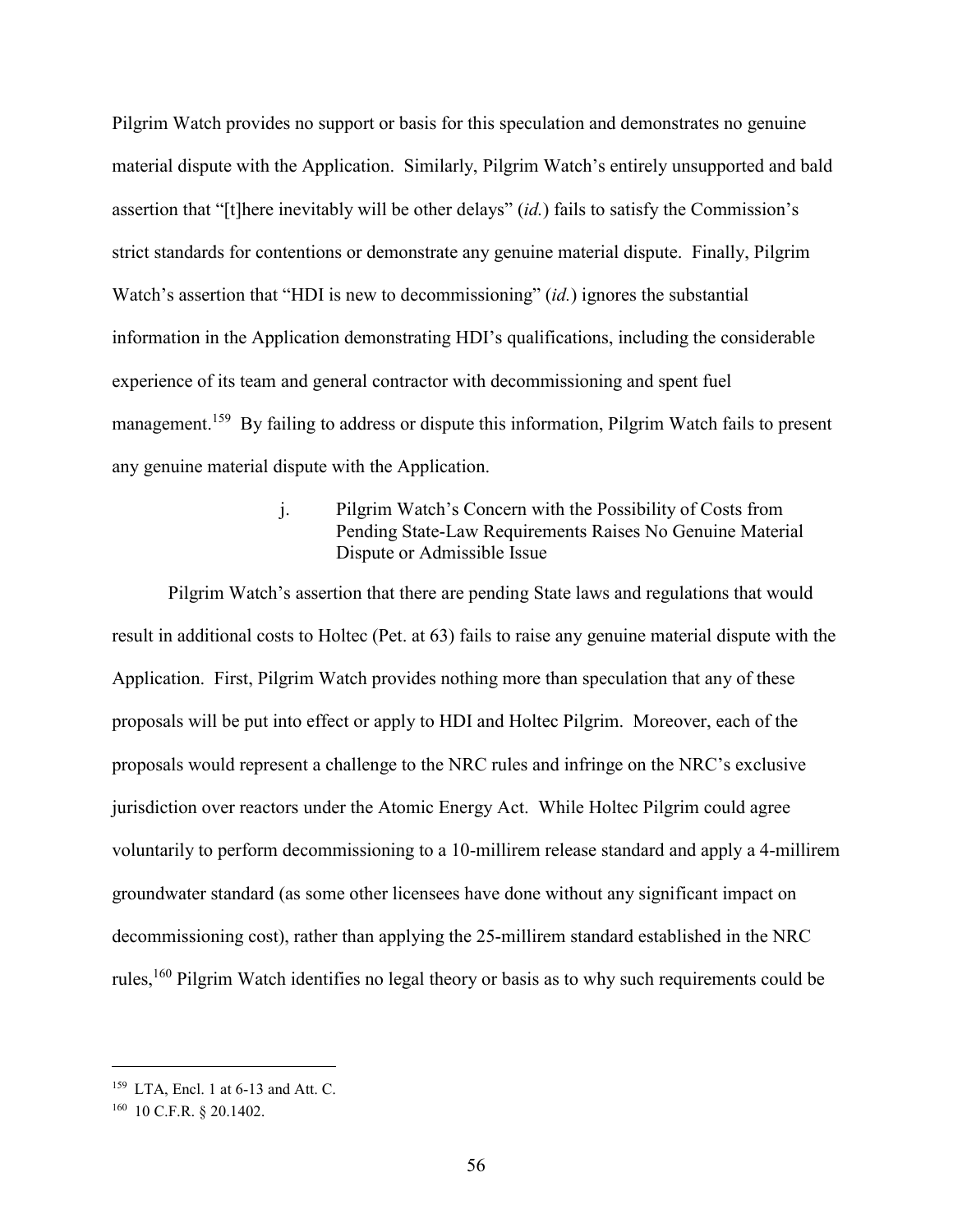Pilgrim Watch provides no support or basis for this speculation and demonstrates no genuine material dispute with the Application. Similarly, Pilgrim Watch's entirely unsupported and bald assertion that "[t]here inevitably will be other delays" (*id.*) fails to satisfy the Commission's strict standards for contentions or demonstrate any genuine material dispute. Finally, Pilgrim Watch's assertion that "HDI is new to decommissioning" (*id.*) ignores the substantial information in the Application demonstrating HDI's qualifications, including the considerable experience of its team and general contractor with decommissioning and spent fuel management.<sup>159</sup> By failing to address or dispute this information, Pilgrim Watch fails to present any genuine material dispute with the Application.

## j. Pilgrim Watch's Concern with the Possibility of Costs from Pending State-Law Requirements Raises No Genuine Material Dispute or Admissible Issue

Pilgrim Watch's assertion that there are pending State laws and regulations that would result in additional costs to Holtec (Pet. at 63) fails to raise any genuine material dispute with the Application. First, Pilgrim Watch provides nothing more than speculation that any of these proposals will be put into effect or apply to HDI and Holtec Pilgrim. Moreover, each of the proposals would represent a challenge to the NRC rules and infringe on the NRC's exclusive jurisdiction over reactors under the Atomic Energy Act. While Holtec Pilgrim could agree voluntarily to perform decommissioning to a 10-millirem release standard and apply a 4-millirem groundwater standard (as some other licensees have done without any significant impact on decommissioning cost), rather than applying the 25-millirem standard established in the NRC rules,<sup>160</sup> Pilgrim Watch identifies no legal theory or basis as to why such requirements could be

 <sup>159</sup> LTA, Encl. 1 at 6-13 and Att. C.

<sup>160</sup> 10 C.F.R. § 20.1402.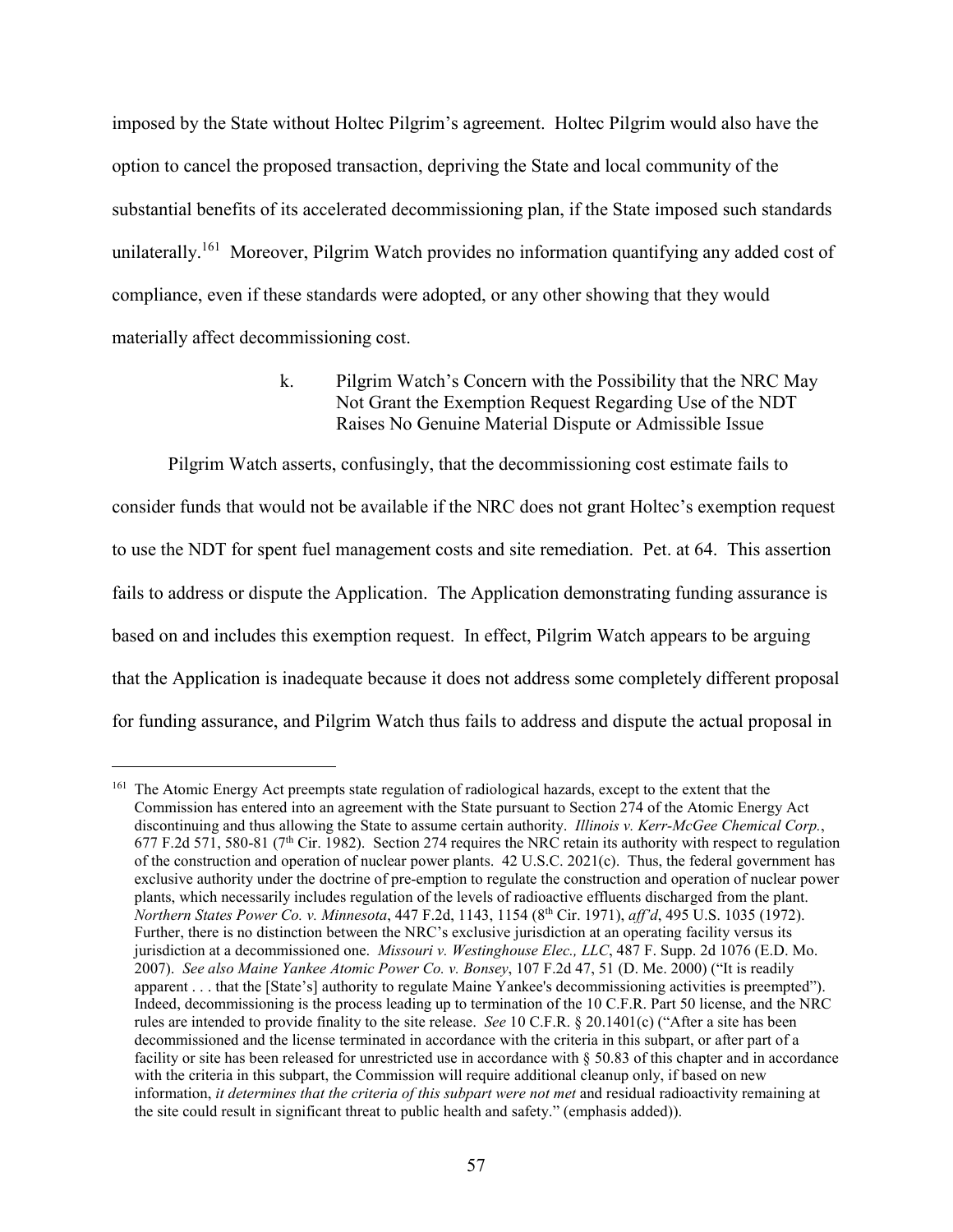imposed by the State without Holtec Pilgrim's agreement. Holtec Pilgrim would also have the option to cancel the proposed transaction, depriving the State and local community of the substantial benefits of its accelerated decommissioning plan, if the State imposed such standards unilaterally.<sup>161</sup> Moreover, Pilgrim Watch provides no information quantifying any added cost of compliance, even if these standards were adopted, or any other showing that they would materially affect decommissioning cost.

> k. Pilgrim Watch's Concern with the Possibility that the NRC May Not Grant the Exemption Request Regarding Use of the NDT Raises No Genuine Material Dispute or Admissible Issue

Pilgrim Watch asserts, confusingly, that the decommissioning cost estimate fails to consider funds that would not be available if the NRC does not grant Holtec's exemption request to use the NDT for spent fuel management costs and site remediation. Pet. at 64. This assertion fails to address or dispute the Application. The Application demonstrating funding assurance is based on and includes this exemption request. In effect, Pilgrim Watch appears to be arguing that the Application is inadequate because it does not address some completely different proposal for funding assurance, and Pilgrim Watch thus fails to address and dispute the actual proposal in

<sup>&</sup>lt;sup>161</sup> The Atomic Energy Act preempts state regulation of radiological hazards, except to the extent that the Commission has entered into an agreement with the State pursuant to Section 274 of the Atomic Energy Act discontinuing and thus allowing the State to assume certain authority. *Illinois v. Kerr-McGee Chemical Corp.*, 677 F.2d 571, 580-81 ( $7<sup>th</sup>$  Cir. 1982). Section 274 requires the NRC retain its authority with respect to regulation of the construction and operation of nuclear power plants. 42 U.S.C. 2021(c). Thus, the federal government has exclusive authority under the doctrine of pre-emption to regulate the construction and operation of nuclear power plants, which necessarily includes regulation of the levels of radioactive effluents discharged from the plant. *Northern States Power Co. v. Minnesota*, 447 F.2d, 1143, 1154 (8th Cir. 1971), *aff'd*, 495 U.S. 1035 (1972). Further, there is no distinction between the NRC's exclusive jurisdiction at an operating facility versus its jurisdiction at a decommissioned one. *Missouri v. Westinghouse Elec., LLC*, 487 F. Supp. 2d 1076 (E.D. Mo. 2007). *See also Maine Yankee Atomic Power Co. v. Bonsey*, 107 F.2d 47, 51 (D. Me. 2000) ("It is readily apparent . . . that the [State's] authority to regulate Maine Yankee's decommissioning activities is preempted"). Indeed, decommissioning is the process leading up to termination of the 10 C.F.R. Part 50 license, and the NRC rules are intended to provide finality to the site release. *See* 10 C.F.R. § 20.1401(c) ("After a site has been decommissioned and the license terminated in accordance with the criteria in this subpart, or after part of a facility or site has been released for unrestricted use in accordance with § 50.83 of this chapter and in accordance with the criteria in this subpart, the Commission will require additional cleanup only, if based on new information, *it determines that the criteria of this subpart were not met* and residual radioactivity remaining at the site could result in significant threat to public health and safety." (emphasis added)).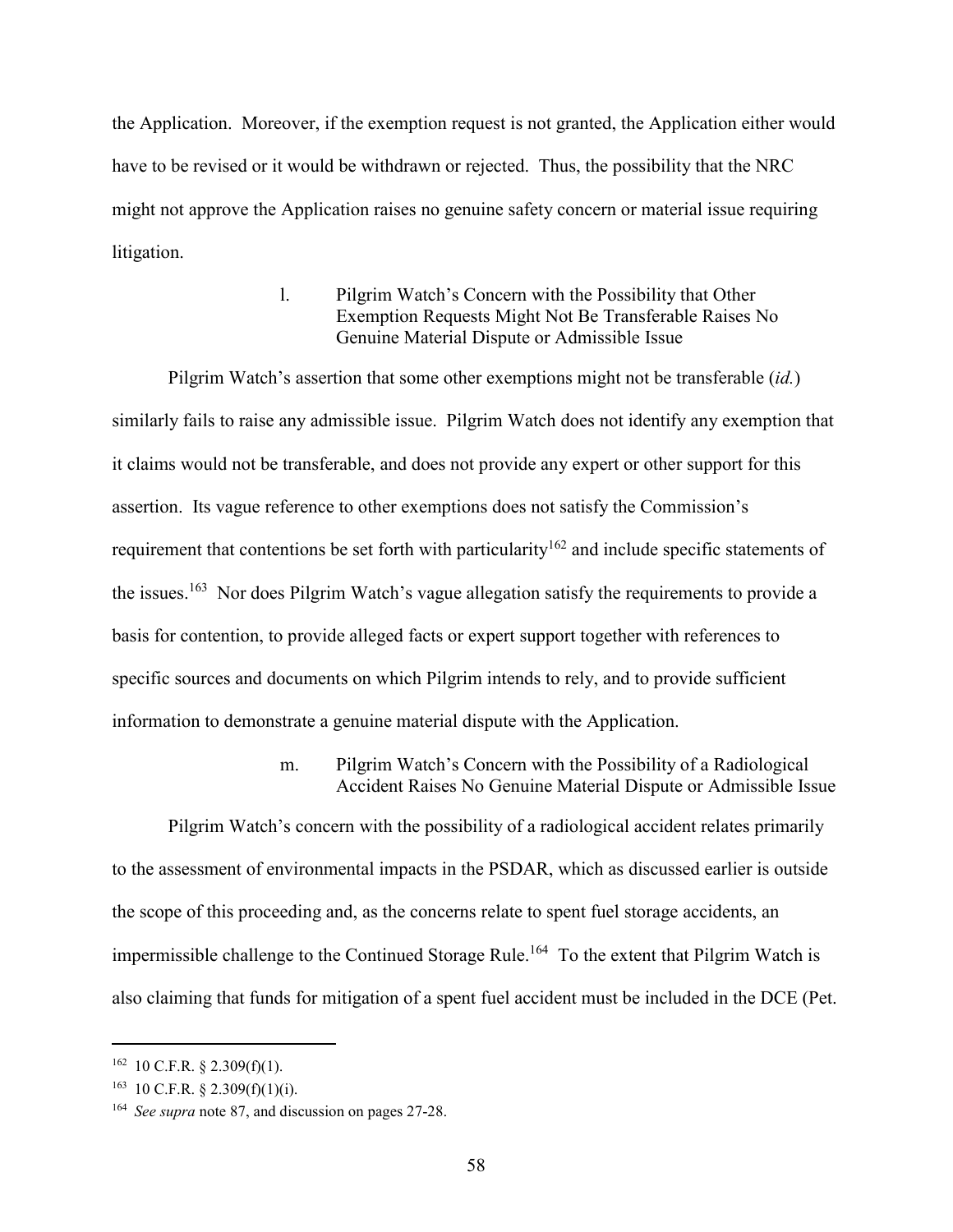the Application. Moreover, if the exemption request is not granted, the Application either would have to be revised or it would be withdrawn or rejected. Thus, the possibility that the NRC might not approve the Application raises no genuine safety concern or material issue requiring litigation.

> l. Pilgrim Watch's Concern with the Possibility that Other Exemption Requests Might Not Be Transferable Raises No Genuine Material Dispute or Admissible Issue

Pilgrim Watch's assertion that some other exemptions might not be transferable (*id.*) similarly fails to raise any admissible issue. Pilgrim Watch does not identify any exemption that it claims would not be transferable, and does not provide any expert or other support for this assertion. Its vague reference to other exemptions does not satisfy the Commission's requirement that contentions be set forth with particularity<sup>162</sup> and include specific statements of the issues.<sup>163</sup> Nor does Pilgrim Watch's vague allegation satisfy the requirements to provide a basis for contention, to provide alleged facts or expert support together with references to specific sources and documents on which Pilgrim intends to rely, and to provide sufficient information to demonstrate a genuine material dispute with the Application.

> m. Pilgrim Watch's Concern with the Possibility of a Radiological Accident Raises No Genuine Material Dispute or Admissible Issue

Pilgrim Watch's concern with the possibility of a radiological accident relates primarily to the assessment of environmental impacts in the PSDAR, which as discussed earlier is outside the scope of this proceeding and, as the concerns relate to spent fuel storage accidents, an impermissible challenge to the Continued Storage Rule.<sup>164</sup> To the extent that Pilgrim Watch is also claiming that funds for mitigation of a spent fuel accident must be included in the DCE (Pet.

 $162$  10 C.F.R. § 2.309(f)(1).

 $163$  10 C.F.R. § 2.309(f)(1)(i).

<sup>164</sup> *See supra* note 87, and discussion on pages 27-28.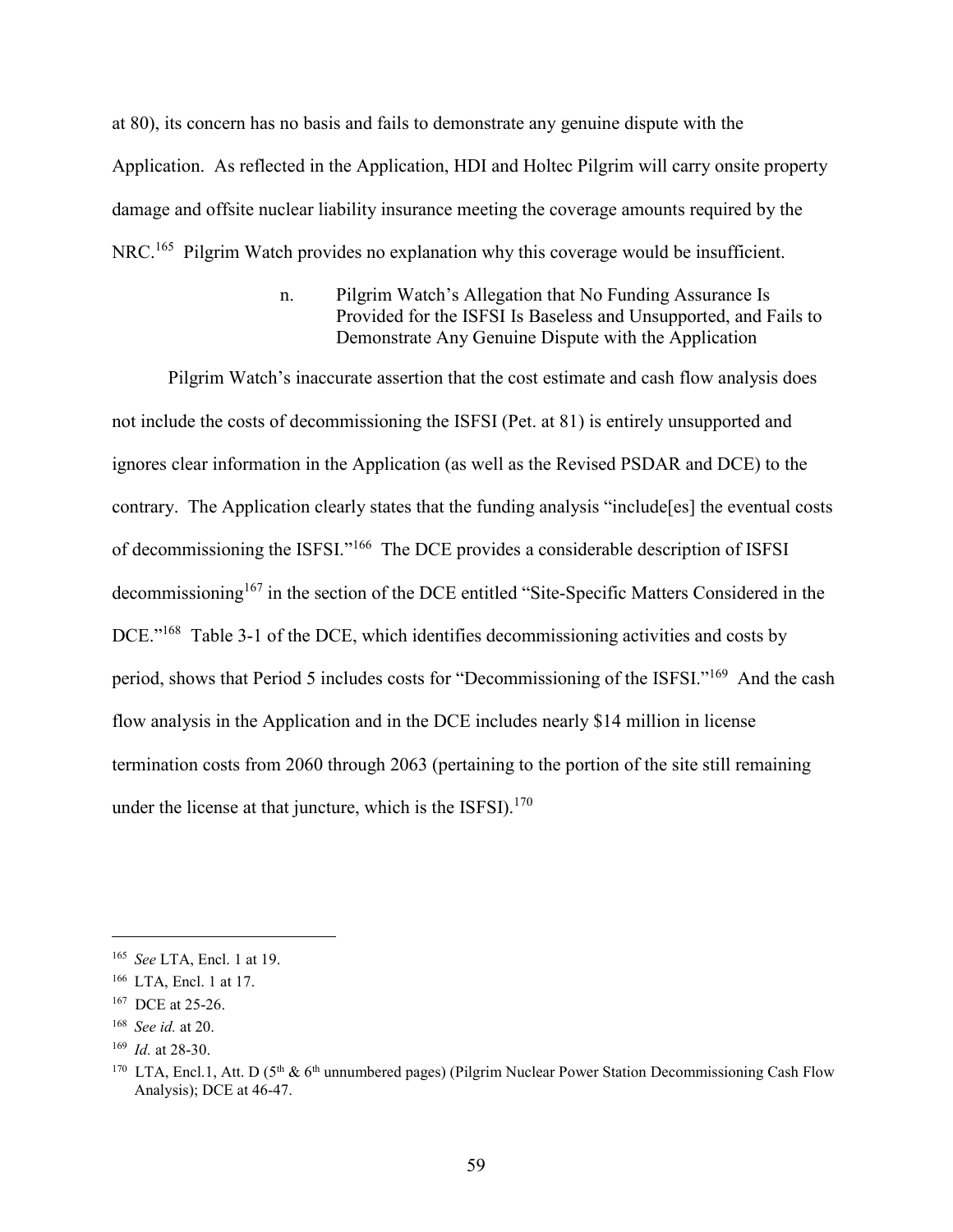at 80), its concern has no basis and fails to demonstrate any genuine dispute with the Application. As reflected in the Application, HDI and Holtec Pilgrim will carry onsite property damage and offsite nuclear liability insurance meeting the coverage amounts required by the NRC.<sup>165</sup> Pilgrim Watch provides no explanation why this coverage would be insufficient.

> n. Pilgrim Watch's Allegation that No Funding Assurance Is Provided for the ISFSI Is Baseless and Unsupported, and Fails to Demonstrate Any Genuine Dispute with the Application

Pilgrim Watch's inaccurate assertion that the cost estimate and cash flow analysis does not include the costs of decommissioning the ISFSI (Pet. at 81) is entirely unsupported and ignores clear information in the Application (as well as the Revised PSDAR and DCE) to the contrary. The Application clearly states that the funding analysis "include[es] the eventual costs of decommissioning the ISFSI."166 The DCE provides a considerable description of ISFSI decommissioning<sup>167</sup> in the section of the DCE entitled "Site-Specific Matters Considered in the DCE."<sup>168</sup> Table 3-1 of the DCE, which identifies decommissioning activities and costs by period, shows that Period 5 includes costs for "Decommissioning of the ISFSI."169 And the cash flow analysis in the Application and in the DCE includes nearly \$14 million in license termination costs from 2060 through 2063 (pertaining to the portion of the site still remaining under the license at that juncture, which is the ISFSI $1^{170}$ 

 <sup>165</sup> *See* LTA, Encl. 1 at 19.

<sup>166</sup> LTA, Encl. 1 at 17.

<sup>&</sup>lt;sup>167</sup> DCE at 25-26.

<sup>168</sup> *See id.* at 20.

<sup>169</sup> *Id.* at 28-30.

<sup>&</sup>lt;sup>170</sup> LTA, Encl.1, Att. D (5<sup>th</sup> & 6<sup>th</sup> unnumbered pages) (Pilgrim Nuclear Power Station Decommissioning Cash Flow Analysis); DCE at 46-47.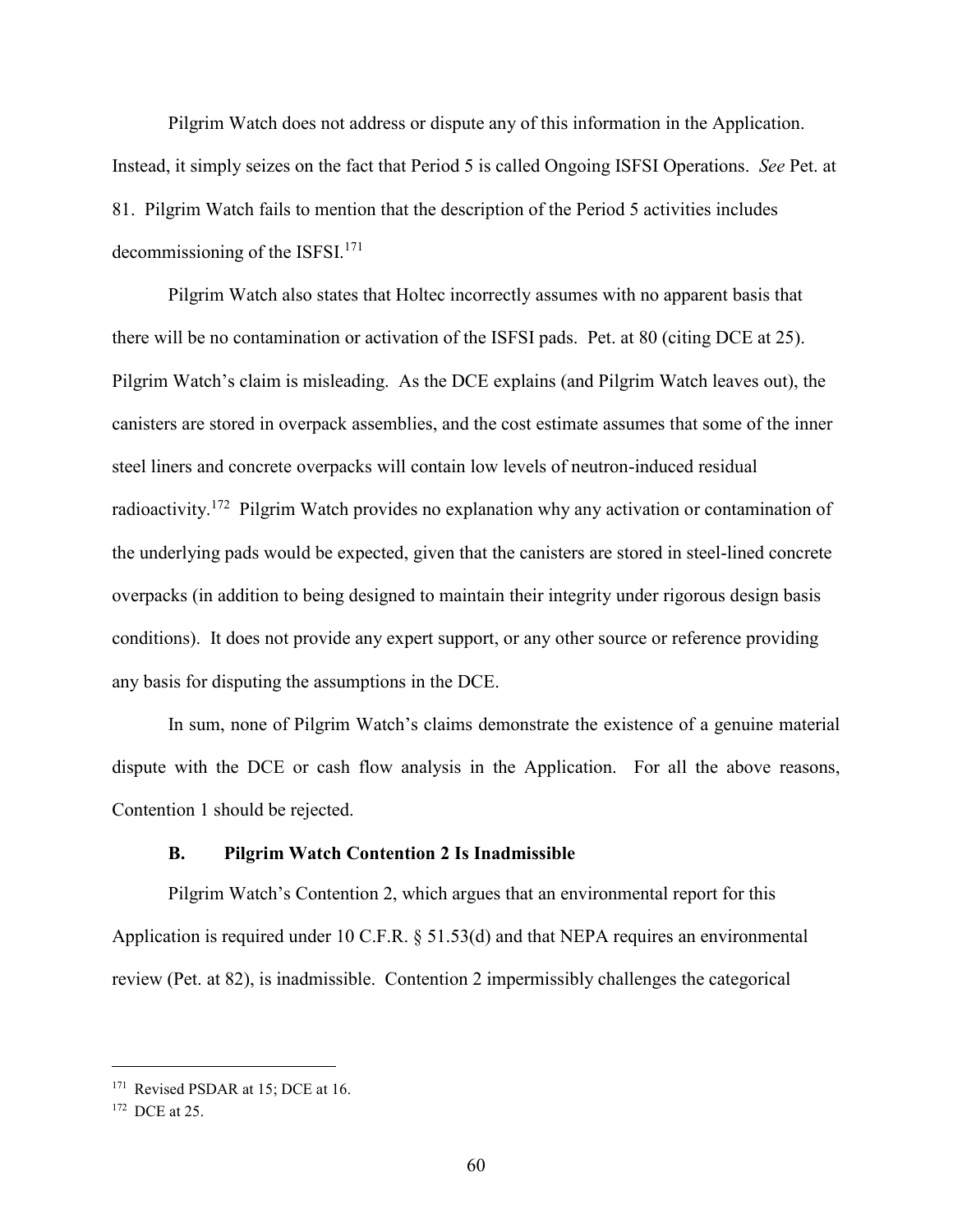Pilgrim Watch does not address or dispute any of this information in the Application. Instead, it simply seizes on the fact that Period 5 is called Ongoing ISFSI Operations. *See* Pet. at 81. Pilgrim Watch fails to mention that the description of the Period 5 activities includes decommissioning of the ISFSI.<sup>171</sup>

Pilgrim Watch also states that Holtec incorrectly assumes with no apparent basis that there will be no contamination or activation of the ISFSI pads. Pet. at 80 (citing DCE at 25). Pilgrim Watch's claim is misleading. As the DCE explains (and Pilgrim Watch leaves out), the canisters are stored in overpack assemblies, and the cost estimate assumes that some of the inner steel liners and concrete overpacks will contain low levels of neutron-induced residual radioactivity.<sup>172</sup> Pilgrim Watch provides no explanation why any activation or contamination of the underlying pads would be expected, given that the canisters are stored in steel-lined concrete overpacks (in addition to being designed to maintain their integrity under rigorous design basis conditions). It does not provide any expert support, or any other source or reference providing any basis for disputing the assumptions in the DCE.

In sum, none of Pilgrim Watch's claims demonstrate the existence of a genuine material dispute with the DCE or cash flow analysis in the Application. For all the above reasons, Contention 1 should be rejected.

## **B. Pilgrim Watch Contention 2 Is Inadmissible**

Pilgrim Watch's Contention 2, which argues that an environmental report for this Application is required under 10 C.F.R. § 51.53(d) and that NEPA requires an environmental review (Pet. at 82), is inadmissible. Contention 2 impermissibly challenges the categorical

<sup>&</sup>lt;sup>171</sup> Revised PSDAR at 15; DCE at 16.

<sup>172</sup> DCE at 25.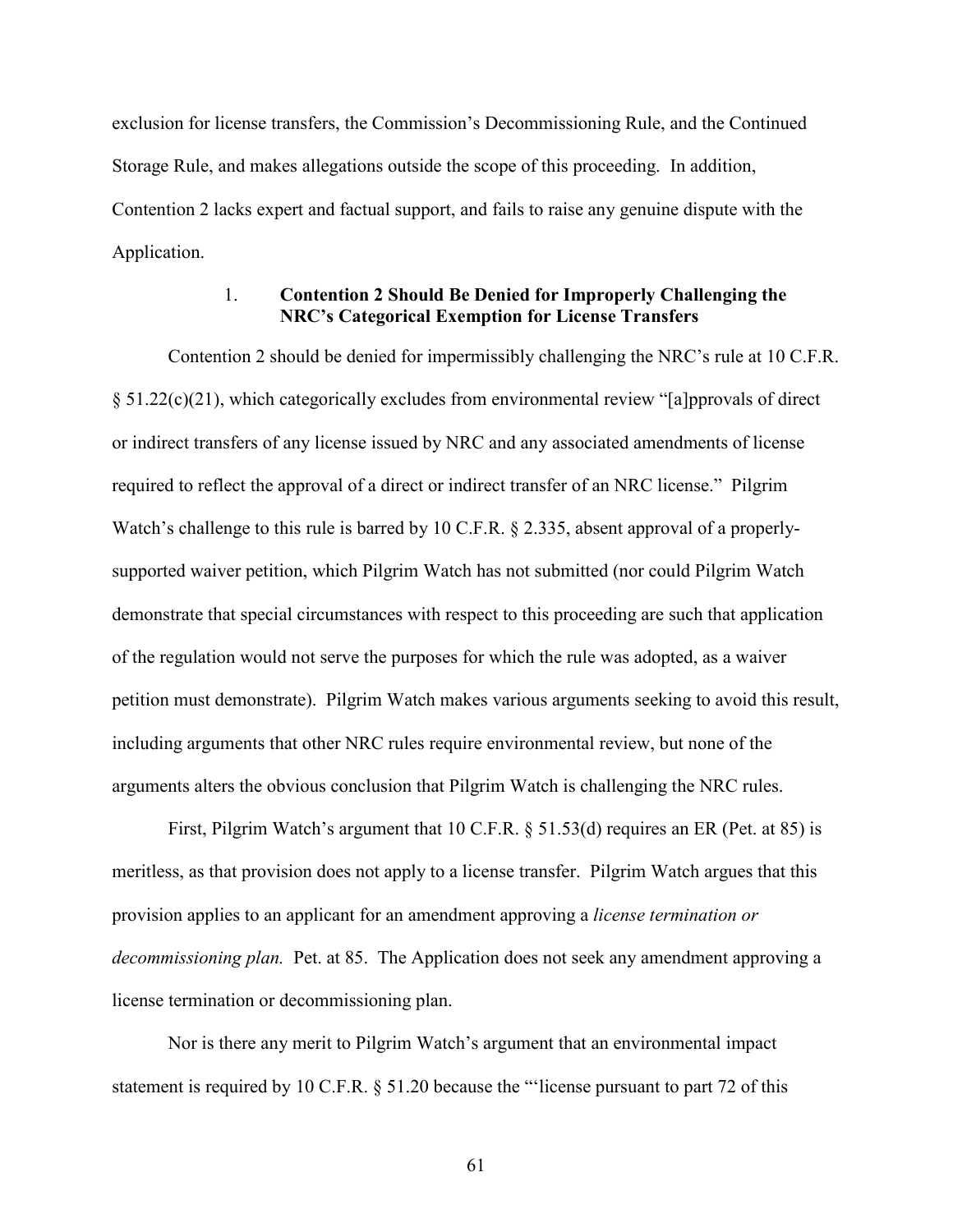exclusion for license transfers, the Commission's Decommissioning Rule, and the Continued Storage Rule, and makes allegations outside the scope of this proceeding. In addition, Contention 2 lacks expert and factual support, and fails to raise any genuine dispute with the Application.

## 1. **Contention 2 Should Be Denied for Improperly Challenging the NRC's Categorical Exemption for License Transfers**

Contention 2 should be denied for impermissibly challenging the NRC's rule at 10 C.F.R.  $\S 51.22(c)(21)$ , which categorically excludes from environmental review "[a]pprovals of direct or indirect transfers of any license issued by NRC and any associated amendments of license required to reflect the approval of a direct or indirect transfer of an NRC license." Pilgrim Watch's challenge to this rule is barred by 10 C.F.R. § 2.335, absent approval of a properlysupported waiver petition, which Pilgrim Watch has not submitted (nor could Pilgrim Watch demonstrate that special circumstances with respect to this proceeding are such that application of the regulation would not serve the purposes for which the rule was adopted, as a waiver petition must demonstrate). Pilgrim Watch makes various arguments seeking to avoid this result, including arguments that other NRC rules require environmental review, but none of the arguments alters the obvious conclusion that Pilgrim Watch is challenging the NRC rules.

First, Pilgrim Watch's argument that 10 C.F.R. § 51.53(d) requires an ER (Pet. at 85) is meritless, as that provision does not apply to a license transfer. Pilgrim Watch argues that this provision applies to an applicant for an amendment approving a *license termination or decommissioning plan.* Pet. at 85. The Application does not seek any amendment approving a license termination or decommissioning plan.

Nor is there any merit to Pilgrim Watch's argument that an environmental impact statement is required by 10 C.F.R. § 51.20 because the "'license pursuant to part 72 of this

61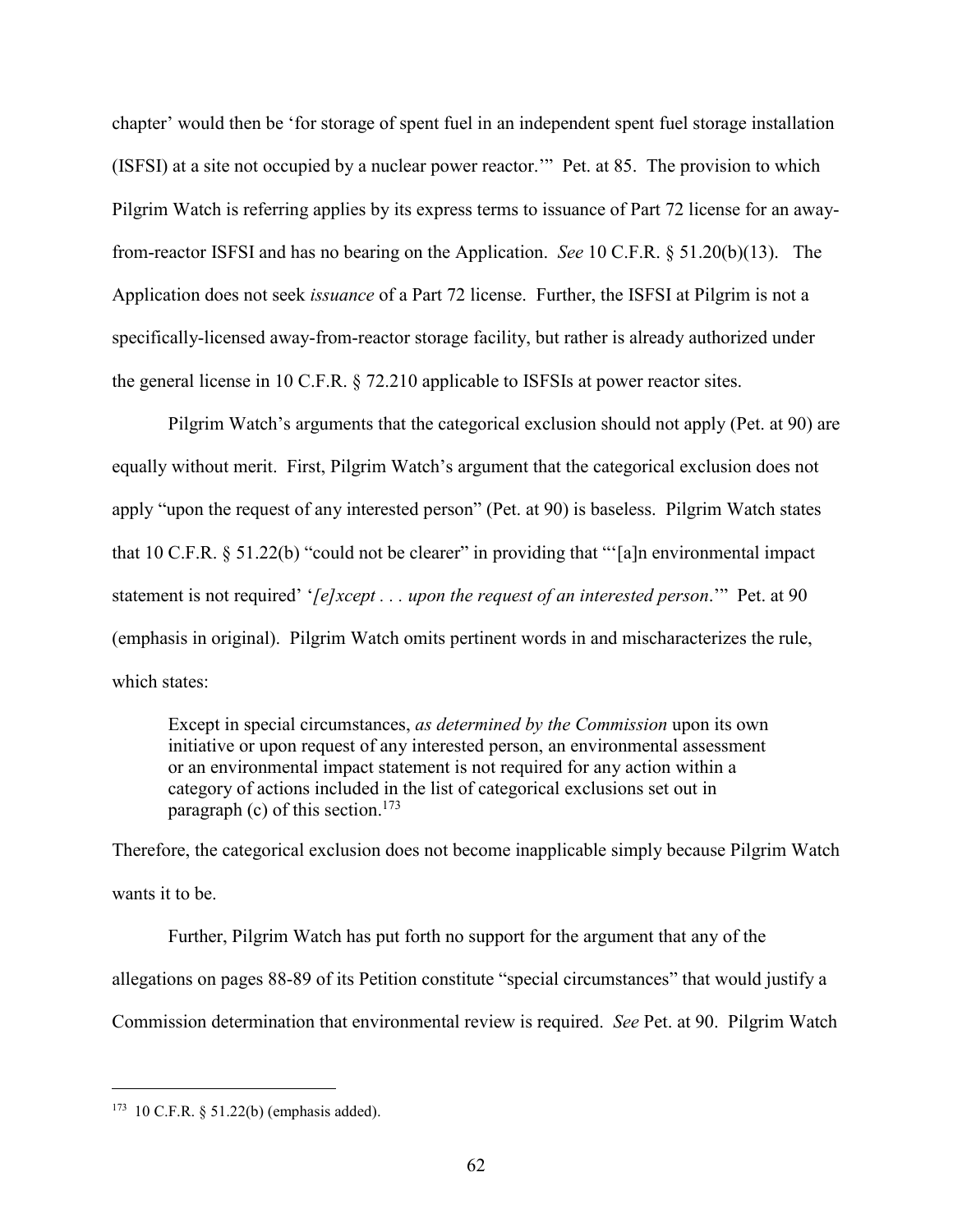chapter' would then be 'for storage of spent fuel in an independent spent fuel storage installation (ISFSI) at a site not occupied by a nuclear power reactor.'" Pet. at 85. The provision to which Pilgrim Watch is referring applies by its express terms to issuance of Part 72 license for an awayfrom-reactor ISFSI and has no bearing on the Application. *See* 10 C.F.R. § 51.20(b)(13). The Application does not seek *issuance* of a Part 72 license. Further, the ISFSI at Pilgrim is not a specifically-licensed away-from-reactor storage facility, but rather is already authorized under the general license in 10 C.F.R. § 72.210 applicable to ISFSIs at power reactor sites.

Pilgrim Watch's arguments that the categorical exclusion should not apply (Pet. at 90) are equally without merit. First, Pilgrim Watch's argument that the categorical exclusion does not apply "upon the request of any interested person" (Pet. at 90) is baseless. Pilgrim Watch states that 10 C.F.R. § 51.22(b) "could not be clearer" in providing that "'[a]n environmental impact statement is not required' '*[e]xcept . . . upon the request of an interested person*.'" Pet. at 90 (emphasis in original). Pilgrim Watch omits pertinent words in and mischaracterizes the rule, which states:

Except in special circumstances, *as determined by the Commission* upon its own initiative or upon request of any interested person, an environmental assessment or an environmental impact statement is not required for any action within a category of actions included in the list of categorical exclusions set out in paragraph (c) of this section.<sup>173</sup>

Therefore, the categorical exclusion does not become inapplicable simply because Pilgrim Watch wants it to be.

Further, Pilgrim Watch has put forth no support for the argument that any of the allegations on pages 88-89 of its Petition constitute "special circumstances" that would justify a Commission determination that environmental review is required. *See* Pet. at 90. Pilgrim Watch

 $173$  10 C.F.R. § 51.22(b) (emphasis added).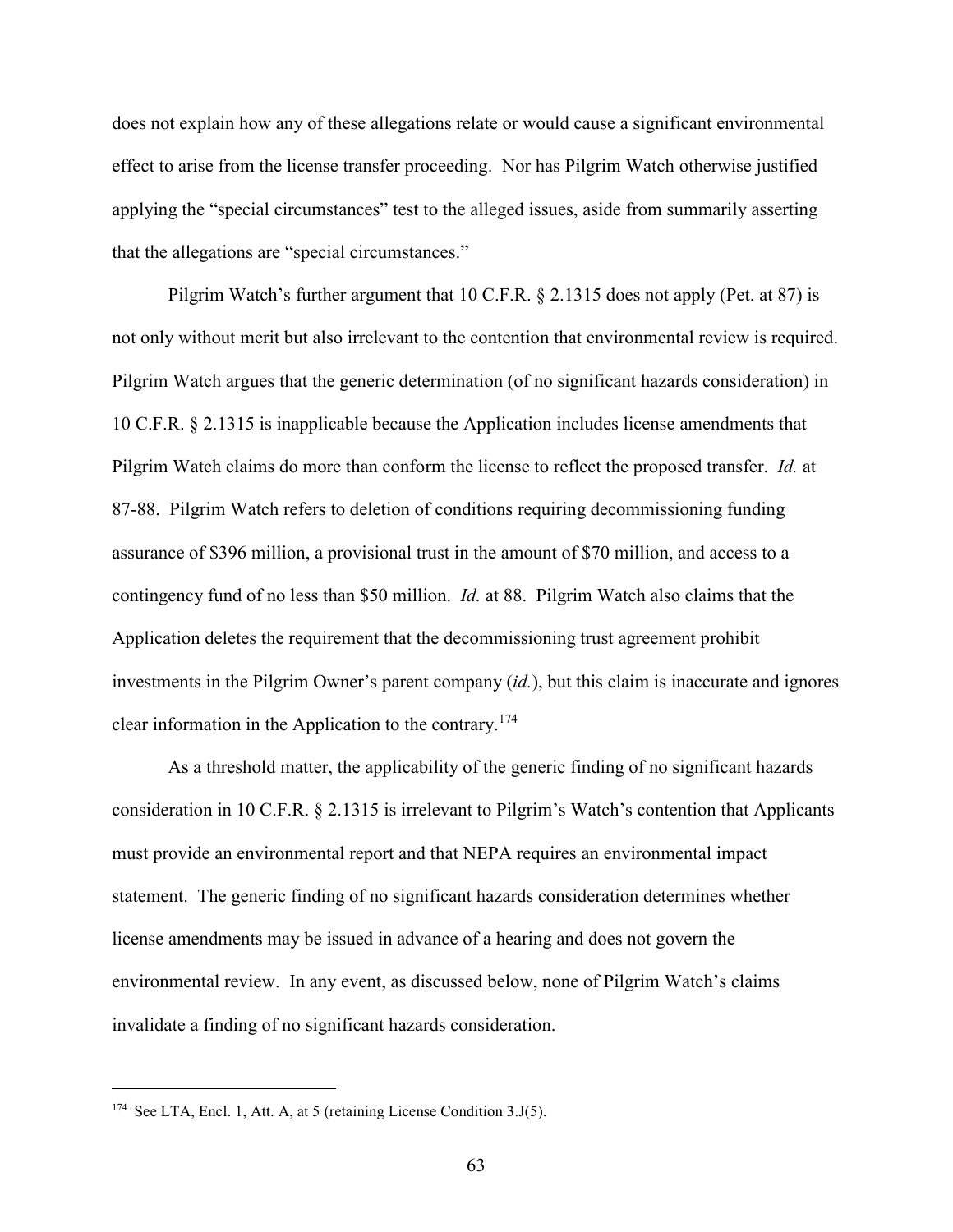does not explain how any of these allegations relate or would cause a significant environmental effect to arise from the license transfer proceeding. Nor has Pilgrim Watch otherwise justified applying the "special circumstances" test to the alleged issues, aside from summarily asserting that the allegations are "special circumstances."

Pilgrim Watch's further argument that 10 C.F.R. § 2.1315 does not apply (Pet. at 87) is not only without merit but also irrelevant to the contention that environmental review is required. Pilgrim Watch argues that the generic determination (of no significant hazards consideration) in 10 C.F.R. § 2.1315 is inapplicable because the Application includes license amendments that Pilgrim Watch claims do more than conform the license to reflect the proposed transfer. *Id.* at 87-88. Pilgrim Watch refers to deletion of conditions requiring decommissioning funding assurance of \$396 million, a provisional trust in the amount of \$70 million, and access to a contingency fund of no less than \$50 million. *Id.* at 88. Pilgrim Watch also claims that the Application deletes the requirement that the decommissioning trust agreement prohibit investments in the Pilgrim Owner's parent company (*id.*), but this claim is inaccurate and ignores clear information in the Application to the contrary. 174

As a threshold matter, the applicability of the generic finding of no significant hazards consideration in 10 C.F.R. § 2.1315 is irrelevant to Pilgrim's Watch's contention that Applicants must provide an environmental report and that NEPA requires an environmental impact statement. The generic finding of no significant hazards consideration determines whether license amendments may be issued in advance of a hearing and does not govern the environmental review. In any event, as discussed below, none of Pilgrim Watch's claims invalidate a finding of no significant hazards consideration.

 <sup>174</sup> See LTA, Encl. 1, Att. A, at 5 (retaining License Condition 3.J(5).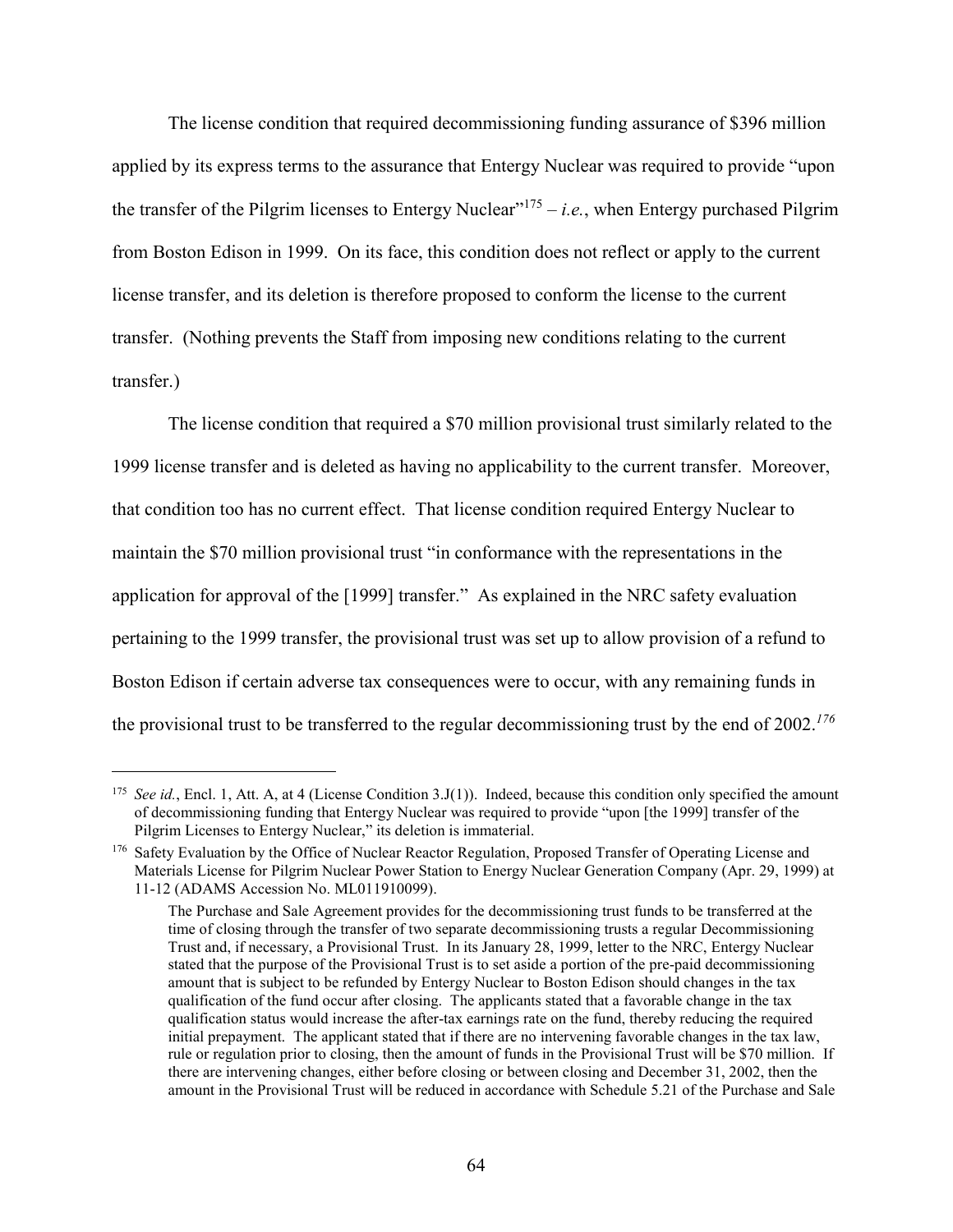The license condition that required decommissioning funding assurance of \$396 million applied by its express terms to the assurance that Entergy Nuclear was required to provide "upon the transfer of the Pilgrim licenses to Entergy Nuclear<sup> $175$ </sup> – *i.e.*, when Entergy purchased Pilgrim from Boston Edison in 1999. On its face, this condition does not reflect or apply to the current license transfer, and its deletion is therefore proposed to conform the license to the current transfer. (Nothing prevents the Staff from imposing new conditions relating to the current transfer.)

The license condition that required a \$70 million provisional trust similarly related to the 1999 license transfer and is deleted as having no applicability to the current transfer. Moreover, that condition too has no current effect. That license condition required Entergy Nuclear to maintain the \$70 million provisional trust "in conformance with the representations in the application for approval of the [1999] transfer." As explained in the NRC safety evaluation pertaining to the 1999 transfer, the provisional trust was set up to allow provision of a refund to Boston Edison if certain adverse tax consequences were to occur, with any remaining funds in the provisional trust to be transferred to the regular decommissioning trust by the end of 2002.*<sup>176</sup>*

 <sup>175</sup> *See id.*, Encl. 1, Att. A, at 4 (License Condition 3.J(1)). Indeed, because this condition only specified the amount of decommissioning funding that Entergy Nuclear was required to provide "upon [the 1999] transfer of the Pilgrim Licenses to Entergy Nuclear," its deletion is immaterial.

<sup>&</sup>lt;sup>176</sup> Safety Evaluation by the Office of Nuclear Reactor Regulation, Proposed Transfer of Operating License and Materials License for Pilgrim Nuclear Power Station to Energy Nuclear Generation Company (Apr. 29, 1999) at 11-12 (ADAMS Accession No. ML011910099).

The Purchase and Sale Agreement provides for the decommissioning trust funds to be transferred at the time of closing through the transfer of two separate decommissioning trusts a regular Decommissioning Trust and, if necessary, a Provisional Trust. In its January 28, 1999, letter to the NRC, Entergy Nuclear stated that the purpose of the Provisional Trust is to set aside a portion of the pre-paid decommissioning amount that is subject to be refunded by Entergy Nuclear to Boston Edison should changes in the tax qualification of the fund occur after closing. The applicants stated that a favorable change in the tax qualification status would increase the after-tax earnings rate on the fund, thereby reducing the required initial prepayment. The applicant stated that if there are no intervening favorable changes in the tax law, rule or regulation prior to closing, then the amount of funds in the Provisional Trust will be \$70 million. If there are intervening changes, either before closing or between closing and December 31, 2002, then the amount in the Provisional Trust will be reduced in accordance with Schedule 5.21 of the Purchase and Sale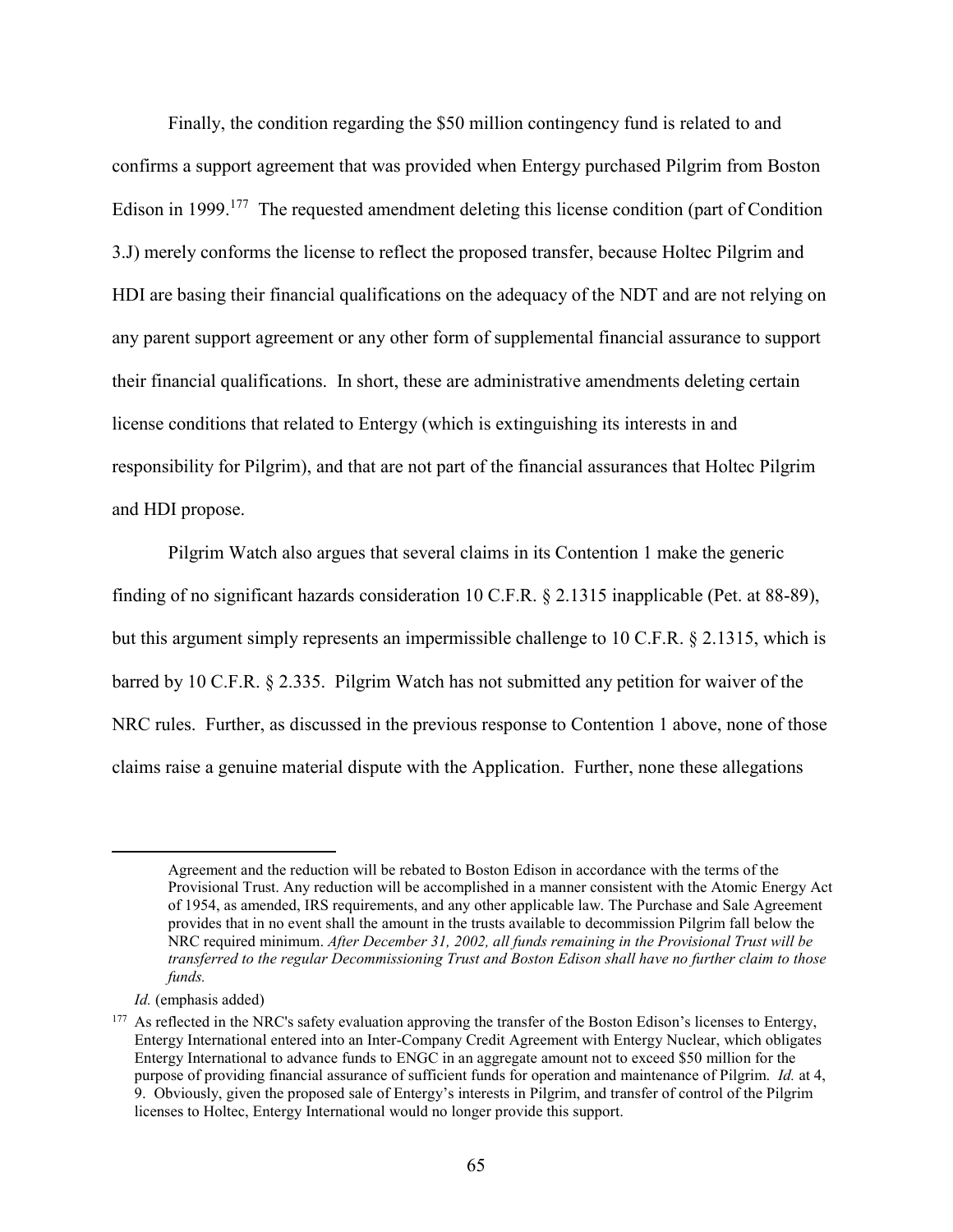Finally, the condition regarding the \$50 million contingency fund is related to and confirms a support agreement that was provided when Entergy purchased Pilgrim from Boston Edison in 1999.<sup>177</sup> The requested amendment deleting this license condition (part of Condition 3.J) merely conforms the license to reflect the proposed transfer, because Holtec Pilgrim and HDI are basing their financial qualifications on the adequacy of the NDT and are not relying on any parent support agreement or any other form of supplemental financial assurance to support their financial qualifications. In short, these are administrative amendments deleting certain license conditions that related to Entergy (which is extinguishing its interests in and responsibility for Pilgrim), and that are not part of the financial assurances that Holtec Pilgrim and HDI propose.

Pilgrim Watch also argues that several claims in its Contention 1 make the generic finding of no significant hazards consideration 10 C.F.R. § 2.1315 inapplicable (Pet. at 88-89), but this argument simply represents an impermissible challenge to 10 C.F.R. § 2.1315, which is barred by 10 C.F.R. § 2.335. Pilgrim Watch has not submitted any petition for waiver of the NRC rules. Further, as discussed in the previous response to Contention 1 above, none of those claims raise a genuine material dispute with the Application. Further, none these allegations

<u>.</u>

Agreement and the reduction will be rebated to Boston Edison in accordance with the terms of the Provisional Trust. Any reduction will be accomplished in a manner consistent with the Atomic Energy Act of 1954, as amended, IRS requirements, and any other applicable law. The Purchase and Sale Agreement provides that in no event shall the amount in the trusts available to decommission Pilgrim fall below the NRC required minimum. *After December 31, 2002, all funds remaining in the Provisional Trust will be transferred to the regular Decommissioning Trust and Boston Edison shall have no further claim to those funds.*

*Id.* (emphasis added)

<sup>&</sup>lt;sup>177</sup> As reflected in the NRC's safety evaluation approving the transfer of the Boston Edison's licenses to Entergy, Entergy International entered into an Inter-Company Credit Agreement with Entergy Nuclear, which obligates Entergy International to advance funds to ENGC in an aggregate amount not to exceed \$50 million for the purpose of providing financial assurance of sufficient funds for operation and maintenance of Pilgrim. *Id.* at 4, 9. Obviously, given the proposed sale of Entergy's interests in Pilgrim, and transfer of control of the Pilgrim licenses to Holtec, Entergy International would no longer provide this support.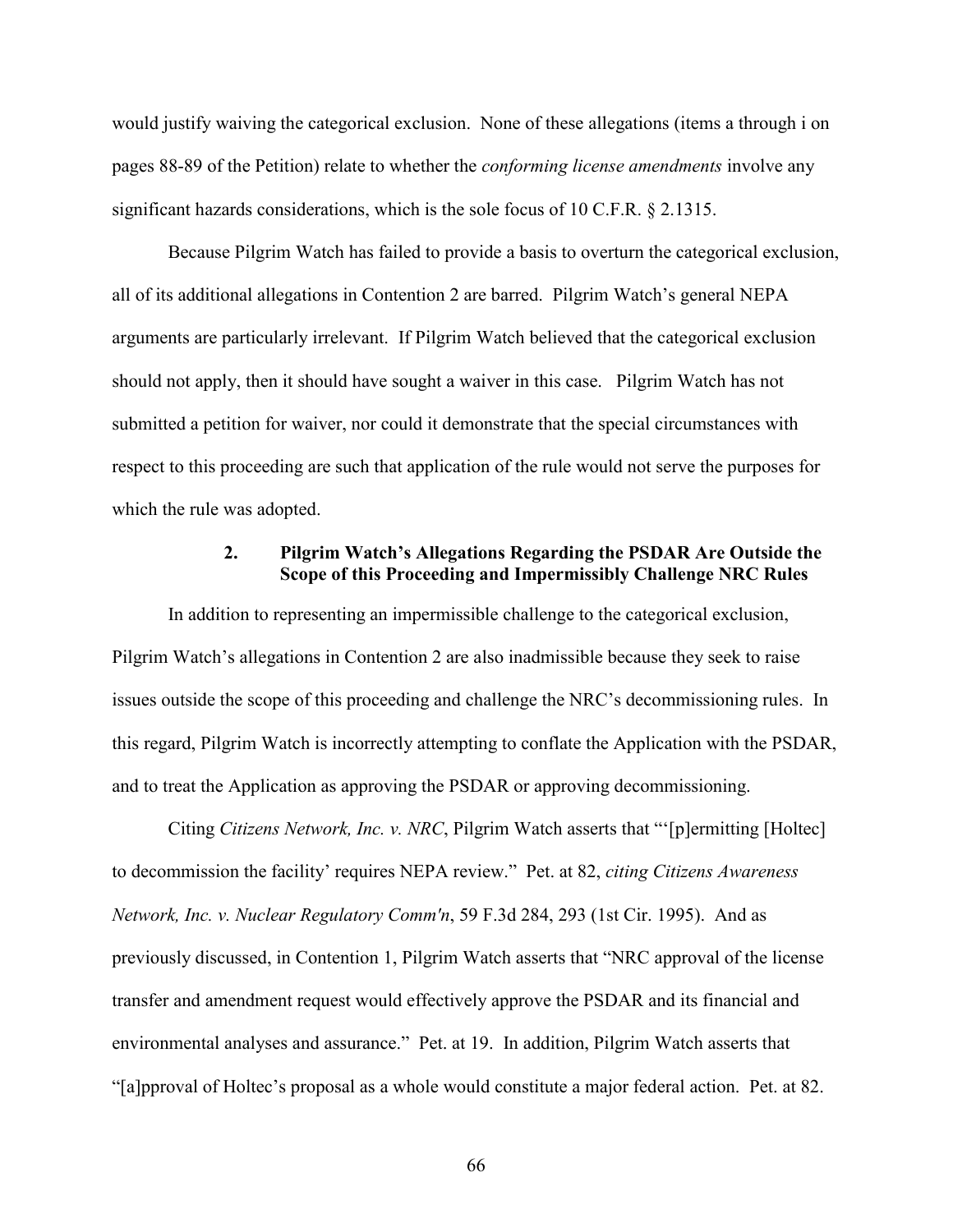would justify waiving the categorical exclusion. None of these allegations (items a through i on pages 88-89 of the Petition) relate to whether the *conforming license amendments* involve any significant hazards considerations, which is the sole focus of 10 C.F.R. § 2.1315.

Because Pilgrim Watch has failed to provide a basis to overturn the categorical exclusion, all of its additional allegations in Contention 2 are barred. Pilgrim Watch's general NEPA arguments are particularly irrelevant. If Pilgrim Watch believed that the categorical exclusion should not apply, then it should have sought a waiver in this case. Pilgrim Watch has not submitted a petition for waiver, nor could it demonstrate that the special circumstances with respect to this proceeding are such that application of the rule would not serve the purposes for which the rule was adopted.

## **2. Pilgrim Watch's Allegations Regarding the PSDAR Are Outside the Scope of this Proceeding and Impermissibly Challenge NRC Rules**

In addition to representing an impermissible challenge to the categorical exclusion, Pilgrim Watch's allegations in Contention 2 are also inadmissible because they seek to raise issues outside the scope of this proceeding and challenge the NRC's decommissioning rules. In this regard, Pilgrim Watch is incorrectly attempting to conflate the Application with the PSDAR, and to treat the Application as approving the PSDAR or approving decommissioning.

Citing *Citizens Network, Inc. v. NRC*, Pilgrim Watch asserts that "'[p]ermitting [Holtec] to decommission the facility' requires NEPA review." Pet. at 82, *citing Citizens Awareness Network, Inc. v. Nuclear Regulatory Comm'n*, 59 F.3d 284, 293 (1st Cir. 1995). And as previously discussed, in Contention 1, Pilgrim Watch asserts that "NRC approval of the license transfer and amendment request would effectively approve the PSDAR and its financial and environmental analyses and assurance." Pet. at 19. In addition, Pilgrim Watch asserts that "[a]pproval of Holtec's proposal as a whole would constitute a major federal action. Pet. at 82.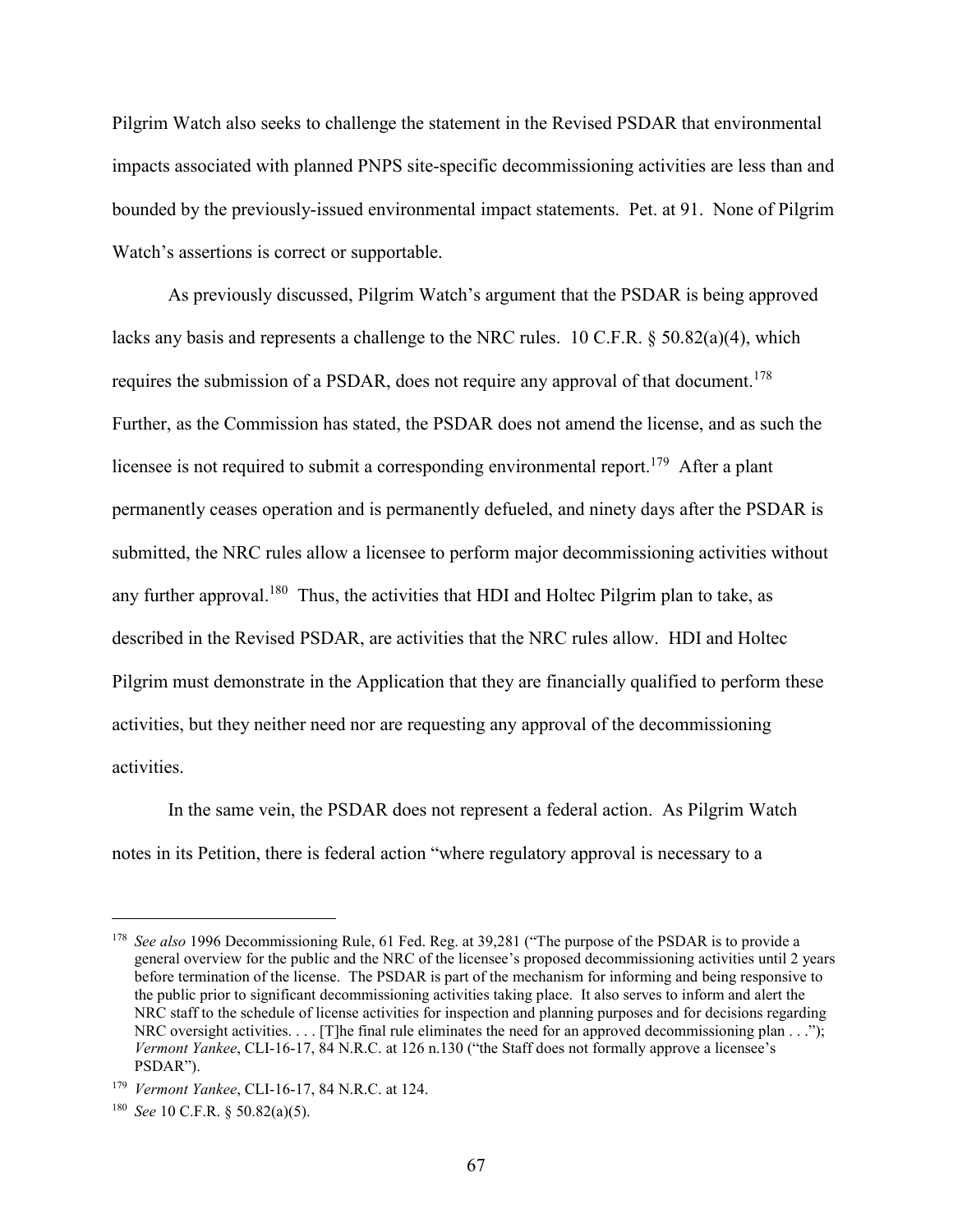Pilgrim Watch also seeks to challenge the statement in the Revised PSDAR that environmental impacts associated with planned PNPS site-specific decommissioning activities are less than and bounded by the previously-issued environmental impact statements. Pet. at 91. None of Pilgrim Watch's assertions is correct or supportable.

As previously discussed, Pilgrim Watch's argument that the PSDAR is being approved lacks any basis and represents a challenge to the NRC rules. 10 C.F.R. § 50.82(a)(4), which requires the submission of a PSDAR, does not require any approval of that document.<sup>178</sup> Further, as the Commission has stated, the PSDAR does not amend the license, and as such the licensee is not required to submit a corresponding environmental report.<sup>179</sup> After a plant permanently ceases operation and is permanently defueled, and ninety days after the PSDAR is submitted, the NRC rules allow a licensee to perform major decommissioning activities without any further approval.<sup>180</sup> Thus, the activities that HDI and Holtec Pilgrim plan to take, as described in the Revised PSDAR, are activities that the NRC rules allow. HDI and Holtec Pilgrim must demonstrate in the Application that they are financially qualified to perform these activities, but they neither need nor are requesting any approval of the decommissioning activities.

In the same vein, the PSDAR does not represent a federal action. As Pilgrim Watch notes in its Petition, there is federal action "where regulatory approval is necessary to a

 <sup>178</sup> *See also* 1996 Decommissioning Rule, 61 Fed. Reg. at 39,281 ("The purpose of the PSDAR is to provide a general overview for the public and the NRC of the licensee's proposed decommissioning activities until 2 years before termination of the license. The PSDAR is part of the mechanism for informing and being responsive to the public prior to significant decommissioning activities taking place. It also serves to inform and alert the NRC staff to the schedule of license activities for inspection and planning purposes and for decisions regarding NRC oversight activities. . . . [T]he final rule eliminates the need for an approved decommissioning plan . . ."); *Vermont Yankee*, CLI-16-17, 84 N.R.C. at 126 n.130 ("the Staff does not formally approve a licensee's PSDAR").

<sup>179</sup> *Vermont Yankee*, CLI-16-17, 84 N.R.C. at 124.

<sup>180</sup> *See* 10 C.F.R. § 50.82(a)(5).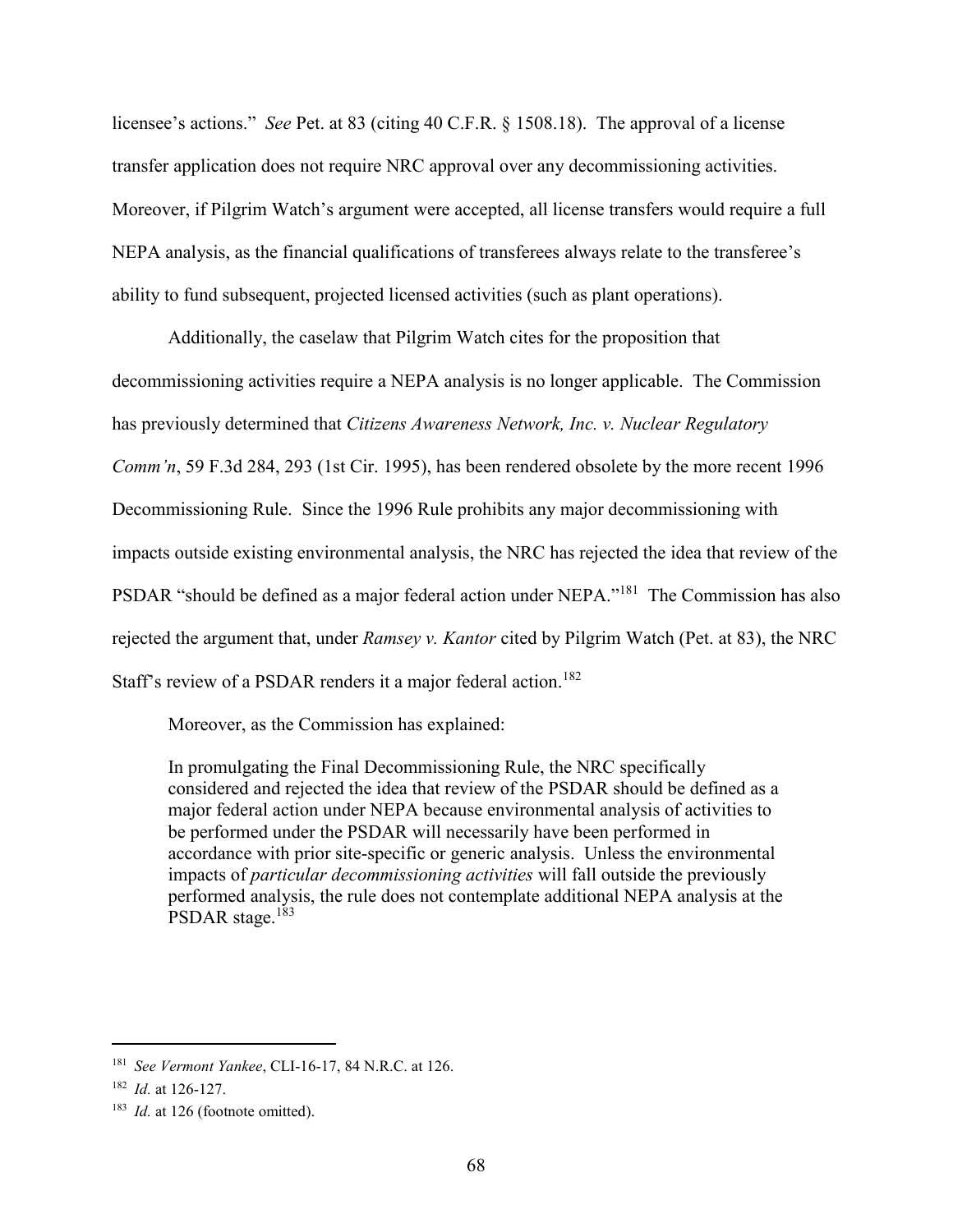licensee's actions." *See* Pet. at 83 (citing 40 C.F.R. § 1508.18). The approval of a license transfer application does not require NRC approval over any decommissioning activities. Moreover, if Pilgrim Watch's argument were accepted, all license transfers would require a full NEPA analysis, as the financial qualifications of transferees always relate to the transferee's ability to fund subsequent, projected licensed activities (such as plant operations).

Additionally, the caselaw that Pilgrim Watch cites for the proposition that decommissioning activities require a NEPA analysis is no longer applicable. The Commission has previously determined that *Citizens Awareness Network, Inc. v. Nuclear Regulatory Comm'n*, 59 F.3d 284, 293 (1st Cir. 1995), has been rendered obsolete by the more recent 1996 Decommissioning Rule. Since the 1996 Rule prohibits any major decommissioning with impacts outside existing environmental analysis, the NRC has rejected the idea that review of the PSDAR "should be defined as a major federal action under NEPA."181 The Commission has also rejected the argument that, under *Ramsey v. Kantor* cited by Pilgrim Watch (Pet. at 83), the NRC Staff's review of a PSDAR renders it a major federal action.<sup>182</sup>

Moreover, as the Commission has explained:

In promulgating the Final Decommissioning Rule, the NRC specifically considered and rejected the idea that review of the PSDAR should be defined as a major federal action under NEPA because environmental analysis of activities to be performed under the PSDAR will necessarily have been performed in accordance with prior site-specific or generic analysis. Unless the environmental impacts of *particular decommissioning activities* will fall outside the previously performed analysis, the rule does not contemplate additional NEPA analysis at the PSDAR stage.<sup>183</sup>

 <sup>181</sup> *See Vermont Yankee*, CLI-16-17, 84 N.R.C. at 126.

<sup>182</sup> *Id.* at 126-127.

<sup>&</sup>lt;sup>183</sup> *Id.* at 126 (footnote omitted).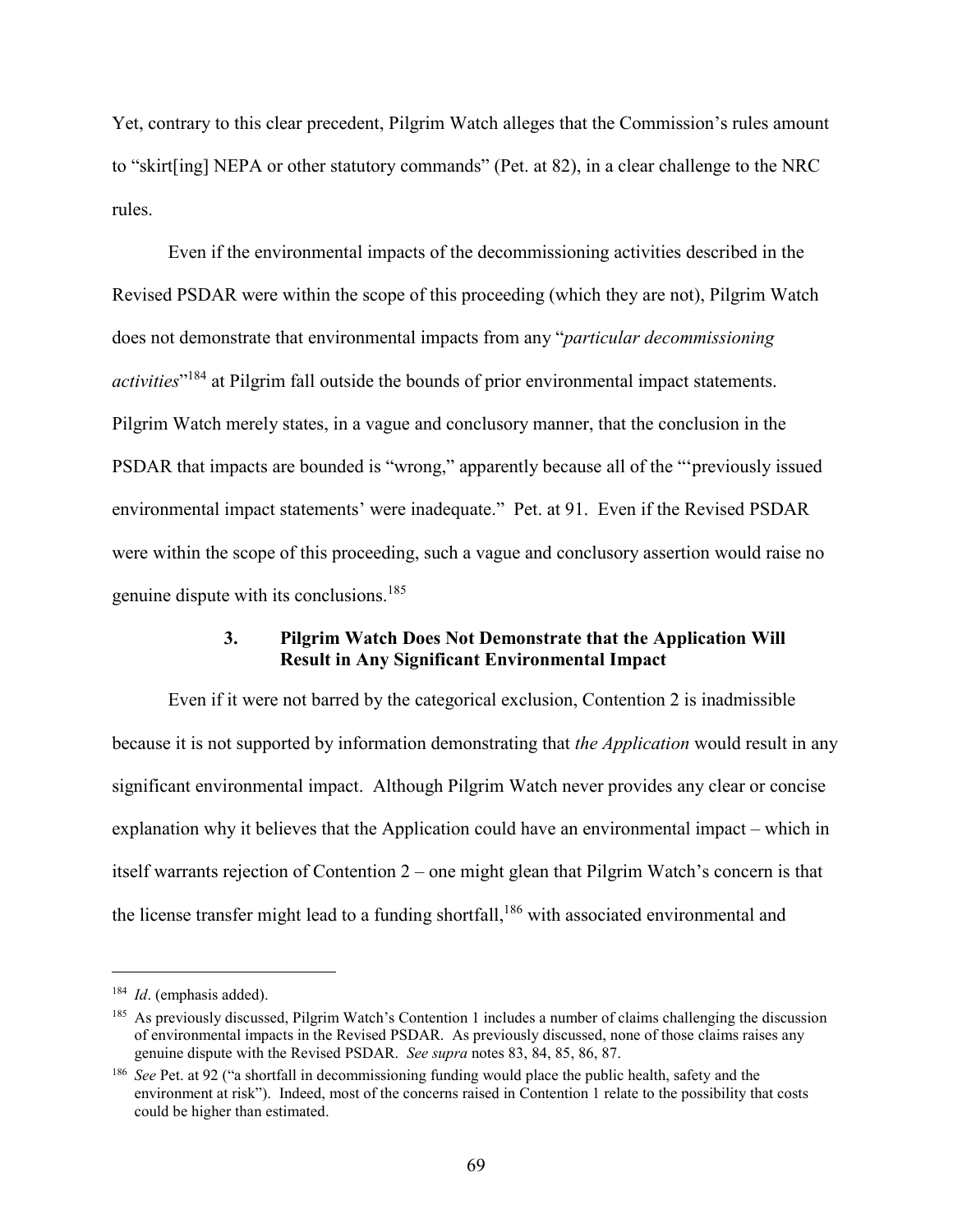Yet, contrary to this clear precedent, Pilgrim Watch alleges that the Commission's rules amount to "skirt[ing] NEPA or other statutory commands" (Pet. at 82), in a clear challenge to the NRC rules.

Even if the environmental impacts of the decommissioning activities described in the Revised PSDAR were within the scope of this proceeding (which they are not), Pilgrim Watch does not demonstrate that environmental impacts from any "*particular decommissioning activities*"184 at Pilgrim fall outside the bounds of prior environmental impact statements. Pilgrim Watch merely states, in a vague and conclusory manner, that the conclusion in the PSDAR that impacts are bounded is "wrong," apparently because all of the "'previously issued environmental impact statements' were inadequate." Pet. at 91. Even if the Revised PSDAR were within the scope of this proceeding, such a vague and conclusory assertion would raise no genuine dispute with its conclusions.185

## **3. Pilgrim Watch Does Not Demonstrate that the Application Will Result in Any Significant Environmental Impact**

Even if it were not barred by the categorical exclusion, Contention 2 is inadmissible because it is not supported by information demonstrating that *the Application* would result in any significant environmental impact. Although Pilgrim Watch never provides any clear or concise explanation why it believes that the Application could have an environmental impact – which in itself warrants rejection of Contention 2 – one might glean that Pilgrim Watch's concern is that the license transfer might lead to a funding shortfall,<sup>186</sup> with associated environmental and

 <sup>184</sup> *Id*. (emphasis added).

<sup>185</sup> As previously discussed, Pilgrim Watch's Contention 1 includes a number of claims challenging the discussion of environmental impacts in the Revised PSDAR. As previously discussed, none of those claims raises any genuine dispute with the Revised PSDAR. *See supra* notes 83, 84, 85, 86, 87.

<sup>186</sup> *See* Pet. at 92 ("a shortfall in decommissioning funding would place the public health, safety and the environment at risk"). Indeed, most of the concerns raised in Contention 1 relate to the possibility that costs could be higher than estimated.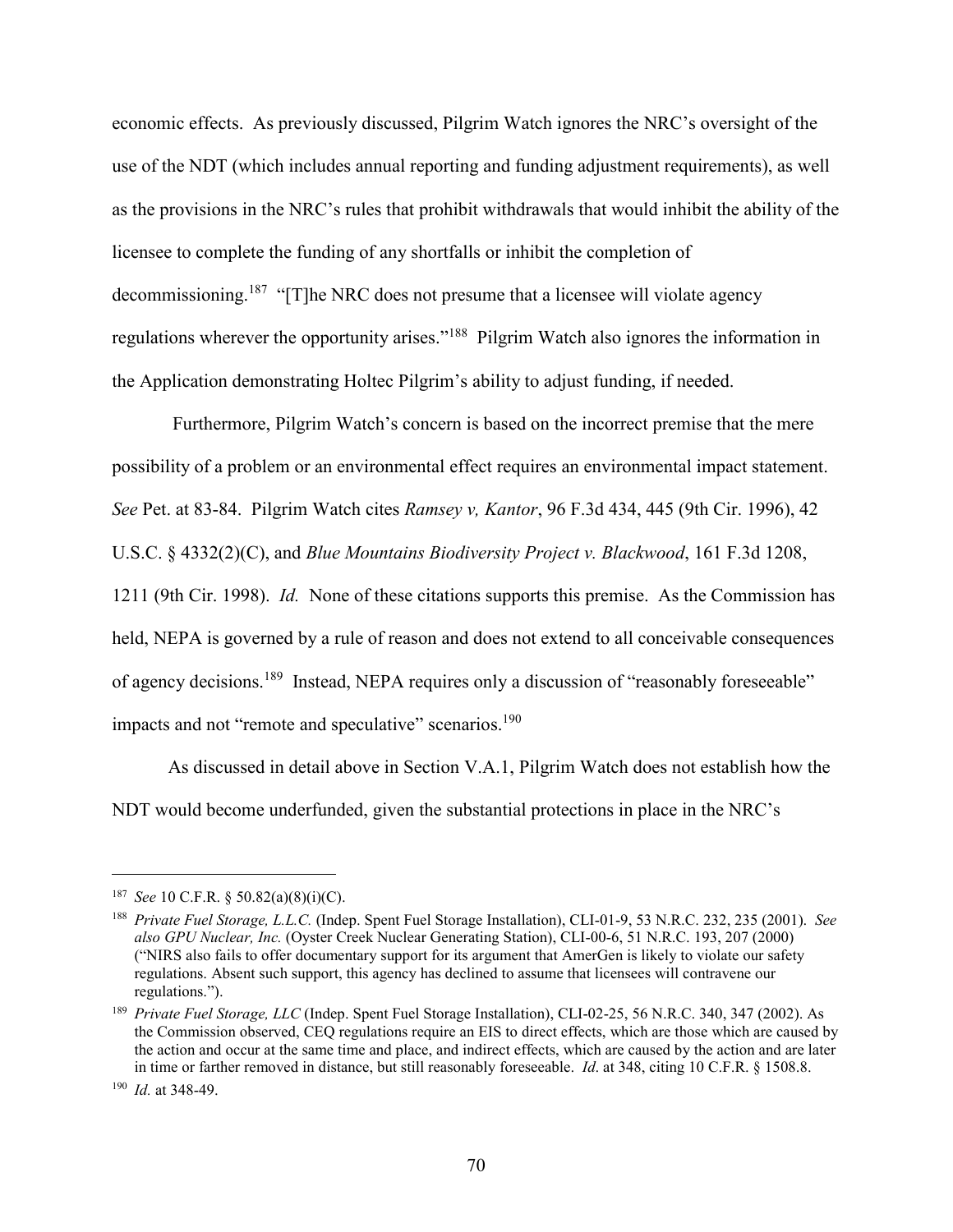economic effects. As previously discussed, Pilgrim Watch ignores the NRC's oversight of the use of the NDT (which includes annual reporting and funding adjustment requirements), as well as the provisions in the NRC's rules that prohibit withdrawals that would inhibit the ability of the licensee to complete the funding of any shortfalls or inhibit the completion of decommissioning.<sup>187</sup> "[T]he NRC does not presume that a licensee will violate agency regulations wherever the opportunity arises."188 Pilgrim Watch also ignores the information in the Application demonstrating Holtec Pilgrim's ability to adjust funding, if needed.

Furthermore, Pilgrim Watch's concern is based on the incorrect premise that the mere possibility of a problem or an environmental effect requires an environmental impact statement. *See* Pet. at 83-84. Pilgrim Watch cites *Ramsey v, Kantor*, 96 F.3d 434, 445 (9th Cir. 1996), 42 U.S.C. § 4332(2)(C), and *Blue Mountains Biodiversity Project v. Blackwood*, 161 F.3d 1208, 1211 (9th Cir. 1998). *Id.* None of these citations supports this premise. As the Commission has held, NEPA is governed by a rule of reason and does not extend to all conceivable consequences of agency decisions.<sup>189</sup> Instead, NEPA requires only a discussion of "reasonably foreseeable" impacts and not "remote and speculative" scenarios.<sup>190</sup>

As discussed in detail above in Section V.A.1, Pilgrim Watch does not establish how the NDT would become underfunded, given the substantial protections in place in the NRC's

 <sup>187</sup> *See* 10 C.F.R. § 50.82(a)(8)(i)(C).

<sup>188</sup> *Private Fuel Storage, L.L.C.* (Indep. Spent Fuel Storage Installation), CLI-01-9, 53 N.R.C. 232, 235 (2001). *See also GPU Nuclear, Inc.* (Oyster Creek Nuclear Generating Station), CLI-00-6, 51 N.R.C. 193, 207 (2000) ("NIRS also fails to offer documentary support for its argument that AmerGen is likely to violate our safety regulations. Absent such support, this agency has declined to assume that licensees will contravene our regulations.").

<sup>189</sup> *Private Fuel Storage, LLC* (Indep. Spent Fuel Storage Installation), CLI-02-25, 56 N.R.C. 340, 347 (2002). As the Commission observed, CEQ regulations require an EIS to direct effects, which are those which are caused by the action and occur at the same time and place, and indirect effects, which are caused by the action and are later in time or farther removed in distance, but still reasonably foreseeable. *Id*. at 348, citing 10 C.F.R. § 1508.8.

<sup>190</sup> *Id.* at 348-49.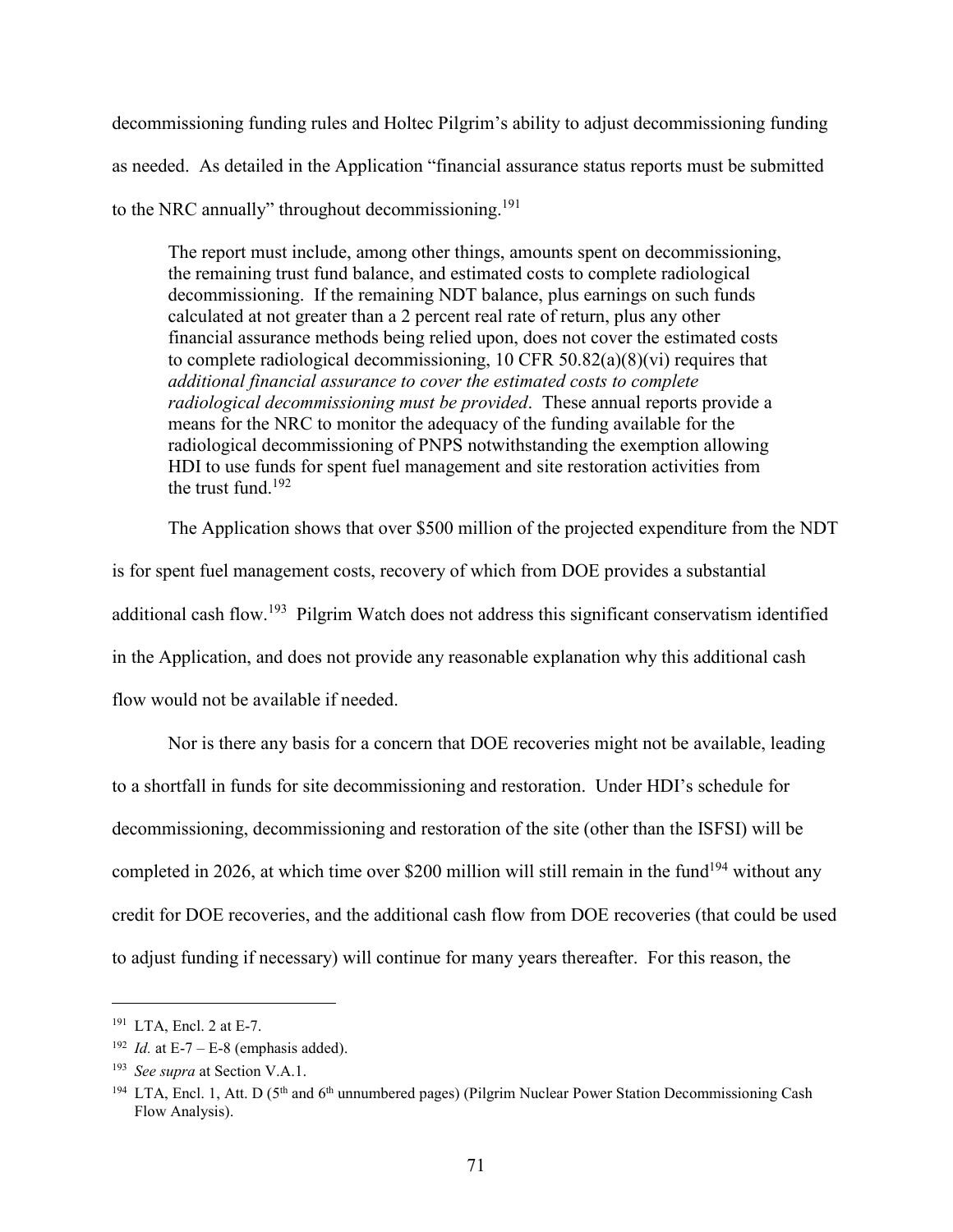decommissioning funding rules and Holtec Pilgrim's ability to adjust decommissioning funding as needed. As detailed in the Application "financial assurance status reports must be submitted to the NRC annually" throughout decommissioning.<sup>191</sup>

The report must include, among other things, amounts spent on decommissioning, the remaining trust fund balance, and estimated costs to complete radiological decommissioning. If the remaining NDT balance, plus earnings on such funds calculated at not greater than a 2 percent real rate of return, plus any other financial assurance methods being relied upon, does not cover the estimated costs to complete radiological decommissioning, 10 CFR 50.82(a)(8)(vi) requires that *additional financial assurance to cover the estimated costs to complete radiological decommissioning must be provided*. These annual reports provide a means for the NRC to monitor the adequacy of the funding available for the radiological decommissioning of PNPS notwithstanding the exemption allowing HDI to use funds for spent fuel management and site restoration activities from the trust fund. $192$ 

The Application shows that over \$500 million of the projected expenditure from the NDT is for spent fuel management costs, recovery of which from DOE provides a substantial additional cash flow.<sup>193</sup> Pilgrim Watch does not address this significant conservatism identified in the Application, and does not provide any reasonable explanation why this additional cash flow would not be available if needed.

Nor is there any basis for a concern that DOE recoveries might not be available, leading to a shortfall in funds for site decommissioning and restoration. Under HDI's schedule for decommissioning, decommissioning and restoration of the site (other than the ISFSI) will be completed in 2026, at which time over \$200 million will still remain in the fund<sup>194</sup> without any credit for DOE recoveries, and the additional cash flow from DOE recoveries (that could be used to adjust funding if necessary) will continue for many years thereafter. For this reason, the

 $191$  LTA, Encl. 2 at E-7.

<sup>&</sup>lt;sup>192</sup> *Id.* at E-7 – E-8 (emphasis added).

<sup>193</sup> *See supra* at Section V.A.1.

<sup>&</sup>lt;sup>194</sup> LTA, Encl. 1, Att. D ( $5<sup>th</sup>$  and  $6<sup>th</sup>$  unnumbered pages) (Pilgrim Nuclear Power Station Decommissioning Cash Flow Analysis).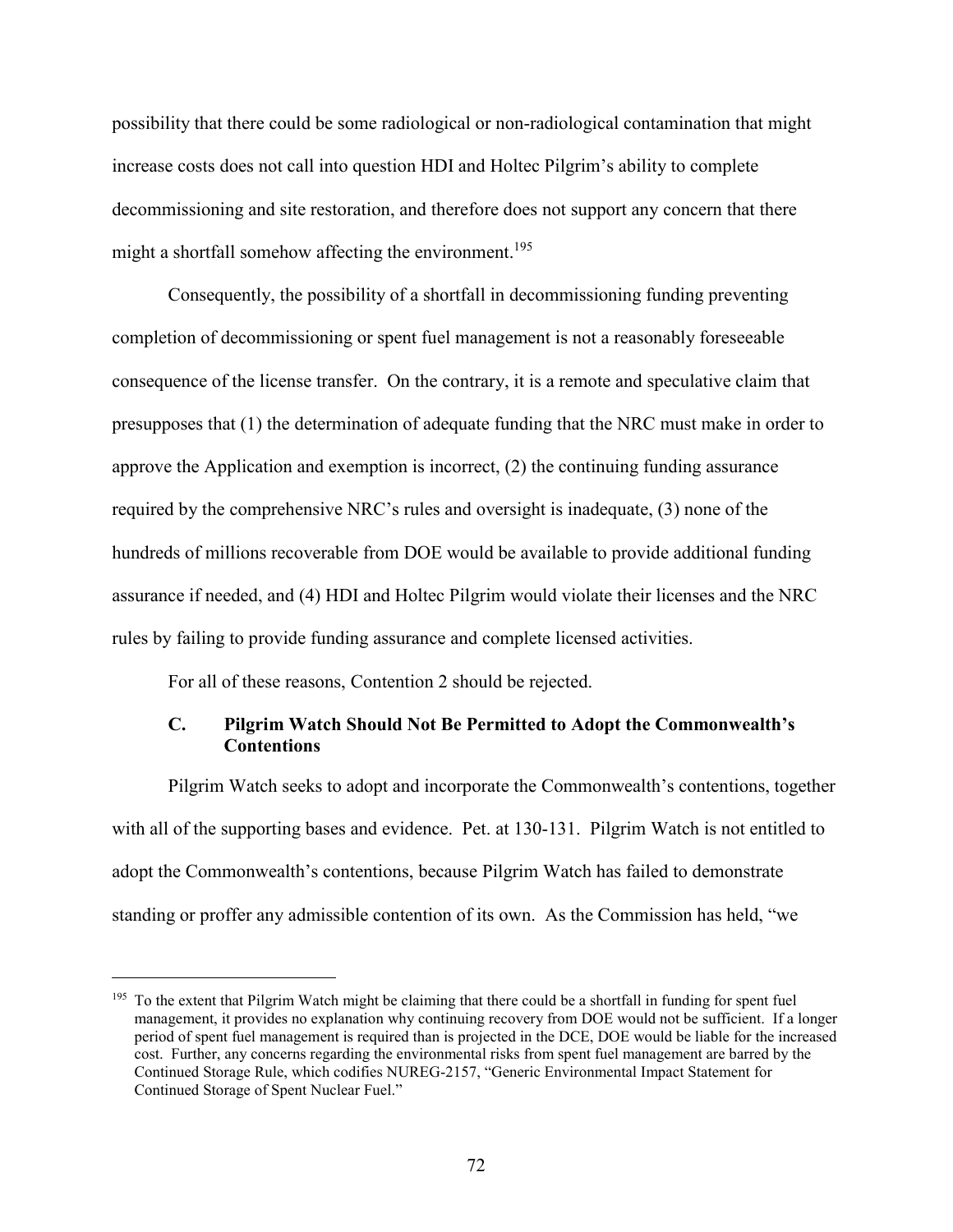possibility that there could be some radiological or non-radiological contamination that might increase costs does not call into question HDI and Holtec Pilgrim's ability to complete decommissioning and site restoration, and therefore does not support any concern that there might a shortfall somehow affecting the environment.<sup>195</sup>

Consequently, the possibility of a shortfall in decommissioning funding preventing completion of decommissioning or spent fuel management is not a reasonably foreseeable consequence of the license transfer. On the contrary, it is a remote and speculative claim that presupposes that (1) the determination of adequate funding that the NRC must make in order to approve the Application and exemption is incorrect, (2) the continuing funding assurance required by the comprehensive NRC's rules and oversight is inadequate, (3) none of the hundreds of millions recoverable from DOE would be available to provide additional funding assurance if needed, and (4) HDI and Holtec Pilgrim would violate their licenses and the NRC rules by failing to provide funding assurance and complete licensed activities.

For all of these reasons, Contention 2 should be rejected.

## **C. Pilgrim Watch Should Not Be Permitted to Adopt the Commonwealth's Contentions**

Pilgrim Watch seeks to adopt and incorporate the Commonwealth's contentions, together with all of the supporting bases and evidence. Pet. at 130-131. Pilgrim Watch is not entitled to adopt the Commonwealth's contentions, because Pilgrim Watch has failed to demonstrate standing or proffer any admissible contention of its own. As the Commission has held, "we

<sup>&</sup>lt;sup>195</sup> To the extent that Pilgrim Watch might be claiming that there could be a shortfall in funding for spent fuel management, it provides no explanation why continuing recovery from DOE would not be sufficient. If a longer period of spent fuel management is required than is projected in the DCE, DOE would be liable for the increased cost. Further, any concerns regarding the environmental risks from spent fuel management are barred by the Continued Storage Rule, which codifies NUREG-2157, "Generic Environmental Impact Statement for Continued Storage of Spent Nuclear Fuel."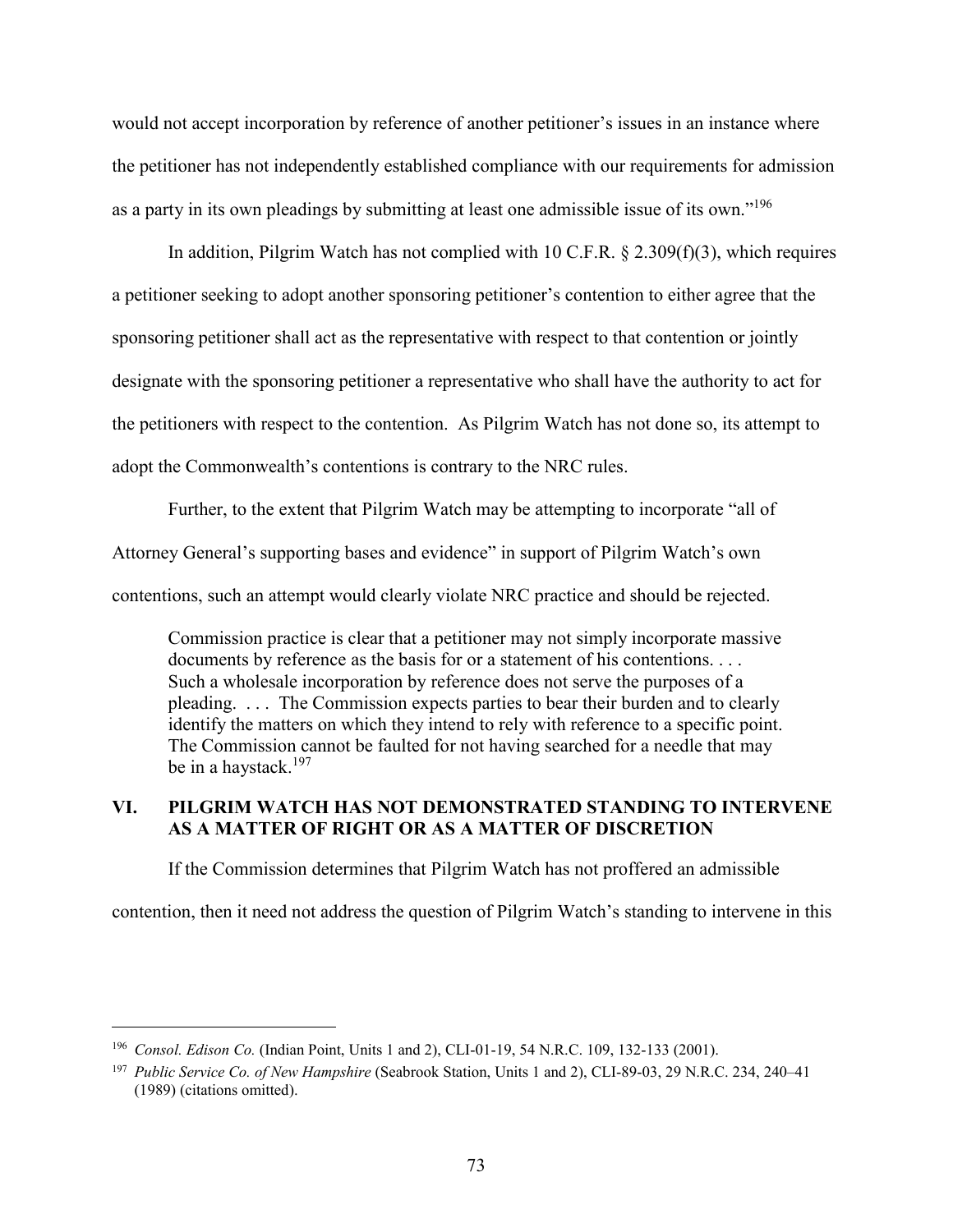would not accept incorporation by reference of another petitioner's issues in an instance where the petitioner has not independently established compliance with our requirements for admission as a party in its own pleadings by submitting at least one admissible issue of its own."<sup>196</sup>

In addition, Pilgrim Watch has not complied with 10 C.F.R.  $\S$  2.309(f)(3), which requires a petitioner seeking to adopt another sponsoring petitioner's contention to either agree that the sponsoring petitioner shall act as the representative with respect to that contention or jointly designate with the sponsoring petitioner a representative who shall have the authority to act for the petitioners with respect to the contention. As Pilgrim Watch has not done so, its attempt to adopt the Commonwealth's contentions is contrary to the NRC rules.

Further, to the extent that Pilgrim Watch may be attempting to incorporate "all of

Attorney General's supporting bases and evidence" in support of Pilgrim Watch's own

contentions, such an attempt would clearly violate NRC practice and should be rejected.

Commission practice is clear that a petitioner may not simply incorporate massive documents by reference as the basis for or a statement of his contentions. . . . Such a wholesale incorporation by reference does not serve the purposes of a pleading. . . . The Commission expects parties to bear their burden and to clearly identify the matters on which they intend to rely with reference to a specific point. The Commission cannot be faulted for not having searched for a needle that may be in a haystack.<sup>197</sup>

# **VI. PILGRIM WATCH HAS NOT DEMONSTRATED STANDING TO INTERVENE AS A MATTER OF RIGHT OR AS A MATTER OF DISCRETION**

If the Commission determines that Pilgrim Watch has not proffered an admissible

contention, then it need not address the question of Pilgrim Watch's standing to intervene in this

 <sup>196</sup> *Consol. Edison Co.* (Indian Point, Units 1 and 2), CLI-01-19, 54 N.R.C. 109, 132-133 (2001).

<sup>197</sup> *Public Service Co. of New Hampshire* (Seabrook Station, Units 1 and 2), CLI-89-03, 29 N.R.C. 234, 240–41 (1989) (citations omitted).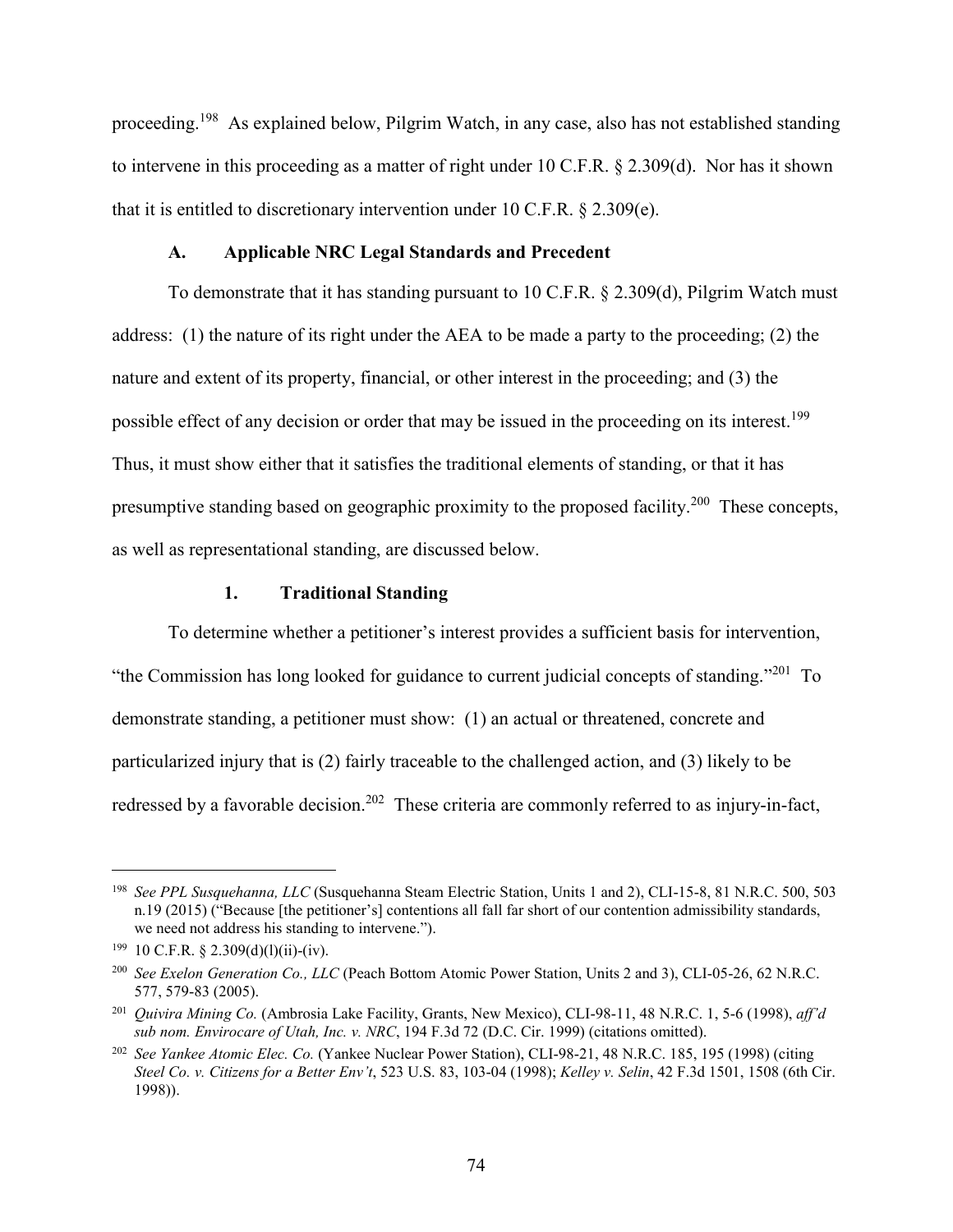proceeding.198 As explained below, Pilgrim Watch, in any case, also has not established standing to intervene in this proceeding as a matter of right under 10 C.F.R. § 2.309(d). Nor has it shown that it is entitled to discretionary intervention under 10 C.F.R. § 2.309(e).

### **A. Applicable NRC Legal Standards and Precedent**

To demonstrate that it has standing pursuant to 10 C.F.R. § 2.309(d), Pilgrim Watch must address: (1) the nature of its right under the AEA to be made a party to the proceeding; (2) the nature and extent of its property, financial, or other interest in the proceeding; and (3) the possible effect of any decision or order that may be issued in the proceeding on its interest.<sup>199</sup> Thus, it must show either that it satisfies the traditional elements of standing, or that it has presumptive standing based on geographic proximity to the proposed facility.200 These concepts, as well as representational standing, are discussed below.

### **1. Traditional Standing**

To determine whether a petitioner's interest provides a sufficient basis for intervention, "the Commission has long looked for guidance to current judicial concepts of standing."201 To demonstrate standing, a petitioner must show: (1) an actual or threatened, concrete and particularized injury that is (2) fairly traceable to the challenged action, and (3) likely to be redressed by a favorable decision.<sup>202</sup> These criteria are commonly referred to as injury-in-fact,

 <sup>198</sup> *See PPL Susquehanna, LLC* (Susquehanna Steam Electric Station, Units 1 and 2), CLI-15-8, 81 N.R.C. 500, 503 n.19 (2015) ("Because [the petitioner's] contentions all fall far short of our contention admissibility standards, we need not address his standing to intervene.").

<sup>&</sup>lt;sup>199</sup> 10 C.F.R. § 2.309(d)(l)(ii)-(iv).

<sup>200</sup> *See Exelon Generation Co., LLC* (Peach Bottom Atomic Power Station, Units 2 and 3), CLI-05-26, 62 N.R.C. 577, 579-83 (2005).

<sup>201</sup> *Quivira Mining Co.* (Ambrosia Lake Facility, Grants, New Mexico), CLI-98-11, 48 N.R.C. 1, 5-6 (1998), *aff'd sub nom. Envirocare of Utah, Inc. v. NRC*, 194 F.3d 72 (D.C. Cir. 1999) (citations omitted).

<sup>202</sup> *See Yankee Atomic Elec. Co.* (Yankee Nuclear Power Station), CLI-98-21, 48 N.R.C. 185, 195 (1998) (citing *Steel Co. v. Citizens for a Better Env't*, 523 U.S. 83, 103-04 (1998); *Kelley v. Selin*, 42 F.3d 1501, 1508 (6th Cir. 1998)).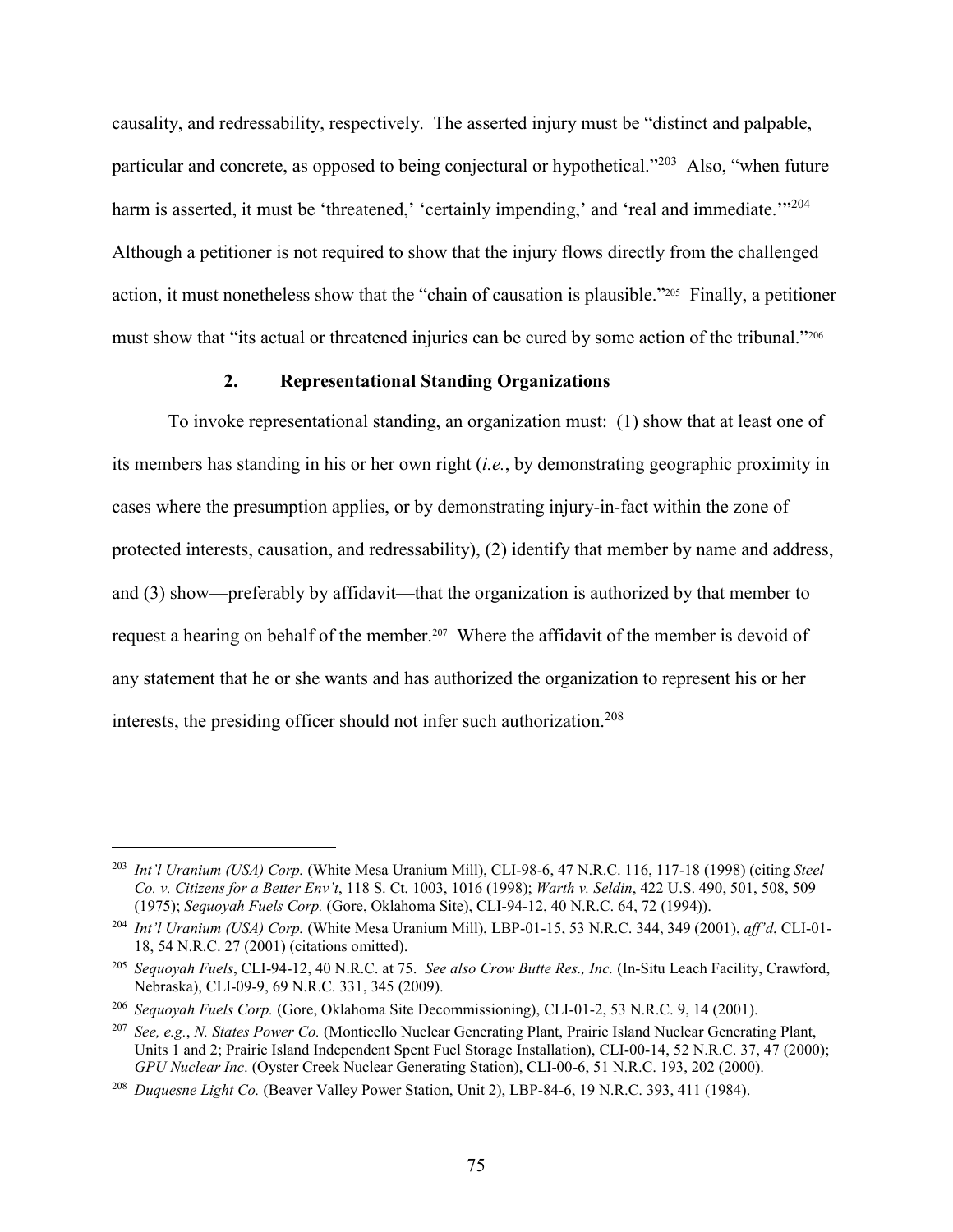causality, and redressability, respectively. The asserted injury must be "distinct and palpable, particular and concrete, as opposed to being conjectural or hypothetical."<sup>203</sup> Also, "when future harm is asserted, it must be 'threatened,' 'certainly impending,' and 'real and immediate.'"<sup>204</sup> Although a petitioner is not required to show that the injury flows directly from the challenged action, it must nonetheless show that the "chain of causation is plausible."205 Finally, a petitioner must show that "its actual or threatened injuries can be cured by some action of the tribunal."206

#### **2. Representational Standing Organizations**

To invoke representational standing, an organization must: (1) show that at least one of its members has standing in his or her own right (*i.e.*, by demonstrating geographic proximity in cases where the presumption applies, or by demonstrating injury-in-fact within the zone of protected interests, causation, and redressability), (2) identify that member by name and address, and (3) show—preferably by affidavit—that the organization is authorized by that member to request a hearing on behalf of the member.<sup>207</sup> Where the affidavit of the member is devoid of any statement that he or she wants and has authorized the organization to represent his or her interests, the presiding officer should not infer such authorization.<sup>208</sup>

 <sup>203</sup> *Int'l Uranium (USA) Corp.* (White Mesa Uranium Mill), CLI-98-6, 47 N.R.C. 116, 117-18 (1998) (citing *Steel Co. v. Citizens for a Better Env't*, 118 S. Ct. 1003, 1016 (1998); *Warth v. Seldin*, 422 U.S. 490, 501, 508, 509 (1975); *Sequoyah Fuels Corp.* (Gore, Oklahoma Site), CLI-94-12, 40 N.R.C. 64, 72 (1994)).

<sup>204</sup> *Int'l Uranium (USA) Corp.* (White Mesa Uranium Mill), LBP-01-15, 53 N.R.C. 344, 349 (2001), *aff'd*, CLI-01- 18, 54 N.R.C. 27 (2001) (citations omitted).

<sup>205</sup> *Sequoyah Fuels*, CLI-94-12, 40 N.R.C. at 75. *See also Crow Butte Res., Inc.* (In-Situ Leach Facility, Crawford, Nebraska), CLI-09-9, 69 N.R.C. 331, 345 (2009).

<sup>206</sup> *Sequoyah Fuels Corp.* (Gore, Oklahoma Site Decommissioning), CLI-01-2, 53 N.R.C. 9, 14 (2001).

<sup>207</sup> *See, e.g.*, *N. States Power Co.* (Monticello Nuclear Generating Plant, Prairie Island Nuclear Generating Plant, Units 1 and 2; Prairie Island Independent Spent Fuel Storage Installation), CLI-00-14, 52 N.R.C. 37, 47 (2000); *GPU Nuclear Inc*. (Oyster Creek Nuclear Generating Station), CLI-00-6, 51 N.R.C. 193, 202 (2000).

<sup>208</sup> *Duquesne Light Co.* (Beaver Valley Power Station, Unit 2), LBP-84-6, 19 N.R.C. 393, 411 (1984).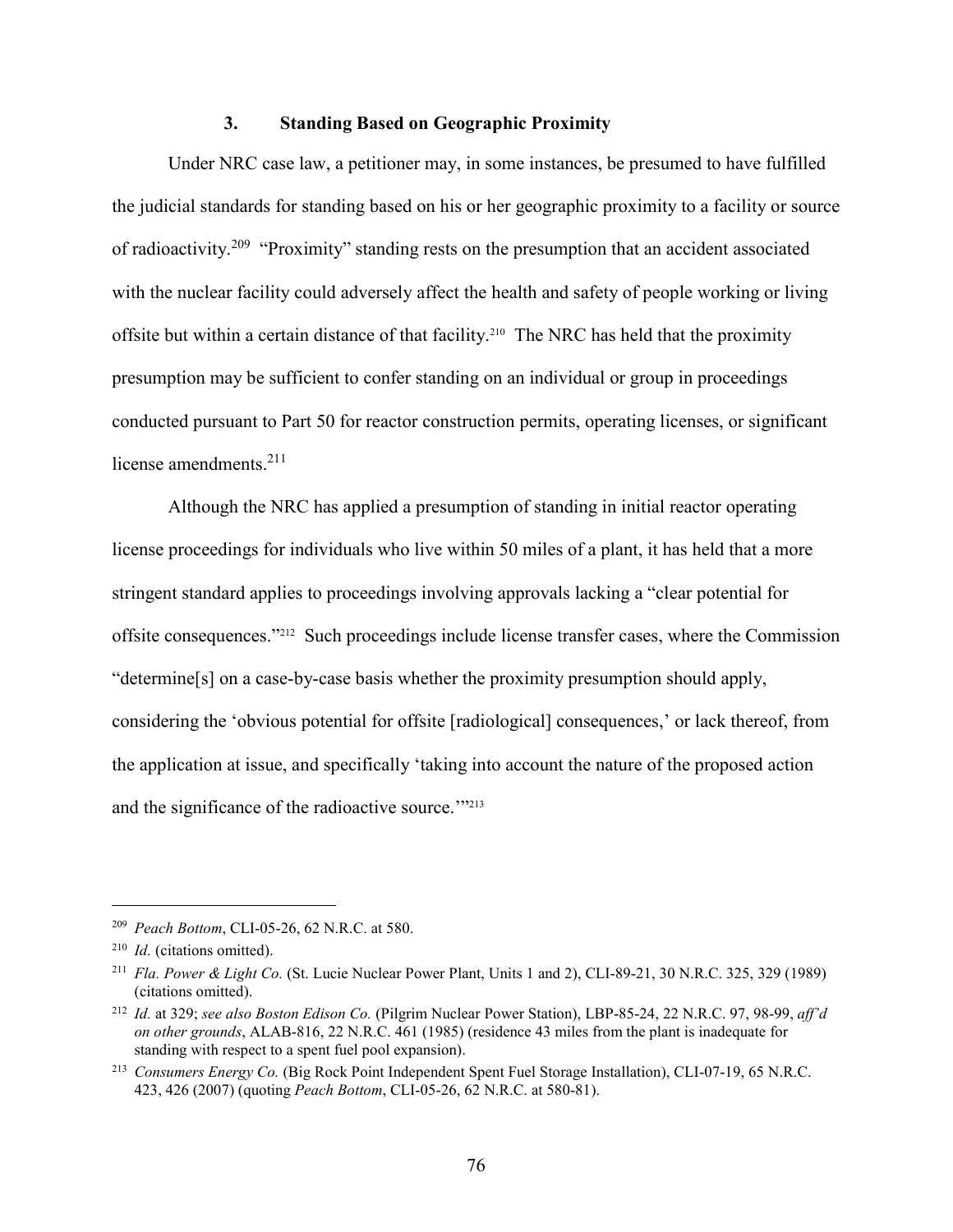### **3. Standing Based on Geographic Proximity**

Under NRC case law, a petitioner may, in some instances, be presumed to have fulfilled the judicial standards for standing based on his or her geographic proximity to a facility or source of radioactivity.<sup>209</sup> "Proximity" standing rests on the presumption that an accident associated with the nuclear facility could adversely affect the health and safety of people working or living offsite but within a certain distance of that facility.210 The NRC has held that the proximity presumption may be sufficient to confer standing on an individual or group in proceedings conducted pursuant to Part 50 for reactor construction permits, operating licenses, or significant license amendments.<sup>211</sup>

Although the NRC has applied a presumption of standing in initial reactor operating license proceedings for individuals who live within 50 miles of a plant, it has held that a more stringent standard applies to proceedings involving approvals lacking a "clear potential for offsite consequences."212 Such proceedings include license transfer cases, where the Commission "determine[s] on a case-by-case basis whether the proximity presumption should apply, considering the 'obvious potential for offsite [radiological] consequences,' or lack thereof, from the application at issue, and specifically 'taking into account the nature of the proposed action and the significance of the radioactive source."<sup>213</sup>

 <sup>209</sup> *Peach Bottom*, CLI-05-26, 62 N.R.C. at 580.

<sup>210</sup> *Id.* (citations omitted).

<sup>211</sup> *Fla. Power & Light Co.* (St. Lucie Nuclear Power Plant, Units 1 and 2), CLI-89-21, 30 N.R.C. 325, 329 (1989) (citations omitted).

<sup>212</sup> *Id.* at 329; *see also Boston Edison Co.* (Pilgrim Nuclear Power Station), LBP-85-24, 22 N.R.C. 97, 98-99, *aff'd on other grounds*, ALAB-816, 22 N.R.C. 461 (1985) (residence 43 miles from the plant is inadequate for standing with respect to a spent fuel pool expansion).

<sup>213</sup> *Consumers Energy Co.* (Big Rock Point Independent Spent Fuel Storage Installation), CLI-07-19, 65 N.R.C. 423, 426 (2007) (quoting *Peach Bottom*, CLI-05-26, 62 N.R.C. at 580-81).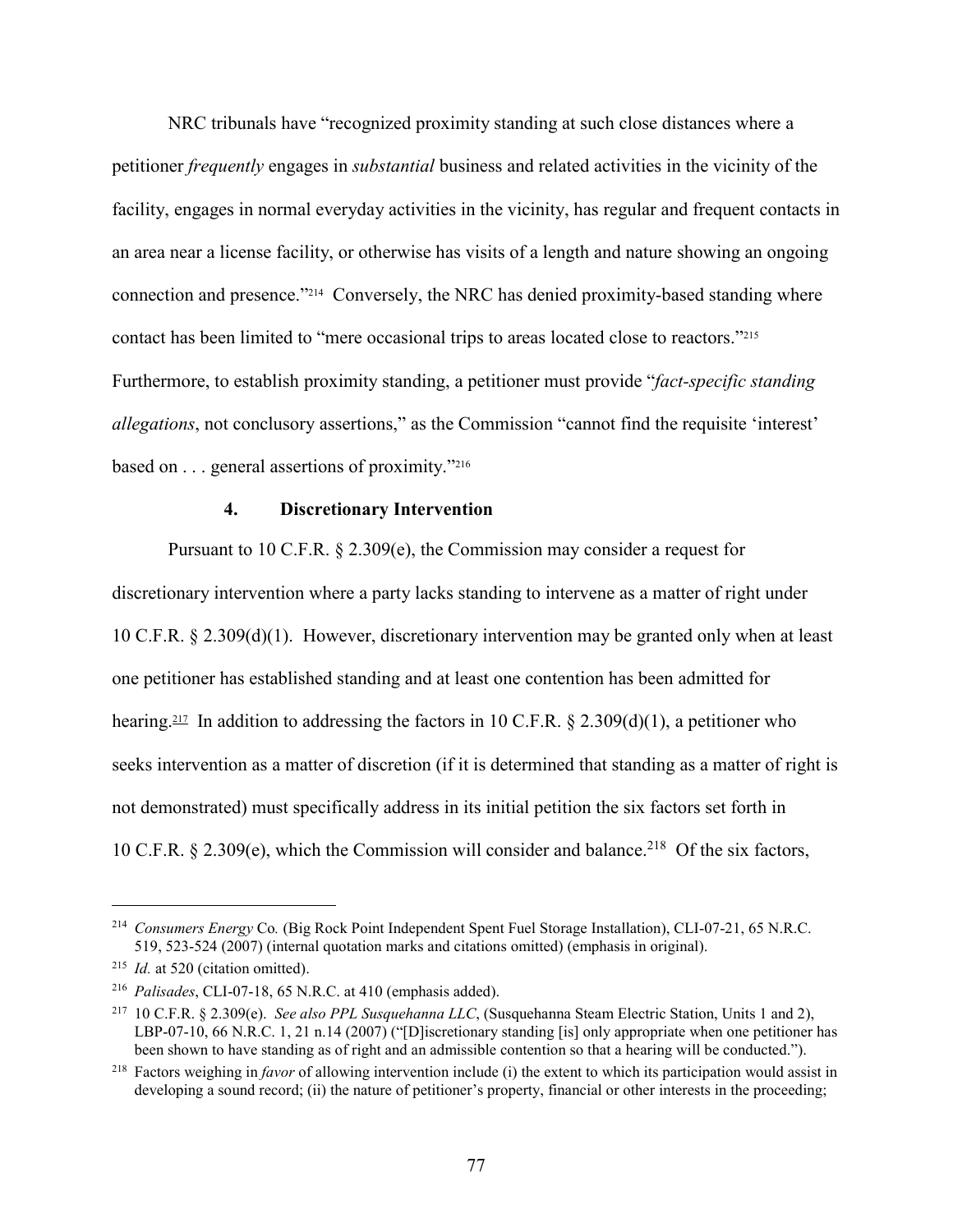NRC tribunals have "recognized proximity standing at such close distances where a petitioner *frequently* engages in *substantial* business and related activities in the vicinity of the facility, engages in normal everyday activities in the vicinity, has regular and frequent contacts in an area near a license facility, or otherwise has visits of a length and nature showing an ongoing connection and presence."214 Conversely, the NRC has denied proximity-based standing where contact has been limited to "mere occasional trips to areas located close to reactors."215 Furthermore, to establish proximity standing, a petitioner must provide "*fact-specific standing allegations*, not conclusory assertions," as the Commission "cannot find the requisite 'interest' based on . . . general assertions of proximity."216

### **4. Discretionary Intervention**

Pursuant to 10 C.F.R. § 2.309(e), the Commission may consider a request for discretionary intervention where a party lacks standing to intervene as a matter of right under 10 C.F.R. § 2.309(d)(1). However, discretionary intervention may be granted only when at least one petitioner has established standing and at least one contention has been admitted for hearing.<sup>217</sup> In addition to addressing the factors in 10 C.F.R. § 2.309(d)(1), a petitioner who seeks intervention as a matter of discretion (if it is determined that standing as a matter of right is not demonstrated) must specifically address in its initial petition the six factors set forth in 10 C.F.R. § 2.309(e), which the Commission will consider and balance.<sup>218</sup> Of the six factors,

 <sup>214</sup> *Consumers Energy* Co*.* (Big Rock Point Independent Spent Fuel Storage Installation), CLI-07-21, 65 N.R.C. 519, 523-524 (2007) (internal quotation marks and citations omitted) (emphasis in original).

<sup>&</sup>lt;sup>215</sup> *Id.* at 520 (citation omitted).

<sup>216</sup> *Palisades*, CLI-07-18, 65 N.R.C. at 410 (emphasis added).

<sup>217</sup> 10 C.F.R. § 2.309(e). *See also PPL Susquehanna LLC*, (Susquehanna Steam Electric Station, Units 1 and 2), LBP-07-10, 66 N.R.C. 1, 21 n.14 (2007) ("[D] iscretionary standing [is] only appropriate when one petitioner has been shown to have standing as of right and an admissible contention so that a hearing will be conducted.").

<sup>218</sup> Factors weighing in *favor* of allowing intervention include (i) the extent to which its participation would assist in developing a sound record; (ii) the nature of petitioner's property, financial or other interests in the proceeding;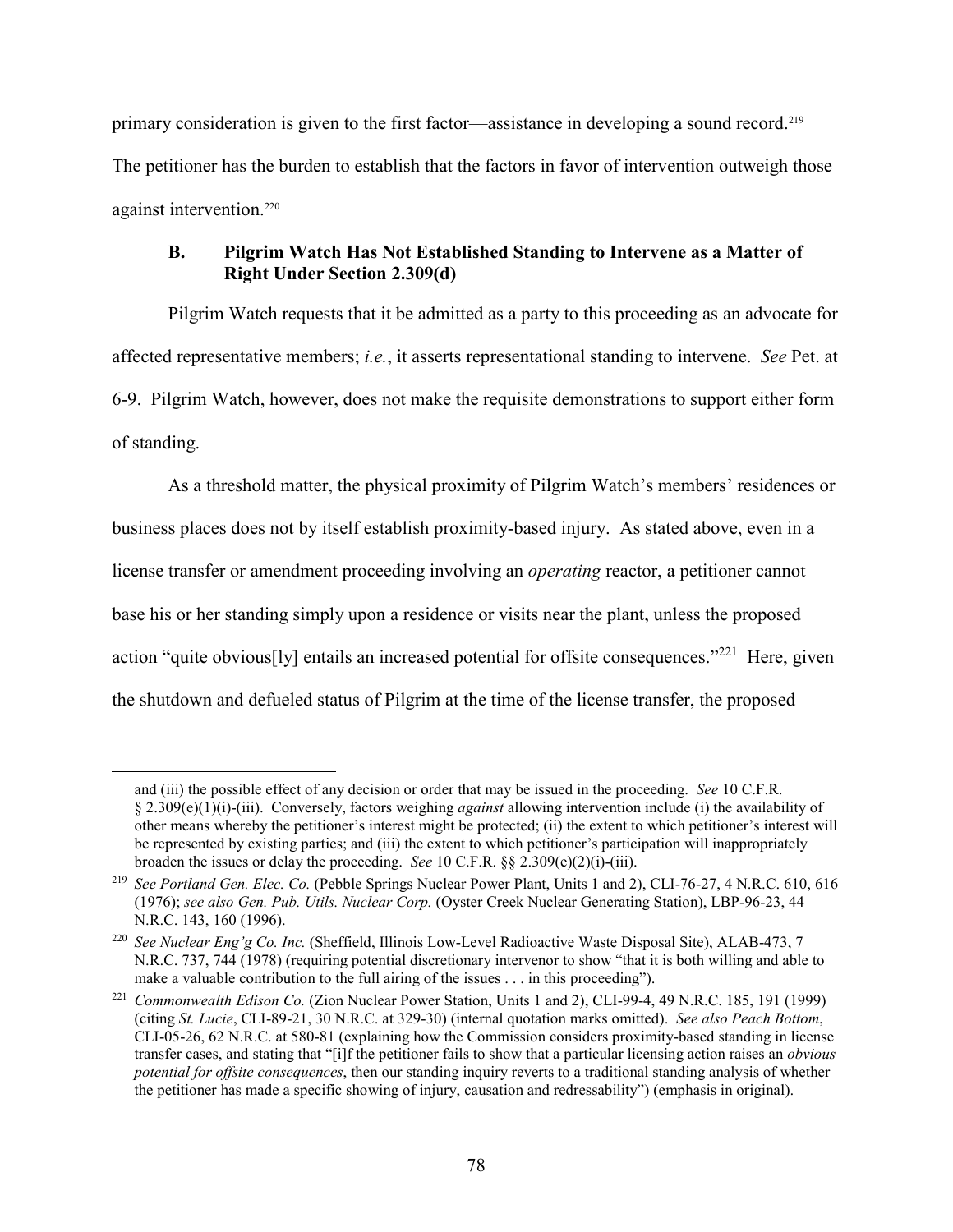primary consideration is given to the first factor—assistance in developing a sound record.219 The petitioner has the burden to establish that the factors in favor of intervention outweigh those against intervention.220

# **B. Pilgrim Watch Has Not Established Standing to Intervene as a Matter of Right Under Section 2.309(d)**

Pilgrim Watch requests that it be admitted as a party to this proceeding as an advocate for affected representative members; *i.e.*, it asserts representational standing to intervene. *See* Pet. at 6-9. Pilgrim Watch, however, does not make the requisite demonstrations to support either form of standing.

As a threshold matter, the physical proximity of Pilgrim Watch's members' residences or business places does not by itself establish proximity-based injury. As stated above, even in a license transfer or amendment proceeding involving an *operating* reactor, a petitioner cannot base his or her standing simply upon a residence or visits near the plant, unless the proposed action "quite obvious<sup>[1</sup>y] entails an increased potential for offsite consequences."<sup>221</sup> Here, given the shutdown and defueled status of Pilgrim at the time of the license transfer, the proposed

 $\overline{a}$ 

and (iii) the possible effect of any decision or order that may be issued in the proceeding. *See* 10 C.F.R. § 2.309(e)(1)(i)-(iii). Conversely, factors weighing *against* allowing intervention include (i) the availability of other means whereby the petitioner's interest might be protected; (ii) the extent to which petitioner's interest will be represented by existing parties; and (iii) the extent to which petitioner's participation will inappropriately broaden the issues or delay the proceeding. *See* 10 C.F.R. §§ 2.309(e)(2)(i)-(iii).

<sup>219</sup> *See Portland Gen. Elec. Co.* (Pebble Springs Nuclear Power Plant, Units 1 and 2), CLI-76-27, 4 N.R.C. 610, 616 (1976); *see also Gen. Pub. Utils. Nuclear Corp.* (Oyster Creek Nuclear Generating Station), LBP-96-23, 44 N.R.C. 143, 160 (1996).

<sup>&</sup>lt;sup>220</sup> *See Nuclear Eng'g Co. Inc.* (Sheffield, Illinois Low-Level Radioactive Waste Disposal Site), ALAB-473, 7 N.R.C. 737, 744 (1978) (requiring potential discretionary intervenor to show "that it is both willing and able to make a valuable contribution to the full airing of the issues . . . in this proceeding").

<sup>221</sup> *Commonwealth Edison Co.* (Zion Nuclear Power Station, Units 1 and 2), CLI-99-4, 49 N.R.C. 185, 191 (1999) (citing *St. Lucie*, CLI-89-21, 30 N.R.C. at 329-30) (internal quotation marks omitted). *See also Peach Bottom*, CLI-05-26, 62 N.R.C. at 580-81 (explaining how the Commission considers proximity-based standing in license transfer cases, and stating that "[i]f the petitioner fails to show that a particular licensing action raises an *obvious potential for offsite consequences*, then our standing inquiry reverts to a traditional standing analysis of whether the petitioner has made a specific showing of injury, causation and redressability") (emphasis in original).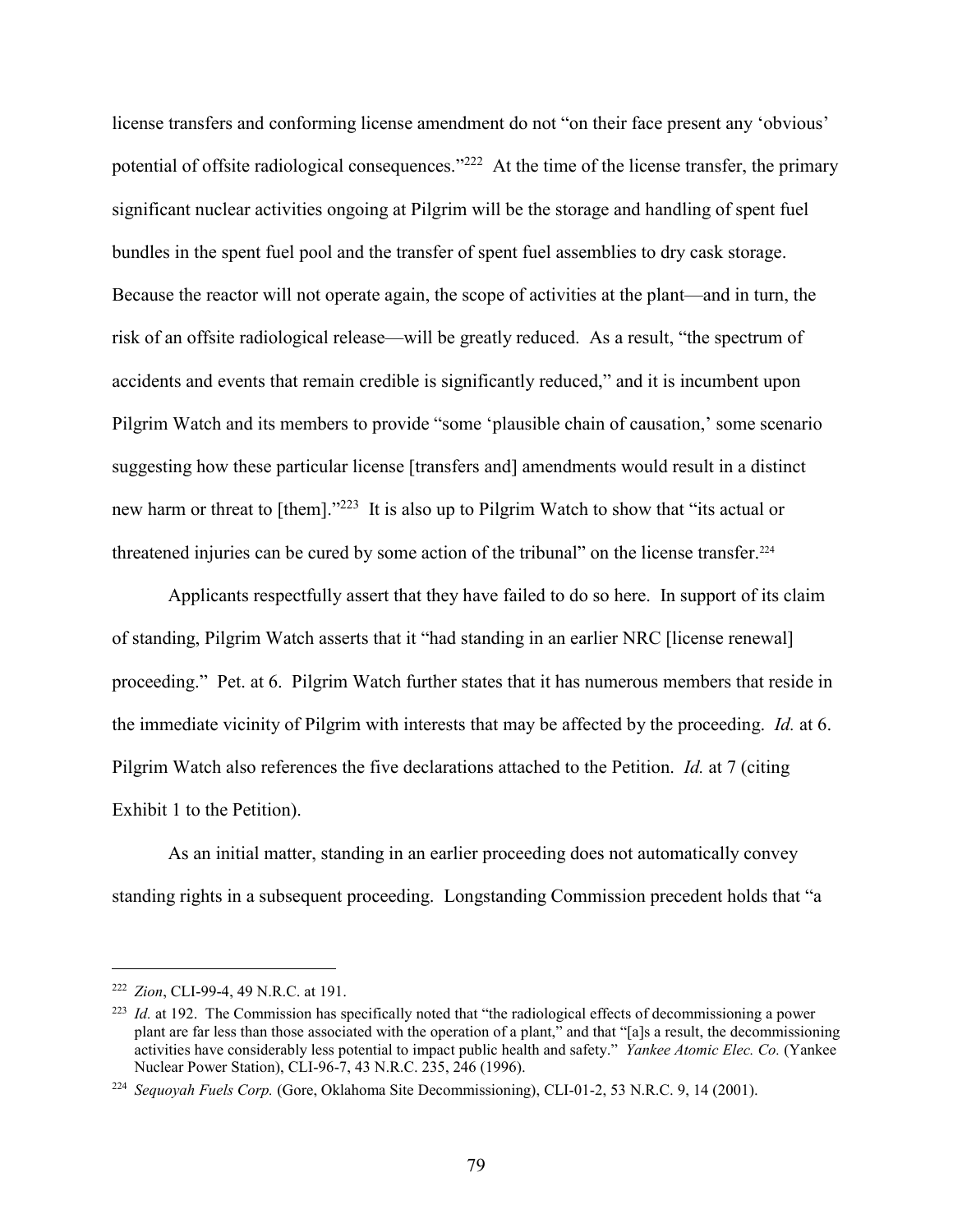license transfers and conforming license amendment do not "on their face present any 'obvious' potential of offsite radiological consequences."<sup>222</sup> At the time of the license transfer, the primary significant nuclear activities ongoing at Pilgrim will be the storage and handling of spent fuel bundles in the spent fuel pool and the transfer of spent fuel assemblies to dry cask storage. Because the reactor will not operate again, the scope of activities at the plant—and in turn, the risk of an offsite radiological release—will be greatly reduced. As a result, "the spectrum of accidents and events that remain credible is significantly reduced," and it is incumbent upon Pilgrim Watch and its members to provide "some 'plausible chain of causation,' some scenario suggesting how these particular license [transfers and] amendments would result in a distinct new harm or threat to [them]."223 It is also up to Pilgrim Watch to show that "its actual or threatened injuries can be cured by some action of the tribunal" on the license transfer.<sup>224</sup>

Applicants respectfully assert that they have failed to do so here. In support of its claim of standing, Pilgrim Watch asserts that it "had standing in an earlier NRC [license renewal] proceeding." Pet. at 6. Pilgrim Watch further states that it has numerous members that reside in the immediate vicinity of Pilgrim with interests that may be affected by the proceeding. *Id.* at 6. Pilgrim Watch also references the five declarations attached to the Petition. *Id.* at 7 (citing Exhibit 1 to the Petition).

As an initial matter, standing in an earlier proceeding does not automatically convey standing rights in a subsequent proceeding. Longstanding Commission precedent holds that "a

 <sup>222</sup> *Zion*, CLI-99-4, 49 N.R.C. at 191.

<sup>&</sup>lt;sup>223</sup> *Id.* at 192. The Commission has specifically noted that "the radiological effects of decommissioning a power plant are far less than those associated with the operation of a plant," and that "[a]s a result, the decommissioning activities have considerably less potential to impact public health and safety." *Yankee Atomic Elec. Co.* (Yankee Nuclear Power Station), CLI-96-7, 43 N.R.C. 235, 246 (1996).

<sup>224</sup> *Sequoyah Fuels Corp.* (Gore, Oklahoma Site Decommissioning), CLI-01-2, 53 N.R.C. 9, 14 (2001).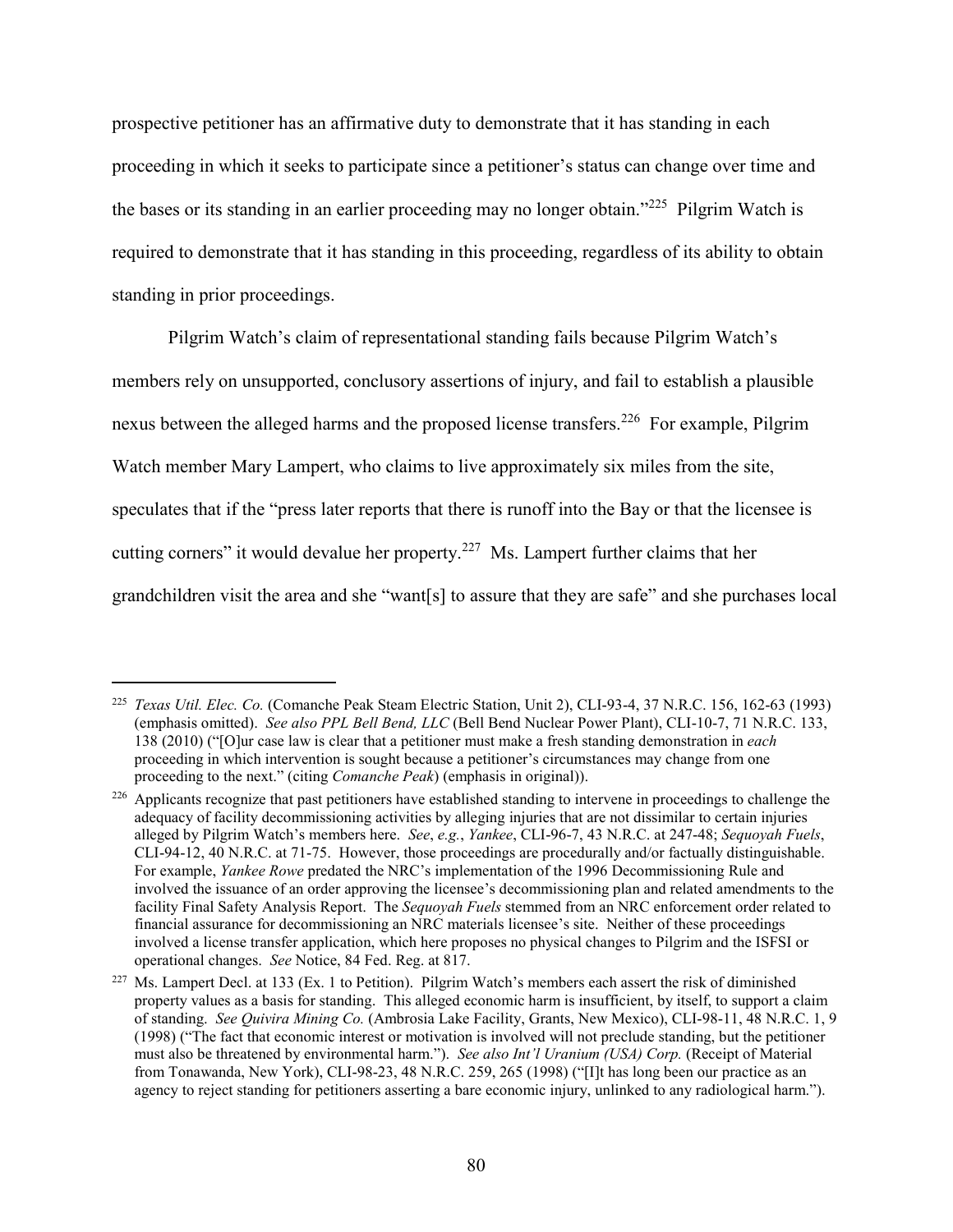prospective petitioner has an affirmative duty to demonstrate that it has standing in each proceeding in which it seeks to participate since a petitioner's status can change over time and the bases or its standing in an earlier proceeding may no longer obtain."<sup>225</sup> Pilgrim Watch is required to demonstrate that it has standing in this proceeding, regardless of its ability to obtain standing in prior proceedings.

Pilgrim Watch's claim of representational standing fails because Pilgrim Watch's members rely on unsupported, conclusory assertions of injury, and fail to establish a plausible nexus between the alleged harms and the proposed license transfers.<sup>226</sup> For example, Pilgrim Watch member Mary Lampert, who claims to live approximately six miles from the site, speculates that if the "press later reports that there is runoff into the Bay or that the licensee is cutting corners" it would devalue her property.<sup>227</sup> Ms. Lampert further claims that her grandchildren visit the area and she "want[s] to assure that they are safe" and she purchases local

 <sup>225</sup> *Texas Util. Elec. Co.* (Comanche Peak Steam Electric Station, Unit 2), CLI-93-4, 37 N.R.C. 156, 162-63 (1993) (emphasis omitted). *See also PPL Bell Bend, LLC* (Bell Bend Nuclear Power Plant), CLI-10-7, 71 N.R.C. 133, 138 (2010) ("[O]ur case law is clear that a petitioner must make a fresh standing demonstration in *each*  proceeding in which intervention is sought because a petitioner's circumstances may change from one proceeding to the next." (citing *Comanche Peak*) (emphasis in original)).

<sup>&</sup>lt;sup>226</sup> Applicants recognize that past petitioners have established standing to intervene in proceedings to challenge the adequacy of facility decommissioning activities by alleging injuries that are not dissimilar to certain injuries alleged by Pilgrim Watch's members here. *See*, *e.g.*, *Yankee*, CLI-96-7, 43 N.R.C. at 247-48; *Sequoyah Fuels*, CLI-94-12, 40 N.R.C. at 71-75. However, those proceedings are procedurally and/or factually distinguishable. For example, *Yankee Rowe* predated the NRC's implementation of the 1996 Decommissioning Rule and involved the issuance of an order approving the licensee's decommissioning plan and related amendments to the facility Final Safety Analysis Report. The *Sequoyah Fuels* stemmed from an NRC enforcement order related to financial assurance for decommissioning an NRC materials licensee's site. Neither of these proceedings involved a license transfer application, which here proposes no physical changes to Pilgrim and the ISFSI or operational changes. *See* Notice, 84 Fed. Reg. at 817.

 $227$  Ms. Lampert Decl. at 133 (Ex. 1 to Petition). Pilgrim Watch's members each assert the risk of diminished property values as a basis for standing. This alleged economic harm is insufficient, by itself, to support a claim of standing. *See Quivira Mining Co.* (Ambrosia Lake Facility, Grants, New Mexico), CLI-98-11, 48 N.R.C. 1, 9 (1998) ("The fact that economic interest or motivation is involved will not preclude standing, but the petitioner must also be threatened by environmental harm."). *See also Int'l Uranium (USA) Corp.* (Receipt of Material from Tonawanda, New York), CLI-98-23, 48 N.R.C. 259, 265 (1998) ("[I]t has long been our practice as an agency to reject standing for petitioners asserting a bare economic injury, unlinked to any radiological harm.").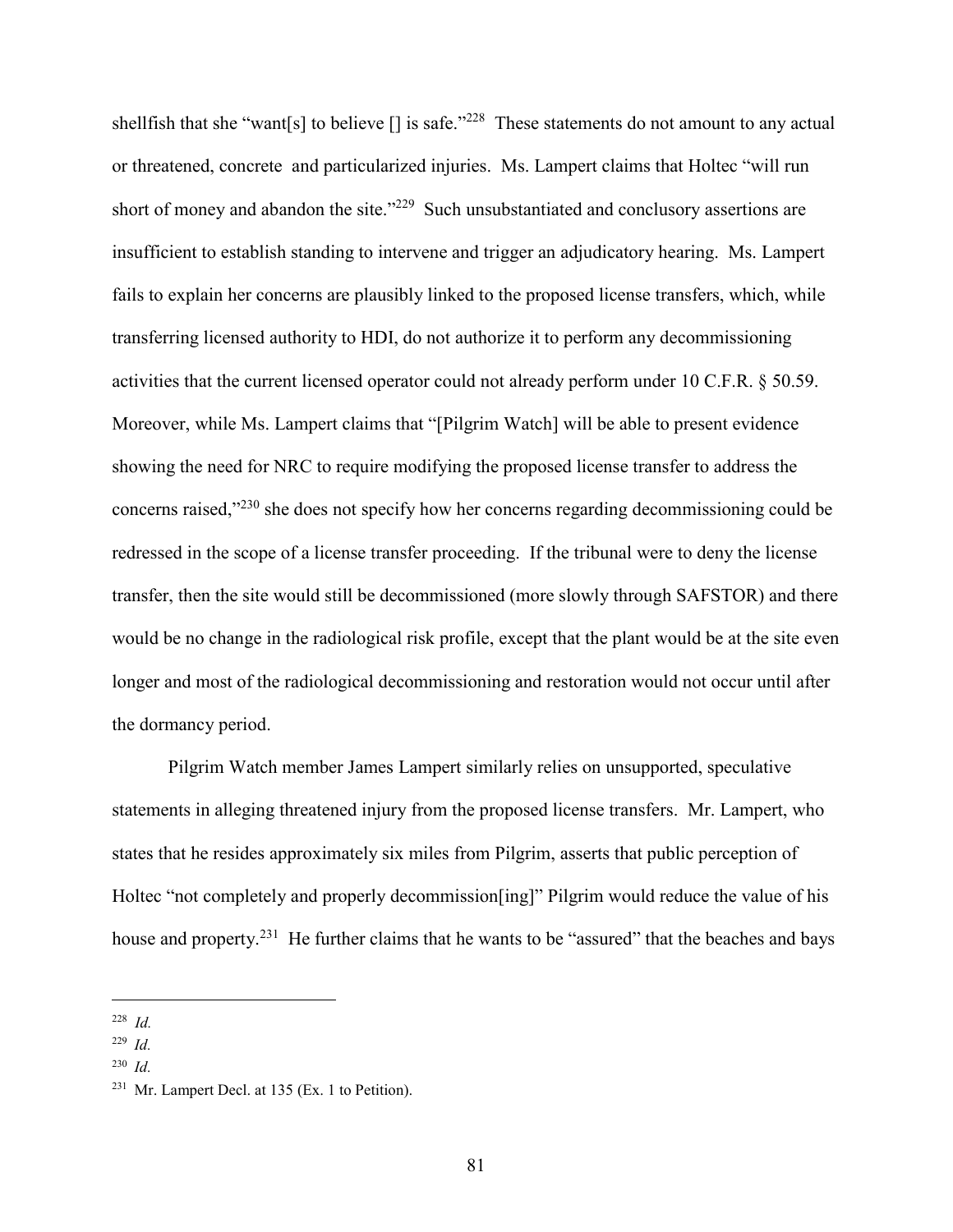shellfish that she "want[s] to believe [] is safe."<sup>228</sup> These statements do not amount to any actual or threatened, concrete and particularized injuries. Ms. Lampert claims that Holtec "will run short of money and abandon the site."<sup>229</sup> Such unsubstantiated and conclusory assertions are insufficient to establish standing to intervene and trigger an adjudicatory hearing. Ms. Lampert fails to explain her concerns are plausibly linked to the proposed license transfers, which, while transferring licensed authority to HDI, do not authorize it to perform any decommissioning activities that the current licensed operator could not already perform under 10 C.F.R. § 50.59. Moreover, while Ms. Lampert claims that "[Pilgrim Watch] will be able to present evidence showing the need for NRC to require modifying the proposed license transfer to address the concerns raised,"<sup>230</sup> she does not specify how her concerns regarding decommissioning could be redressed in the scope of a license transfer proceeding. If the tribunal were to deny the license transfer, then the site would still be decommissioned (more slowly through SAFSTOR) and there would be no change in the radiological risk profile, except that the plant would be at the site even longer and most of the radiological decommissioning and restoration would not occur until after the dormancy period.

Pilgrim Watch member James Lampert similarly relies on unsupported, speculative statements in alleging threatened injury from the proposed license transfers. Mr. Lampert, who states that he resides approximately six miles from Pilgrim, asserts that public perception of Holtec "not completely and properly decommission[ing]" Pilgrim would reduce the value of his house and property.<sup>231</sup> He further claims that he wants to be "assured" that the beaches and bays

 <sup>228</sup> *Id.*

<sup>229</sup> *Id.*

<sup>230</sup> *Id.*

 $231$  Mr. Lampert Decl. at 135 (Ex. 1 to Petition).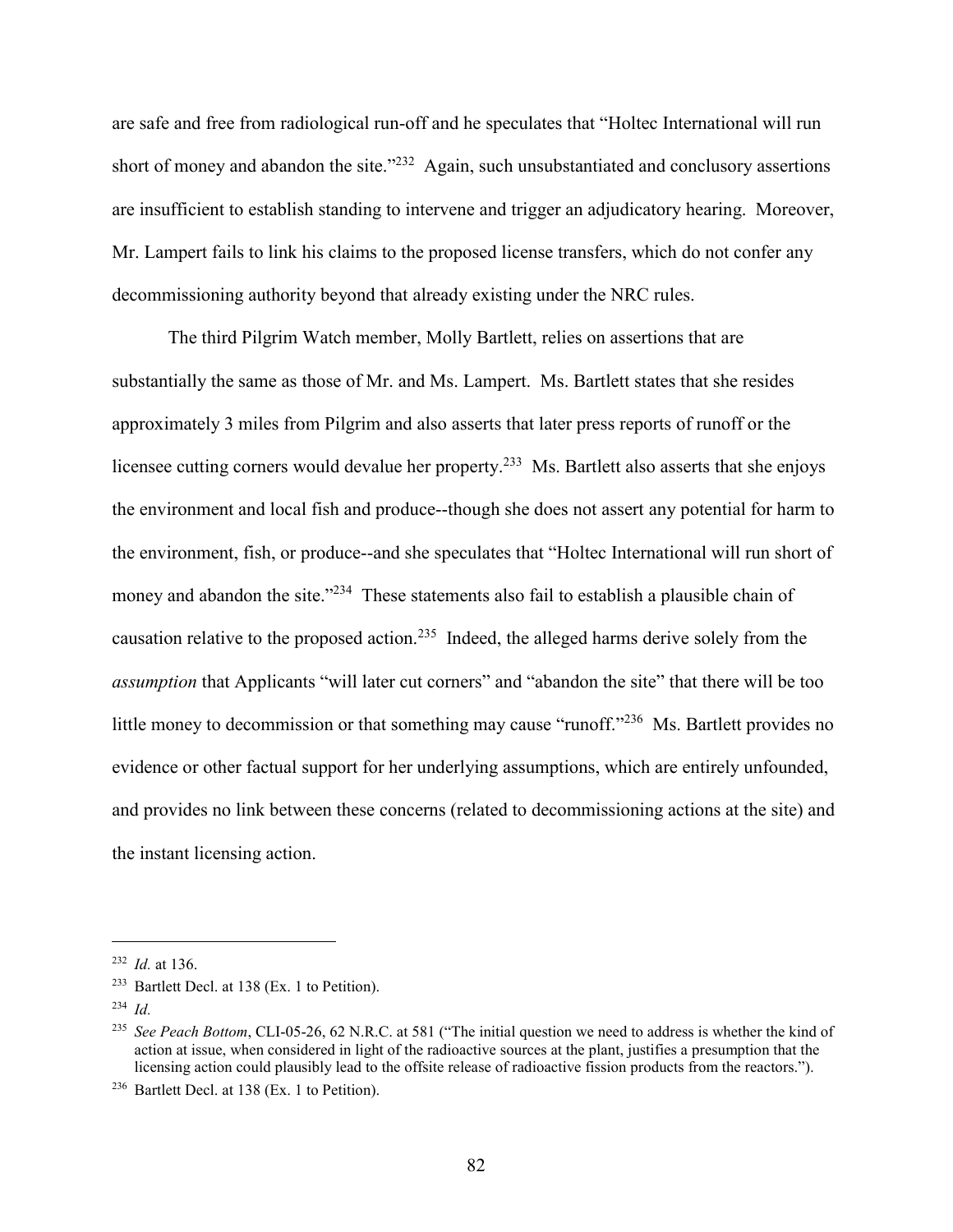are safe and free from radiological run-off and he speculates that "Holtec International will run short of money and abandon the site."<sup>232</sup> Again, such unsubstantiated and conclusory assertions are insufficient to establish standing to intervene and trigger an adjudicatory hearing. Moreover, Mr. Lampert fails to link his claims to the proposed license transfers, which do not confer any decommissioning authority beyond that already existing under the NRC rules.

The third Pilgrim Watch member, Molly Bartlett, relies on assertions that are substantially the same as those of Mr. and Ms. Lampert. Ms. Bartlett states that she resides approximately 3 miles from Pilgrim and also asserts that later press reports of runoff or the licensee cutting corners would devalue her property.<sup>233</sup> Ms. Bartlett also asserts that she enjoys the environment and local fish and produce--though she does not assert any potential for harm to the environment, fish, or produce--and she speculates that "Holtec International will run short of money and abandon the site."<sup>234</sup> These statements also fail to establish a plausible chain of causation relative to the proposed action.<sup>235</sup> Indeed, the alleged harms derive solely from the *assumption* that Applicants "will later cut corners" and "abandon the site" that there will be too little money to decommission or that something may cause "runoff."<sup>236</sup> Ms. Bartlett provides no evidence or other factual support for her underlying assumptions, which are entirely unfounded, and provides no link between these concerns (related to decommissioning actions at the site) and the instant licensing action.

 <sup>232</sup> *Id.* at 136.

<sup>233</sup> Bartlett Decl. at 138 (Ex. 1 to Petition).

<sup>234</sup> *Id.*

<sup>235</sup> *See Peach Bottom*, CLI-05-26, 62 N.R.C. at 581 ("The initial question we need to address is whether the kind of action at issue, when considered in light of the radioactive sources at the plant, justifies a presumption that the licensing action could plausibly lead to the offsite release of radioactive fission products from the reactors.").

<sup>236</sup> Bartlett Decl. at 138 (Ex. 1 to Petition).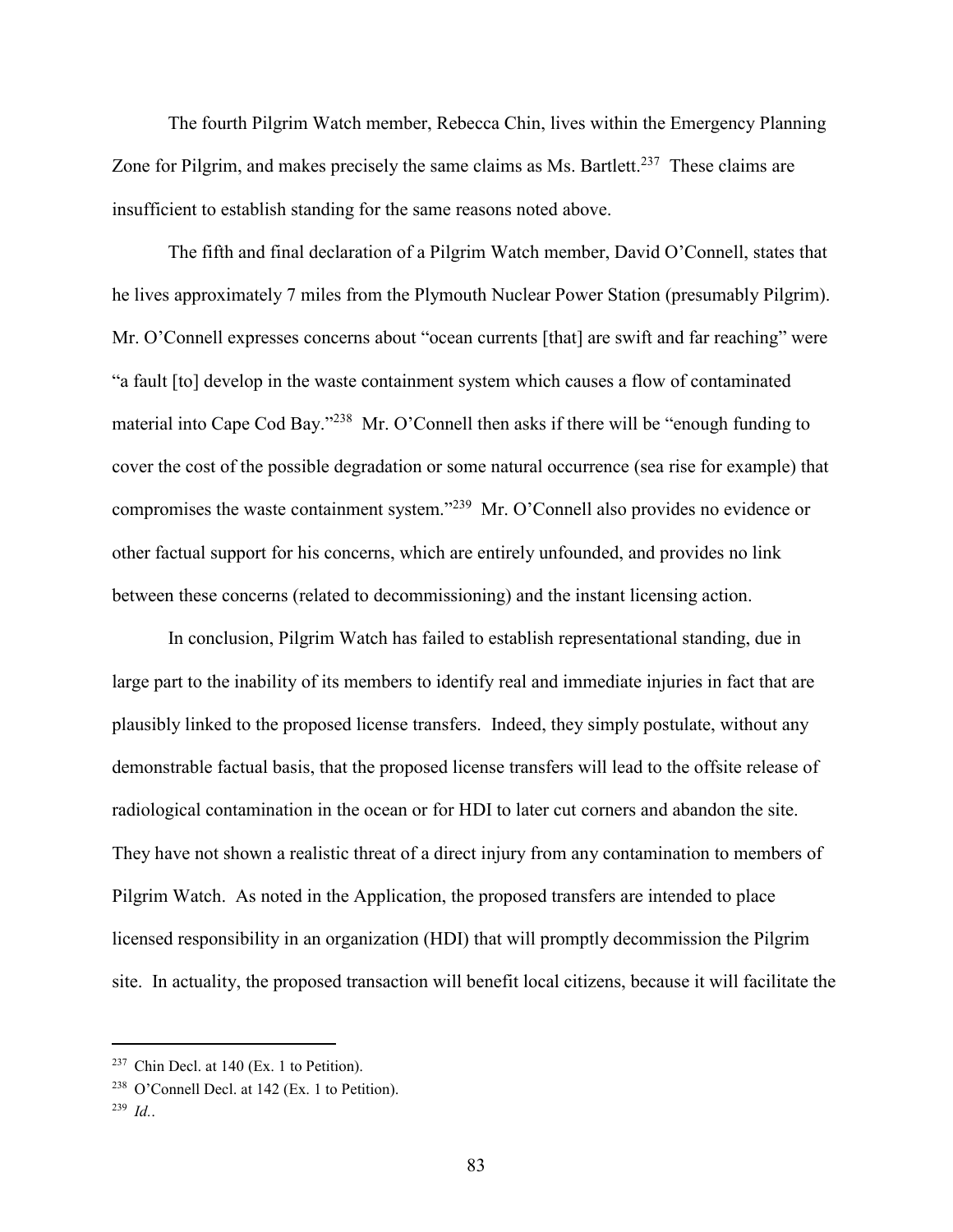The fourth Pilgrim Watch member, Rebecca Chin, lives within the Emergency Planning Zone for Pilgrim, and makes precisely the same claims as Ms. Bartlett.<sup>237</sup> These claims are insufficient to establish standing for the same reasons noted above.

The fifth and final declaration of a Pilgrim Watch member, David O'Connell, states that he lives approximately 7 miles from the Plymouth Nuclear Power Station (presumably Pilgrim). Mr. O'Connell expresses concerns about "ocean currents [that] are swift and far reaching" were "a fault [to] develop in the waste containment system which causes a flow of contaminated material into Cape Cod Bay."238 Mr. O'Connell then asks if there will be "enough funding to cover the cost of the possible degradation or some natural occurrence (sea rise for example) that compromises the waste containment system."239 Mr. O'Connell also provides no evidence or other factual support for his concerns, which are entirely unfounded, and provides no link between these concerns (related to decommissioning) and the instant licensing action.

In conclusion, Pilgrim Watch has failed to establish representational standing, due in large part to the inability of its members to identify real and immediate injuries in fact that are plausibly linked to the proposed license transfers. Indeed, they simply postulate, without any demonstrable factual basis, that the proposed license transfers will lead to the offsite release of radiological contamination in the ocean or for HDI to later cut corners and abandon the site. They have not shown a realistic threat of a direct injury from any contamination to members of Pilgrim Watch. As noted in the Application, the proposed transfers are intended to place licensed responsibility in an organization (HDI) that will promptly decommission the Pilgrim site. In actuality, the proposed transaction will benefit local citizens, because it will facilitate the

 $237$  Chin Decl. at 140 (Ex. 1 to Petition).

<sup>&</sup>lt;sup>238</sup> O'Connell Decl. at 142 (Ex. 1 to Petition).

<sup>239</sup> *Id.*.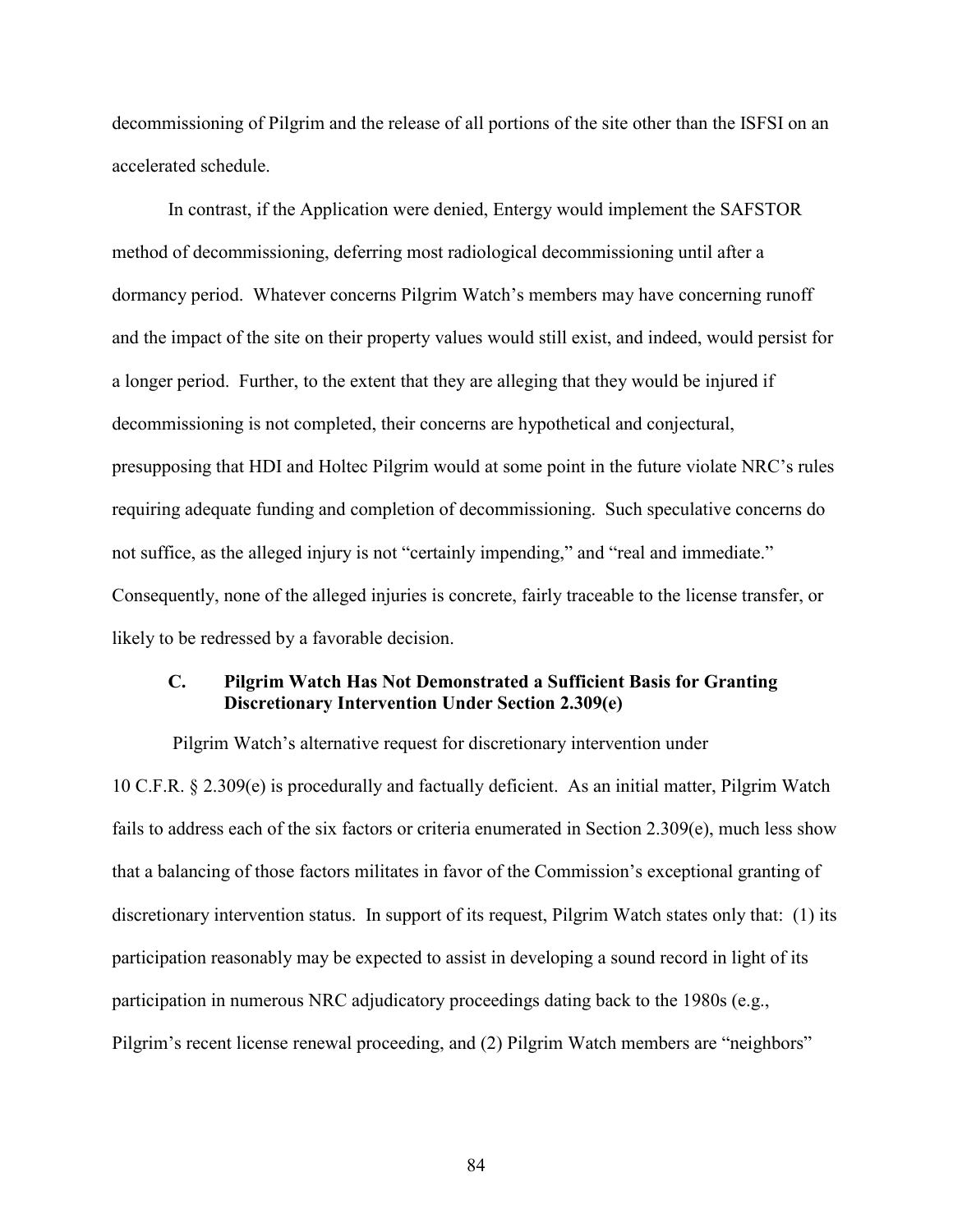decommissioning of Pilgrim and the release of all portions of the site other than the ISFSI on an accelerated schedule.

In contrast, if the Application were denied, Entergy would implement the SAFSTOR method of decommissioning, deferring most radiological decommissioning until after a dormancy period. Whatever concerns Pilgrim Watch's members may have concerning runoff and the impact of the site on their property values would still exist, and indeed, would persist for a longer period. Further, to the extent that they are alleging that they would be injured if decommissioning is not completed, their concerns are hypothetical and conjectural, presupposing that HDI and Holtec Pilgrim would at some point in the future violate NRC's rules requiring adequate funding and completion of decommissioning. Such speculative concerns do not suffice, as the alleged injury is not "certainly impending," and "real and immediate." Consequently, none of the alleged injuries is concrete, fairly traceable to the license transfer, or likely to be redressed by a favorable decision.

### **C. Pilgrim Watch Has Not Demonstrated a Sufficient Basis for Granting Discretionary Intervention Under Section 2.309(e)**

Pilgrim Watch's alternative request for discretionary intervention under 10 C.F.R. § 2.309(e) is procedurally and factually deficient. As an initial matter, Pilgrim Watch fails to address each of the six factors or criteria enumerated in Section 2.309(e), much less show that a balancing of those factors militates in favor of the Commission's exceptional granting of discretionary intervention status. In support of its request, Pilgrim Watch states only that: (1) its participation reasonably may be expected to assist in developing a sound record in light of its participation in numerous NRC adjudicatory proceedings dating back to the 1980s (e.g., Pilgrim's recent license renewal proceeding, and (2) Pilgrim Watch members are "neighbors"

84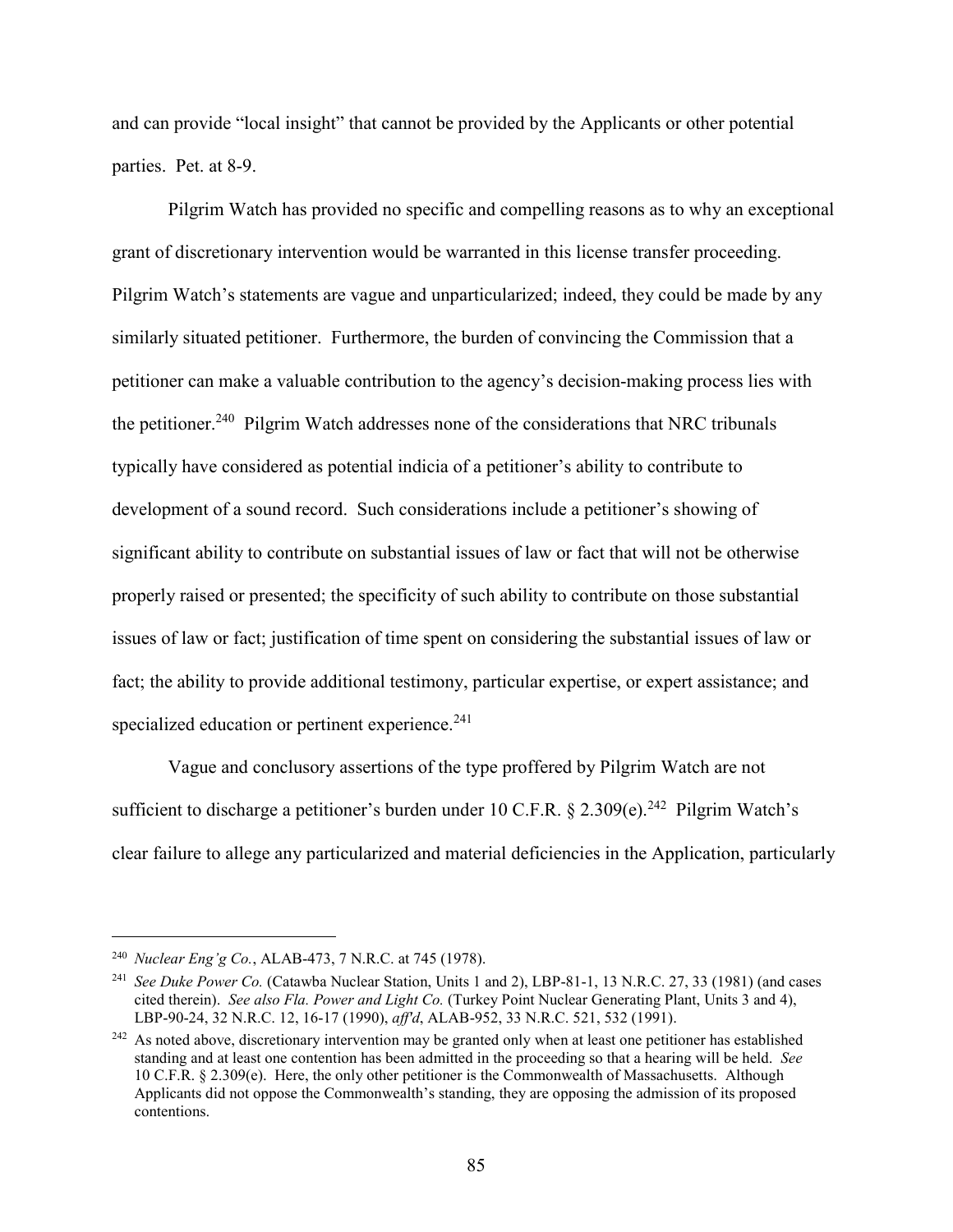and can provide "local insight" that cannot be provided by the Applicants or other potential parties. Pet. at 8-9.

Pilgrim Watch has provided no specific and compelling reasons as to why an exceptional grant of discretionary intervention would be warranted in this license transfer proceeding. Pilgrim Watch's statements are vague and unparticularized; indeed, they could be made by any similarly situated petitioner. Furthermore, the burden of convincing the Commission that a petitioner can make a valuable contribution to the agency's decision-making process lies with the petitioner.<sup>240</sup> Pilgrim Watch addresses none of the considerations that NRC tribunals typically have considered as potential indicia of a petitioner's ability to contribute to development of a sound record. Such considerations include a petitioner's showing of significant ability to contribute on substantial issues of law or fact that will not be otherwise properly raised or presented; the specificity of such ability to contribute on those substantial issues of law or fact; justification of time spent on considering the substantial issues of law or fact; the ability to provide additional testimony, particular expertise, or expert assistance; and specialized education or pertinent experience. $241$ 

Vague and conclusory assertions of the type proffered by Pilgrim Watch are not sufficient to discharge a petitioner's burden under 10 C.F.R. § 2.309(e).<sup>242</sup> Pilgrim Watch's clear failure to allege any particularized and material deficiencies in the Application, particularly

 <sup>240</sup> *Nuclear Eng'g Co.*, ALAB-473, 7 N.R.C. at 745 (1978).

<sup>&</sup>lt;sup>241</sup> *See Duke Power Co.* (Catawba Nuclear Station, Units 1 and 2), LBP-81-1, 13 N.R.C. 27, 33 (1981) (and cases cited therein). *See also Fla. Power and Light Co.* (Turkey Point Nuclear Generating Plant, Units 3 and 4), LBP-90-24, 32 N.R.C. 12, 16-17 (1990), *aff'd*, ALAB-952, 33 N.R.C. 521, 532 (1991).

<sup>&</sup>lt;sup>242</sup> As noted above, discretionary intervention may be granted only when at least one petitioner has established standing and at least one contention has been admitted in the proceeding so that a hearing will be held. *See*  10 C.F.R. § 2.309(e). Here, the only other petitioner is the Commonwealth of Massachusetts. Although Applicants did not oppose the Commonwealth's standing, they are opposing the admission of its proposed contentions.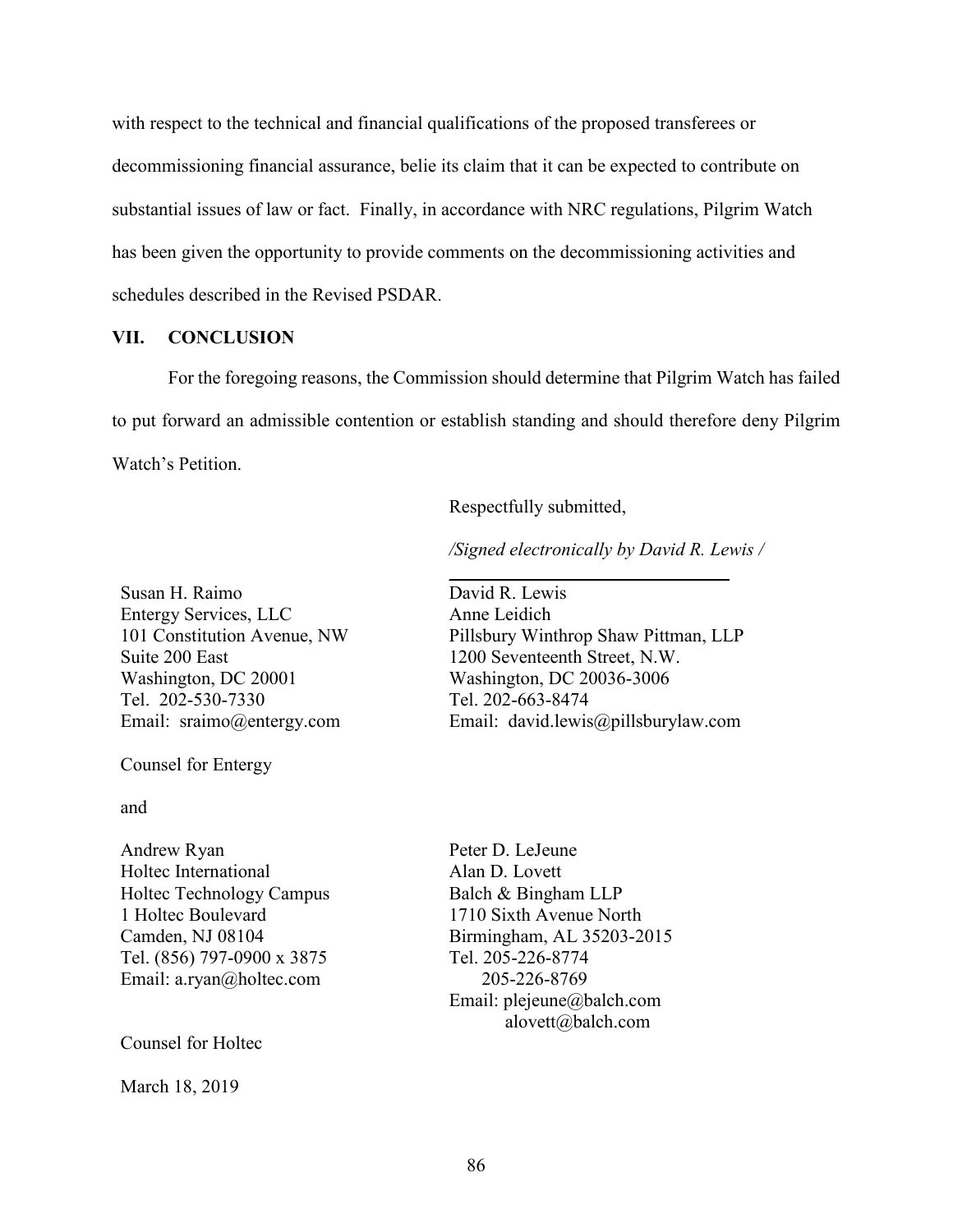with respect to the technical and financial qualifications of the proposed transferees or decommissioning financial assurance, belie its claim that it can be expected to contribute on substantial issues of law or fact. Finally, in accordance with NRC regulations, Pilgrim Watch has been given the opportunity to provide comments on the decommissioning activities and schedules described in the Revised PSDAR.

#### **VII. CONCLUSION**

For the foregoing reasons, the Commission should determine that Pilgrim Watch has failed to put forward an admissible contention or establish standing and should therefore deny Pilgrim Watch's Petition.

Respectfully submitted,

*/Signed electronically by David R. Lewis /*

Susan H. Raimo Entergy Services, LLC 101 Constitution Avenue, NW Suite 200 East Washington, DC 20001 Tel. 202-530-7330 Email: sraimo@entergy.com

Counsel for Entergy

and

Andrew Ryan Holtec International Holtec Technology Campus 1 Holtec Boulevard Camden, NJ 08104 Tel. (856) 797-0900 x 3875 Email: a.ryan@holtec.com

Counsel for Holtec

March 18, 2019

\_\_\_\_\_\_\_\_\_\_\_\_\_\_\_\_\_\_\_\_\_\_\_\_\_\_\_\_\_\_ David R. Lewis Anne Leidich Pillsbury Winthrop Shaw Pittman, LLP 1200 Seventeenth Street, N.W. Washington, DC 20036-3006 Tel. 202-663-8474 Email: david.lewis@pillsburylaw.com

Peter D. LeJeune Alan D. Lovett Balch & Bingham LLP 1710 Sixth Avenue North Birmingham, AL 35203-2015 Tel. 205-226-8774 205-226-8769 Email: plejeune@balch.com alovett@balch.com